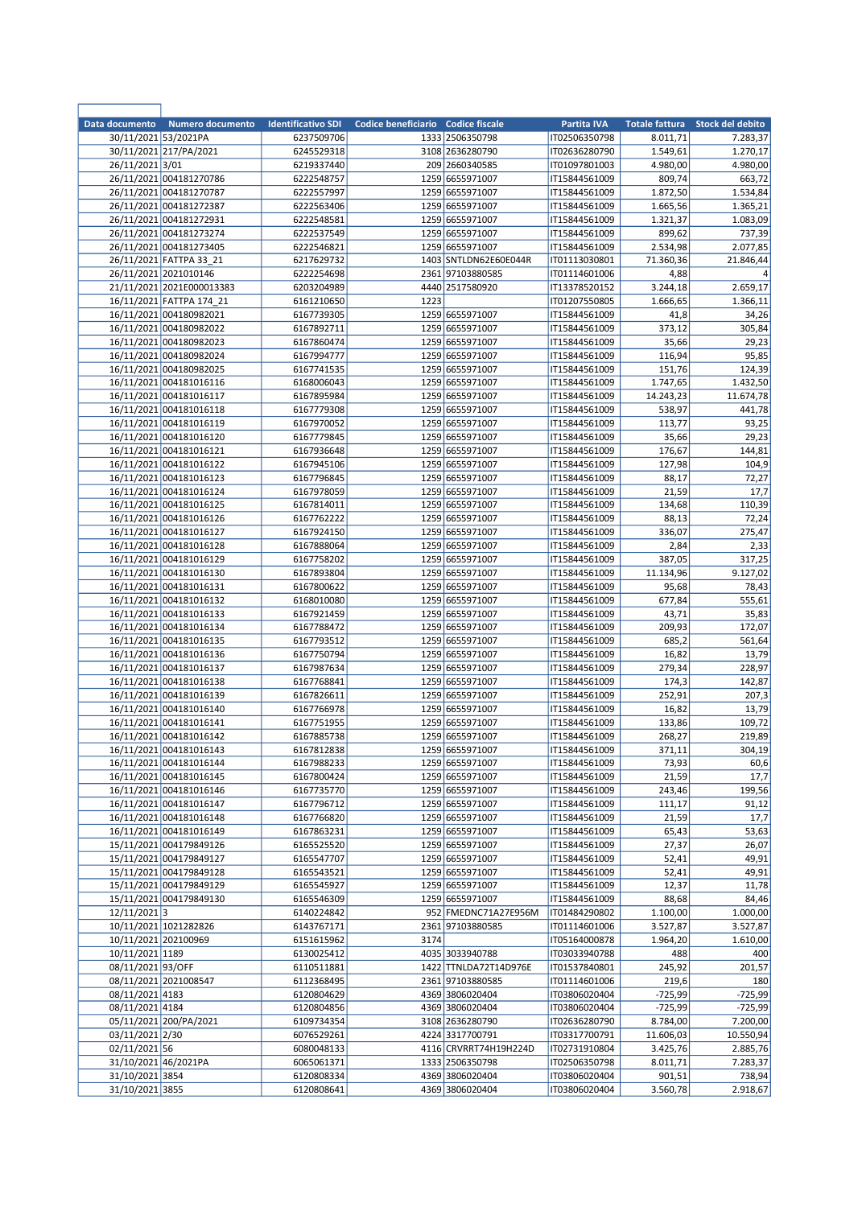| Data documento    | Numero documento                                   | <b>Identificativo SDI</b> | Codice beneficiario Codice fiscale |                                     | Partita IVA                    | <b>Totale fattura</b> | Stock del debito   |
|-------------------|----------------------------------------------------|---------------------------|------------------------------------|-------------------------------------|--------------------------------|-----------------------|--------------------|
|                   | 30/11/2021 53/2021PA                               | 6237509706                |                                    | 1333 2506350798                     | IT02506350798                  | 8.011,71              | 7.283,37           |
|                   | 30/11/2021 217/PA/2021                             | 6245529318                |                                    | 3108 2636280790                     | IT02636280790                  | 1.549,61              | 1.270,17           |
| 26/11/2021 3/01   | 26/11/2021 004181270786                            | 6219337440                |                                    | 209 2660340585<br>1259 6655971007   | IT01097801003                  | 4.980,00<br>809,74    | 4.980,00           |
|                   | 26/11/2021 004181270787                            | 6222548757<br>6222557997  |                                    | 1259 6655971007                     | IT15844561009<br>IT15844561009 | 1.872,50              | 663,72<br>1.534,84 |
|                   | 26/11/2021 004181272387                            | 6222563406                |                                    | 1259 6655971007                     | IT15844561009                  | 1.665,56              | 1.365,21           |
|                   | 26/11/2021 004181272931                            | 6222548581                |                                    | 1259 6655971007                     | IT15844561009                  | 1.321,37              | 1.083,09           |
|                   | 26/11/2021 004181273274                            | 6222537549                |                                    | 1259 6655971007                     | IT15844561009                  | 899,62                | 737,39             |
|                   | 26/11/2021 004181273405                            | 6222546821                |                                    | 1259 6655971007                     | IT15844561009                  | 2.534,98              | 2.077,85           |
|                   | 26/11/2021 FATTPA 33 21                            | 6217629732                |                                    | 1403 SNTLDN62E60E044R               | IT01113030801                  | 71.360,36             | 21.846,44          |
|                   | 26/11/2021 2021010146                              | 6222254698                |                                    | 2361 97103880585                    | IT01114601006                  | 4,88                  | 4                  |
|                   | 21/11/2021 2021E000013383                          | 6203204989                |                                    | 4440 2517580920                     | IT13378520152                  | 3.244,18              | 2.659,17           |
|                   | 16/11/2021 FATTPA 174 21                           | 6161210650                | 1223                               |                                     | IT01207550805                  | 1.666,65              | 1.366,11           |
|                   | 16/11/2021 004180982021                            | 6167739305                |                                    | 1259 6655971007                     | IT15844561009                  | 41,8                  | 34,26              |
|                   | 16/11/2021 004180982022<br>16/11/2021 004180982023 | 6167892711<br>6167860474  |                                    | 1259 6655971007<br>1259 6655971007  | IT15844561009<br>IT15844561009 | 373,12                | 305,84<br>29,23    |
|                   | 16/11/2021 004180982024                            | 6167994777                |                                    | 1259 6655971007                     | IT15844561009                  | 35,66<br>116,94       | 95,85              |
|                   | 16/11/2021 004180982025                            | 6167741535                |                                    | 1259 6655971007                     | IT15844561009                  | 151,76                | 124,39             |
|                   | 16/11/2021 004181016116                            | 6168006043                |                                    | 1259 6655971007                     | IT15844561009                  | 1.747,65              | 1.432,50           |
|                   | 16/11/2021 004181016117                            | 6167895984                |                                    | 1259 6655971007                     | IT15844561009                  | 14.243,23             | 11.674,78          |
|                   | 16/11/2021 004181016118                            | 6167779308                |                                    | 1259 6655971007                     | IT15844561009                  | 538,97                | 441,78             |
|                   | 16/11/2021 004181016119                            | 6167970052                |                                    | 1259 6655971007                     | IT15844561009                  | 113,77                | 93,25              |
|                   | 16/11/2021 004181016120                            | 6167779845                |                                    | 1259 6655971007                     | IT15844561009                  | 35,66                 | 29,23              |
|                   | 16/11/2021 004181016121                            | 6167936648                |                                    | 1259 6655971007                     | IT15844561009                  | 176,67                | 144,81             |
|                   | 16/11/2021 004181016122                            | 6167945106                |                                    | 1259 6655971007                     | IT15844561009                  | 127,98                | 104,9              |
|                   | 16/11/2021 004181016123                            | 6167796845                |                                    | 1259 6655971007                     | IT15844561009                  | 88,17                 | 72,27              |
|                   | 16/11/2021 004181016124                            | 6167978059                |                                    | 1259 6655971007                     | IT15844561009                  | 21,59                 | 17,7               |
|                   | 16/11/2021 004181016125<br>16/11/2021 004181016126 | 6167814011<br>6167762222  |                                    | 1259 6655971007<br>1259 6655971007  | IT15844561009                  | 134,68<br>88,13       | 110,39<br>72,24    |
|                   | 16/11/2021 004181016127                            | 6167924150                |                                    | 1259 6655971007                     | IT15844561009<br>IT15844561009 | 336,07                | 275,47             |
|                   | 16/11/2021 004181016128                            | 6167888064                |                                    | 1259 6655971007                     | IT15844561009                  | 2,84                  | 2,33               |
|                   | 16/11/2021 004181016129                            | 6167758202                |                                    | 1259 6655971007                     | IT15844561009                  | 387,05                | 317,25             |
|                   | 16/11/2021 004181016130                            | 6167893804                |                                    | 1259 6655971007                     | IT15844561009                  | 11.134,96             | 9.127,02           |
|                   | 16/11/2021 004181016131                            | 6167800622                |                                    | 1259 6655971007                     | IT15844561009                  | 95,68                 | 78,43              |
|                   | 16/11/2021 004181016132                            | 6168010080                |                                    | 1259 6655971007                     | IT15844561009                  | 677,84                | 555,61             |
|                   | 16/11/2021 004181016133                            | 6167921459                |                                    | 1259 6655971007                     | IT15844561009                  | 43,71                 | 35,83              |
|                   | 16/11/2021 004181016134                            | 6167788472                |                                    | 1259 6655971007                     | IT15844561009                  | 209,93                | 172,07             |
|                   | 16/11/2021 004181016135                            | 6167793512                |                                    | 1259 6655971007                     | IT15844561009                  | 685,2                 | 561,64             |
|                   | 16/11/2021 004181016136                            | 6167750794                |                                    | 1259 6655971007                     | IT15844561009                  | 16,82                 | 13,79              |
|                   | 16/11/2021 004181016137<br>16/11/2021 004181016138 | 6167987634<br>6167768841  |                                    | 1259 6655971007<br>1259 6655971007  | IT15844561009<br>IT15844561009 | 279,34<br>174,3       | 228,97<br>142,87   |
|                   | 16/11/2021 004181016139                            | 6167826611                |                                    | 1259 6655971007                     | IT15844561009                  | 252,91                | 207,3              |
|                   | 16/11/2021 004181016140                            | 6167766978                |                                    | 1259 6655971007                     | IT15844561009                  | 16,82                 | 13,79              |
|                   | 16/11/2021 004181016141                            | 6167751955                |                                    | 1259 6655971007                     | IT15844561009                  | 133,86                | 109,72             |
|                   | 16/11/2021 004181016142                            | 6167885738                |                                    | 1259 6655971007                     | IT15844561009                  | 268,27                | 219,89             |
|                   | 16/11/2021 004181016143                            | 6167812838                |                                    | 1259 6655971007                     | IT15844561009                  | 371,11                | 304,19             |
|                   | 16/11/2021 004181016144                            | 6167988233                |                                    | 1259 6655971007                     | IT15844561009                  | 73,93                 | 60,6               |
|                   | 16/11/2021 004181016145                            | 6167800424                |                                    | 1259 6655971007                     | IT15844561009                  | 21,59                 | 17,7               |
|                   | 16/11/2021 004181016146                            | 6167735770                |                                    | 1259 6655971007                     | IT15844561009                  | 243,46                | 199,56             |
|                   | 16/11/2021 004181016147                            | 6167796712                |                                    | 1259 6655971007                     | IT15844561009                  | 111,17                | 91,12              |
|                   | 16/11/2021 004181016148<br>16/11/2021 004181016149 | 6167766820                |                                    | 1259 6655971007<br>1259 6655971007  | IT15844561009                  | 21,59<br>65,43        | 17,7<br>53,63      |
|                   | 15/11/2021 004179849126                            | 6167863231<br>6165525520  |                                    | 1259 6655971007                     | IT15844561009<br>IT15844561009 | 27,37                 | 26,07              |
|                   | 15/11/2021 004179849127                            | 6165547707                |                                    | 1259 6655971007                     | IT15844561009                  | 52,41                 | 49,91              |
|                   | 15/11/2021 004179849128                            | 6165543521                |                                    | 1259 6655971007                     | IT15844561009                  | 52,41                 | 49,91              |
|                   | 15/11/2021 004179849129                            | 6165545927                |                                    | 1259 6655971007                     | IT15844561009                  | 12,37                 | 11,78              |
|                   | 15/11/2021 004179849130                            | 6165546309                |                                    | 1259 6655971007                     | IT15844561009                  | 88,68                 | 84,46              |
| $12/11/2021$ 3    |                                                    | 6140224842                |                                    | 952 FMEDNC71A27E956M                | IT01484290802                  | 1.100,00              | 1.000,00           |
|                   | 10/11/2021 1021282826                              | 6143767171                |                                    | 2361 97103880585                    | IT01114601006                  | 3.527,87              | 3.527,87           |
|                   | 10/11/2021 202100969                               | 6151615962                | 3174                               |                                     | IT05164000878                  | 1.964,20              | 1.610,00           |
| 10/11/2021 1189   |                                                    | 6130025412                |                                    | 4035 3033940788                     | IT03033940788                  | 488                   | 400                |
| 08/11/2021 93/OFF |                                                    | 6110511881                |                                    | 1422 TTNLDA72T14D976E               | IT01537840801                  | 245,92                | 201,57             |
| 08/11/2021 4183   | 08/11/2021 2021008547                              | 6112368495<br>6120804629  |                                    | 2361 97103880585<br>4369 3806020404 | IT01114601006<br>IT03806020404 | 219,6<br>$-725,99$    | 180<br>$-725,99$   |
| 08/11/2021 4184   |                                                    | 6120804856                |                                    | 4369 3806020404                     | IT03806020404                  | $-725,99$             | $-725,99$          |
|                   | 05/11/2021 200/PA/2021                             | 6109734354                |                                    | 3108 2636280790                     | IT02636280790                  | 8.784,00              | 7.200,00           |
| 03/11/2021 2/30   |                                                    | 6076529261                |                                    | 4224 3317700791                     | IT03317700791                  | 11.606,03             | 10.550,94          |
| 02/11/2021 56     |                                                    | 6080048133                |                                    | 4116 CRVRRT74H19H224D               | IT02731910804                  | 3.425,76              | 2.885,76           |
|                   | 31/10/2021 46/2021PA                               | 6065061371                |                                    | 1333 2506350798                     | IT02506350798                  | 8.011,71              | 7.283,37           |
| 31/10/2021 3854   |                                                    | 6120808334                |                                    | 4369 3806020404                     | IT03806020404                  | 901,51                | 738,94             |
| 31/10/2021 3855   |                                                    | 6120808641                |                                    | 4369 3806020404                     | IT03806020404                  | 3.560,78              | 2.918,67           |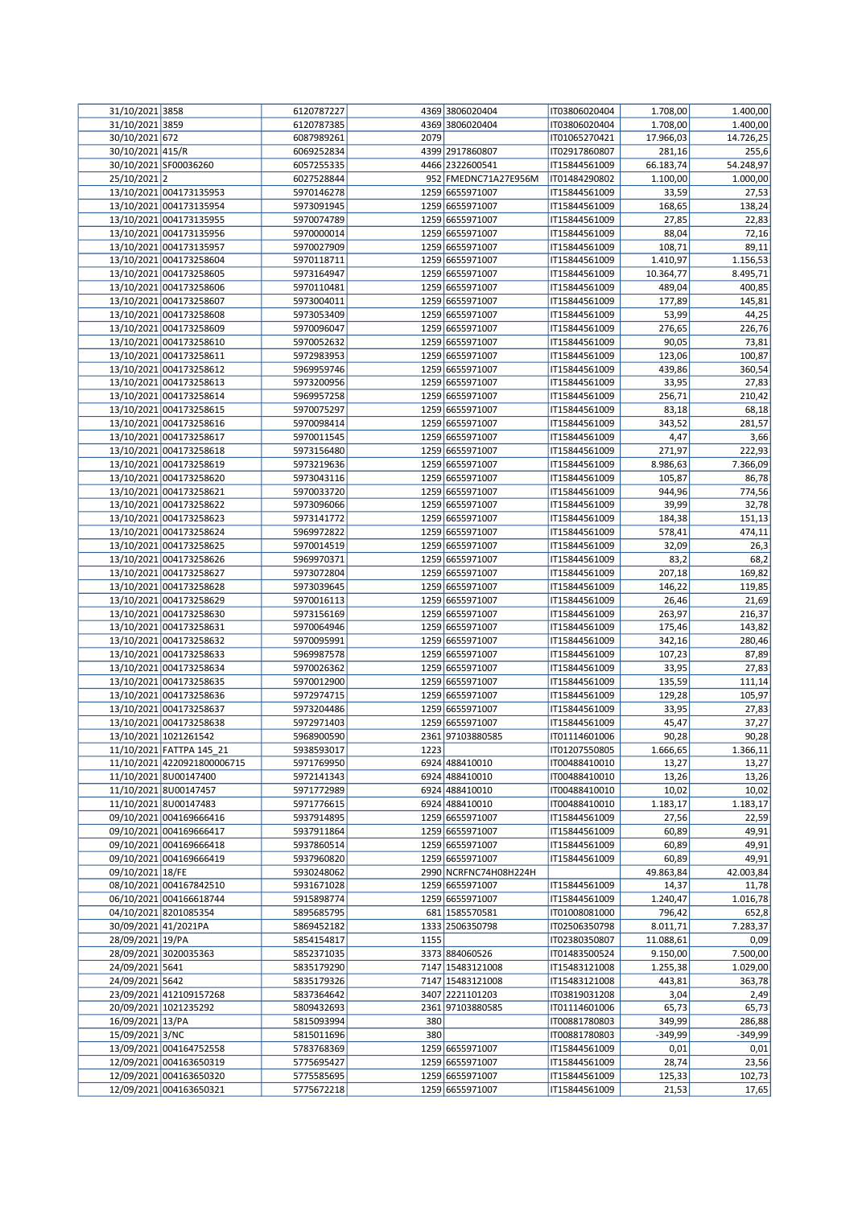| 31/10/2021 3858      |                             | 6120787227 |      | 4369 3806020404       | IT03806020404 | 1.708,00  | 1.400,00  |
|----------------------|-----------------------------|------------|------|-----------------------|---------------|-----------|-----------|
| 31/10/2021 3859      |                             | 6120787385 |      | 4369 3806020404       | IT03806020404 | 1.708,00  | 1.400,00  |
| 30/10/2021 672       |                             | 6087989261 | 2079 |                       | IT01065270421 | 17.966,03 | 14.726,25 |
| 30/10/2021 415/R     |                             | 6069252834 |      | 4399 2917860807       | IT02917860807 | 281,16    | 255,6     |
|                      | 30/10/2021 SF00036260       | 6057255335 |      | 4466 2322600541       | IT15844561009 | 66.183,74 | 54.248,97 |
| 25/10/2021 2         |                             | 6027528844 |      | 952 FMEDNC71A27E956M  | IT01484290802 | 1.100,00  | 1.000,00  |
|                      | 13/10/2021 004173135953     | 5970146278 |      | 1259 6655971007       | IT15844561009 | 33,59     | 27,53     |
|                      |                             |            |      | 1259 6655971007       |               |           |           |
|                      | 13/10/2021 004173135954     | 5973091945 |      |                       | IT15844561009 | 168,65    | 138,24    |
|                      | 13/10/2021 004173135955     | 5970074789 |      | 1259 6655971007       | IT15844561009 | 27,85     | 22,83     |
|                      | 13/10/2021 004173135956     | 5970000014 |      | 1259 6655971007       | IT15844561009 | 88,04     | 72,16     |
|                      | 13/10/2021 004173135957     | 5970027909 |      | 1259 6655971007       | IT15844561009 | 108,71    | 89,11     |
|                      | 13/10/2021 004173258604     | 5970118711 |      | 1259 6655971007       | IT15844561009 | 1.410,97  | 1.156,53  |
|                      | 13/10/2021 004173258605     | 5973164947 |      | 1259 6655971007       | IT15844561009 | 10.364,77 | 8.495,71  |
|                      | 13/10/2021 004173258606     | 5970110481 |      | 1259 6655971007       | IT15844561009 | 489,04    | 400,85    |
|                      | 13/10/2021 004173258607     | 5973004011 |      | 1259 6655971007       | IT15844561009 | 177,89    | 145,81    |
|                      |                             |            |      |                       |               |           |           |
|                      | 13/10/2021 004173258608     | 5973053409 |      | 1259 6655971007       | IT15844561009 | 53,99     | 44,25     |
|                      | 13/10/2021 004173258609     | 5970096047 |      | 1259 6655971007       | IT15844561009 | 276,65    | 226,76    |
|                      | 13/10/2021 004173258610     | 5970052632 |      | 1259 6655971007       | IT15844561009 | 90,05     | 73,81     |
|                      | 13/10/2021 004173258611     | 5972983953 |      | 1259 6655971007       | IT15844561009 | 123,06    | 100,87    |
|                      | 13/10/2021 004173258612     | 5969959746 |      | 1259 6655971007       | IT15844561009 | 439,86    | 360,54    |
|                      | 13/10/2021 004173258613     | 5973200956 |      | 1259 6655971007       | IT15844561009 | 33,95     | 27,83     |
|                      | 13/10/2021 004173258614     | 5969957258 |      | 1259 6655971007       | IT15844561009 | 256,71    | 210,42    |
|                      | 13/10/2021 004173258615     | 5970075297 |      | 1259 6655971007       | IT15844561009 | 83,18     | 68,18     |
|                      | 13/10/2021 004173258616     | 5970098414 |      | 1259 6655971007       | IT15844561009 |           | 281,57    |
|                      |                             |            |      |                       |               | 343,52    |           |
|                      | 13/10/2021 004173258617     | 5970011545 |      | 1259 6655971007       | IT15844561009 | 4,47      | 3,66      |
|                      | 13/10/2021 004173258618     | 5973156480 |      | 1259 6655971007       | IT15844561009 | 271,97    | 222,93    |
|                      | 13/10/2021 004173258619     | 5973219636 |      | 1259 6655971007       | IT15844561009 | 8.986,63  | 7.366,09  |
|                      | 13/10/2021 004173258620     | 5973043116 |      | 1259 6655971007       | IT15844561009 | 105,87    | 86,78     |
|                      | 13/10/2021 004173258621     | 5970033720 |      | 1259 6655971007       | IT15844561009 | 944,96    | 774,56    |
|                      | 13/10/2021 004173258622     | 5973096066 |      | 1259 6655971007       | IT15844561009 | 39,99     | 32,78     |
|                      | 13/10/2021 004173258623     | 5973141772 |      | 1259 6655971007       | IT15844561009 | 184,38    | 151,13    |
|                      | 13/10/2021 004173258624     | 5969972822 |      | 1259 6655971007       | IT15844561009 | 578,41    | 474,11    |
|                      |                             |            |      | 1259 6655971007       |               |           |           |
|                      | 13/10/2021 004173258625     | 5970014519 |      |                       | IT15844561009 | 32,09     | 26,3      |
|                      | 13/10/2021 004173258626     | 5969970371 |      | 1259 6655971007       | IT15844561009 | 83,2      | 68,2      |
|                      | 13/10/2021 004173258627     | 5973072804 |      | 1259 6655971007       | IT15844561009 | 207,18    | 169,82    |
|                      | 13/10/2021 004173258628     | 5973039645 |      | 1259 6655971007       | IT15844561009 | 146,22    | 119,85    |
|                      | 13/10/2021 004173258629     | 5970016113 |      | 1259 6655971007       | IT15844561009 | 26,46     | 21,69     |
|                      | 13/10/2021 004173258630     | 5973156169 |      | 1259 6655971007       | IT15844561009 | 263,97    | 216,37    |
|                      | 13/10/2021 004173258631     | 5970064946 |      | 1259 6655971007       | IT15844561009 | 175,46    | 143,82    |
|                      | 13/10/2021 004173258632     | 5970095991 |      | 1259 6655971007       | IT15844561009 | 342,16    | 280,46    |
|                      |                             | 5969987578 |      | 1259 6655971007       |               |           |           |
|                      | 13/10/2021 004173258633     |            |      |                       | IT15844561009 | 107,23    | 87,89     |
|                      | 13/10/2021 004173258634     | 5970026362 |      | 1259 6655971007       | IT15844561009 | 33,95     | 27,83     |
|                      | 13/10/2021 004173258635     | 5970012900 |      | 1259 6655971007       | IT15844561009 | 135,59    | 111,14    |
|                      | 13/10/2021 004173258636     | 5972974715 |      | 1259 6655971007       | IT15844561009 | 129,28    | 105,97    |
|                      | 13/10/2021 004173258637     | 5973204486 |      | 1259 6655971007       | IT15844561009 | 33,95     | 27,83     |
|                      | 13/10/2021 004173258638     | 5972971403 |      | 1259 6655971007       | IT15844561009 | 45,47     | 37,27     |
|                      | 13/10/2021 1021261542       | 5968900590 |      | 2361 97103880585      | IT01114601006 | 90,28     | 90,28     |
|                      | 11/10/2021 FATTPA 145_21    | 5938593017 | 1223 |                       | IT01207550805 | 1.666,65  | 1.366,11  |
|                      | 11/10/2021 4220921800006715 | 5971769950 |      | 6924 488410010        | IT00488410010 | 13,27     | 13,27     |
|                      | 11/10/2021 8U00147400       | 5972141343 |      | 6924 488410010        | IT00488410010 |           |           |
|                      |                             |            |      |                       |               | 13,26     | 13,26     |
|                      | 11/10/2021 8U00147457       | 5971772989 |      | 6924 488410010        | IT00488410010 | 10,02     | 10,02     |
|                      | 11/10/2021 8U00147483       | 5971776615 |      | 6924 488410010        | IT00488410010 | 1.183,17  | 1.183,17  |
|                      | 09/10/2021 004169666416     | 5937914895 |      | 1259 6655971007       | IT15844561009 | 27,56     | 22,59     |
|                      | 09/10/2021 004169666417     | 5937911864 |      | 1259 6655971007       | IT15844561009 | 60,89     | 49,91     |
|                      | 09/10/2021 004169666418     | 5937860514 |      | 1259 6655971007       | IT15844561009 | 60,89     | 49,91     |
|                      | 09/10/2021 004169666419     | 5937960820 |      | 1259 6655971007       | IT15844561009 | 60,89     | 49,91     |
| 09/10/2021 18/FE     |                             | 5930248062 |      | 2990 NCRFNC74H08H224H |               | 49.863,84 | 42.003,84 |
|                      | 08/10/2021 004167842510     | 5931671028 |      | 1259 6655971007       | IT15844561009 | 14,37     | 11,78     |
|                      | 06/10/2021 004166618744     | 5915898774 |      | 1259 6655971007       | IT15844561009 | 1.240,47  | 1.016,78  |
|                      |                             |            |      |                       |               |           |           |
|                      | 04/10/2021 8201085354       | 5895685795 |      | 681 1585570581        | IT01008081000 | 796,42    | 652,8     |
| 30/09/2021 41/2021PA |                             | 5869452182 |      | 1333 2506350798       | IT02506350798 | 8.011,71  | 7.283,37  |
| 28/09/2021 19/PA     |                             | 5854154817 | 1155 |                       | IT02380350807 | 11.088,61 | 0,09      |
|                      | 28/09/2021 3020035363       | 5852371035 |      | 3373 884060526        | IT01483500524 | 9.150,00  | 7.500,00  |
| 24/09/2021 5641      |                             | 5835179290 |      | 7147 15483121008      | IT15483121008 | 1.255,38  | 1.029,00  |
| 24/09/2021 5642      |                             | 5835179326 |      | 7147 15483121008      | IT15483121008 | 443,81    | 363,78    |
|                      | 23/09/2021 412109157268     | 5837364642 |      | 3407 2221101203       | IT03819031208 | 3,04      | 2,49      |
|                      | 20/09/2021 1021235292       | 5809432693 |      | 2361 97103880585      | IT01114601006 | 65,73     | 65,73     |
| 16/09/2021 13/PA     |                             | 5815093994 | 380  |                       | IT00881780803 | 349,99    | 286,88    |
|                      |                             |            | 380  |                       |               |           |           |
| 15/09/2021 3/NC      |                             | 5815011696 |      |                       | IT00881780803 | $-349,99$ | $-349,99$ |
|                      | 13/09/2021 004164752558     | 5783768369 |      | 1259 6655971007       | IT15844561009 | 0,01      | 0,01      |
|                      | 12/09/2021 004163650319     | 5775695427 |      | 1259 6655971007       | IT15844561009 | 28,74     | 23,56     |
|                      | 12/09/2021 004163650320     | 5775585695 |      | 1259 6655971007       | IT15844561009 | 125,33    | 102,73    |
|                      | 12/09/2021 004163650321     | 5775672218 |      | 1259 6655971007       | IT15844561009 | 21,53     | 17,65     |
|                      |                             |            |      |                       |               |           |           |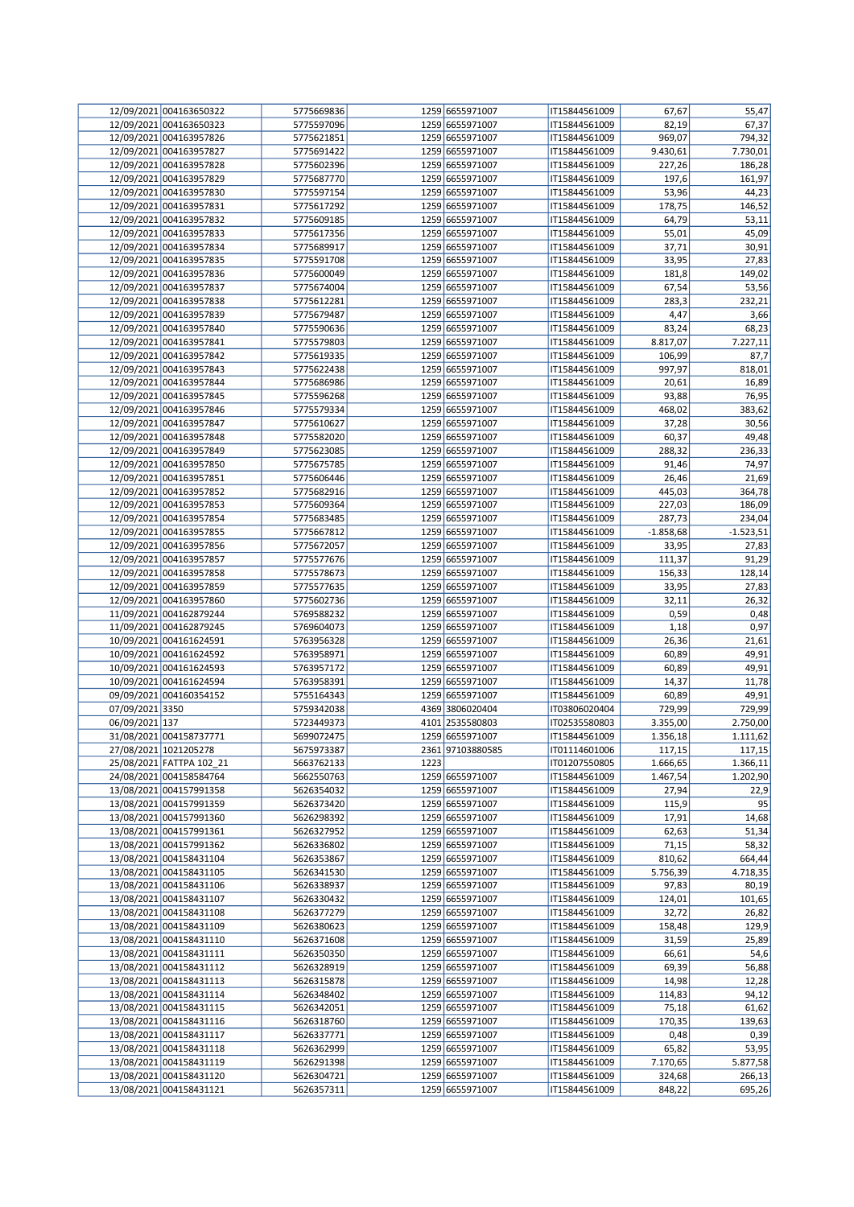|                 | 12/09/2021 004163650322  | 5775669836 |      | 1259 6655971007  | IT15844561009 | 67,67       | 55,47       |
|-----------------|--------------------------|------------|------|------------------|---------------|-------------|-------------|
|                 | 12/09/2021 004163650323  | 5775597096 |      | 1259 6655971007  | IT15844561009 | 82,19       | 67,37       |
|                 | 12/09/2021 004163957826  | 5775621851 |      | 1259 6655971007  | IT15844561009 | 969,07      | 794,32      |
|                 | 12/09/2021 004163957827  | 5775691422 |      | 1259 6655971007  | IT15844561009 | 9.430,61    | 7.730,01    |
|                 | 12/09/2021 004163957828  | 5775602396 |      | 1259 6655971007  | IT15844561009 | 227,26      | 186,28      |
|                 | 12/09/2021 004163957829  | 5775687770 |      | 1259 6655971007  | IT15844561009 | 197,6       | 161,97      |
|                 |                          |            |      | 1259 6655971007  |               |             |             |
|                 | 12/09/2021 004163957830  | 5775597154 |      |                  | IT15844561009 | 53,96       | 44,23       |
|                 | 12/09/2021 004163957831  | 5775617292 |      | 1259 6655971007  | IT15844561009 | 178,75      | 146,52      |
|                 | 12/09/2021 004163957832  | 5775609185 |      | 1259 6655971007  | IT15844561009 | 64,79       | 53,11       |
|                 | 12/09/2021 004163957833  | 5775617356 |      | 1259 6655971007  | IT15844561009 | 55,01       | 45,09       |
|                 | 12/09/2021 004163957834  | 5775689917 |      | 1259 6655971007  | IT15844561009 | 37,71       | 30,91       |
|                 | 12/09/2021 004163957835  | 5775591708 |      | 1259 6655971007  | IT15844561009 | 33,95       | 27,83       |
|                 | 12/09/2021 004163957836  | 5775600049 |      | 1259 6655971007  | IT15844561009 | 181,8       | 149,02      |
|                 | 12/09/2021 004163957837  | 5775674004 |      | 1259 6655971007  | IT15844561009 | 67,54       | 53,56       |
|                 | 12/09/2021 004163957838  |            |      | 1259 6655971007  |               |             |             |
|                 |                          | 5775612281 |      |                  | IT15844561009 | 283,3       | 232,21      |
|                 | 12/09/2021 004163957839  | 5775679487 |      | 1259 6655971007  | IT15844561009 | 4,47        | 3,66        |
|                 | 12/09/2021 004163957840  | 5775590636 |      | 1259 6655971007  | IT15844561009 | 83,24       | 68,23       |
|                 | 12/09/2021 004163957841  | 5775579803 |      | 1259 6655971007  | IT15844561009 | 8.817,07    | 7.227,11    |
|                 | 12/09/2021 004163957842  | 5775619335 |      | 1259 6655971007  | IT15844561009 | 106,99      | 87,7        |
|                 | 12/09/2021 004163957843  | 5775622438 |      | 1259 6655971007  | IT15844561009 | 997,97      | 818,01      |
|                 | 12/09/2021 004163957844  | 5775686986 |      | 1259 6655971007  | IT15844561009 | 20,61       | 16,89       |
|                 | 12/09/2021 004163957845  | 5775596268 |      | 1259 6655971007  | IT15844561009 | 93,88       | 76,95       |
|                 | 12/09/2021 004163957846  | 5775579334 |      | 1259 6655971007  | IT15844561009 | 468,02      | 383,62      |
|                 |                          |            |      |                  |               |             |             |
|                 | 12/09/2021 004163957847  | 5775610627 |      | 1259 6655971007  | IT15844561009 | 37,28       | 30,56       |
|                 | 12/09/2021 004163957848  | 5775582020 |      | 1259 6655971007  | IT15844561009 | 60,37       | 49,48       |
|                 | 12/09/2021 004163957849  | 5775623085 |      | 1259 6655971007  | IT15844561009 | 288,32      | 236,33      |
|                 | 12/09/2021 004163957850  | 5775675785 |      | 1259 6655971007  | IT15844561009 | 91,46       | 74,97       |
|                 | 12/09/2021 004163957851  | 5775606446 |      | 1259 6655971007  | IT15844561009 | 26,46       | 21,69       |
|                 | 12/09/2021 004163957852  | 5775682916 |      | 1259 6655971007  | IT15844561009 | 445,03      | 364,78      |
|                 | 12/09/2021 004163957853  | 5775609364 |      | 1259 6655971007  | IT15844561009 | 227,03      | 186,09      |
|                 | 12/09/2021 004163957854  | 5775683485 |      | 1259 6655971007  | IT15844561009 | 287,73      | 234,04      |
|                 |                          |            |      |                  |               |             |             |
|                 | 12/09/2021 004163957855  | 5775667812 |      | 1259 6655971007  | IT15844561009 | $-1.858,68$ | $-1.523,51$ |
|                 | 12/09/2021 004163957856  | 5775672057 |      | 1259 6655971007  | IT15844561009 | 33,95       | 27,83       |
|                 | 12/09/2021 004163957857  | 5775577676 |      | 1259 6655971007  | IT15844561009 | 111,37      | 91,29       |
|                 | 12/09/2021 004163957858  | 5775578673 |      | 1259 6655971007  | IT15844561009 | 156,33      | 128,14      |
|                 | 12/09/2021 004163957859  | 5775577635 |      | 1259 6655971007  | IT15844561009 | 33,95       | 27,83       |
|                 | 12/09/2021 004163957860  | 5775602736 |      | 1259 6655971007  | IT15844561009 | 32,11       | 26,32       |
|                 | 11/09/2021 004162879244  | 5769588232 |      | 1259 6655971007  | IT15844561009 | 0,59        | 0,48        |
|                 | 11/09/2021 004162879245  | 5769604073 |      | 1259 6655971007  | IT15844561009 | 1,18        | 0,97        |
|                 |                          |            |      |                  |               |             |             |
|                 | 10/09/2021 004161624591  | 5763956328 |      | 1259 6655971007  | IT15844561009 | 26,36       | 21,61       |
|                 | 10/09/2021 004161624592  | 5763958971 |      | 1259 6655971007  | IT15844561009 | 60,89       | 49,91       |
|                 | 10/09/2021 004161624593  | 5763957172 |      | 1259 6655971007  | IT15844561009 | 60,89       | 49,91       |
|                 | 10/09/2021 004161624594  | 5763958391 |      | 1259 6655971007  | IT15844561009 | 14,37       | 11,78       |
|                 | 09/09/2021 004160354152  | 5755164343 |      | 1259 6655971007  | IT15844561009 | 60,89       | 49,91       |
| 07/09/2021 3350 |                          | 5759342038 |      | 4369 3806020404  | IT03806020404 | 729,99      | 729,99      |
| 06/09/2021 137  |                          | 5723449373 |      | 4101 2535580803  | IT02535580803 | 3.355,00    | 2.750,00    |
|                 | 31/08/2021 004158737771  | 5699072475 |      | 1259 6655971007  | IT15844561009 | 1.356,18    | 1.111,62    |
|                 |                          |            |      |                  |               |             |             |
|                 | 27/08/2021 1021205278    | 5675973387 |      | 2361 97103880585 | IT01114601006 | 117,15      | 117,15      |
|                 | 25/08/2021 FATTPA 102_21 | 5663762133 | 1223 |                  | IT01207550805 | 1.666,65    | 1.366,11    |
|                 | 24/08/2021 004158584764  | 5662550763 |      | 1259 6655971007  | IT15844561009 | 1.467,54    | 1.202,90    |
|                 | 13/08/2021 004157991358  | 5626354032 |      | 1259 6655971007  | IT15844561009 | 27,94       | 22,9        |
|                 | 13/08/2021 004157991359  | 5626373420 |      | 1259 6655971007  | IT15844561009 | 115,9       | 95          |
|                 | 13/08/2021 004157991360  | 5626298392 |      | 1259 6655971007  | IT15844561009 | 17,91       | 14,68       |
|                 | 13/08/2021 004157991361  | 5626327952 |      | 1259 6655971007  | IT15844561009 | 62,63       | 51,34       |
|                 | 13/08/2021 004157991362  | 5626336802 |      | 1259 6655971007  | IT15844561009 | 71,15       | 58,32       |
|                 | 13/08/2021 004158431104  | 5626353867 |      | 1259 6655971007  | IT15844561009 | 810,62      | 664,44      |
|                 | 13/08/2021 004158431105  | 5626341530 |      | 1259 6655971007  | IT15844561009 | 5.756,39    | 4.718,35    |
|                 |                          |            |      |                  |               |             |             |
|                 | 13/08/2021 004158431106  | 5626338937 |      | 1259 6655971007  | IT15844561009 | 97,83       | 80,19       |
|                 | 13/08/2021 004158431107  | 5626330432 |      | 1259 6655971007  | IT15844561009 | 124,01      | 101,65      |
|                 | 13/08/2021 004158431108  | 5626377279 |      | 1259 6655971007  | IT15844561009 | 32,72       | 26,82       |
|                 | 13/08/2021 004158431109  | 5626380623 |      | 1259 6655971007  | IT15844561009 | 158,48      | 129,9       |
|                 | 13/08/2021 004158431110  | 5626371608 |      | 1259 6655971007  | IT15844561009 | 31,59       | 25,89       |
|                 | 13/08/2021 004158431111  | 5626350350 |      | 1259 6655971007  | IT15844561009 | 66,61       | 54,6        |
|                 | 13/08/2021 004158431112  | 5626328919 |      | 1259 6655971007  | IT15844561009 | 69,39       | 56,88       |
|                 | 13/08/2021 004158431113  | 5626315878 |      | 1259 6655971007  | IT15844561009 | 14,98       | 12,28       |
|                 | 13/08/2021 004158431114  |            |      | 1259 6655971007  |               |             |             |
|                 |                          | 5626348402 |      |                  | IT15844561009 | 114,83      | 94,12       |
|                 | 13/08/2021 004158431115  | 5626342051 |      | 1259 6655971007  | IT15844561009 | 75,18       | 61,62       |
|                 | 13/08/2021 004158431116  | 5626318760 |      | 1259 6655971007  | IT15844561009 | 170,35      | 139,63      |
|                 | 13/08/2021 004158431117  | 5626337771 |      | 1259 6655971007  | IT15844561009 | 0,48        | 0,39        |
|                 | 13/08/2021 004158431118  | 5626362999 |      | 1259 6655971007  | IT15844561009 | 65,82       | 53,95       |
|                 | 13/08/2021 004158431119  | 5626291398 |      | 1259 6655971007  | IT15844561009 | 7.170,65    | 5.877,58    |
|                 | 13/08/2021 004158431120  | 5626304721 |      | 1259 6655971007  | IT15844561009 | 324,68      | 266,13      |
|                 | 13/08/2021 004158431121  | 5626357311 |      | 1259 6655971007  | IT15844561009 | 848,22      | 695,26      |
|                 |                          |            |      |                  |               |             |             |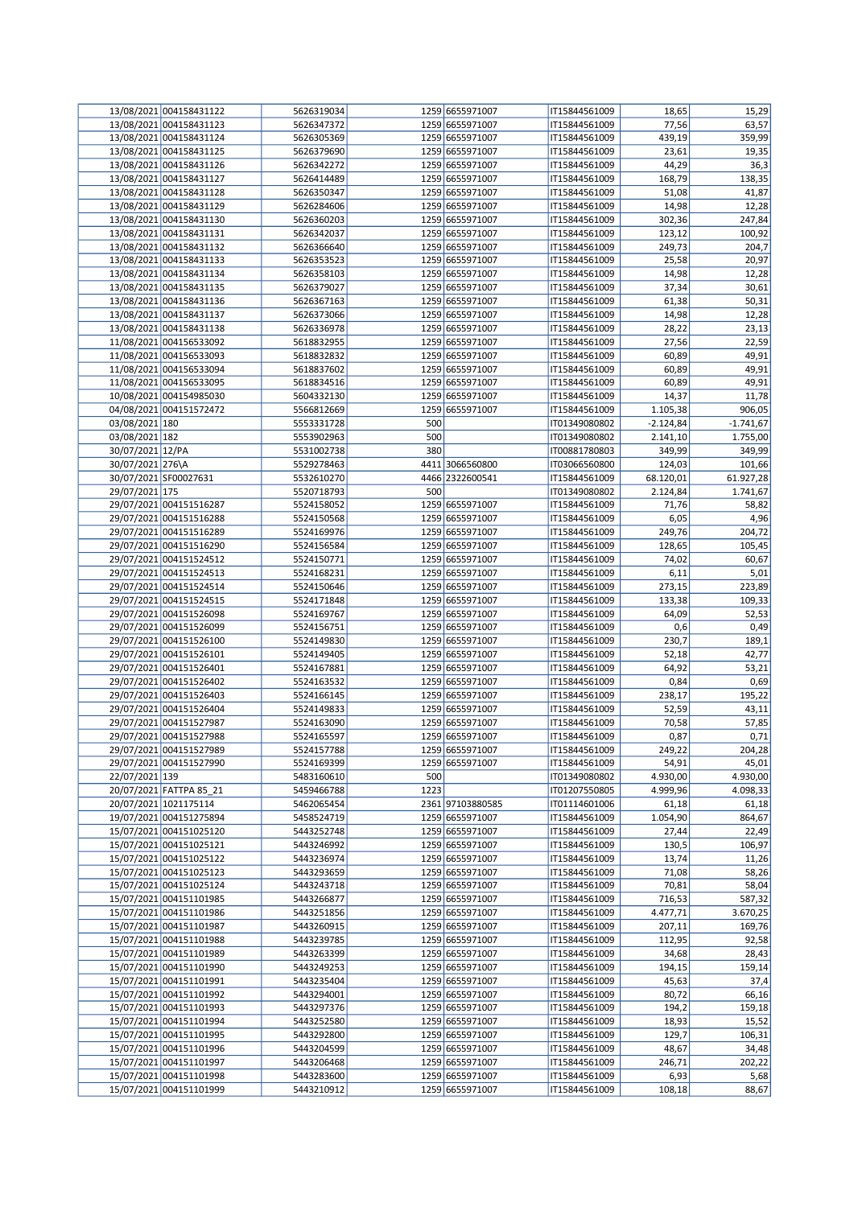|                  | 13/08/2021 004158431122                            | 5626319034               |      | 1259 6655971007                    | IT15844561009                  | 18,65             | 15,29           |
|------------------|----------------------------------------------------|--------------------------|------|------------------------------------|--------------------------------|-------------------|-----------------|
|                  | 13/08/2021 004158431123                            | 5626347372               |      | 1259 6655971007                    | IT15844561009                  | 77,56             | 63,57           |
|                  | 13/08/2021 004158431124                            | 5626305369               |      | 1259 6655971007                    | IT15844561009                  | 439,19            | 359,99          |
|                  | 13/08/2021 004158431125                            | 5626379690               |      | 1259 6655971007                    | IT15844561009                  | 23,61             | 19,35           |
|                  | 13/08/2021 004158431126                            | 5626342272               |      | 1259 6655971007                    | IT15844561009                  | 44,29             | 36,3            |
|                  | 13/08/2021 004158431127                            | 5626414489               |      | 1259 6655971007                    | IT15844561009                  | 168,79            | 138,35          |
|                  | 13/08/2021 004158431128                            | 5626350347               |      | 1259 6655971007                    | IT15844561009                  | 51,08             | 41,87           |
|                  | 13/08/2021 004158431129                            | 5626284606               |      | 1259 6655971007                    | IT15844561009                  | 14,98             | 12,28           |
|                  | 13/08/2021 004158431130                            | 5626360203               |      | 1259 6655971007                    | IT15844561009                  | 302,36            | 247,84          |
|                  | 13/08/2021 004158431131                            | 5626342037               |      | 1259 6655971007                    | IT15844561009                  | 123,12            | 100,92          |
|                  | 13/08/2021 004158431132                            | 5626366640               |      | 1259 6655971007                    | IT15844561009                  | 249,73            | 204,7           |
|                  | 13/08/2021 004158431133                            | 5626353523               |      | 1259 6655971007                    | IT15844561009                  | 25,58             | 20,97           |
|                  | 13/08/2021 004158431134                            | 5626358103               |      | 1259 6655971007                    | IT15844561009                  | 14,98             | 12,28           |
|                  | 13/08/2021 004158431135                            | 5626379027               |      | 1259 6655971007                    | IT15844561009                  | 37,34             | 30,61           |
|                  | 13/08/2021 004158431136                            | 5626367163               |      | 1259 6655971007                    | IT15844561009                  | 61,38             | 50,31           |
|                  | 13/08/2021 004158431137                            | 5626373066               |      | 1259 6655971007                    | IT15844561009                  | 14,98             | 12,28           |
|                  | 13/08/2021 004158431138                            | 5626336978               |      | 1259 6655971007                    | IT15844561009                  | 28,22             | 23,13           |
|                  | 11/08/2021 004156533092                            | 5618832955               |      | 1259 6655971007                    | IT15844561009                  | 27,56             | 22,59           |
|                  | 11/08/2021 004156533093                            | 5618832832               |      | 1259 6655971007                    | IT15844561009                  | 60,89             | 49,91           |
|                  | 11/08/2021 004156533094                            | 5618837602               |      | 1259 6655971007                    | IT15844561009                  | 60,89             | 49,91           |
|                  | 11/08/2021 004156533095                            | 5618834516               |      | 1259 6655971007                    | IT15844561009                  | 60,89             | 49,91           |
|                  | 10/08/2021 004154985030                            | 5604332130               |      | 1259 6655971007                    | IT15844561009                  | 14,37             | 11,78           |
|                  | 04/08/2021 004151572472                            | 5566812669               |      | 1259 6655971007                    | IT15844561009                  | 1.105,38          | 906,05          |
| 03/08/2021 180   |                                                    | 5553331728               | 500  |                                    | IT01349080802                  | $-2.124,84$       | $-1.741,67$     |
| 03/08/2021 182   |                                                    | 5553902963               | 500  |                                    | IT01349080802                  | 2.141,10          | 1.755,00        |
| 30/07/2021 12/PA |                                                    | 5531002738               | 380  |                                    | IT00881780803                  | 349,99            | 349,99          |
| 30/07/2021 276\A |                                                    | 5529278463               |      | 4411 3066560800                    | IT03066560800                  | 124,03            | 101,66          |
|                  | 30/07/2021 SF00027631                              | 5532610270               |      | 4466 2322600541                    | IT15844561009                  | 68.120,01         | 61.927,28       |
| 29/07/2021 175   |                                                    | 5520718793               | 500  |                                    | IT01349080802                  | 2.124,84          | 1.741,67        |
|                  | 29/07/2021 004151516287                            | 5524158052               |      | 1259 6655971007                    | IT15844561009                  | 71,76             | 58,82           |
|                  | 29/07/2021 004151516288                            | 5524150568               |      | 1259 6655971007                    | IT15844561009                  | 6,05              | 4,96            |
|                  | 29/07/2021 004151516289                            | 5524169976               |      | 1259 6655971007                    | IT15844561009                  | 249,76            | 204,72          |
|                  | 29/07/2021 004151516290                            | 5524156584               |      | 1259 6655971007                    | IT15844561009                  | 128,65            | 105,45          |
|                  | 29/07/2021 004151524512                            | 5524150771               |      | 1259 6655971007                    | IT15844561009                  | 74,02             | 60,67           |
|                  | 29/07/2021 004151524513                            | 5524168231               |      | 1259 6655971007                    | IT15844561009                  | 6,11              | 5,01            |
|                  | 29/07/2021 004151524514                            |                          |      | 1259 6655971007                    | IT15844561009                  |                   | 223,89          |
|                  | 29/07/2021 004151524515                            | 5524150646<br>5524171848 |      | 1259 6655971007                    | IT15844561009                  | 273,15<br>133,38  | 109,33          |
|                  |                                                    |                          |      |                                    |                                |                   |                 |
|                  | 29/07/2021 004151526098                            | 5524169767               |      | 1259 6655971007                    | IT15844561009                  | 64,09             | 52,53           |
|                  | 29/07/2021 004151526099                            | 5524156751               |      | 1259 6655971007<br>1259 6655971007 | IT15844561009                  | 0,6               | 0,49<br>189,1   |
|                  | 29/07/2021 004151526100                            | 5524149830               |      |                                    | IT15844561009                  | 230,7             |                 |
|                  | 29/07/2021 004151526101                            | 5524149405<br>5524167881 |      | 1259 6655971007<br>1259 6655971007 | IT15844561009                  | 52,18             | 42,77           |
|                  | 29/07/2021 004151526401                            |                          |      | 1259 6655971007                    | IT15844561009                  | 64,92             | 53,21           |
|                  | 29/07/2021 004151526402<br>29/07/2021 004151526403 | 5524163532               |      | 1259 6655971007                    | IT15844561009                  | 0,84              | 0,69            |
|                  |                                                    | 5524166145               |      |                                    | IT15844561009                  | 238,17            | 195,22          |
|                  | 29/07/2021 004151526404                            | 5524149833               |      | 1259 6655971007<br>1259 6655971007 | IT15844561009<br>IT15844561009 | 52,59             | 43,11           |
|                  | 29/07/2021 004151527987<br>29/07/2021 004151527988 | 5524163090               |      |                                    |                                | 70,58             | 57,85           |
|                  |                                                    | 5524165597               |      | 1259 6655971007                    | IT15844561009                  | 0,87              | 0,71            |
|                  | 29/07/2021 004151527989                            | 5524157788               |      | 1259 6655971007                    | IT15844561009                  | 249,22            | 204,28          |
|                  | 29/07/2021 004151527990                            | 5524169399<br>5483160610 | 500  | 1259 6655971007                    | IT15844561009                  | 54,91<br>4.930,00 | 45,01           |
| 22/07/2021 139   |                                                    |                          |      |                                    | IT01349080802                  |                   | 4.930,00        |
|                  | 20/07/2021 FATTPA 85_21<br>20/07/2021 1021175114   | 5459466788               | 1223 | 2361 97103880585                   | IT01207550805                  | 4.999,96          | 4.098,33        |
|                  |                                                    | 5462065454               |      |                                    | IT01114601006                  | 61,18             | 61,18           |
|                  | 19/07/2021 004151275894                            | 5458524719<br>5443252748 |      | 1259 6655971007                    | IT15844561009                  | 1.054,90          | 864,67          |
|                  | 15/07/2021 004151025120                            |                          |      | 1259 6655971007                    | IT15844561009                  | 27,44             | 22,49           |
|                  | 15/07/2021 004151025121                            | 5443246992<br>5443236974 |      | 1259 6655971007                    | IT15844561009                  | 130,5             | 106,97          |
|                  | 15/07/2021 004151025122                            |                          |      | 1259 6655971007                    | IT15844561009                  | 13,74             | 11,26           |
|                  | 15/07/2021 004151025123                            | 5443293659               |      | 1259 6655971007                    | IT15844561009                  | 71,08             | 58,26           |
|                  | 15/07/2021 004151025124<br>15/07/2021 004151101985 | 5443243718<br>5443266877 |      | 1259 6655971007<br>1259 6655971007 | IT15844561009<br>IT15844561009 | 70,81             | 58,04<br>587,32 |
|                  |                                                    |                          |      |                                    |                                | 716,53            |                 |
|                  | 15/07/2021 004151101986<br>15/07/2021 004151101987 | 5443251856               |      | 1259 6655971007<br>1259 6655971007 | IT15844561009                  | 4.477,71          | 3.670,25        |
|                  |                                                    | 5443260915               |      |                                    | IT15844561009                  | 207,11            | 169,76          |
|                  | 15/07/2021 004151101988<br>15/07/2021 004151101989 | 5443239785<br>5443263399 |      | 1259 6655971007<br>1259 6655971007 | IT15844561009<br>IT15844561009 | 112,95<br>34,68   | 92,58<br>28,43  |
|                  | 15/07/2021 004151101990                            | 5443249253               |      | 1259 6655971007                    | IT15844561009                  |                   | 159,14          |
|                  |                                                    | 5443235404               |      |                                    | IT15844561009                  | 194,15<br>45,63   | 37,4            |
|                  | 15/07/2021 004151101991                            |                          |      | 1259 6655971007                    |                                |                   |                 |
|                  | 15/07/2021 004151101992<br>15/07/2021 004151101993 | 5443294001               |      | 1259 6655971007                    | IT15844561009                  | 80,72             | 66,16           |
|                  | 15/07/2021 004151101994                            | 5443297376<br>5443252580 |      | 1259 6655971007<br>1259 6655971007 | IT15844561009<br>IT15844561009 | 194,2<br>18,93    | 159,18<br>15,52 |
|                  |                                                    |                          |      |                                    |                                |                   |                 |
|                  | 15/07/2021 004151101995                            | 5443292800               |      | 1259 6655971007                    | IT15844561009                  | 129,7             | 106,31          |
|                  | 15/07/2021 004151101996<br>15/07/2021 004151101997 | 5443204599               |      | 1259 6655971007                    | IT15844561009                  | 48,67             | 34,48           |
|                  |                                                    | 5443206468               |      | 1259 6655971007                    | IT15844561009                  | 246,71            | 202,22          |
|                  | 15/07/2021 004151101998<br>15/07/2021 004151101999 | 5443283600               |      | 1259 6655971007                    | IT15844561009                  | 6,93              | 5,68            |
|                  |                                                    | 5443210912               |      | 1259 6655971007                    | IT15844561009                  | 108,18            | 88,67           |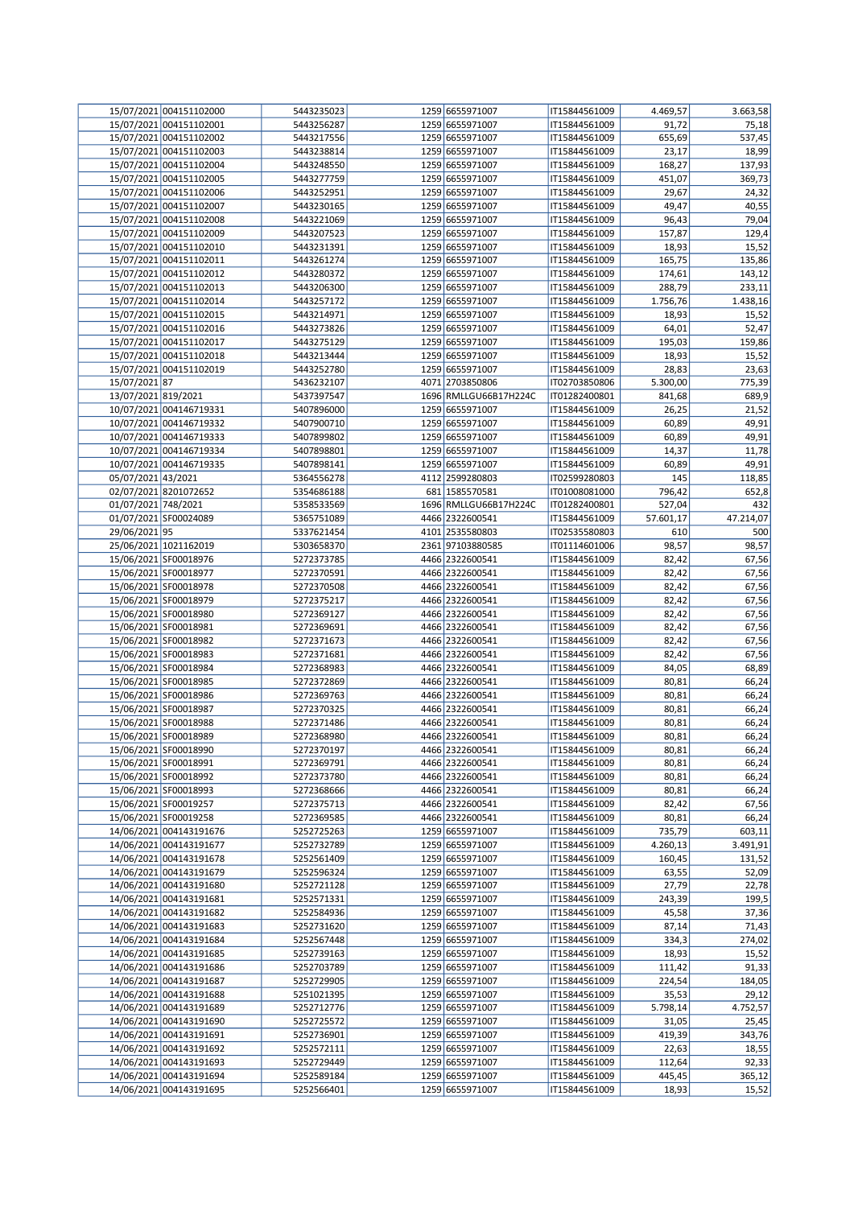|                     | 15/07/2021 004151102000 | 5443235023 | 1259 6655971007       | IT15844561009 | 4.469,57  | 3.663,58  |
|---------------------|-------------------------|------------|-----------------------|---------------|-----------|-----------|
|                     | 15/07/2021 004151102001 | 5443256287 | 1259 6655971007       | IT15844561009 | 91,72     | 75,18     |
|                     | 15/07/2021 004151102002 | 5443217556 | 1259 6655971007       | IT15844561009 | 655,69    | 537,45    |
|                     | 15/07/2021 004151102003 | 5443238814 | 1259 6655971007       | IT15844561009 | 23,17     | 18,99     |
|                     |                         |            |                       |               |           |           |
|                     | 15/07/2021 004151102004 | 5443248550 | 1259 6655971007       | IT15844561009 | 168,27    | 137,93    |
|                     | 15/07/2021 004151102005 | 5443277759 | 1259 6655971007       | IT15844561009 | 451,07    | 369,73    |
|                     | 15/07/2021 004151102006 | 5443252951 | 1259 6655971007       | IT15844561009 | 29,67     | 24,32     |
|                     | 15/07/2021 004151102007 | 5443230165 | 1259 6655971007       | IT15844561009 | 49,47     | 40,55     |
|                     | 15/07/2021 004151102008 | 5443221069 | 1259 6655971007       | IT15844561009 | 96,43     | 79,04     |
|                     | 15/07/2021 004151102009 | 5443207523 | 1259 6655971007       | IT15844561009 | 157,87    | 129,4     |
|                     | 15/07/2021 004151102010 | 5443231391 | 1259 6655971007       | IT15844561009 | 18,93     | 15,52     |
|                     | 15/07/2021 004151102011 | 5443261274 | 1259 6655971007       |               |           | 135,86    |
|                     |                         |            |                       | IT15844561009 | 165,75    |           |
|                     | 15/07/2021 004151102012 | 5443280372 | 1259 6655971007       | IT15844561009 | 174,61    | 143,12    |
|                     | 15/07/2021 004151102013 | 5443206300 | 1259 6655971007       | IT15844561009 | 288,79    | 233,11    |
|                     | 15/07/2021 004151102014 | 5443257172 | 1259 6655971007       | IT15844561009 | 1.756,76  | 1.438,16  |
|                     | 15/07/2021 004151102015 | 5443214971 | 1259 6655971007       | IT15844561009 | 18,93     | 15,52     |
|                     | 15/07/2021 004151102016 | 5443273826 | 1259 6655971007       | IT15844561009 | 64,01     | 52,47     |
|                     | 15/07/2021 004151102017 | 5443275129 | 1259 6655971007       | IT15844561009 | 195,03    | 159,86    |
|                     | 15/07/2021 004151102018 | 5443213444 | 1259 6655971007       | IT15844561009 | 18,93     | 15,52     |
|                     |                         |            |                       |               |           |           |
|                     | 15/07/2021 004151102019 | 5443252780 | 1259 6655971007       | IT15844561009 | 28,83     | 23,63     |
| 15/07/2021 87       |                         | 5436232107 | 4071 2703850806       | IT02703850806 | 5.300,00  | 775,39    |
| 13/07/2021 819/2021 |                         | 5437397547 | 1696 RMLLGU66B17H224C | IT01282400801 | 841,68    | 689,9     |
|                     | 10/07/2021 004146719331 | 5407896000 | 1259 6655971007       | IT15844561009 | 26,25     | 21,52     |
|                     | 10/07/2021 004146719332 | 5407900710 | 1259 6655971007       | IT15844561009 | 60,89     | 49,91     |
|                     | 10/07/2021 004146719333 | 5407899802 | 1259 6655971007       | IT15844561009 | 60,89     | 49,91     |
|                     | 10/07/2021 004146719334 | 5407898801 | 1259 6655971007       | IT15844561009 | 14,37     | 11,78     |
|                     | 10/07/2021 004146719335 |            | 1259 6655971007       | IT15844561009 | 60,89     | 49,91     |
|                     |                         | 5407898141 |                       |               |           |           |
| 05/07/2021 43/2021  |                         | 5364556278 | 4112 2599280803       | IT02599280803 | 145       | 118,85    |
|                     | 02/07/2021 8201072652   | 5354686188 | 681 1585570581        | IT01008081000 | 796,42    | 652,8     |
| 01/07/2021 748/2021 |                         | 5358533569 | 1696 RMLLGU66B17H224C | IT01282400801 | 527,04    | 432       |
|                     | 01/07/2021 SF00024089   | 5365751089 | 4466 2322600541       | IT15844561009 | 57.601,17 | 47.214,07 |
| 29/06/2021 95       |                         | 5337621454 | 4101 2535580803       | IT02535580803 | 610       | 500       |
|                     | 25/06/2021 1021162019   | 5303658370 | 2361 97103880585      | IT01114601006 | 98,57     | 98,57     |
|                     | 15/06/2021 SF00018976   | 5272373785 | 4466 2322600541       | IT15844561009 | 82,42     | 67,56     |
|                     |                         |            |                       |               |           |           |
|                     | 15/06/2021 SF00018977   | 5272370591 | 4466 2322600541       | IT15844561009 | 82,42     | 67,56     |
|                     | 15/06/2021 SF00018978   | 5272370508 | 4466 2322600541       | IT15844561009 | 82,42     | 67,56     |
|                     | 15/06/2021 SF00018979   | 5272375217 | 4466 2322600541       | IT15844561009 | 82,42     | 67,56     |
|                     | 15/06/2021 SF00018980   | 5272369127 | 4466 2322600541       | IT15844561009 | 82,42     | 67,56     |
|                     | 15/06/2021 SF00018981   | 5272369691 | 4466 2322600541       | IT15844561009 | 82,42     | 67,56     |
|                     | 15/06/2021 SF00018982   | 5272371673 | 4466 2322600541       | IT15844561009 | 82,42     | 67,56     |
|                     | 15/06/2021 SF00018983   | 5272371681 | 4466 2322600541       | IT15844561009 | 82,42     | 67,56     |
|                     |                         |            |                       |               |           |           |
|                     | 15/06/2021 SF00018984   | 5272368983 | 4466 2322600541       | IT15844561009 | 84,05     | 68,89     |
|                     | 15/06/2021 SF00018985   | 5272372869 | 4466 2322600541       | IT15844561009 | 80,81     | 66,24     |
|                     | 15/06/2021 SF00018986   | 5272369763 | 4466 2322600541       | IT15844561009 | 80,81     | 66,24     |
|                     | 15/06/2021 SF00018987   | 5272370325 | 4466 2322600541       | IT15844561009 | 80,81     | 66,24     |
|                     | 15/06/2021 SF00018988   | 5272371486 | 4466 2322600541       | IT15844561009 | 80,81     | 66,24     |
|                     | 15/06/2021 SF00018989   | 5272368980 | 4466 2322600541       | IT15844561009 | 80,81     | 66,24     |
|                     | 15/06/2021 SF00018990   | 5272370197 | 4466 2322600541       | IT15844561009 | 80,81     | 66,24     |
|                     | 15/06/2021 SF00018991   | 5272369791 | 4466 2322600541       | IT15844561009 | 80,81     | 66,24     |
|                     |                         |            | 4466 2322600541       |               |           |           |
|                     | 15/06/2021 SF00018992   | 5272373780 |                       | IT15844561009 | 80,81     | 66,24     |
|                     | 15/06/2021 SF00018993   | 5272368666 | 4466 2322600541       | IT15844561009 | 80,81     | 66,24     |
|                     | 15/06/2021 SF00019257   | 5272375713 | 4466 2322600541       | IT15844561009 | 82,42     | 67,56     |
|                     | 15/06/2021 SF00019258   | 5272369585 | 4466 2322600541       | IT15844561009 | 80,81     | 66,24     |
|                     | 14/06/2021 004143191676 | 5252725263 | 1259 6655971007       | IT15844561009 | 735,79    | 603,11    |
|                     | 14/06/2021 004143191677 | 5252732789 | 1259 6655971007       | IT15844561009 | 4.260,13  | 3.491,91  |
|                     | 14/06/2021 004143191678 | 5252561409 | 1259 6655971007       | IT15844561009 | 160,45    | 131,52    |
|                     | 14/06/2021 004143191679 | 5252596324 | 1259 6655971007       | IT15844561009 | 63,55     | 52,09     |
|                     | 14/06/2021 004143191680 | 5252721128 | 1259 6655971007       | IT15844561009 | 27,79     | 22,78     |
|                     |                         | 5252571331 |                       |               |           |           |
|                     | 14/06/2021 004143191681 |            | 1259 6655971007       | IT15844561009 | 243,39    | 199,5     |
|                     | 14/06/2021 004143191682 | 5252584936 | 1259 6655971007       | IT15844561009 | 45,58     | 37,36     |
|                     | 14/06/2021 004143191683 | 5252731620 | 1259 6655971007       | IT15844561009 | 87,14     | 71,43     |
|                     | 14/06/2021 004143191684 | 5252567448 | 1259 6655971007       | IT15844561009 | 334,3     | 274,02    |
|                     | 14/06/2021 004143191685 | 5252739163 | 1259 6655971007       | IT15844561009 | 18,93     | 15,52     |
|                     | 14/06/2021 004143191686 | 5252703789 | 1259 6655971007       | IT15844561009 | 111,42    | 91,33     |
|                     | 14/06/2021 004143191687 | 5252729905 | 1259 6655971007       | IT15844561009 | 224,54    | 184,05    |
|                     | 14/06/2021 004143191688 | 5251021395 | 1259 6655971007       | IT15844561009 | 35,53     | 29,12     |
|                     |                         |            |                       |               |           |           |
|                     | 14/06/2021 004143191689 | 5252712776 | 1259 6655971007       | IT15844561009 | 5.798,14  | 4.752,57  |
|                     | 14/06/2021 004143191690 | 5252725572 | 1259 6655971007       | IT15844561009 | 31,05     | 25,45     |
|                     | 14/06/2021 004143191691 | 5252736901 | 1259 6655971007       | IT15844561009 | 419,39    | 343,76    |
|                     | 14/06/2021 004143191692 | 5252572111 | 1259 6655971007       | IT15844561009 | 22,63     | 18,55     |
|                     | 14/06/2021 004143191693 | 5252729449 | 1259 6655971007       | IT15844561009 | 112,64    | 92,33     |
|                     | 14/06/2021 004143191694 | 5252589184 | 1259 6655971007       | IT15844561009 | 445,45    | 365,12    |
|                     | 14/06/2021 004143191695 | 5252566401 | 1259 6655971007       | IT15844561009 | 18,93     | 15,52     |
|                     |                         |            |                       |               |           |           |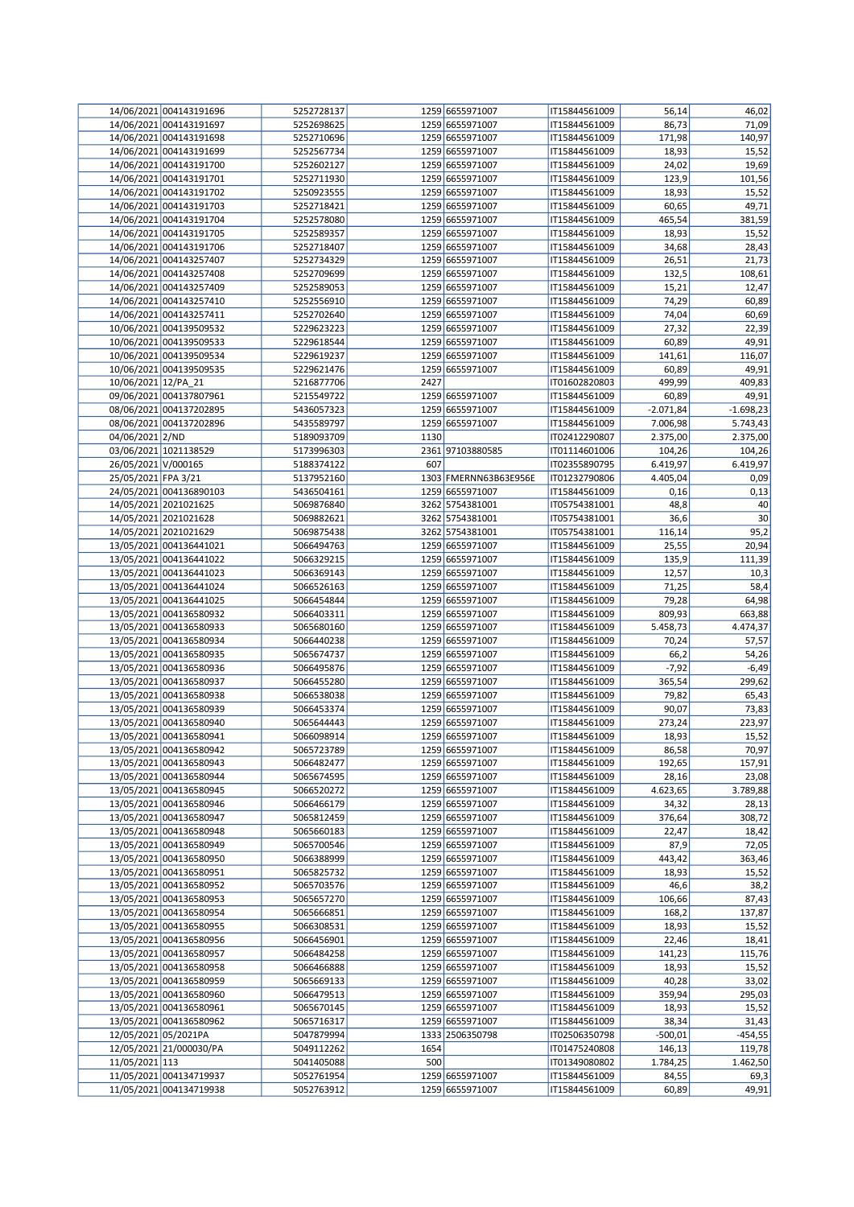|                         | 14/06/2021 004143191696                            | 5252728137               |      | 1259 6655971007                    | IT15844561009                  | 56,14          | 46,02                     |
|-------------------------|----------------------------------------------------|--------------------------|------|------------------------------------|--------------------------------|----------------|---------------------------|
|                         | 14/06/2021 004143191697                            | 5252698625               |      | 1259 6655971007                    | IT15844561009                  | 86,73          | 71,09                     |
|                         | 14/06/2021 004143191698                            | 5252710696               |      | 1259 6655971007                    | IT15844561009                  | 171,98         | 140,97                    |
|                         |                                                    |                          |      | 1259 6655971007                    |                                |                |                           |
|                         | 14/06/2021 004143191699                            | 5252567734               |      |                                    | IT15844561009                  | 18,93          | 15,52                     |
|                         | 14/06/2021 004143191700                            | 5252602127               |      | 1259 6655971007                    | IT15844561009                  | 24,02          | 19,69                     |
|                         | 14/06/2021 004143191701                            | 5252711930               |      | 1259 6655971007                    | IT15844561009                  | 123,9          | 101,56                    |
|                         | 14/06/2021 004143191702                            | 5250923555               |      | 1259 6655971007                    | IT15844561009                  | 18,93          | 15,52                     |
|                         | 14/06/2021 004143191703                            | 5252718421               |      | 1259 6655971007                    | IT15844561009                  | 60,65          | 49,71                     |
|                         | 14/06/2021 004143191704                            | 5252578080               |      | 1259 6655971007                    | IT15844561009                  | 465,54         | 381,59                    |
|                         |                                                    |                          |      |                                    |                                |                |                           |
|                         | 14/06/2021 004143191705                            | 5252589357               |      | 1259 6655971007                    | IT15844561009                  | 18,93          | 15,52                     |
|                         | 14/06/2021 004143191706                            | 5252718407               |      | 1259 6655971007                    | IT15844561009                  | 34,68          | 28,43                     |
|                         | 14/06/2021 004143257407                            | 5252734329               |      | 1259 6655971007                    | IT15844561009                  | 26,51          | 21,73                     |
|                         | 14/06/2021 004143257408                            | 5252709699               |      | 1259 6655971007                    | IT15844561009                  | 132,5          | 108,61                    |
|                         | 14/06/2021 004143257409                            | 5252589053               |      | 1259 6655971007                    | IT15844561009                  |                |                           |
|                         |                                                    |                          |      |                                    |                                | 15,21          | 12,47                     |
|                         | 14/06/2021 004143257410                            | 5252556910               |      | 1259 6655971007                    | IT15844561009                  | 74,29          | 60,89                     |
|                         | 14/06/2021 004143257411                            | 5252702640               |      | 1259 6655971007                    | IT15844561009                  | 74,04          | 60,69                     |
|                         | 10/06/2021 004139509532                            | 5229623223               |      | 1259 6655971007                    | IT15844561009                  | 27,32          | 22,39                     |
|                         | 10/06/2021 004139509533                            | 5229618544               |      | 1259 6655971007                    | IT15844561009                  | 60,89          | 49,91                     |
|                         |                                                    |                          |      |                                    |                                |                |                           |
|                         | 10/06/2021 004139509534                            | 5229619237               |      | 1259 6655971007                    | IT15844561009                  | 141,61         | 116,07                    |
|                         | 10/06/2021 004139509535                            | 5229621476               |      | 1259 6655971007                    | IT15844561009                  | 60,89          | 49,91                     |
| 10/06/2021 12/PA_21     |                                                    | 5216877706               | 2427 |                                    | IT01602820803                  | 499,99         | 409,83                    |
|                         | 09/06/2021 004137807961                            | 5215549722               |      | 1259 6655971007                    | IT15844561009                  | 60,89          | 49,91                     |
|                         | 08/06/2021 004137202895                            | 5436057323               |      | 1259 6655971007                    | IT15844561009                  | $-2.071,84$    | $-1.698,23$               |
|                         |                                                    |                          |      |                                    |                                |                |                           |
|                         | 08/06/2021 004137202896                            | 5435589797               |      | 1259 6655971007                    | IT15844561009                  | 7.006,98       | 5.743,43                  |
| 04/06/2021 2/ND         |                                                    | 5189093709               | 1130 |                                    | IT02412290807                  | 2.375,00       | 2.375,00                  |
|                         | 03/06/2021 1021138529                              | 5173996303               |      | 2361 97103880585                   | IT01114601006                  | 104,26         | 104,26                    |
| 26/05/2021 V/000165     |                                                    | 5188374122               | 607  |                                    | IT02355890795                  | 6.419,97       | 6.419,97                  |
| 25/05/2021 FPA 3/21     |                                                    | 5137952160               |      | 1303 FMERNN63B63E956E              | IT01232790806                  | 4.405,04       | 0,09                      |
|                         |                                                    |                          |      |                                    |                                |                |                           |
|                         | 24/05/2021 004136890103                            | 5436504161               |      | 1259 6655971007                    | IT15844561009                  | 0,16           | 0,13                      |
|                         | 14/05/2021 2021021625                              | 5069876840               |      | 3262 5754381001                    | IT05754381001                  | 48,8           | 40                        |
|                         | 14/05/2021 2021021628                              | 5069882621               |      | 3262 5754381001                    | IT05754381001                  | 36,6           | 30                        |
|                         | 14/05/2021 2021021629                              | 5069875438               |      | 3262 5754381001                    | IT05754381001                  | 116,14         | 95,2                      |
|                         | 13/05/2021 004136441021                            | 5066494763               |      | 1259 6655971007                    |                                |                | 20,94                     |
|                         |                                                    |                          |      |                                    | IT15844561009                  | 25,55          |                           |
|                         | 13/05/2021 004136441022                            | 5066329215               |      | 1259 6655971007                    | IT15844561009                  | 135,9          | 111,39                    |
|                         | 13/05/2021 004136441023                            | 5066369143               |      | 1259 6655971007                    | IT15844561009                  | 12,57          | 10,3                      |
|                         | 13/05/2021 004136441024                            | 5066526163               |      | 1259 6655971007                    | IT15844561009                  | 71,25          | 58,4                      |
|                         | 13/05/2021 004136441025                            | 5066454844               |      | 1259 6655971007                    | IT15844561009                  | 79,28          | 64,98                     |
|                         |                                                    |                          |      |                                    |                                |                |                           |
|                         | 13/05/2021 004136580932                            | 5066403311               |      | 1259 6655971007                    | IT15844561009                  | 809,93         | 663,88                    |
|                         | 13/05/2021 004136580933                            | 5065680160               |      | 1259 6655971007                    | IT15844561009                  | 5.458,73       | 4.474,37                  |
|                         | 13/05/2021 004136580934                            | 5066440238               |      | 1259 6655971007                    | IT15844561009                  | 70,24          | 57,57                     |
|                         | 13/05/2021 004136580935                            | 5065674737               |      | 1259 6655971007                    | IT15844561009                  | 66,2           | 54,26                     |
|                         | 13/05/2021 004136580936                            | 5066495876               |      | 1259 6655971007                    | IT15844561009                  | $-7,92$        | $-6,49$                   |
|                         |                                                    |                          |      |                                    |                                |                |                           |
|                         | 13/05/2021 004136580937                            | 5066455280               |      | 1259 6655971007                    | IT15844561009                  | 365,54         | 299,62                    |
|                         | 13/05/2021 004136580938                            | 5066538038               |      | 1259 6655971007                    | IT15844561009                  | 79,82          | 65,43                     |
|                         | 13/05/2021 004136580939                            | 5066453374               |      | 1259 6655971007                    | IT15844561009                  | 90,07          | 73,83                     |
|                         | 13/05/2021 004136580940                            | 5065644443               |      | 1259 6655971007                    | IT15844561009                  | 273,24         | 223,97                    |
|                         | 13/05/2021 004136580941                            | 5066098914               |      | 1259 6655971007                    | IT15844561009                  | 18,93          | 15,52                     |
|                         |                                                    |                          |      |                                    |                                |                |                           |
|                         | 13/05/2021 004136580942                            | 5065723789               |      | 1259 6655971007                    | IT15844561009                  | 86,58          | 70,97                     |
|                         | 13/05/2021 004136580943                            | 5066482477               |      | 1259 6655971007                    | IT15844561009                  | 192,65         | 157,91                    |
|                         | 13/05/2021 004136580944                            | 5065674595               |      | 1259 6655971007                    | IT15844561009                  | 28,16          | 23,08                     |
|                         | 13/05/2021 004136580945                            | 5066520272               |      | 1259 6655971007                    | IT15844561009                  | 4.623,65       | 3.789,88                  |
|                         | 13/05/2021 004136580946                            | 5066466179               |      | 1259 6655971007                    | IT15844561009                  | 34,32          | 28,13                     |
|                         |                                                    |                          |      |                                    |                                |                |                           |
|                         | 13/05/2021 004136580947                            | 5065812459               |      | 1259 6655971007                    | IT15844561009                  | 376,64         | 308,72                    |
|                         | 13/05/2021 004136580948                            | 5065660183               |      | 1259 6655971007                    | IT15844561009                  | 22,47          | 18,42                     |
|                         | 13/05/2021 004136580949                            | 5065700546               |      | 1259 6655971007                    | IT15844561009                  | 87,9           | 72,05                     |
|                         | 13/05/2021 004136580950                            | 5066388999               |      | 1259 6655971007                    | IT15844561009                  | 443,42         | 363,46                    |
|                         | 13/05/2021 004136580951                            | 5065825732               |      | 1259 6655971007                    | IT15844561009                  | 18,93          | 15,52                     |
|                         |                                                    |                          |      |                                    |                                |                |                           |
|                         | 13/05/2021 004136580952                            | 5065703576               |      | 1259 6655971007                    | IT15844561009                  | 46,6           | 38,2                      |
|                         | 13/05/2021 004136580953                            | 5065657270               |      | 1259 6655971007                    | IT15844561009                  | 106,66         | 87,43                     |
|                         | 13/05/2021 004136580954                            | 5065666851               |      | 1259 6655971007                    | IT15844561009                  | 168,2          | 137,87                    |
|                         | 13/05/2021 004136580955                            | 5066308531               |      | 1259 6655971007                    | IT15844561009                  | 18,93          | 15,52                     |
|                         | 13/05/2021 004136580956                            | 5066456901               |      | 1259 6655971007                    | IT15844561009                  | 22,46          | 18,41                     |
|                         |                                                    |                          |      |                                    |                                |                |                           |
|                         | 13/05/2021 004136580957                            | 5066484258               |      | 1259 6655971007                    | IT15844561009                  | 141,23         | 115,76                    |
|                         | 13/05/2021 004136580958                            | 5066466888               |      | 1259 6655971007                    | IT15844561009                  | 18,93          | 15,52                     |
|                         | 13/05/2021 004136580959                            | 5065669133               |      | 1259 6655971007                    | IT15844561009                  | 40,28          | 33,02                     |
|                         | 13/05/2021 004136580960                            | 5066479513               |      | 1259 6655971007                    | IT15844561009                  | 359,94         | 295,03                    |
|                         | 13/05/2021 004136580961                            | 5065670145               |      | 1259 6655971007                    | IT15844561009                  |                |                           |
|                         |                                                    |                          |      |                                    |                                | 18,93          | 15,52                     |
|                         | 13/05/2021 004136580962                            | 5065716317               |      | 1259 6655971007                    | IT15844561009                  | 38,34          | 31,43                     |
| 12/05/2021 05/2021PA    |                                                    | 5047879994               |      | 1333 2506350798                    | IT02506350798                  | $-500,01$      | $-454,55$                 |
| 12/05/2021 21/000030/PA |                                                    | 5049112262               | 1654 |                                    | IT01475240808                  | 146,13         | 119,78                    |
|                         |                                                    |                          |      |                                    |                                |                |                           |
|                         |                                                    |                          |      |                                    |                                |                |                           |
| 11/05/2021 113          |                                                    | 5041405088               | 500  |                                    | IT01349080802                  | 1.784,25       |                           |
|                         | 11/05/2021 004134719937<br>11/05/2021 004134719938 | 5052761954<br>5052763912 |      | 1259 6655971007<br>1259 6655971007 | IT15844561009<br>IT15844561009 | 84,55<br>60,89 | 1.462,50<br>69,3<br>49,91 |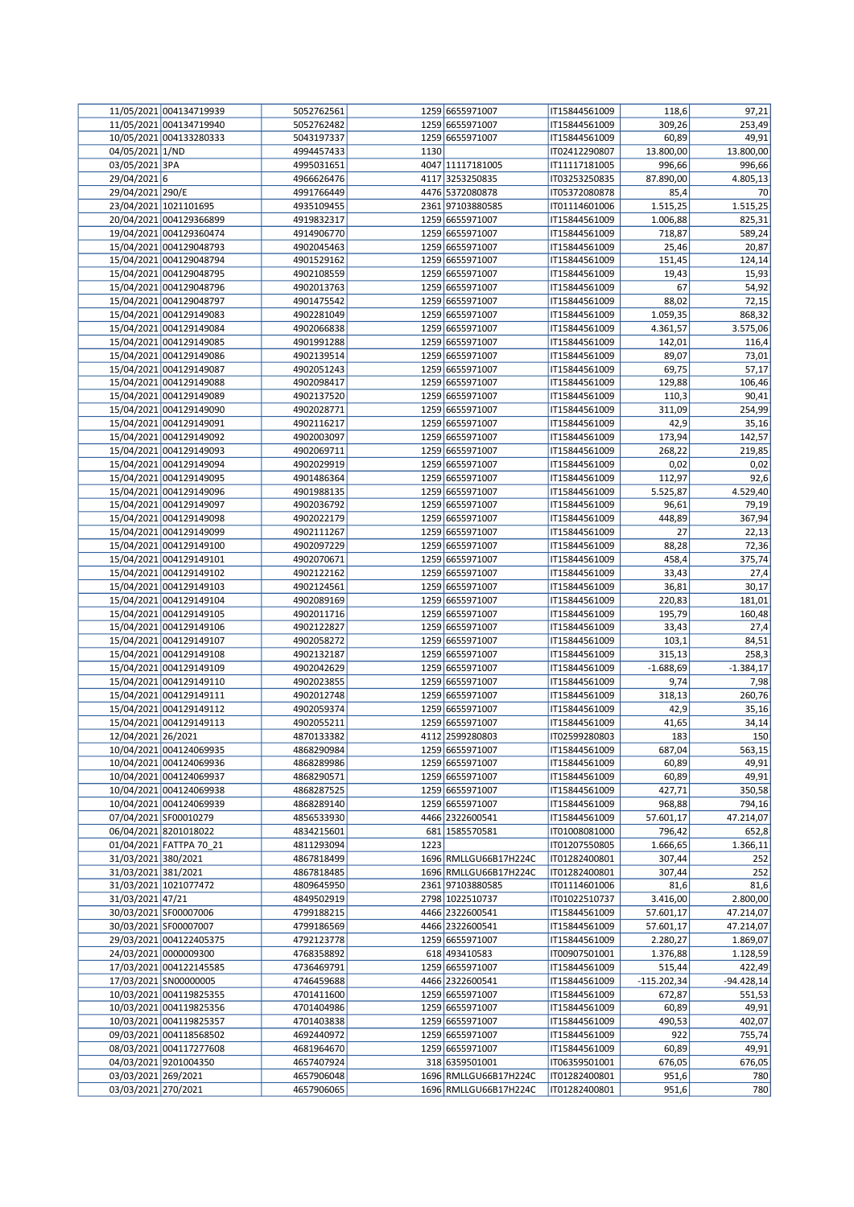|                     | 11/05/2021 004134719939 | 5052762561 |      | 1259 6655971007       | IT15844561009 | 118,6         | 97,21       |
|---------------------|-------------------------|------------|------|-----------------------|---------------|---------------|-------------|
|                     | 11/05/2021 004134719940 | 5052762482 |      | 1259 6655971007       | IT15844561009 | 309,26        | 253,49      |
|                     | 10/05/2021 004133280333 | 5043197337 |      | 1259 6655971007       | IT15844561009 | 60,89         | 49,91       |
| 04/05/2021 1/ND     |                         | 4994457433 | 1130 |                       | IT02412290807 | 13.800,00     | 13.800,00   |
| 03/05/2021 3PA      |                         | 4995031651 |      | 4047 11117181005      | IT11117181005 | 996,66        | 996,66      |
| 29/04/2021 6        |                         | 4966626476 |      | 4117 3253250835       | IT03253250835 | 87.890,00     | 4.805,13    |
| 29/04/2021 290/E    |                         | 4991766449 |      | 4476 5372080878       | IT05372080878 | 85,4          | 70          |
|                     | 23/04/2021 1021101695   | 4935109455 |      | 2361 97103880585      | IT01114601006 | 1.515,25      | 1.515,25    |
|                     | 20/04/2021 004129366899 | 4919832317 |      | 1259 6655971007       | IT15844561009 | 1.006,88      | 825,31      |
|                     | 19/04/2021 004129360474 | 4914906770 |      | 1259 6655971007       | IT15844561009 | 718,87        | 589,24      |
|                     | 15/04/2021 004129048793 | 4902045463 |      | 1259 6655971007       | IT15844561009 | 25,46         | 20,87       |
|                     | 15/04/2021 004129048794 | 4901529162 |      | 1259 6655971007       | IT15844561009 | 151,45        | 124,14      |
|                     | 15/04/2021 004129048795 | 4902108559 |      | 1259 6655971007       | IT15844561009 | 19,43         | 15,93       |
|                     | 15/04/2021 004129048796 | 4902013763 |      | 1259 6655971007       | IT15844561009 | 67            | 54,92       |
|                     | 15/04/2021 004129048797 | 4901475542 |      | 1259 6655971007       | IT15844561009 | 88,02         | 72,15       |
|                     | 15/04/2021 004129149083 | 4902281049 |      | 1259 6655971007       | IT15844561009 | 1.059,35      | 868,32      |
|                     | 15/04/2021 004129149084 | 4902066838 |      | 1259 6655971007       | IT15844561009 | 4.361,57      | 3.575,06    |
|                     | 15/04/2021 004129149085 | 4901991288 |      | 1259 6655971007       | IT15844561009 | 142,01        | 116,4       |
|                     | 15/04/2021 004129149086 | 4902139514 |      | 1259 6655971007       | IT15844561009 | 89,07         | 73,01       |
|                     | 15/04/2021 004129149087 | 4902051243 |      | 1259 6655971007       | IT15844561009 | 69,75         | 57,17       |
|                     | 15/04/2021 004129149088 | 4902098417 |      | 1259 6655971007       | IT15844561009 | 129,88        | 106,46      |
|                     | 15/04/2021 004129149089 | 4902137520 |      | 1259 6655971007       | IT15844561009 | 110,3         | 90,41       |
|                     | 15/04/2021 004129149090 | 4902028771 |      | 1259 6655971007       | IT15844561009 | 311,09        | 254,99      |
|                     | 15/04/2021 004129149091 | 4902116217 |      | 1259 6655971007       | IT15844561009 | 42,9          | 35,16       |
|                     | 15/04/2021 004129149092 | 4902003097 |      | 1259 6655971007       | IT15844561009 | 173,94        | 142,57      |
|                     | 15/04/2021 004129149093 | 4902069711 |      | 1259 6655971007       | IT15844561009 | 268,22        | 219,85      |
|                     | 15/04/2021 004129149094 | 4902029919 |      | 1259 6655971007       | IT15844561009 | 0,02          | 0,02        |
|                     | 15/04/2021 004129149095 | 4901486364 |      | 1259 6655971007       | IT15844561009 | 112,97        | 92,6        |
|                     | 15/04/2021 004129149096 | 4901988135 |      | 1259 6655971007       | IT15844561009 | 5.525,87      | 4.529,40    |
|                     | 15/04/2021 004129149097 | 4902036792 |      | 1259 6655971007       | IT15844561009 | 96,61         | 79,19       |
|                     | 15/04/2021 004129149098 | 4902022179 |      | 1259 6655971007       | IT15844561009 | 448,89        | 367,94      |
|                     | 15/04/2021 004129149099 | 4902111267 |      | 1259 6655971007       | IT15844561009 | 27            | 22,13       |
|                     | 15/04/2021 004129149100 | 4902097229 |      | 1259 6655971007       | IT15844561009 | 88,28         | 72,36       |
|                     | 15/04/2021 004129149101 | 4902070671 |      | 1259 6655971007       | IT15844561009 | 458,4         | 375,74      |
|                     | 15/04/2021 004129149102 | 4902122162 |      | 1259 6655971007       | IT15844561009 | 33,43         | 27,4        |
|                     | 15/04/2021 004129149103 | 4902124561 |      | 1259 6655971007       | IT15844561009 | 36,81         | 30,17       |
|                     | 15/04/2021 004129149104 | 4902089169 |      | 1259 6655971007       | IT15844561009 | 220,83        | 181,01      |
|                     | 15/04/2021 004129149105 | 4902011716 |      | 1259 6655971007       | IT15844561009 | 195,79        | 160,48      |
|                     | 15/04/2021 004129149106 | 4902122827 |      | 1259 6655971007       | IT15844561009 | 33,43         | 27,4        |
|                     | 15/04/2021 004129149107 | 4902058272 |      | 1259 6655971007       | IT15844561009 | 103,1         | 84,51       |
|                     | 15/04/2021 004129149108 | 4902132187 |      | 1259 6655971007       | IT15844561009 | 315,13        | 258,3       |
|                     | 15/04/2021 004129149109 | 4902042629 |      | 1259 6655971007       | IT15844561009 | $-1.688,69$   | $-1.384,17$ |
|                     | 15/04/2021 004129149110 | 4902023855 |      | 1259 6655971007       | IT15844561009 | 9,74          | 7,98        |
|                     | 15/04/2021 004129149111 | 4902012748 |      | 1259 6655971007       | IT15844561009 | 318,13        | 260,76      |
|                     | 15/04/2021 004129149112 | 4902059374 |      | 1259 6655971007       | IT15844561009 | 42,9          | 35,16       |
|                     | 15/04/2021 004129149113 | 4902055211 |      | 1259 6655971007       | IT15844561009 | 41,65         | 34,14       |
| 12/04/2021 26/2021  |                         | 4870133382 |      | 4112 2599280803       | IT02599280803 | 183           | 150         |
|                     | 10/04/2021 004124069935 | 4868290984 |      | 1259 6655971007       | IT15844561009 | 687,04        | 563,15      |
|                     | 10/04/2021 004124069936 | 4868289986 |      | 1259 6655971007       | IT15844561009 | 60,89         | 49,91       |
|                     | 10/04/2021 004124069937 | 4868290571 |      | 1259 6655971007       | IT15844561009 | 60,89         | 49,91       |
|                     | 10/04/2021 004124069938 | 4868287525 |      | 1259 6655971007       | IT15844561009 | 427,71        | 350,58      |
|                     | 10/04/2021 004124069939 | 4868289140 |      | 1259 6655971007       | IT15844561009 | 968,88        | 794,16      |
|                     | 07/04/2021 SF00010279   | 4856533930 |      | 4466 2322600541       | IT15844561009 | 57.601,17     | 47.214,07   |
|                     | 06/04/2021 8201018022   | 4834215601 |      | 681 1585570581        | IT01008081000 | 796,42        | 652,8       |
|                     | 01/04/2021 FATTPA 70 21 | 4811293094 | 1223 |                       | IT01207550805 | 1.666,65      | 1.366,11    |
| 31/03/2021 380/2021 |                         | 4867818499 |      | 1696 RMLLGU66B17H224C | IT01282400801 | 307,44        | 252         |
| 31/03/2021 381/2021 |                         | 4867818485 |      | 1696 RMLLGU66B17H224C | IT01282400801 | 307,44        | 252         |
|                     | 31/03/2021 1021077472   | 4809645950 |      | 2361 97103880585      | IT01114601006 | 81,6          | 81,6        |
| 31/03/2021 47/21    |                         | 4849502919 |      | 2798 1022510737       | IT01022510737 | 3.416,00      | 2.800,00    |
|                     | 30/03/2021 SF00007006   | 4799188215 |      | 4466 2322600541       | IT15844561009 | 57.601,17     | 47.214,07   |
|                     | 30/03/2021 SF00007007   | 4799186569 |      | 4466 2322600541       | IT15844561009 | 57.601,17     | 47.214,07   |
|                     | 29/03/2021 004122405375 | 4792123778 |      | 1259 6655971007       | IT15844561009 | 2.280,27      | 1.869,07    |
|                     | 24/03/2021 0000009300   | 4768358892 |      | 618 493410583         | IT00907501001 | 1.376,88      | 1.128,59    |
|                     | 17/03/2021 004122145585 | 4736469791 |      | 1259 6655971007       | IT15844561009 | 515,44        | 422,49      |
|                     | 17/03/2021 SN00000005   | 4746459688 |      | 4466 2322600541       | IT15844561009 | $-115.202,34$ | -94.428,14  |
|                     | 10/03/2021 004119825355 | 4701411600 |      | 1259 6655971007       | IT15844561009 | 672,87        | 551,53      |
|                     | 10/03/2021 004119825356 | 4701404986 |      | 1259 6655971007       | IT15844561009 | 60,89         | 49,91       |
|                     | 10/03/2021 004119825357 | 4701403838 |      | 1259 6655971007       | IT15844561009 | 490,53        | 402,07      |
|                     | 09/03/2021 004118568502 | 4692440972 |      | 1259 6655971007       | IT15844561009 | 922           | 755,74      |
|                     | 08/03/2021 004117277608 | 4681964670 |      | 1259 6655971007       | IT15844561009 | 60,89         | 49,91       |
|                     | 04/03/2021 9201004350   | 4657407924 |      | 318 6359501001        | IT06359501001 | 676,05        | 676,05      |
| 03/03/2021 269/2021 |                         | 4657906048 |      | 1696 RMLLGU66B17H224C | IT01282400801 | 951,6         | 780         |
| 03/03/2021 270/2021 |                         | 4657906065 |      | 1696 RMLLGU66B17H224C | IT01282400801 | 951,6         | 780         |
|                     |                         |            |      |                       |               |               |             |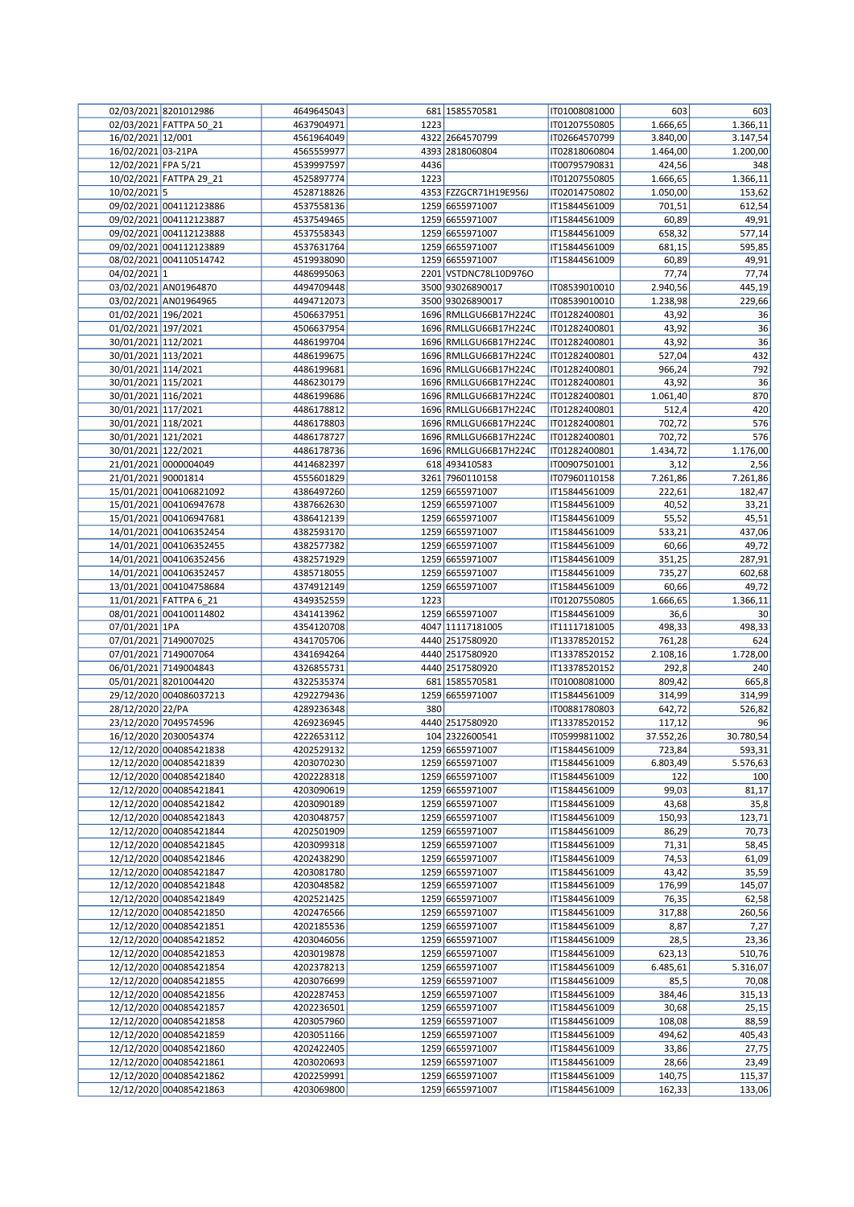|                     | 02/03/2021 8201012986   | 4649645043 |      | 681 1585570581        | IT01008081000 | 603       | 603             |
|---------------------|-------------------------|------------|------|-----------------------|---------------|-----------|-----------------|
|                     | 02/03/2021 FATTPA 50 21 | 4637904971 | 1223 |                       | IT01207550805 | 1.666,65  | 1.366,11        |
| 16/02/2021 12/001   |                         | 4561964049 |      | 4322 2664570799       | IT02664570799 | 3.840,00  | 3.147,54        |
| 16/02/2021 03-21PA  |                         | 4565559977 |      | 4393 2818060804       | IT02818060804 | 1.464,00  | 1.200,00        |
| 12/02/2021 FPA 5/21 |                         | 4539997597 | 4436 |                       | IT00795790831 | 424,56    | 348             |
|                     | 10/02/2021 FATTPA 29_21 | 4525897774 | 1223 |                       | IT01207550805 | 1.666,65  | 1.366,11        |
| 10/02/2021 5        |                         | 4528718826 |      | 4353 FZZGCR71H19E956J | IT02014750802 | 1.050,00  | 153,62          |
|                     | 09/02/2021 004112123886 | 4537558136 |      | 1259 6655971007       | IT15844561009 | 701,51    | 612,54          |
|                     | 09/02/2021 004112123887 | 4537549465 |      | 1259 6655971007       | IT15844561009 | 60,89     | 49,91           |
|                     | 09/02/2021 004112123888 | 4537558343 |      | 1259 6655971007       | IT15844561009 | 658,32    | 577,14          |
|                     | 09/02/2021 004112123889 | 4537631764 |      | 1259 6655971007       | IT15844561009 | 681,15    | 595,85          |
|                     | 08/02/2021 004110514742 | 4519938090 |      | 1259 6655971007       | IT15844561009 | 60,89     | 49,91           |
| 04/02/2021 1        |                         | 4486995063 |      | 2201 VSTDNC78L10D976O |               | 77,74     | 77,74           |
|                     | 03/02/2021 AN01964870   | 4494709448 |      | 3500 93026890017      | IT08539010010 | 2.940,56  | 445,19          |
|                     | 03/02/2021 AN01964965   | 4494712073 |      | 3500 93026890017      | IT08539010010 | 1.238,98  | 229,66          |
| 01/02/2021 196/2021 |                         | 4506637951 |      | 1696 RMLLGU66B17H224C | IT01282400801 | 43,92     | 36              |
| 01/02/2021 197/2021 |                         | 4506637954 |      | 1696 RMLLGU66B17H224C | IT01282400801 | 43,92     | 36              |
| 30/01/2021 112/2021 |                         | 4486199704 |      | 1696 RMLLGU66B17H224C | IT01282400801 | 43,92     | 36              |
| 30/01/2021 113/2021 |                         | 4486199675 |      | 1696 RMLLGU66B17H224C | IT01282400801 | 527,04    | 432             |
| 30/01/2021 114/2021 |                         | 4486199681 |      | 1696 RMLLGU66B17H224C | IT01282400801 | 966,24    | 792             |
| 30/01/2021 115/2021 |                         | 4486230179 |      | 1696 RMLLGU66B17H224C | IT01282400801 | 43,92     | 36              |
| 30/01/2021 116/2021 |                         | 4486199686 |      | 1696 RMLLGU66B17H224C | IT01282400801 | 1.061,40  | 870             |
| 30/01/2021 117/2021 |                         | 4486178812 |      | 1696 RMLLGU66B17H224C | IT01282400801 | 512,4     | 420             |
| 30/01/2021 118/2021 |                         | 4486178803 |      | 1696 RMLLGU66B17H224C | IT01282400801 | 702,72    | 576             |
| 30/01/2021 121/2021 |                         | 4486178727 |      | 1696 RMLLGU66B17H224C | IT01282400801 | 702,72    | 576             |
| 30/01/2021 122/2021 |                         | 4486178736 |      | 1696 RMLLGU66B17H224C | IT01282400801 | 1.434,72  | 1.176,00        |
|                     | 21/01/2021 0000004049   | 4414682397 |      | 618 493410583         | IT00907501001 | 3,12      | 2,56            |
| 21/01/2021 90001814 |                         | 4555601829 |      | 3261 7960110158       | IT07960110158 | 7.261,86  | 7.261,86        |
|                     | 15/01/2021 004106821092 | 4386497260 |      | 1259 6655971007       | IT15844561009 | 222,61    | 182,47          |
|                     | 15/01/2021 004106947678 | 4387662630 |      | 1259 6655971007       | IT15844561009 | 40,52     | 33,21           |
|                     | 15/01/2021 004106947681 | 4386412139 |      | 1259 6655971007       | IT15844561009 | 55,52     | 45,51           |
|                     | 14/01/2021 004106352454 | 4382593170 |      | 1259 6655971007       | IT15844561009 | 533,21    |                 |
|                     | 14/01/2021 004106352455 | 4382577382 |      | 1259 6655971007       | IT15844561009 | 60,66     | 437,06<br>49,72 |
|                     | 14/01/2021 004106352456 | 4382571929 |      | 1259 6655971007       | IT15844561009 |           |                 |
|                     |                         |            |      |                       |               | 351,25    | 287,91          |
|                     | 14/01/2021 004106352457 | 4385718055 |      | 1259 6655971007       | IT15844561009 | 735,27    | 602,68          |
|                     | 13/01/2021 004104758684 | 4374912149 | 1223 | 1259 6655971007       | IT15844561009 | 60,66     | 49,72           |
|                     | 11/01/2021 FATTPA 6_21  | 4349352559 |      |                       | IT01207550805 | 1.666,65  | 1.366,11        |
|                     | 08/01/2021 004100114802 | 4341413962 |      | 1259 6655971007       | IT15844561009 | 36,6      | 30              |
| 07/01/2021 1PA      |                         | 4354120708 |      | 4047 11117181005      | IT11117181005 | 498,33    | 498,33          |
|                     | 07/01/2021 7149007025   | 4341705706 |      | 4440 2517580920       | IT13378520152 | 761,28    | 624             |
|                     | 07/01/2021 7149007064   | 4341694264 |      | 4440 2517580920       | IT13378520152 | 2.108,16  | 1.728,00        |
|                     | 06/01/2021 7149004843   | 4326855731 |      | 4440 2517580920       | IT13378520152 | 292,8     | 240             |
|                     | 05/01/2021 8201004420   | 4322535374 |      | 681 1585570581        | IT01008081000 | 809,42    | 665,8           |
|                     | 29/12/2020 004086037213 | 4292279436 |      | 1259 6655971007       | IT15844561009 | 314,99    | 314,99          |
| 28/12/2020 22/PA    |                         | 4289236348 | 380  |                       | IT00881780803 | 642,72    | 526,82          |
|                     | 23/12/2020 7049574596   | 4269236945 |      | 4440 2517580920       | IT13378520152 | 117,12    | 96              |
|                     | 16/12/2020 2030054374   | 4222653112 |      | 104 2322600541        | IT05999811002 | 37.552,26 | 30.780,54       |
|                     | 12/12/2020 004085421838 | 4202529132 |      | 1259 6655971007       | IT15844561009 | 723,84    | 593,31          |
|                     | 12/12/2020 004085421839 | 4203070230 |      | 1259 6655971007       | IT15844561009 | 6.803,49  | 5.576,63        |
|                     | 12/12/2020 004085421840 | 4202228318 |      | 1259 6655971007       | IT15844561009 | 122       | 100             |
|                     | 12/12/2020 004085421841 | 4203090619 |      | 1259 6655971007       | IT15844561009 | 99,03     | 81,17           |
|                     | 12/12/2020 004085421842 | 4203090189 |      | 1259 6655971007       | IT15844561009 | 43,68     | 35,8            |
|                     | 12/12/2020 004085421843 | 4203048757 |      | 1259 6655971007       | IT15844561009 | 150,93    | 123,71          |
|                     | 12/12/2020 004085421844 | 4202501909 |      | 1259 6655971007       | IT15844561009 | 86,29     | 70,73           |
|                     | 12/12/2020 004085421845 | 4203099318 |      | 1259 6655971007       | IT15844561009 | 71,31     | 58,45           |
|                     | 12/12/2020 004085421846 | 4202438290 |      | 1259 6655971007       | IT15844561009 | 74,53     | 61,09           |
|                     | 12/12/2020 004085421847 | 4203081780 |      | 1259 6655971007       | IT15844561009 | 43,42     | 35,59           |
|                     | 12/12/2020 004085421848 | 4203048582 |      | 1259 6655971007       | IT15844561009 | 176,99    | 145,07          |
|                     | 12/12/2020 004085421849 | 4202521425 |      | 1259 6655971007       | IT15844561009 | 76,35     | 62,58           |
|                     | 12/12/2020 004085421850 | 4202476566 |      | 1259 6655971007       | IT15844561009 | 317,88    | 260,56          |
|                     | 12/12/2020 004085421851 | 4202185536 |      | 1259 6655971007       | IT15844561009 | 8,87      | 7,27            |
|                     | 12/12/2020 004085421852 | 4203046056 |      | 1259 6655971007       | IT15844561009 | 28,5      | 23,36           |
|                     | 12/12/2020 004085421853 | 4203019878 |      | 1259 6655971007       | IT15844561009 | 623,13    | 510,76          |
|                     | 12/12/2020 004085421854 | 4202378213 |      | 1259 6655971007       | IT15844561009 | 6.485,61  | 5.316,07        |
|                     | 12/12/2020 004085421855 | 4203076699 |      | 1259 6655971007       | IT15844561009 | 85,5      | 70,08           |
|                     | 12/12/2020 004085421856 | 4202287453 |      | 1259 6655971007       | IT15844561009 | 384,46    | 315,13          |
|                     | 12/12/2020 004085421857 | 4202236501 |      | 1259 6655971007       | IT15844561009 | 30,68     | 25,15           |
|                     | 12/12/2020 004085421858 | 4203057960 |      | 1259 6655971007       | IT15844561009 | 108,08    | 88,59           |
|                     | 12/12/2020 004085421859 | 4203051166 |      | 1259 6655971007       | IT15844561009 | 494,62    | 405,43          |
|                     | 12/12/2020 004085421860 | 4202422405 |      | 1259 6655971007       | IT15844561009 | 33,86     | 27,75           |
|                     | 12/12/2020 004085421861 | 4203020693 |      | 1259 6655971007       | IT15844561009 | 28,66     | 23,49           |
|                     | 12/12/2020 004085421862 | 4202259991 |      | 1259 6655971007       | IT15844561009 | 140,75    | 115,37          |
|                     | 12/12/2020 004085421863 | 4203069800 |      | 1259 6655971007       | IT15844561009 | 162,33    | 133,06          |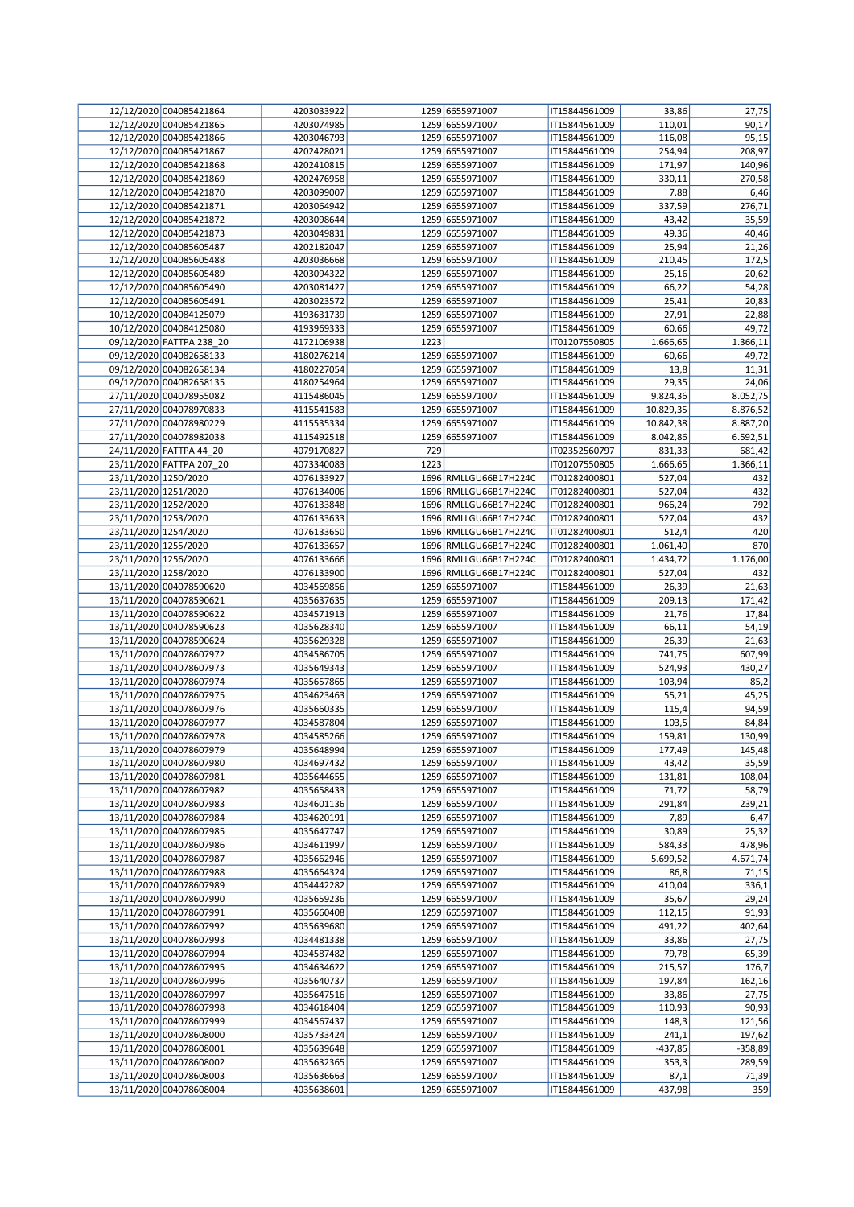|                      | 12/12/2020 004085421864  | 4203033922 |      | 1259 6655971007       | IT15844561009 | 33,86     | 27,75           |
|----------------------|--------------------------|------------|------|-----------------------|---------------|-----------|-----------------|
|                      | 12/12/2020 004085421865  | 4203074985 |      | 1259 6655971007       | IT15844561009 | 110,01    | 90,17           |
|                      | 12/12/2020 004085421866  | 4203046793 |      | 1259 6655971007       | IT15844561009 | 116,08    | 95,15           |
|                      | 12/12/2020 004085421867  | 4202428021 |      | 1259 6655971007       | IT15844561009 | 254,94    | 208,97          |
|                      | 12/12/2020 004085421868  | 4202410815 |      | 1259 6655971007       | IT15844561009 | 171,97    | 140,96          |
|                      | 12/12/2020 004085421869  | 4202476958 |      | 1259 6655971007       | IT15844561009 | 330,11    | 270,58          |
|                      | 12/12/2020 004085421870  | 4203099007 |      | 1259 6655971007       | IT15844561009 |           |                 |
|                      |                          |            |      |                       |               | 7,88      | 6,46            |
|                      | 12/12/2020 004085421871  | 4203064942 |      | 1259 6655971007       | IT15844561009 | 337,59    | 276,71          |
|                      | 12/12/2020 004085421872  | 4203098644 |      | 1259 6655971007       | IT15844561009 | 43,42     | 35,59           |
|                      | 12/12/2020 004085421873  | 4203049831 |      | 1259 6655971007       | IT15844561009 | 49,36     | 40,46           |
|                      | 12/12/2020 004085605487  | 4202182047 |      | 1259 6655971007       | IT15844561009 | 25,94     | 21,26           |
|                      | 12/12/2020 004085605488  | 4203036668 |      | 1259 6655971007       | IT15844561009 | 210,45    | 172,5           |
|                      | 12/12/2020 004085605489  | 4203094322 |      | 1259 6655971007       | IT15844561009 | 25,16     | 20,62           |
|                      | 12/12/2020 004085605490  | 4203081427 |      | 1259 6655971007       | IT15844561009 | 66,22     | 54,28           |
|                      | 12/12/2020 004085605491  | 4203023572 |      | 1259 6655971007       | IT15844561009 | 25,41     | 20,83           |
|                      |                          |            |      |                       |               |           |                 |
|                      | 10/12/2020 004084125079  | 4193631739 |      | 1259 6655971007       | IT15844561009 | 27,91     | 22,88           |
|                      | 10/12/2020 004084125080  | 4193969333 |      | 1259 6655971007       | IT15844561009 | 60,66     | 49,72           |
|                      | 09/12/2020 FATTPA 238_20 | 4172106938 | 1223 |                       | IT01207550805 | 1.666,65  | 1.366,11        |
|                      | 09/12/2020 004082658133  | 4180276214 |      | 1259 6655971007       | IT15844561009 | 60,66     | 49,72           |
|                      | 09/12/2020 004082658134  | 4180227054 |      | 1259 6655971007       | IT15844561009 | 13,8      | 11,31           |
|                      | 09/12/2020 004082658135  | 4180254964 |      | 1259 6655971007       | IT15844561009 | 29,35     | 24,06           |
|                      | 27/11/2020 004078955082  | 4115486045 |      | 1259 6655971007       | IT15844561009 | 9.824,36  | 8.052,75        |
|                      | 27/11/2020 004078970833  | 4115541583 |      | 1259 6655971007       | IT15844561009 | 10.829,35 | 8.876,52        |
|                      |                          |            |      |                       |               |           |                 |
|                      | 27/11/2020 004078980229  | 4115535334 |      | 1259 6655971007       | IT15844561009 | 10.842,38 | 8.887,20        |
|                      | 27/11/2020 004078982038  | 4115492518 |      | 1259 6655971007       | IT15844561009 | 8.042,86  | 6.592,51        |
|                      | 24/11/2020 FATTPA 44 20  | 4079170827 | 729  |                       | IT02352560797 | 831,33    | 681,42          |
|                      | 23/11/2020 FATTPA 207_20 | 4073340083 | 1223 |                       | IT01207550805 | 1.666,65  | 1.366,11        |
| 23/11/2020 1250/2020 |                          | 4076133927 |      | 1696 RMLLGU66B17H224C | IT01282400801 | 527,04    | 432             |
| 23/11/2020 1251/2020 |                          | 4076134006 |      | 1696 RMLLGU66B17H224C | IT01282400801 | 527,04    | 432             |
| 23/11/2020 1252/2020 |                          | 4076133848 |      | 1696 RMLLGU66B17H224C | IT01282400801 | 966,24    | 792             |
| 23/11/2020 1253/2020 |                          | 4076133633 |      | 1696 RMLLGU66B17H224C | IT01282400801 | 527,04    | 432             |
| 23/11/2020 1254/2020 |                          | 4076133650 |      | 1696 RMLLGU66B17H224C | IT01282400801 | 512,4     | 420             |
|                      |                          |            |      |                       |               |           |                 |
| 23/11/2020 1255/2020 |                          | 4076133657 |      | 1696 RMLLGU66B17H224C | IT01282400801 | 1.061,40  | 870             |
| 23/11/2020 1256/2020 |                          | 4076133666 |      | 1696 RMLLGU66B17H224C | IT01282400801 | 1.434,72  | 1.176,00        |
| 23/11/2020 1258/2020 |                          | 4076133900 |      | 1696 RMLLGU66B17H224C | IT01282400801 | 527,04    | 432             |
|                      | 13/11/2020 004078590620  | 4034569856 |      | 1259 6655971007       | IT15844561009 | 26,39     | 21,63           |
|                      | 13/11/2020 004078590621  | 4035637635 |      | 1259 6655971007       | IT15844561009 | 209,13    | 171,42          |
|                      | 13/11/2020 004078590622  | 4034571913 |      | 1259 6655971007       | IT15844561009 | 21,76     | 17,84           |
|                      | 13/11/2020 004078590623  | 4035628340 |      | 1259 6655971007       | IT15844561009 | 66,11     | 54,19           |
|                      | 13/11/2020 004078590624  | 4035629328 |      | 1259 6655971007       | IT15844561009 | 26,39     | 21,63           |
|                      |                          |            |      |                       |               |           |                 |
|                      | 13/11/2020 004078607972  | 4034586705 |      | 1259 6655971007       | IT15844561009 | 741,75    | 607,99          |
|                      | 13/11/2020 004078607973  | 4035649343 |      | 1259 6655971007       | IT15844561009 | 524,93    | 430,27          |
|                      | 13/11/2020 004078607974  | 4035657865 |      | 1259 6655971007       | IT15844561009 | 103,94    | 85,2            |
|                      | 13/11/2020 004078607975  | 4034623463 |      | 1259 6655971007       | IT15844561009 | 55,21     | 45,25           |
|                      | 13/11/2020 004078607976  | 4035660335 |      | 1259 6655971007       | IT15844561009 | 115,4     | 94,59           |
|                      | 13/11/2020 004078607977  | 4034587804 |      | 1259 6655971007       | IT15844561009 | 103,5     | 84,84           |
|                      | 13/11/2020 004078607978  | 4034585266 |      | 1259 6655971007       | IT15844561009 | 159,81    | 130,99          |
|                      |                          |            |      |                       |               |           |                 |
|                      | 13/11/2020 004078607979  | 4035648994 |      | 1259 6655971007       | IT15844561009 | 177,49    | 145,48<br>35,59 |
|                      | 13/11/2020 004078607980  | 4034697432 |      | 1259 6655971007       | IT15844561009 | 43,42     |                 |
|                      | 13/11/2020 004078607981  | 4035644655 |      | 1259 6655971007       | IT15844561009 | 131,81    | 108,04          |
|                      | 13/11/2020 004078607982  | 4035658433 |      | 1259 6655971007       | IT15844561009 | 71,72     | 58,79           |
|                      | 13/11/2020 004078607983  | 4034601136 |      | 1259 6655971007       | IT15844561009 | 291,84    | 239,21          |
|                      | 13/11/2020 004078607984  | 4034620191 |      | 1259 6655971007       | IT15844561009 | 7,89      | 6,47            |
|                      | 13/11/2020 004078607985  | 4035647747 |      | 1259 6655971007       | IT15844561009 | 30,89     | 25,32           |
|                      | 13/11/2020 004078607986  | 4034611997 |      | 1259 6655971007       | IT15844561009 | 584,33    | 478,96          |
|                      | 13/11/2020 004078607987  | 4035662946 |      | 1259 6655971007       | IT15844561009 | 5.699,52  | 4.671,74        |
|                      | 13/11/2020 004078607988  | 4035664324 |      | 1259 6655971007       | IT15844561009 | 86,8      | 71,15           |
|                      |                          |            |      |                       |               |           |                 |
|                      | 13/11/2020 004078607989  | 4034442282 |      | 1259 6655971007       | IT15844561009 | 410,04    | 336,1           |
|                      | 13/11/2020 004078607990  | 4035659236 |      | 1259 6655971007       | IT15844561009 | 35,67     | 29,24           |
|                      | 13/11/2020 004078607991  | 4035660408 |      | 1259 6655971007       | IT15844561009 | 112,15    | 91,93           |
|                      | 13/11/2020 004078607992  | 4035639680 |      | 1259 6655971007       | IT15844561009 | 491,22    | 402,64          |
|                      | 13/11/2020 004078607993  | 4034481338 |      | 1259 6655971007       | IT15844561009 | 33,86     | 27,75           |
|                      | 13/11/2020 004078607994  | 4034587482 |      | 1259 6655971007       | IT15844561009 | 79,78     | 65,39           |
|                      | 13/11/2020 004078607995  | 4034634622 |      | 1259 6655971007       | IT15844561009 | 215,57    | 176,7           |
|                      | 13/11/2020 004078607996  | 4035640737 |      | 1259 6655971007       | IT15844561009 | 197,84    | 162,16          |
|                      | 13/11/2020 004078607997  | 4035647516 |      | 1259 6655971007       | IT15844561009 | 33,86     |                 |
|                      |                          |            |      |                       |               |           | 27,75           |
|                      | 13/11/2020 004078607998  | 4034618404 |      | 1259 6655971007       | IT15844561009 | 110,93    | 90,93           |
|                      | 13/11/2020 004078607999  | 4034567437 |      | 1259 6655971007       | IT15844561009 | 148,3     | 121,56          |
|                      | 13/11/2020 004078608000  | 4035733424 |      | 1259 6655971007       | IT15844561009 | 241,1     | 197,62          |
|                      | 13/11/2020 004078608001  | 4035639648 |      | 1259 6655971007       | IT15844561009 | $-437,85$ | $-358,89$       |
|                      | 13/11/2020 004078608002  | 4035632365 |      | 1259 6655971007       | IT15844561009 | 353,3     | 289,59          |
|                      | 13/11/2020 004078608003  | 4035636663 |      | 1259 6655971007       | IT15844561009 | 87,1      | 71,39           |
|                      | 13/11/2020 004078608004  | 4035638601 |      | 1259 6655971007       | IT15844561009 | 437,98    | 359             |
|                      |                          |            |      |                       |               |           |                 |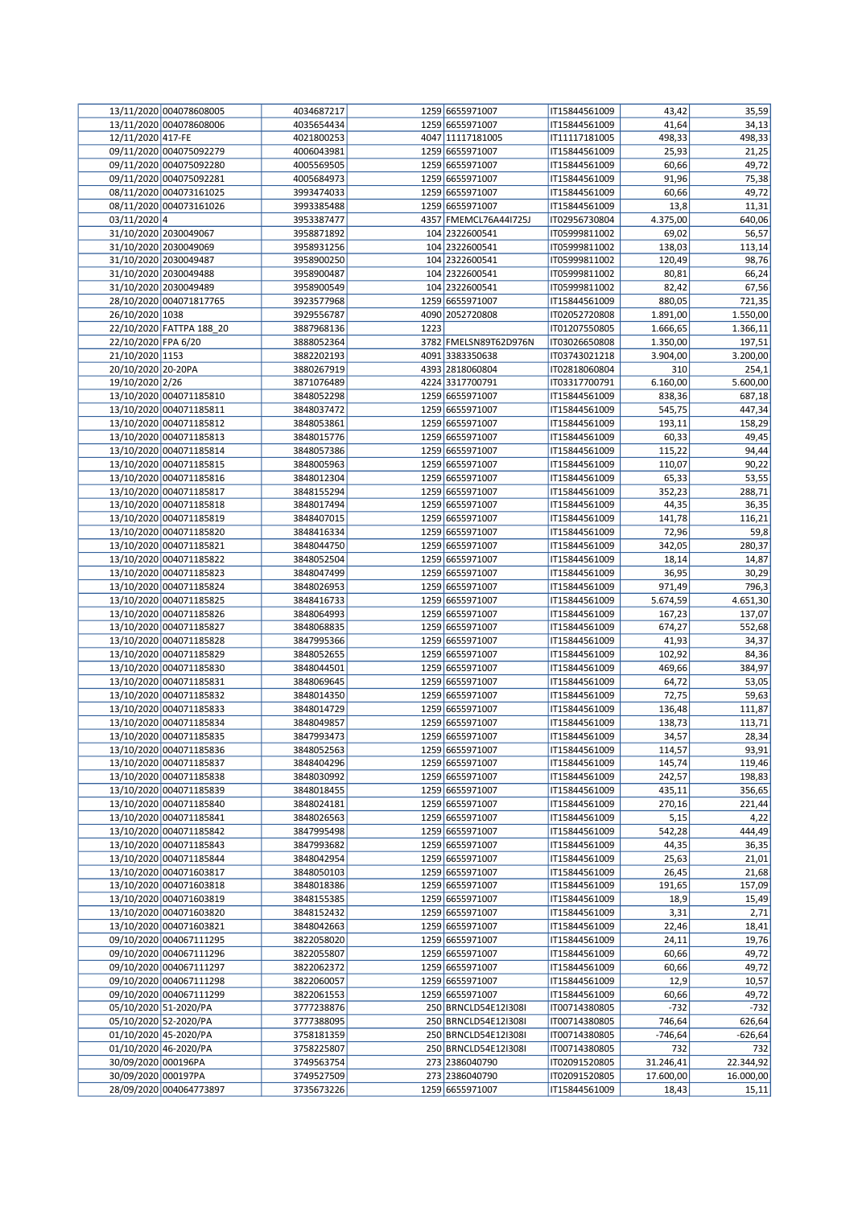|                     | 13/11/2020 004078608005  | 4034687217               |      | 1259 6655971007       | IT15844561009 | 43,42     | 35,59     |
|---------------------|--------------------------|--------------------------|------|-----------------------|---------------|-----------|-----------|
|                     | 13/11/2020 004078608006  | 4035654434               |      | 1259 6655971007       | IT15844561009 | 41,64     | 34,13     |
| 12/11/2020 417-FE   |                          | 4021800253               |      | 4047 11117181005      | IT11117181005 | 498,33    | 498,33    |
|                     | 09/11/2020 004075092279  | 4006043981               |      | 1259 6655971007       | IT15844561009 | 25,93     | 21,25     |
|                     | 09/11/2020 004075092280  | 4005569505               |      | 1259 6655971007       | IT15844561009 | 60,66     | 49,72     |
|                     | 09/11/2020 004075092281  | 4005684973               |      | 1259 6655971007       | IT15844561009 | 91,96     | 75,38     |
|                     | 08/11/2020 004073161025  | 3993474033               |      | 1259 6655971007       | IT15844561009 | 60,66     | 49,72     |
|                     | 08/11/2020 004073161026  | 3993385488               |      | 1259 6655971007       | IT15844561009 | 13,8      | 11,31     |
| 03/11/2020 4        |                          | 3953387477               |      | 4357 FMEMCL76A44I725J | IT02956730804 | 4.375,00  | 640,06    |
|                     | 31/10/2020 2030049067    | 3958871892               |      | 104 2322600541        | IT05999811002 | 69,02     | 56,57     |
|                     | 31/10/2020 2030049069    | 3958931256               |      | 104 2322600541        | IT05999811002 | 138,03    | 113,14    |
|                     | 31/10/2020 2030049487    | 3958900250               |      | 104 2322600541        | IT05999811002 | 120,49    | 98,76     |
|                     | 31/10/2020 2030049488    | 3958900487               |      | 104 2322600541        | IT05999811002 | 80,81     | 66,24     |
|                     | 31/10/2020 2030049489    | 3958900549               |      | 104 2322600541        | IT05999811002 | 82,42     | 67,56     |
|                     | 28/10/2020 004071817765  | 3923577968               |      | 1259 6655971007       | IT15844561009 | 880,05    | 721,35    |
| 26/10/2020 1038     |                          | 3929556787               |      | 4090 2052720808       | IT02052720808 | 1.891,00  | 1.550,00  |
|                     | 22/10/2020 FATTPA 188 20 | 3887968136               | 1223 |                       | IT01207550805 | 1.666,65  | 1.366,11  |
| 22/10/2020 FPA 6/20 |                          | 3888052364               |      | 3782 FMELSN89T62D976N | IT03026650808 | 1.350,00  | 197,51    |
| 21/10/2020 1153     |                          | 3882202193               |      | 4091 3383350638       | IT03743021218 | 3.904,00  | 3.200,00  |
| 20/10/2020 20-20PA  |                          | 3880267919               |      | 4393 2818060804       | IT02818060804 | 310       | 254,1     |
| 19/10/2020 2/26     |                          | 3871076489               |      | 4224 3317700791       | IT03317700791 | 6.160,00  | 5.600,00  |
|                     | 13/10/2020 004071185810  | 3848052298               |      | 1259 6655971007       | IT15844561009 | 838,36    | 687,18    |
|                     | 13/10/2020 004071185811  | 3848037472               |      | 1259 6655971007       | IT15844561009 | 545,75    | 447,34    |
|                     | 13/10/2020 004071185812  | 3848053861               |      | 1259 6655971007       | IT15844561009 | 193,11    | 158,29    |
|                     | 13/10/2020 004071185813  | 3848015776               |      | 1259 6655971007       | IT15844561009 | 60,33     | 49,45     |
|                     | 13/10/2020 004071185814  | 3848057386               |      | 1259 6655971007       | IT15844561009 | 115,22    | 94,44     |
|                     | 13/10/2020 004071185815  | 3848005963               |      | 1259 6655971007       | IT15844561009 | 110,07    | 90,22     |
|                     | 13/10/2020 004071185816  |                          |      |                       |               |           |           |
|                     |                          | 3848012304<br>3848155294 |      | 1259 6655971007       | IT15844561009 | 65,33     | 53,55     |
|                     | 13/10/2020 004071185817  |                          |      | 1259 6655971007       | IT15844561009 | 352,23    | 288,71    |
|                     | 13/10/2020 004071185818  | 3848017494               |      | 1259 6655971007       | IT15844561009 | 44,35     | 36,35     |
|                     | 13/10/2020 004071185819  | 3848407015               |      | 1259 6655971007       | IT15844561009 | 141,78    | 116,21    |
|                     | 13/10/2020 004071185820  | 3848416334               |      | 1259 6655971007       | IT15844561009 | 72,96     | 59,8      |
|                     | 13/10/2020 004071185821  | 3848044750               |      | 1259 6655971007       | IT15844561009 | 342,05    | 280,37    |
|                     | 13/10/2020 004071185822  | 3848052504               |      | 1259 6655971007       | IT15844561009 | 18,14     | 14,87     |
|                     | 13/10/2020 004071185823  | 3848047499               |      | 1259 6655971007       | IT15844561009 | 36,95     | 30,29     |
|                     | 13/10/2020 004071185824  | 3848026953               |      | 1259 6655971007       | IT15844561009 | 971,49    | 796,3     |
|                     | 13/10/2020 004071185825  | 3848416733               |      | 1259 6655971007       | IT15844561009 | 5.674,59  | 4.651,30  |
|                     | 13/10/2020 004071185826  | 3848064993               |      | 1259 6655971007       | IT15844561009 | 167,23    | 137,07    |
|                     | 13/10/2020 004071185827  | 3848068835               |      | 1259 6655971007       | IT15844561009 | 674,27    | 552,68    |
|                     | 13/10/2020 004071185828  | 3847995366               |      | 1259 6655971007       | IT15844561009 | 41,93     | 34,37     |
|                     | 13/10/2020 004071185829  | 3848052655               |      | 1259 6655971007       | IT15844561009 | 102,92    | 84,36     |
|                     | 13/10/2020 004071185830  | 3848044501               |      | 1259 6655971007       | IT15844561009 | 469,66    | 384,97    |
|                     | 13/10/2020 004071185831  | 3848069645               |      | 1259 6655971007       | IT15844561009 | 64,72     | 53,05     |
|                     | 13/10/2020 004071185832  | 3848014350               |      | 1259 6655971007       | IT15844561009 | 72,75     | 59,63     |
|                     | 13/10/2020 004071185833  | 3848014729               |      | 1259 6655971007       | IT15844561009 | 136,48    | 111,87    |
|                     | 13/10/2020 004071185834  | 3848049857               |      | 1259 6655971007       | IT15844561009 | 138,73    | 113,71    |
|                     | 13/10/2020 004071185835  | 3847993473               |      | 1259 6655971007       | IT15844561009 | 34,57     | 28,34     |
|                     | 13/10/2020 004071185836  | 3848052563               |      | 1259 6655971007       | IT15844561009 | 114,57    | 93,91     |
|                     | 13/10/2020 004071185837  | 3848404296               |      | 1259 6655971007       | IT15844561009 | 145,74    | 119,46    |
|                     | 13/10/2020 004071185838  | 3848030992               |      | 1259 6655971007       | IT15844561009 | 242,57    | 198,83    |
|                     | 13/10/2020 004071185839  | 3848018455               |      | 1259 6655971007       | IT15844561009 | 435,11    | 356,65    |
|                     | 13/10/2020 004071185840  | 3848024181               |      | 1259 6655971007       | IT15844561009 | 270,16    | 221,44    |
|                     | 13/10/2020 004071185841  | 3848026563               |      | 1259 6655971007       | IT15844561009 | 5,15      | 4,22      |
|                     | 13/10/2020 004071185842  | 3847995498               |      | 1259 6655971007       | IT15844561009 | 542,28    | 444,49    |
|                     | 13/10/2020 004071185843  | 3847993682               |      | 1259 6655971007       | IT15844561009 | 44,35     | 36,35     |
|                     | 13/10/2020 004071185844  | 3848042954               |      | 1259 6655971007       | IT15844561009 | 25,63     | 21,01     |
|                     | 13/10/2020 004071603817  | 3848050103               |      | 1259 6655971007       | IT15844561009 | 26,45     | 21,68     |
|                     | 13/10/2020 004071603818  | 3848018386               |      | 1259 6655971007       | IT15844561009 | 191,65    | 157,09    |
|                     | 13/10/2020 004071603819  | 3848155385               |      | 1259 6655971007       | IT15844561009 | 18,9      | 15,49     |
|                     | 13/10/2020 004071603820  | 3848152432               |      | 1259 6655971007       | IT15844561009 | 3,31      | 2,71      |
|                     | 13/10/2020 004071603821  | 3848042663               |      | 1259 6655971007       | IT15844561009 | 22,46     | 18,41     |
|                     | 09/10/2020 004067111295  | 3822058020               |      | 1259 6655971007       | IT15844561009 | 24,11     | 19,76     |
|                     | 09/10/2020 004067111296  | 3822055807               |      | 1259 6655971007       | IT15844561009 | 60,66     | 49,72     |
|                     | 09/10/2020 004067111297  | 3822062372               |      | 1259 6655971007       | IT15844561009 | 60,66     | 49,72     |
|                     | 09/10/2020 004067111298  | 3822060057               |      | 1259 6655971007       | IT15844561009 | 12,9      | 10,57     |
|                     | 09/10/2020 004067111299  | 3822061553               |      | 1259 6655971007       | IT15844561009 | 60,66     | 49,72     |
|                     | 05/10/2020 51-2020/PA    | 3777238876               |      | 250 BRNCLD54E12I308I  | IT00714380805 | $-732$    | $-732$    |
|                     | 05/10/2020 52-2020/PA    | 3777388095               |      | 250 BRNCLD54E12I308I  | IT00714380805 | 746,64    | 626,64    |
|                     | 01/10/2020 45-2020/PA    | 3758181359               |      | 250 BRNCLD54E12I308I  | IT00714380805 | $-746,64$ | $-626,64$ |
|                     | 01/10/2020 46-2020/PA    | 3758225807               |      | 250 BRNCLD54E12I308I  | IT00714380805 | 732       | 732       |
| 30/09/2020 000196PA |                          | 3749563754               |      | 273 2386040790        | IT02091520805 | 31.246,41 | 22.344,92 |
| 30/09/2020 000197PA |                          | 3749527509               |      | 273 2386040790        | IT02091520805 | 17.600,00 | 16.000,00 |
|                     | 28/09/2020 004064773897  | 3735673226               |      | 1259 6655971007       | IT15844561009 | 18,43     | 15,11     |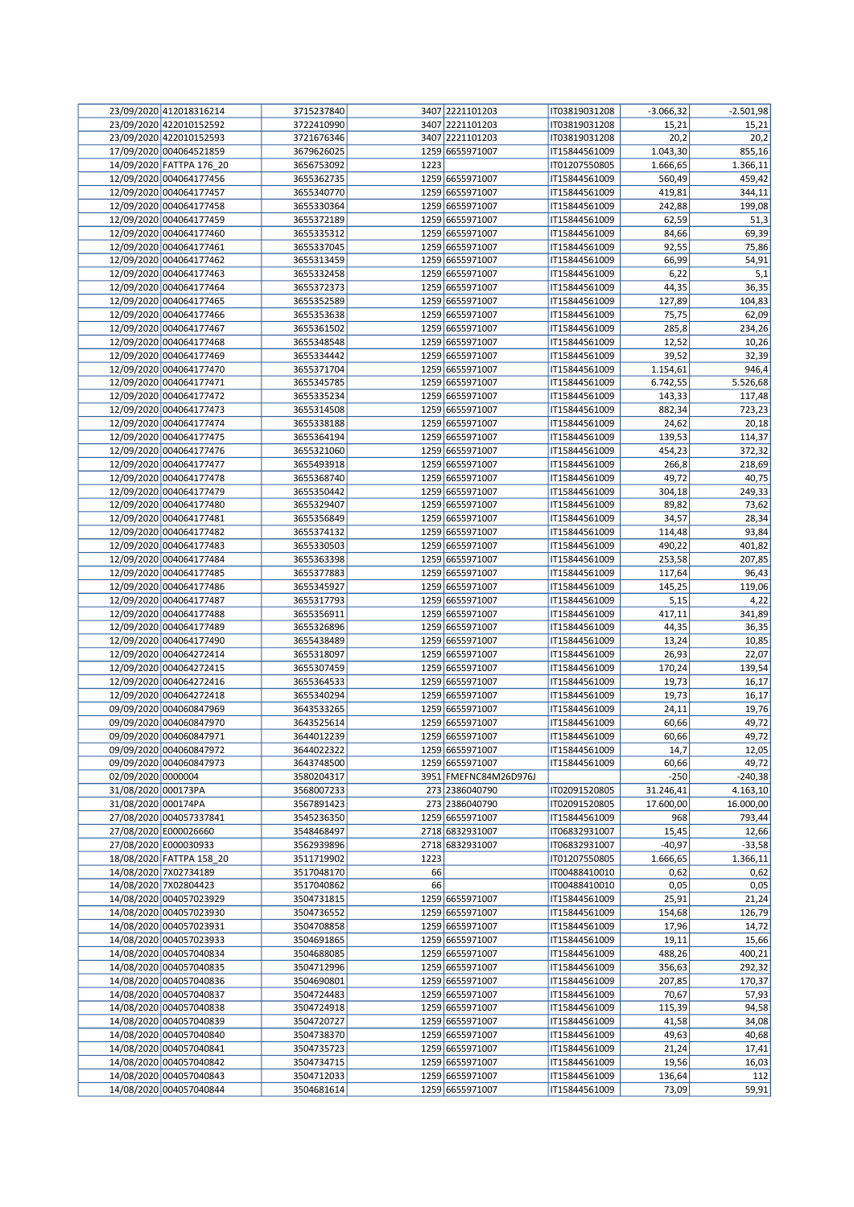|                     | 23/09/2020 412018316214                        | 3715237840               |      | 3407 2221101203                    | IT03819031208                  | $-3.066,32$          | $-2.501,98$          |
|---------------------|------------------------------------------------|--------------------------|------|------------------------------------|--------------------------------|----------------------|----------------------|
|                     | 23/09/2020 422010152592                        | 3722410990               |      | 3407 2221101203                    | IT03819031208                  | 15,21                | 15,21                |
|                     | 23/09/2020 422010152593                        | 3721676346               |      | 3407 2221101203                    | IT03819031208                  | 20,2                 | 20,2                 |
|                     | 17/09/2020 004064521859                        | 3679626025               |      | 1259 6655971007                    | IT15844561009                  | 1.043,30             | 855,16               |
|                     | 14/09/2020 FATTPA 176_20                       | 3656753092               | 1223 |                                    | IT01207550805                  | 1.666,65             | 1.366,11             |
|                     | 12/09/2020 004064177456                        | 3655362735               |      | 1259 6655971007                    | IT15844561009                  | 560,49               | 459,42               |
|                     | 12/09/2020 004064177457                        | 3655340770               |      | 1259 6655971007                    | IT15844561009                  | 419,81               | 344,11               |
|                     | 12/09/2020 004064177458                        | 3655330364               |      | 1259 6655971007                    | IT15844561009                  | 242,88               | 199,08               |
|                     | 12/09/2020 004064177459                        | 3655372189               |      | 1259 6655971007                    | IT15844561009                  | 62,59                | 51,3                 |
|                     | 12/09/2020 004064177460                        | 3655335312               |      | 1259 6655971007                    | IT15844561009                  | 84,66                | 69,39                |
|                     | 12/09/2020 004064177461                        | 3655337045               |      | 1259 6655971007                    | IT15844561009                  | 92,55                | 75,86                |
|                     | 12/09/2020 004064177462                        | 3655313459               |      | 1259 6655971007                    | IT15844561009                  | 66,99                | 54,91                |
|                     | 12/09/2020 004064177463                        | 3655332458               |      | 1259 6655971007                    | IT15844561009                  | 6,22                 | 5,1                  |
|                     | 12/09/2020 004064177464                        | 3655372373               |      | 1259 6655971007                    | IT15844561009                  | 44,35                | 36,35                |
|                     | 12/09/2020 004064177465                        | 3655352589               |      | 1259 6655971007                    | IT15844561009                  | 127,89               | 104,83               |
|                     | 12/09/2020 004064177466                        | 3655353638               |      | 1259 6655971007                    | IT15844561009                  | 75,75                | 62,09                |
|                     | 12/09/2020 004064177467                        | 3655361502               |      | 1259 6655971007                    | IT15844561009                  | 285,8                | 234,26               |
|                     | 12/09/2020 004064177468                        | 3655348548               |      | 1259 6655971007                    | IT15844561009                  | 12,52                | 10,26                |
|                     | 12/09/2020 004064177469                        | 3655334442               |      | 1259 6655971007                    | IT15844561009                  | 39,52                | 32,39                |
|                     | 12/09/2020 004064177470                        | 3655371704               |      | 1259 6655971007                    | IT15844561009                  | 1.154,61             | 946,4                |
|                     | 12/09/2020 004064177471                        | 3655345785               |      | 1259 6655971007                    | IT15844561009                  | 6.742,55             | 5.526,68             |
|                     | 12/09/2020 004064177472                        | 3655335234               |      | 1259 6655971007                    | IT15844561009                  | 143,33               | 117,48               |
|                     | 12/09/2020 004064177473                        | 3655314508               |      | 1259 6655971007                    | IT15844561009                  | 882,34               | 723,23               |
|                     | 12/09/2020 004064177474                        | 3655338188               |      | 1259 6655971007                    | IT15844561009                  | 24,62                | 20,18                |
|                     | 12/09/2020 004064177475                        | 3655364194               |      | 1259 6655971007                    | IT15844561009                  | 139,53               | 114,37               |
|                     | 12/09/2020 004064177476                        | 3655321060               |      | 1259 6655971007                    | IT15844561009                  | 454,23               | 372,32               |
|                     | 12/09/2020 004064177477                        | 3655493918               |      | 1259 6655971007                    | IT15844561009                  | 266,8                | 218,69               |
|                     | 12/09/2020 004064177478                        | 3655368740               |      | 1259 6655971007                    | IT15844561009                  | 49,72                | 40,75                |
|                     | 12/09/2020 004064177479                        | 3655350442               |      | 1259 6655971007                    | IT15844561009                  | 304,18               | 249,33               |
|                     | 12/09/2020 004064177480                        | 3655329407               |      | 1259 6655971007                    | IT15844561009                  | 89,82                | 73,62                |
|                     | 12/09/2020 004064177481                        | 3655356849               |      | 1259 6655971007                    | IT15844561009                  | 34,57                | 28,34                |
|                     | 12/09/2020 004064177482                        | 3655374132               |      | 1259 6655971007                    | IT15844561009                  | 114,48               | 93,84                |
|                     | 12/09/2020 004064177483                        | 3655330503               |      | 1259 6655971007                    | IT15844561009                  | 490,22               | 401,82               |
|                     | 12/09/2020 004064177484                        | 3655363398               |      | 1259 6655971007                    | IT15844561009                  | 253,58               | 207,85               |
|                     | 12/09/2020 004064177485                        | 3655377883               |      | 1259 6655971007                    | IT15844561009                  | 117,64               | 96,43                |
|                     | 12/09/2020 004064177486                        | 3655345927               |      | 1259 6655971007                    | IT15844561009                  | 145,25               | 119,06               |
|                     | 12/09/2020 004064177487                        | 3655317793               |      | 1259 6655971007                    | IT15844561009                  | 5,15                 | 4,22                 |
|                     | 12/09/2020 004064177488                        | 3655356911               |      | 1259 6655971007                    | IT15844561009                  | 417,11               | 341,89               |
|                     | 12/09/2020 004064177489                        | 3655326896               |      | 1259 6655971007                    | IT15844561009                  | 44,35                | 36,35                |
|                     | 12/09/2020 004064177490                        | 3655438489               |      | 1259 6655971007                    | IT15844561009                  | 13,24                | 10,85                |
|                     | 12/09/2020 004064272414                        | 3655318097               |      | 1259 6655971007                    | IT15844561009                  | 26,93                | 22,07                |
|                     | 12/09/2020 004064272415                        | 3655307459               |      | 1259 6655971007                    | IT15844561009                  | 170,24               | 139,54               |
|                     | 12/09/2020 004064272416                        | 3655364533               |      | 1259 6655971007                    | IT15844561009                  | 19,73                | 16,17                |
|                     | 12/09/2020 004064272418                        | 3655340294               |      | 1259 6655971007                    | IT15844561009                  | 19,73                | 16,17                |
|                     | 09/09/2020 004060847969                        | 3643533265               |      | 1259 6655971007                    | IT15844561009                  | 24,11                | 19,76                |
|                     | 09/09/2020 004060847970                        | 3643525614               |      | 1259 6655971007                    | IT15844561009                  | 60,66                | 49,72                |
|                     | 09/09/2020 004060847971                        | 3644012239               |      | 1259 6655971007                    | IT15844561009                  | 60,66                | 49,72                |
|                     | 09/09/2020 004060847972                        | 3644022322               |      | 1259 6655971007                    | IT15844561009                  | 14,7                 | 12,05                |
|                     | 09/09/2020 004060847973                        | 3643748500               |      | 1259 6655971007                    | IT15844561009                  | 60,66                | 49,72                |
| 02/09/2020 0000004  |                                                | 3580204317               |      | 3951 FMEFNC84M26D976J              |                                | $-250$               | $-240,38$            |
| 31/08/2020 000173PA |                                                | 3568007233               |      | 273 2386040790                     | IT02091520805                  | 31.246,41            | 4.163,10             |
| 31/08/2020 000174PA |                                                | 3567891423               |      | 273 2386040790                     | IT02091520805                  | 17.600,00            | 16.000,00            |
|                     | 27/08/2020 004057337841                        | 3545236350               |      | 1259 6655971007                    | IT15844561009<br>IT06832931007 | 968                  | 793,44               |
|                     | 27/08/2020 E000026660<br>27/08/2020 E000030933 | 3548468497<br>3562939896 |      | 2718 6832931007<br>2718 6832931007 |                                | 15,45                | 12,66                |
|                     | 18/08/2020 FATTPA 158 20                       | 3511719902               | 1223 |                                    | IT06832931007<br>IT01207550805 | $-40,97$<br>1.666,65 | $-33,58$<br>1.366,11 |
|                     | 14/08/2020 7X02734189                          | 3517048170               | 66   |                                    | IT00488410010                  | 0,62                 | 0,62                 |
|                     | 14/08/2020 7X02804423                          | 3517040862               | 66   |                                    | IT00488410010                  | 0,05                 | 0,05                 |
|                     | 14/08/2020 004057023929                        | 3504731815               |      | 1259 6655971007                    | IT15844561009                  | 25,91                | 21,24                |
|                     | 14/08/2020 004057023930                        | 3504736552               |      | 1259 6655971007                    | IT15844561009                  | 154,68               | 126,79               |
|                     | 14/08/2020 004057023931                        | 3504708858               |      | 1259 6655971007                    | IT15844561009                  | 17,96                | 14,72                |
|                     | 14/08/2020 004057023933                        | 3504691865               |      | 1259 6655971007                    | IT15844561009                  | 19,11                | 15,66                |
|                     | 14/08/2020 004057040834                        | 3504688085               |      | 1259 6655971007                    | IT15844561009                  | 488,26               | 400,21               |
|                     | 14/08/2020 004057040835                        | 3504712996               |      | 1259 6655971007                    | IT15844561009                  | 356,63               | 292,32               |
|                     | 14/08/2020 004057040836                        | 3504690801               |      | 1259 6655971007                    | IT15844561009                  | 207,85               | 170,37               |
|                     | 14/08/2020 004057040837                        | 3504724483               |      | 1259 6655971007                    | IT15844561009                  | 70,67                | 57,93                |
|                     | 14/08/2020 004057040838                        | 3504724918               |      | 1259 6655971007                    | IT15844561009                  | 115,39               | 94,58                |
|                     | 14/08/2020 004057040839                        | 3504720727               |      | 1259 6655971007                    | IT15844561009                  | 41,58                | 34,08                |
|                     | 14/08/2020 004057040840                        | 3504738370               |      | 1259 6655971007                    | IT15844561009                  | 49,63                | 40,68                |
|                     | 14/08/2020 004057040841                        | 3504735723               |      | 1259 6655971007                    | IT15844561009                  | 21,24                | 17,41                |
|                     | 14/08/2020 004057040842                        | 3504734715               |      | 1259 6655971007                    | IT15844561009                  | 19,56                | 16,03                |
|                     | 14/08/2020 004057040843                        | 3504712033               |      | 1259 6655971007                    | IT15844561009                  | 136,64               | 112                  |
|                     | 14/08/2020 004057040844                        | 3504681614               |      | 1259 6655971007                    | IT15844561009                  | 73,09                | 59,91                |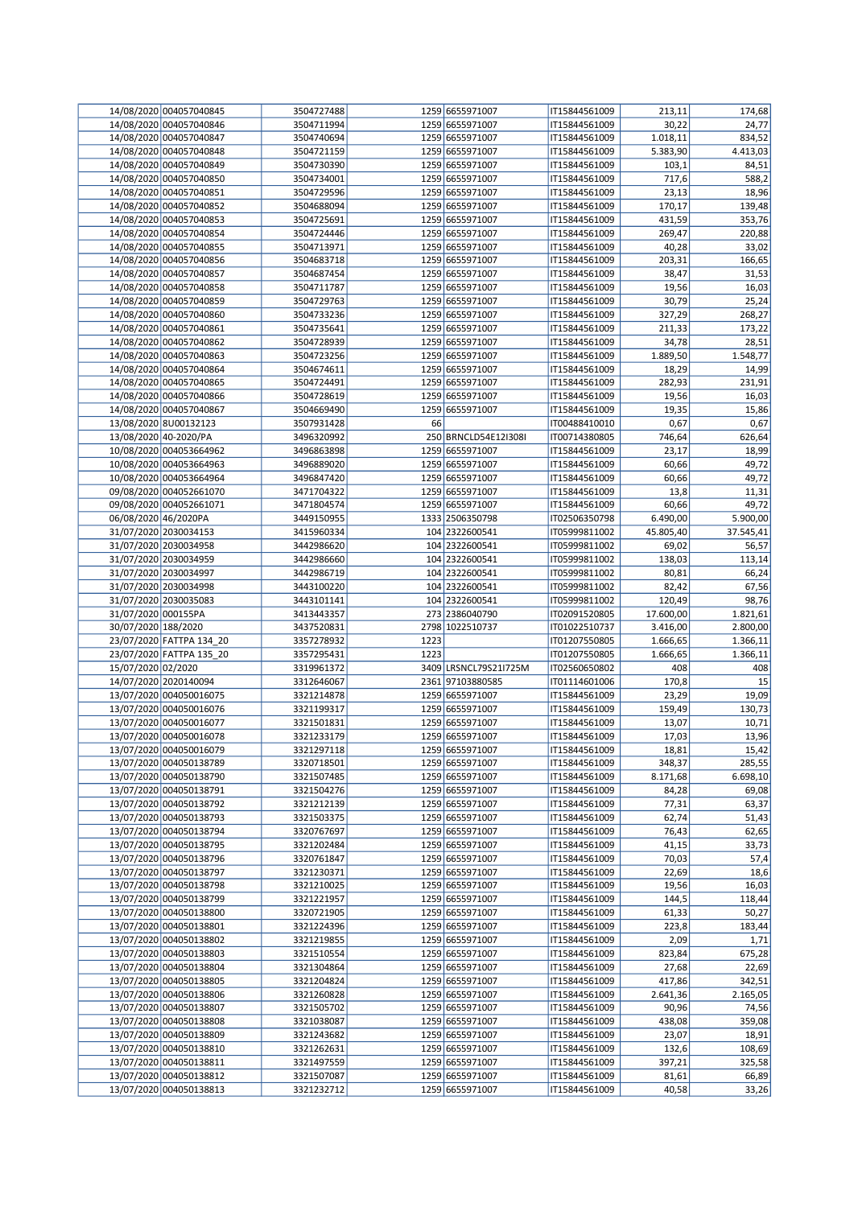|                         | 14/08/2020 004057040845  | 3504727488 |      | 1259 6655971007       | IT15844561009 | 213,11    | 174,68    |
|-------------------------|--------------------------|------------|------|-----------------------|---------------|-----------|-----------|
|                         | 14/08/2020 004057040846  | 3504711994 |      | 1259 6655971007       | IT15844561009 | 30,22     | 24,77     |
|                         | 14/08/2020 004057040847  | 3504740694 |      | 1259 6655971007       | IT15844561009 | 1.018,11  | 834,52    |
|                         | 14/08/2020 004057040848  | 3504721159 |      | 1259 6655971007       | IT15844561009 | 5.383,90  | 4.413,03  |
|                         | 14/08/2020 004057040849  | 3504730390 |      | 1259 6655971007       | IT15844561009 | 103,1     | 84,51     |
|                         | 14/08/2020 004057040850  | 3504734001 |      | 1259 6655971007       | IT15844561009 | 717,6     | 588,2     |
|                         | 14/08/2020 004057040851  | 3504729596 |      | 1259 6655971007       | IT15844561009 | 23,13     | 18,96     |
|                         | 14/08/2020 004057040852  | 3504688094 |      | 1259 6655971007       | IT15844561009 | 170,17    | 139,48    |
|                         | 14/08/2020 004057040853  | 3504725691 |      | 1259 6655971007       | IT15844561009 | 431,59    | 353,76    |
|                         | 14/08/2020 004057040854  | 3504724446 |      | 1259 6655971007       | IT15844561009 | 269,47    | 220,88    |
|                         | 14/08/2020 004057040855  | 3504713971 |      | 1259 6655971007       | IT15844561009 | 40,28     | 33,02     |
|                         | 14/08/2020 004057040856  | 3504683718 |      | 1259 6655971007       | IT15844561009 | 203,31    | 166,65    |
|                         | 14/08/2020 004057040857  | 3504687454 |      | 1259 6655971007       | IT15844561009 | 38,47     | 31,53     |
|                         | 14/08/2020 004057040858  | 3504711787 |      | 1259 6655971007       | IT15844561009 | 19,56     | 16,03     |
|                         | 14/08/2020 004057040859  | 3504729763 |      | 1259 6655971007       | IT15844561009 | 30,79     | 25,24     |
|                         | 14/08/2020 004057040860  | 3504733236 |      | 1259 6655971007       | IT15844561009 | 327,29    | 268,27    |
|                         | 14/08/2020 004057040861  | 3504735641 |      | 1259 6655971007       | IT15844561009 | 211,33    | 173,22    |
|                         | 14/08/2020 004057040862  | 3504728939 |      | 1259 6655971007       | IT15844561009 | 34,78     | 28,51     |
|                         | 14/08/2020 004057040863  | 3504723256 |      | 1259 6655971007       | IT15844561009 | 1.889,50  | 1.548,77  |
|                         | 14/08/2020 004057040864  | 3504674611 |      | 1259 6655971007       | IT15844561009 | 18,29     | 14,99     |
|                         | 14/08/2020 004057040865  | 3504724491 |      | 1259 6655971007       | IT15844561009 | 282,93    | 231,91    |
|                         | 14/08/2020 004057040866  | 3504728619 |      | 1259 6655971007       | IT15844561009 | 19,56     | 16,03     |
|                         | 14/08/2020 004057040867  | 3504669490 |      | 1259 6655971007       | IT15844561009 | 19,35     | 15,86     |
|                         | 13/08/2020 8U00132123    | 3507931428 | 66   |                       | IT00488410010 | 0,67      | 0,67      |
|                         | 13/08/2020 40-2020/PA    | 3496320992 |      | 250 BRNCLD54E12I308I  | IT00714380805 | 746,64    | 626,64    |
|                         | 10/08/2020 004053664962  | 3496863898 |      | 1259 6655971007       | IT15844561009 | 23,17     | 18,99     |
|                         | 10/08/2020 004053664963  | 3496889020 |      | 1259 6655971007       | IT15844561009 | 60,66     | 49,72     |
|                         | 10/08/2020 004053664964  |            |      |                       |               |           |           |
|                         | 09/08/2020 004052661070  | 3496847420 |      | 1259 6655971007       | IT15844561009 | 60,66     | 49,72     |
|                         |                          | 3471704322 |      | 1259 6655971007       | IT15844561009 | 13,8      | 11,31     |
|                         | 09/08/2020 004052661071  | 3471804574 |      | 1259 6655971007       | IT15844561009 | 60,66     | 49,72     |
| 06/08/2020 46/2020PA    |                          | 3449150955 |      | 1333 2506350798       | IT02506350798 | 6.490,00  | 5.900,00  |
|                         | 31/07/2020 2030034153    | 3415960334 |      | 104 2322600541        | IT05999811002 | 45.805,40 | 37.545,41 |
|                         | 31/07/2020 2030034958    | 3442986620 |      | 104 2322600541        | IT05999811002 | 69,02     | 56,57     |
|                         | 31/07/2020 2030034959    | 3442986660 |      | 104 2322600541        | IT05999811002 | 138,03    | 113,14    |
|                         | 31/07/2020 2030034997    | 3442986719 |      | 104 2322600541        | IT05999811002 | 80,81     | 66,24     |
|                         | 31/07/2020 2030034998    | 3443100220 |      | 104 2322600541        | IT05999811002 | 82,42     | 67,56     |
|                         | 31/07/2020 2030035083    | 3443101141 |      | 104 2322600541        | IT05999811002 | 120,49    | 98,76     |
| 31/07/2020 000155PA     |                          | 3413443357 |      | 273 2386040790        | IT02091520805 | 17.600,00 | 1.821,61  |
| 30/07/2020 188/2020     |                          | 3437520831 |      | 2798 1022510737       | IT01022510737 | 3.416,00  | 2.800,00  |
|                         | 23/07/2020 FATTPA 134 20 | 3357278932 | 1223 |                       | IT01207550805 | 1.666,65  | 1.366,11  |
|                         | 23/07/2020 FATTPA 135_20 | 3357295431 | 1223 |                       | IT01207550805 | 1.666,65  | 1.366,11  |
| 15/07/2020 02/2020      |                          | 3319961372 |      | 3409 LRSNCL79S21I725M | IT02560650802 | 408       | 408       |
|                         | 14/07/2020 2020140094    | 3312646067 |      | 2361 97103880585      | IT01114601006 | 170,8     | 15        |
|                         | 13/07/2020 004050016075  | 3321214878 |      | 1259 6655971007       | IT15844561009 | 23,29     | 19,09     |
|                         | 13/07/2020 004050016076  | 3321199317 |      | 1259 6655971007       | IT15844561009 | 159,49    | 130,73    |
|                         | 13/07/2020 004050016077  | 3321501831 |      | 1259 6655971007       | IT15844561009 | 13,07     | 10,71     |
|                         | 13/07/2020 004050016078  | 3321233179 |      | 1259 6655971007       | IT15844561009 | 17,03     | 13,96     |
|                         | 13/07/2020 004050016079  | 3321297118 |      | 1259 6655971007       | IT15844561009 | 18,81     | 15,42     |
|                         | 13/07/2020 004050138789  | 3320718501 |      | 1259 6655971007       | IT15844561009 | 348,37    | 285,55    |
|                         | 13/07/2020 004050138790  | 3321507485 |      | 1259 6655971007       | IT15844561009 | 8.171,68  | 6.698,10  |
|                         | 13/07/2020 004050138791  | 3321504276 |      | 1259 6655971007       | IT15844561009 | 84,28     | 69,08     |
|                         | 13/07/2020 004050138792  | 3321212139 |      | 1259 6655971007       | IT15844561009 | 77,31     | 63,37     |
|                         | 13/07/2020 004050138793  | 3321503375 |      | 1259 6655971007       | IT15844561009 | 62,74     | 51,43     |
|                         | 13/07/2020 004050138794  | 3320767697 |      | 1259 6655971007       | IT15844561009 | 76,43     | 62,65     |
|                         | 13/07/2020 004050138795  | 3321202484 |      | 1259 6655971007       | IT15844561009 | 41,15     | 33,73     |
|                         | 13/07/2020 004050138796  | 3320761847 |      | 1259 6655971007       | IT15844561009 | 70,03     | 57,4      |
|                         | 13/07/2020 004050138797  | 3321230371 |      | 1259 6655971007       | IT15844561009 | 22,69     | 18,6      |
|                         | 13/07/2020 004050138798  | 3321210025 |      | 1259 6655971007       | IT15844561009 | 19,56     | 16,03     |
|                         | 13/07/2020 004050138799  | 3321221957 |      | 1259 6655971007       | IT15844561009 | 144,5     | 118,44    |
|                         | 13/07/2020 004050138800  | 3320721905 |      | 1259 6655971007       | IT15844561009 | 61,33     | 50,27     |
|                         | 13/07/2020 004050138801  | 3321224396 |      | 1259 6655971007       | IT15844561009 | 223,8     | 183,44    |
|                         | 13/07/2020 004050138802  | 3321219855 |      | 1259 6655971007       | IT15844561009 | 2,09      | 1,71      |
|                         | 13/07/2020 004050138803  | 3321510554 |      | 1259 6655971007       | IT15844561009 | 823,84    | 675,28    |
|                         | 13/07/2020 004050138804  | 3321304864 |      | 1259 6655971007       | IT15844561009 | 27,68     | 22,69     |
|                         | 13/07/2020 004050138805  | 3321204824 |      | 1259 6655971007       | IT15844561009 | 417,86    | 342,51    |
|                         | 13/07/2020 004050138806  | 3321260828 |      | 1259 6655971007       | IT15844561009 | 2.641,36  | 2.165,05  |
|                         | 13/07/2020 004050138807  | 3321505702 |      | 1259 6655971007       | IT15844561009 | 90,96     | 74,56     |
|                         | 13/07/2020 004050138808  | 3321038087 |      | 1259 6655971007       | IT15844561009 | 438,08    | 359,08    |
|                         | 13/07/2020 004050138809  | 3321243682 |      | 1259 6655971007       | IT15844561009 | 23,07     | 18,91     |
|                         | 13/07/2020 004050138810  | 3321262631 |      | 1259 6655971007       | IT15844561009 | 132,6     | 108,69    |
|                         | 13/07/2020 004050138811  | 3321497559 |      | 1259 6655971007       | IT15844561009 | 397,21    | 325,58    |
|                         | 13/07/2020 004050138812  | 3321507087 |      | 1259 6655971007       | IT15844561009 | 81,61     | 66,89     |
|                         |                          |            |      |                       |               |           |           |
| 13/07/2020 004050138813 |                          | 3321232712 |      | 1259 6655971007       | IT15844561009 | 40,58     | 33,26     |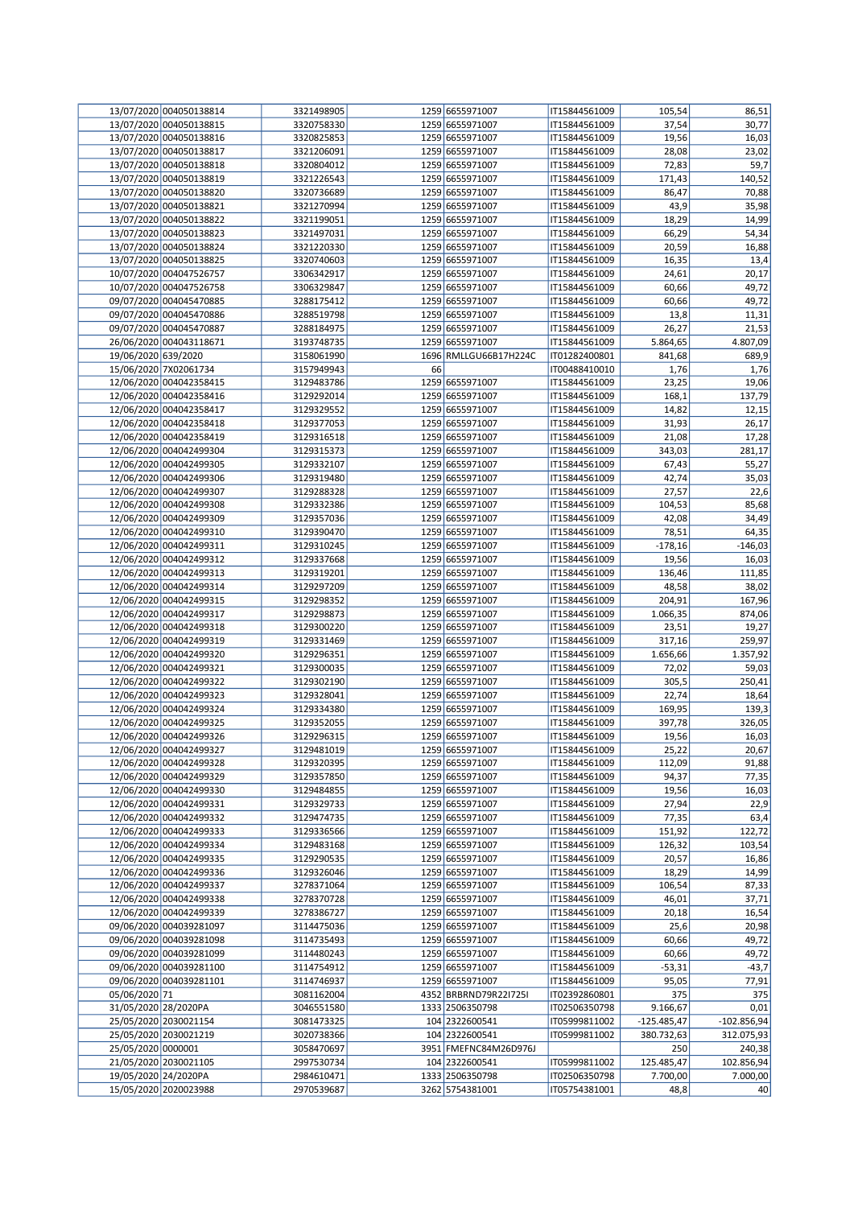|                      | 13/07/2020 004050138814 | 3321498905 |    | 1259 6655971007       | IT15844561009 | 105,54        | 86,51         |
|----------------------|-------------------------|------------|----|-----------------------|---------------|---------------|---------------|
|                      | 13/07/2020 004050138815 | 3320758330 |    | 1259 6655971007       | IT15844561009 | 37,54         | 30,77         |
|                      | 13/07/2020 004050138816 | 3320825853 |    | 1259 6655971007       | IT15844561009 | 19,56         | 16,03         |
|                      | 13/07/2020 004050138817 | 3321206091 |    | 1259 6655971007       | IT15844561009 | 28,08         | 23,02         |
|                      | 13/07/2020 004050138818 | 3320804012 |    | 1259 6655971007       | IT15844561009 | 72,83         | 59,7          |
|                      | 13/07/2020 004050138819 | 3321226543 |    | 1259 6655971007       | IT15844561009 | 171,43        | 140,52        |
|                      | 13/07/2020 004050138820 | 3320736689 |    | 1259 6655971007       | IT15844561009 | 86,47         | 70,88         |
|                      | 13/07/2020 004050138821 | 3321270994 |    | 1259 6655971007       | IT15844561009 | 43,9          | 35,98         |
|                      | 13/07/2020 004050138822 | 3321199051 |    | 1259 6655971007       | IT15844561009 | 18,29         | 14,99         |
|                      | 13/07/2020 004050138823 | 3321497031 |    | 1259 6655971007       | IT15844561009 | 66,29         | 54,34         |
|                      | 13/07/2020 004050138824 | 3321220330 |    | 1259 6655971007       | IT15844561009 | 20,59         | 16,88         |
|                      | 13/07/2020 004050138825 |            |    | 1259 6655971007       |               |               |               |
|                      |                         | 3320740603 |    |                       | IT15844561009 | 16,35         | 13,4          |
|                      | 10/07/2020 004047526757 | 3306342917 |    | 1259 6655971007       | IT15844561009 | 24,61         | 20,17         |
|                      | 10/07/2020 004047526758 | 3306329847 |    | 1259 6655971007       | IT15844561009 | 60,66         | 49,72         |
|                      | 09/07/2020 004045470885 | 3288175412 |    | 1259 6655971007       | IT15844561009 | 60,66         | 49,72         |
|                      | 09/07/2020 004045470886 | 3288519798 |    | 1259 6655971007       | IT15844561009 | 13,8          | 11,31         |
|                      | 09/07/2020 004045470887 | 3288184975 |    | 1259 6655971007       | IT15844561009 | 26,27         | 21,53         |
|                      | 26/06/2020 004043118671 | 3193748735 |    | 1259 6655971007       | IT15844561009 | 5.864,65      | 4.807,09      |
| 19/06/2020 639/2020  |                         | 3158061990 |    | 1696 RMLLGU66B17H224C | IT01282400801 | 841,68        | 689,9         |
|                      | 15/06/2020 7X02061734   | 3157949943 | 66 |                       | IT00488410010 | 1,76          | 1,76          |
|                      | 12/06/2020 004042358415 | 3129483786 |    | 1259 6655971007       | IT15844561009 | 23,25         | 19,06         |
|                      | 12/06/2020 004042358416 | 3129292014 |    | 1259 6655971007       | IT15844561009 | 168,1         | 137,79        |
|                      | 12/06/2020 004042358417 | 3129329552 |    | 1259 6655971007       | IT15844561009 | 14,82         | 12,15         |
|                      | 12/06/2020 004042358418 | 3129377053 |    | 1259 6655971007       | IT15844561009 | 31,93         | 26,17         |
|                      | 12/06/2020 004042358419 | 3129316518 |    | 1259 6655971007       | IT15844561009 | 21,08         | 17,28         |
|                      | 12/06/2020 004042499304 | 3129315373 |    | 1259 6655971007       | IT15844561009 | 343,03        | 281,17        |
|                      | 12/06/2020 004042499305 | 3129332107 |    | 1259 6655971007       | IT15844561009 | 67,43         | 55,27         |
|                      |                         |            |    |                       |               |               |               |
|                      | 12/06/2020 004042499306 | 3129319480 |    | 1259 6655971007       | IT15844561009 | 42,74         | 35,03         |
|                      | 12/06/2020 004042499307 | 3129288328 |    | 1259 6655971007       | IT15844561009 | 27,57         | 22,6          |
|                      | 12/06/2020 004042499308 | 3129332386 |    | 1259 6655971007       | IT15844561009 | 104,53        | 85,68         |
|                      | 12/06/2020 004042499309 | 3129357036 |    | 1259 6655971007       | IT15844561009 | 42,08         | 34,49         |
|                      | 12/06/2020 004042499310 | 3129390470 |    | 1259 6655971007       | IT15844561009 | 78,51         | 64,35         |
|                      | 12/06/2020 004042499311 | 3129310245 |    | 1259 6655971007       | IT15844561009 | $-178,16$     | $-146,03$     |
|                      | 12/06/2020 004042499312 | 3129337668 |    | 1259 6655971007       | IT15844561009 | 19,56         | 16,03         |
|                      | 12/06/2020 004042499313 | 3129319201 |    | 1259 6655971007       | IT15844561009 | 136,46        | 111,85        |
|                      | 12/06/2020 004042499314 | 3129297209 |    | 1259 6655971007       | IT15844561009 | 48,58         | 38,02         |
|                      | 12/06/2020 004042499315 | 3129298352 |    | 1259 6655971007       | IT15844561009 | 204,91        | 167,96        |
|                      | 12/06/2020 004042499317 | 3129298873 |    | 1259 6655971007       | IT15844561009 | 1.066,35      | 874,06        |
|                      | 12/06/2020 004042499318 | 3129300220 |    | 1259 6655971007       | IT15844561009 | 23,51         | 19,27         |
|                      | 12/06/2020 004042499319 | 3129331469 |    | 1259 6655971007       | IT15844561009 | 317,16        | 259,97        |
|                      | 12/06/2020 004042499320 | 3129296351 |    | 1259 6655971007       | IT15844561009 | 1.656,66      | 1.357,92      |
|                      |                         |            |    |                       | IT15844561009 |               |               |
|                      | 12/06/2020 004042499321 | 3129300035 |    | 1259 6655971007       |               | 72,02         | 59,03         |
|                      | 12/06/2020 004042499322 | 3129302190 |    | 1259 6655971007       | IT15844561009 | 305,5         | 250,41        |
|                      | 12/06/2020 004042499323 | 3129328041 |    | 1259 6655971007       | IT15844561009 | 22,74         | 18,64         |
|                      | 12/06/2020 004042499324 | 3129334380 |    | 1259 6655971007       | IT15844561009 | 169,95        | 139,3         |
|                      | 12/06/2020 004042499325 | 3129352055 |    | 1259 6655971007       | IT15844561009 | 397,78        | 326,05        |
|                      | 12/06/2020 004042499326 | 3129296315 |    | 1259 6655971007       | IT15844561009 | 19,56         | 16,03         |
|                      | 12/06/2020 004042499327 | 3129481019 |    | 1259 6655971007       | IT15844561009 | 25,22         | 20,67         |
|                      | 12/06/2020 004042499328 | 3129320395 |    | 1259 6655971007       | IT15844561009 | 112,09        | 91,88         |
|                      | 12/06/2020 004042499329 | 3129357850 |    | 1259 6655971007       | IT15844561009 | 94,37         | 77,35         |
|                      | 12/06/2020 004042499330 | 3129484855 |    | 1259 6655971007       | IT15844561009 | 19,56         | 16,03         |
|                      | 12/06/2020 004042499331 | 3129329733 |    | 1259 6655971007       | IT15844561009 | 27,94         | 22,9          |
|                      | 12/06/2020 004042499332 | 3129474735 |    | 1259 6655971007       | IT15844561009 | 77,35         | 63,4          |
|                      | 12/06/2020 004042499333 | 3129336566 |    | 1259 6655971007       | IT15844561009 | 151,92        | 122,72        |
|                      | 12/06/2020 004042499334 | 3129483168 |    | 1259 6655971007       | IT15844561009 | 126,32        | 103,54        |
|                      | 12/06/2020 004042499335 | 3129290535 |    | 1259 6655971007       | IT15844561009 | 20,57         | 16,86         |
|                      | 12/06/2020 004042499336 | 3129326046 |    | 1259 6655971007       | IT15844561009 | 18,29         | 14,99         |
|                      | 12/06/2020 004042499337 | 3278371064 |    | 1259 6655971007       | IT15844561009 | 106,54        | 87,33         |
|                      | 12/06/2020 004042499338 | 3278370728 |    | 1259 6655971007       | IT15844561009 | 46,01         | 37,71         |
|                      | 12/06/2020 004042499339 |            |    |                       |               |               |               |
|                      | 09/06/2020 004039281097 | 3278386727 |    | 1259 6655971007       | IT15844561009 | 20,18         | 16,54         |
|                      |                         | 3114475036 |    | 1259 6655971007       | IT15844561009 | 25,6          | 20,98         |
|                      | 09/06/2020 004039281098 | 3114735493 |    | 1259 6655971007       | IT15844561009 | 60,66         | 49,72         |
|                      | 09/06/2020 004039281099 | 3114480243 |    | 1259 6655971007       | IT15844561009 | 60,66         | 49,72         |
|                      | 09/06/2020 004039281100 | 3114754912 |    | 1259 6655971007       | IT15844561009 | $-53,31$      | $-43,7$       |
|                      | 09/06/2020 004039281101 | 3114746937 |    | 1259 6655971007       | IT15844561009 | 95,05         | 77,91         |
| 05/06/2020 71        |                         | 3081162004 |    | 4352 BRBRND79R2217251 | IT02392860801 | 375           | 375           |
| 31/05/2020 28/2020PA |                         | 3046551580 |    | 1333 2506350798       | IT02506350798 | 9.166,67      | 0,01          |
|                      | 25/05/2020 2030021154   | 3081473325 |    | 104 2322600541        | IT05999811002 | $-125.485,47$ | $-102.856,94$ |
|                      | 25/05/2020 2030021219   | 3020738366 |    | 104 2322600541        | IT05999811002 | 380.732,63    | 312.075,93    |
| 25/05/2020 0000001   |                         | 3058470697 |    | 3951 FMEFNC84M26D976J |               | 250           | 240,38        |
|                      | 21/05/2020 2030021105   | 2997530734 |    | 104 2322600541        | IT05999811002 | 125.485,47    | 102.856,94    |
| 19/05/2020 24/2020PA |                         | 2984610471 |    | 1333 2506350798       | IT02506350798 | 7.700,00      | 7.000,00      |
|                      | 15/05/2020 2020023988   | 2970539687 |    | 3262 5754381001       | IT05754381001 | 48,8          | 40            |
|                      |                         |            |    |                       |               |               |               |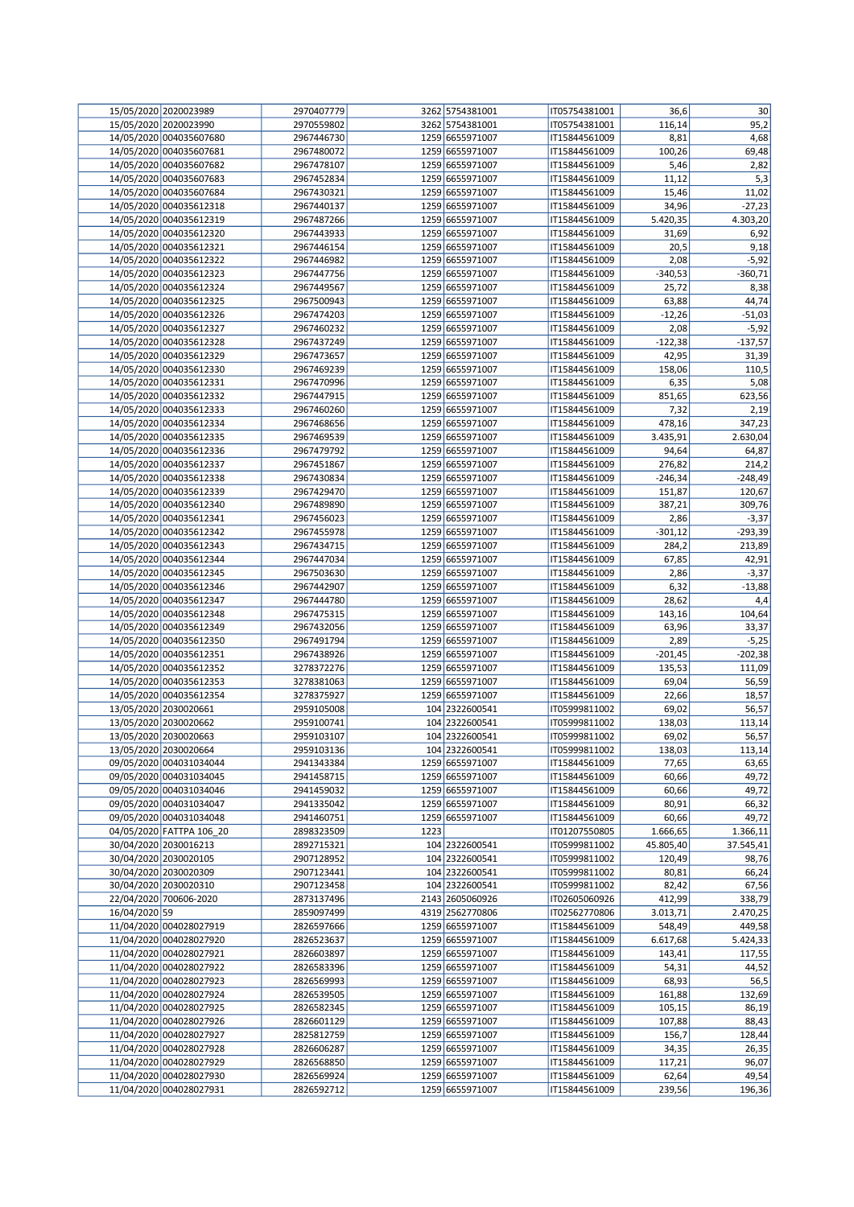|               | 15/05/2020 2020023989                              | 2970407779               |      | 3262 5754381001                    | IT05754381001                  | 36,6             | 30             |
|---------------|----------------------------------------------------|--------------------------|------|------------------------------------|--------------------------------|------------------|----------------|
|               | 15/05/2020 2020023990                              | 2970559802               |      | 3262 5754381001                    | IT05754381001                  | 116,14           | 95,2           |
|               | 14/05/2020 004035607680                            | 2967446730               |      | 1259 6655971007                    | IT15844561009                  | 8,81             | 4,68           |
|               | 14/05/2020 004035607681                            | 2967480072               |      | 1259 6655971007                    | IT15844561009                  | 100,26           | 69,48          |
|               | 14/05/2020 004035607682                            | 2967478107               |      | 1259 6655971007                    | IT15844561009                  | 5,46             | 2,82           |
|               | 14/05/2020 004035607683                            | 2967452834               |      | 1259 6655971007                    | IT15844561009                  | 11,12            | 5,3            |
|               | 14/05/2020 004035607684                            | 2967430321               |      | 1259 6655971007                    | IT15844561009                  | 15,46            | 11,02          |
|               | 14/05/2020 004035612318                            | 2967440137               |      | 1259 6655971007                    | IT15844561009                  | 34,96            | $-27,23$       |
|               | 14/05/2020 004035612319                            | 2967487266               |      | 1259 6655971007                    | IT15844561009                  | 5.420,35         | 4.303,20       |
|               | 14/05/2020 004035612320                            | 2967443933               |      | 1259 6655971007                    | IT15844561009                  | 31,69            | 6,92           |
|               | 14/05/2020 004035612321                            | 2967446154               |      | 1259 6655971007                    | IT15844561009                  | 20,5             | 9,18           |
|               | 14/05/2020 004035612322                            | 2967446982               |      | 1259 6655971007                    | IT15844561009                  | 2,08             | $-5,92$        |
|               | 14/05/2020 004035612323                            | 2967447756               |      | 1259 6655971007                    | IT15844561009                  | $-340,53$        | $-360,71$      |
|               | 14/05/2020 004035612324                            | 2967449567               |      | 1259 6655971007                    | IT15844561009                  | 25,72            | 8,38           |
|               | 14/05/2020 004035612325                            | 2967500943               |      | 1259 6655971007                    | IT15844561009                  | 63,88            | 44,74          |
|               | 14/05/2020 004035612326                            | 2967474203               |      | 1259 6655971007                    | IT15844561009                  | $-12,26$         | $-51,03$       |
|               | 14/05/2020 004035612327                            | 2967460232               |      | 1259 6655971007                    | IT15844561009                  | 2,08             | $-5,92$        |
|               | 14/05/2020 004035612328                            | 2967437249               |      | 1259 6655971007                    | IT15844561009                  | $-122,38$        | $-137,57$      |
|               | 14/05/2020 004035612329                            | 2967473657               |      | 1259 6655971007                    | IT15844561009                  | 42,95            | 31,39          |
|               | 14/05/2020 004035612330                            | 2967469239               |      | 1259 6655971007                    | IT15844561009                  | 158,06           | 110,5          |
|               | 14/05/2020 004035612331                            | 2967470996               |      | 1259 6655971007                    | IT15844561009                  | 6,35             | 5,08           |
|               | 14/05/2020 004035612332                            | 2967447915               |      | 1259 6655971007                    | IT15844561009                  | 851,65           | 623,56         |
|               | 14/05/2020 004035612333                            | 2967460260               |      | 1259 6655971007                    | IT15844561009                  | 7,32             | 2,19           |
|               | 14/05/2020 004035612334                            | 2967468656               |      | 1259 6655971007                    | IT15844561009                  | 478,16           | 347,23         |
|               | 14/05/2020 004035612335                            | 2967469539               |      | 1259 6655971007                    | IT15844561009                  | 3.435,91         | 2.630,04       |
|               | 14/05/2020 004035612336                            | 2967479792               |      | 1259 6655971007                    | IT15844561009                  | 94,64            | 64,87          |
|               | 14/05/2020 004035612337                            | 2967451867               |      | 1259 6655971007                    | IT15844561009                  | 276,82           | 214,2          |
|               | 14/05/2020 004035612338                            | 2967430834               |      | 1259 6655971007                    | IT15844561009                  | $-246,34$        | $-248,49$      |
|               | 14/05/2020 004035612339                            | 2967429470               |      | 1259 6655971007                    | IT15844561009                  | 151,87           | 120,67         |
|               | 14/05/2020 004035612340                            | 2967489890               |      | 1259 6655971007                    | IT15844561009                  | 387,21           | 309,76         |
|               | 14/05/2020 004035612341                            | 2967456023               |      | 1259 6655971007                    | IT15844561009                  | 2,86             | $-3,37$        |
|               | 14/05/2020 004035612342                            | 2967455978               |      | 1259 6655971007                    | IT15844561009                  | $-301,12$        | $-293,39$      |
|               | 14/05/2020 004035612343                            | 2967434715               |      | 1259 6655971007                    | IT15844561009                  | 284,2            | 213,89         |
|               | 14/05/2020 004035612344                            | 2967447034               |      | 1259 6655971007                    | IT15844561009                  | 67,85            | 42,91          |
|               | 14/05/2020 004035612345                            | 2967503630               |      | 1259 6655971007                    | IT15844561009                  | 2,86             | $-3,37$        |
|               | 14/05/2020 004035612346                            | 2967442907               |      | 1259 6655971007                    | IT15844561009                  | 6,32             | $-13,88$       |
|               | 14/05/2020 004035612347                            | 2967444780               |      | 1259 6655971007                    | IT15844561009                  | 28,62            | 4,4            |
|               | 14/05/2020 004035612348                            | 2967475315               |      | 1259 6655971007                    | IT15844561009                  | 143,16           | 104,64         |
|               | 14/05/2020 004035612349                            | 2967432056               |      | 1259 6655971007                    | IT15844561009                  | 63,96            | 33,37          |
|               | 14/05/2020 004035612350                            | 2967491794               |      | 1259 6655971007                    | IT15844561009                  | 2,89             | $-5,25$        |
|               | 14/05/2020 004035612351                            | 2967438926               |      | 1259 6655971007                    | IT15844561009                  | $-201,45$        | $-202,38$      |
|               | 14/05/2020 004035612352                            | 3278372276               |      | 1259 6655971007                    | IT15844561009                  | 135,53           | 111,09         |
|               | 14/05/2020 004035612353                            | 3278381063               |      | 1259 6655971007                    | IT15844561009                  | 69,04            | 56,59          |
|               | 14/05/2020 004035612354                            | 3278375927               |      | 1259 6655971007                    | IT15844561009                  | 22,66            | 18,57          |
|               | 13/05/2020 2030020661                              | 2959105008               |      | 104 2322600541                     | IT05999811002                  | 69,02            | 56,57          |
|               | 13/05/2020 2030020662                              | 2959100741               |      | 104 2322600541                     | IT05999811002                  | 138,03           | 113,14         |
|               | 13/05/2020 2030020663                              | 2959103107               |      | 104 2322600541                     | IT05999811002                  | 69,02            | 56,57          |
|               | 13/05/2020 2030020664                              | 2959103136               |      | 104 2322600541                     | IT05999811002                  | 138,03           | 113,14         |
|               | 09/05/2020 004031034044                            | 2941343384               |      | 1259 6655971007                    | IT15844561009                  | 77,65            | 63,65          |
|               | 09/05/2020 004031034045                            | 2941458715               |      | 1259 6655971007                    | IT15844561009                  | 60,66            | 49,72          |
|               | 09/05/2020 004031034046                            | 2941459032               |      | 1259 6655971007                    | IT15844561009                  | 60,66            | 49,72          |
|               | 09/05/2020 004031034047                            | 2941335042               |      | 1259 6655971007                    | IT15844561009                  | 80,91            | 66,32          |
|               | 09/05/2020 004031034048                            | 2941460751               |      | 1259 6655971007                    | IT15844561009                  | 60,66            | 49,72          |
|               | 04/05/2020 FATTPA 106_20                           | 2898323509               | 1223 |                                    | IT01207550805                  | 1.666,65         | 1.366,11       |
|               | 30/04/2020 2030016213                              | 2892715321               |      | 104 2322600541                     | IT05999811002                  | 45.805,40        | 37.545,41      |
|               | 30/04/2020 2030020105                              | 2907128952               |      | 104 2322600541                     | IT05999811002                  | 120,49           | 98,76          |
|               | 30/04/2020 2030020309                              | 2907123441               |      | 104 2322600541                     | IT05999811002                  | 80,81            | 66,24          |
|               | 30/04/2020 2030020310                              | 2907123458               |      | 104 2322600541                     | IT05999811002                  | 82,42            | 67,56          |
|               | 22/04/2020 700606-2020                             | 2873137496               |      | 2143 2605060926                    | IT02605060926                  | 412,99           | 338,79         |
| 16/04/2020 59 |                                                    | 2859097499               |      | 4319 2562770806                    | IT02562770806                  | 3.013,71         | 2.470,25       |
|               | 11/04/2020 004028027919                            | 2826597666               |      | 1259 6655971007                    | IT15844561009                  | 548,49           | 449,58         |
|               | 11/04/2020 004028027920                            | 2826523637               |      | 1259 6655971007                    | IT15844561009                  | 6.617,68         | 5.424,33       |
|               | 11/04/2020 004028027921                            | 2826603897               |      | 1259 6655971007                    | IT15844561009                  | 143,41           | 117,55         |
|               | 11/04/2020 004028027922                            | 2826583396               |      | 1259 6655971007                    | IT15844561009                  | 54,31            | 44,52          |
|               | 11/04/2020 004028027923                            | 2826569993               |      | 1259 6655971007                    | IT15844561009                  | 68,93            | 56,5           |
|               | 11/04/2020 004028027924<br>11/04/2020 004028027925 | 2826539505               |      | 1259 6655971007                    | IT15844561009                  | 161,88           | 132,69         |
|               | 11/04/2020 004028027926                            | 2826582345<br>2826601129 |      | 1259 6655971007<br>1259 6655971007 | IT15844561009<br>IT15844561009 | 105,15<br>107,88 | 86,19<br>88,43 |
|               | 11/04/2020 004028027927                            | 2825812759               |      | 1259 6655971007                    | IT15844561009                  | 156,7            | 128,44         |
|               | 11/04/2020 004028027928                            | 2826606287               |      | 1259 6655971007                    | IT15844561009                  | 34,35            | 26,35          |
|               | 11/04/2020 004028027929                            | 2826568850               |      | 1259 6655971007                    | IT15844561009                  | 117,21           | 96,07          |
|               | 11/04/2020 004028027930                            | 2826569924               |      | 1259 6655971007                    | IT15844561009                  | 62,64            | 49,54          |
|               | 11/04/2020 004028027931                            | 2826592712               |      | 1259 6655971007                    | IT15844561009                  | 239,56           | 196,36         |
|               |                                                    |                          |      |                                    |                                |                  |                |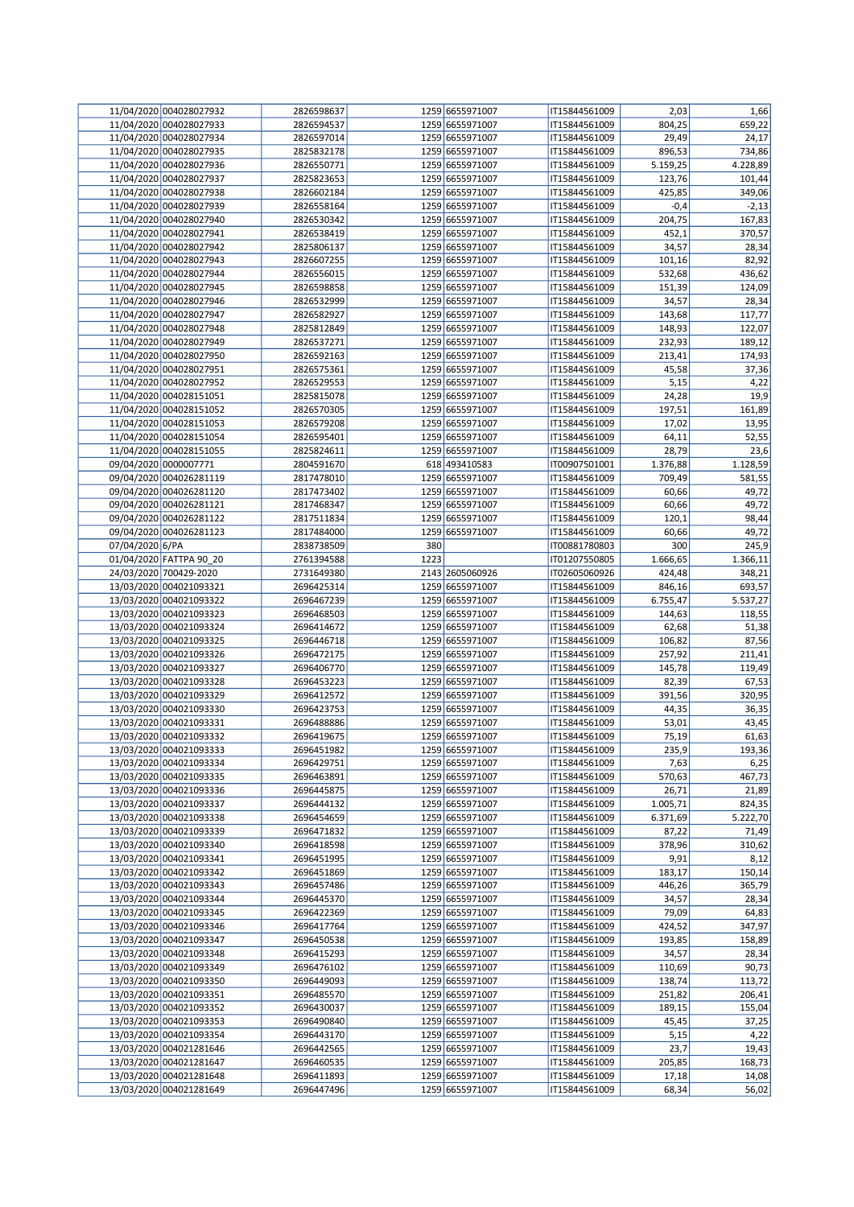|                 | 11/04/2020 004028027932 | 2826598637 |      | 1259 6655971007 | IT15844561009 | 2,03     | 1,66     |
|-----------------|-------------------------|------------|------|-----------------|---------------|----------|----------|
|                 | 11/04/2020 004028027933 | 2826594537 |      | 1259 6655971007 | IT15844561009 | 804,25   | 659,22   |
|                 | 11/04/2020 004028027934 | 2826597014 |      | 1259 6655971007 | IT15844561009 | 29,49    | 24,17    |
|                 | 11/04/2020 004028027935 | 2825832178 |      | 1259 6655971007 | IT15844561009 | 896,53   | 734,86   |
|                 |                         |            |      |                 |               |          |          |
|                 | 11/04/2020 004028027936 | 2826550771 |      | 1259 6655971007 | IT15844561009 | 5.159,25 | 4.228,89 |
|                 | 11/04/2020 004028027937 | 2825823653 |      | 1259 6655971007 | IT15844561009 | 123,76   | 101,44   |
|                 | 11/04/2020 004028027938 | 2826602184 |      | 1259 6655971007 | IT15844561009 | 425,85   | 349,06   |
|                 | 11/04/2020 004028027939 | 2826558164 |      | 1259 6655971007 | IT15844561009 | $-0,4$   | $-2,13$  |
|                 | 11/04/2020 004028027940 | 2826530342 |      | 1259 6655971007 | IT15844561009 | 204,75   | 167,83   |
|                 | 11/04/2020 004028027941 | 2826538419 |      | 1259 6655971007 | IT15844561009 | 452,1    | 370,57   |
|                 | 11/04/2020 004028027942 | 2825806137 |      | 1259 6655971007 | IT15844561009 | 34,57    | 28,34    |
|                 | 11/04/2020 004028027943 | 2826607255 |      | 1259 6655971007 | IT15844561009 | 101,16   | 82,92    |
|                 |                         |            |      |                 |               |          |          |
|                 | 11/04/2020 004028027944 | 2826556015 |      | 1259 6655971007 | IT15844561009 | 532,68   | 436,62   |
|                 | 11/04/2020 004028027945 | 2826598858 |      | 1259 6655971007 | IT15844561009 | 151,39   | 124,09   |
|                 | 11/04/2020 004028027946 | 2826532999 |      | 1259 6655971007 | IT15844561009 | 34,57    | 28,34    |
|                 | 11/04/2020 004028027947 | 2826582927 |      | 1259 6655971007 | IT15844561009 | 143,68   | 117,77   |
|                 | 11/04/2020 004028027948 | 2825812849 |      | 1259 6655971007 | IT15844561009 | 148,93   | 122,07   |
|                 | 11/04/2020 004028027949 | 2826537271 |      | 1259 6655971007 | IT15844561009 | 232,93   | 189,12   |
|                 | 11/04/2020 004028027950 | 2826592163 |      | 1259 6655971007 | IT15844561009 | 213,41   | 174,93   |
|                 | 11/04/2020 004028027951 | 2826575361 |      | 1259 6655971007 | IT15844561009 | 45,58    | 37,36    |
|                 |                         |            |      |                 |               |          |          |
|                 | 11/04/2020 004028027952 | 2826529553 |      | 1259 6655971007 | IT15844561009 | 5,15     | 4,22     |
|                 | 11/04/2020 004028151051 | 2825815078 |      | 1259 6655971007 | IT15844561009 | 24,28    | 19,9     |
|                 | 11/04/2020 004028151052 | 2826570305 |      | 1259 6655971007 | IT15844561009 | 197,51   | 161,89   |
|                 | 11/04/2020 004028151053 | 2826579208 |      | 1259 6655971007 | IT15844561009 | 17,02    | 13,95    |
|                 | 11/04/2020 004028151054 | 2826595401 |      | 1259 6655971007 | IT15844561009 | 64,11    | 52,55    |
|                 | 11/04/2020 004028151055 | 2825824611 |      | 1259 6655971007 | IT15844561009 | 28,79    | 23,6     |
|                 | 09/04/2020 0000007771   | 2804591670 |      | 618 493410583   | IT00907501001 | 1.376,88 | 1.128,59 |
|                 | 09/04/2020 004026281119 | 2817478010 |      | 1259 6655971007 | IT15844561009 | 709,49   | 581,55   |
|                 |                         |            |      |                 |               |          |          |
|                 | 09/04/2020 004026281120 | 2817473402 |      | 1259 6655971007 | IT15844561009 | 60,66    | 49,72    |
|                 | 09/04/2020 004026281121 | 2817468347 |      | 1259 6655971007 | IT15844561009 | 60,66    | 49,72    |
|                 | 09/04/2020 004026281122 | 2817511834 |      | 1259 6655971007 | IT15844561009 | 120,1    | 98,44    |
|                 | 09/04/2020 004026281123 | 2817484000 |      | 1259 6655971007 | IT15844561009 | 60,66    | 49,72    |
| 07/04/2020 6/PA |                         | 2838738509 | 380  |                 | IT00881780803 | 300      | 245,9    |
|                 | 01/04/2020 FATTPA 90_20 | 2761394588 | 1223 |                 | IT01207550805 | 1.666,65 | 1.366,11 |
|                 | 24/03/2020 700429-2020  | 2731649380 |      | 2143 2605060926 | IT02605060926 | 424,48   | 348,21   |
|                 | 13/03/2020 004021093321 | 2696425314 |      | 1259 6655971007 | IT15844561009 | 846,16   | 693,57   |
|                 | 13/03/2020 004021093322 |            |      | 1259 6655971007 | IT15844561009 |          | 5.537,27 |
|                 |                         | 2696467239 |      |                 |               | 6.755,47 |          |
|                 | 13/03/2020 004021093323 | 2696468503 |      | 1259 6655971007 | IT15844561009 | 144,63   | 118,55   |
|                 | 13/03/2020 004021093324 | 2696414672 |      | 1259 6655971007 | IT15844561009 | 62,68    | 51,38    |
|                 | 13/03/2020 004021093325 | 2696446718 |      | 1259 6655971007 | IT15844561009 | 106,82   | 87,56    |
|                 | 13/03/2020 004021093326 | 2696472175 |      | 1259 6655971007 | IT15844561009 | 257,92   | 211,41   |
|                 | 13/03/2020 004021093327 | 2696406770 |      | 1259 6655971007 | IT15844561009 | 145,78   | 119,49   |
|                 | 13/03/2020 004021093328 | 2696453223 |      | 1259 6655971007 | IT15844561009 | 82,39    | 67,53    |
|                 | 13/03/2020 004021093329 | 2696412572 |      | 1259 6655971007 | IT15844561009 | 391,56   | 320,95   |
|                 | 13/03/2020 004021093330 | 2696423753 |      | 1259 6655971007 | IT15844561009 | 44,35    | 36,35    |
|                 |                         |            |      |                 |               |          |          |
|                 | 13/03/2020 004021093331 | 2696488886 |      | 1259 6655971007 | IT15844561009 | 53,01    | 43,45    |
|                 | 13/03/2020 004021093332 | 2696419675 |      | 1259 6655971007 | IT15844561009 | 75,19    | 61,63    |
|                 | 13/03/2020 004021093333 | 2696451982 |      | 1259 6655971007 | IT15844561009 | 235,9    | 193,36   |
|                 | 13/03/2020 004021093334 | 2696429751 |      | 1259 6655971007 | IT15844561009 | 7,63     | 6,25     |
|                 | 13/03/2020 004021093335 | 2696463891 |      | 1259 6655971007 | IT15844561009 | 570,63   | 467,73   |
|                 | 13/03/2020 004021093336 | 2696445875 |      | 1259 6655971007 | IT15844561009 | 26,71    | 21,89    |
|                 | 13/03/2020 004021093337 | 2696444132 |      | 1259 6655971007 | IT15844561009 | 1.005,71 | 824,35   |
|                 | 13/03/2020 004021093338 | 2696454659 |      | 1259 6655971007 | IT15844561009 | 6.371,69 | 5.222,70 |
|                 | 13/03/2020 004021093339 | 2696471832 |      | 1259 6655971007 | IT15844561009 | 87,22    | 71,49    |
|                 |                         |            |      |                 |               |          |          |
|                 | 13/03/2020 004021093340 | 2696418598 |      | 1259 6655971007 | IT15844561009 | 378,96   | 310,62   |
|                 | 13/03/2020 004021093341 | 2696451995 |      | 1259 6655971007 | IT15844561009 | 9,91     | 8,12     |
|                 | 13/03/2020 004021093342 | 2696451869 |      | 1259 6655971007 | IT15844561009 | 183,17   | 150,14   |
|                 | 13/03/2020 004021093343 | 2696457486 |      | 1259 6655971007 | IT15844561009 | 446,26   | 365,79   |
|                 | 13/03/2020 004021093344 | 2696445370 |      | 1259 6655971007 | IT15844561009 | 34,57    | 28,34    |
|                 | 13/03/2020 004021093345 | 2696422369 |      | 1259 6655971007 | IT15844561009 | 79,09    | 64,83    |
|                 | 13/03/2020 004021093346 | 2696417764 |      | 1259 6655971007 | IT15844561009 | 424,52   | 347,97   |
|                 | 13/03/2020 004021093347 | 2696450538 |      | 1259 6655971007 | IT15844561009 | 193,85   | 158,89   |
|                 | 13/03/2020 004021093348 | 2696415293 |      | 1259 6655971007 | IT15844561009 | 34,57    |          |
|                 |                         |            |      |                 |               |          | 28,34    |
|                 | 13/03/2020 004021093349 | 2696476102 |      | 1259 6655971007 | IT15844561009 | 110,69   | 90,73    |
|                 | 13/03/2020 004021093350 | 2696449093 |      | 1259 6655971007 | IT15844561009 | 138,74   | 113,72   |
|                 | 13/03/2020 004021093351 | 2696485570 |      | 1259 6655971007 | IT15844561009 | 251,82   | 206,41   |
|                 | 13/03/2020 004021093352 | 2696430037 |      | 1259 6655971007 | IT15844561009 | 189,15   | 155,04   |
|                 | 13/03/2020 004021093353 | 2696490840 |      | 1259 6655971007 | IT15844561009 | 45,45    | 37,25    |
|                 | 13/03/2020 004021093354 | 2696443170 |      | 1259 6655971007 | IT15844561009 | 5,15     | 4,22     |
|                 | 13/03/2020 004021281646 | 2696442565 |      | 1259 6655971007 | IT15844561009 | 23,7     | 19,43    |
|                 | 13/03/2020 004021281647 | 2696460535 |      | 1259 6655971007 | IT15844561009 | 205,85   | 168,73   |
|                 |                         |            |      |                 |               |          |          |
|                 | 13/03/2020 004021281648 | 2696411893 |      | 1259 6655971007 | IT15844561009 | 17,18    | 14,08    |
|                 | 13/03/2020 004021281649 | 2696447496 |      | 1259 6655971007 | IT15844561009 | 68,34    | 56,02    |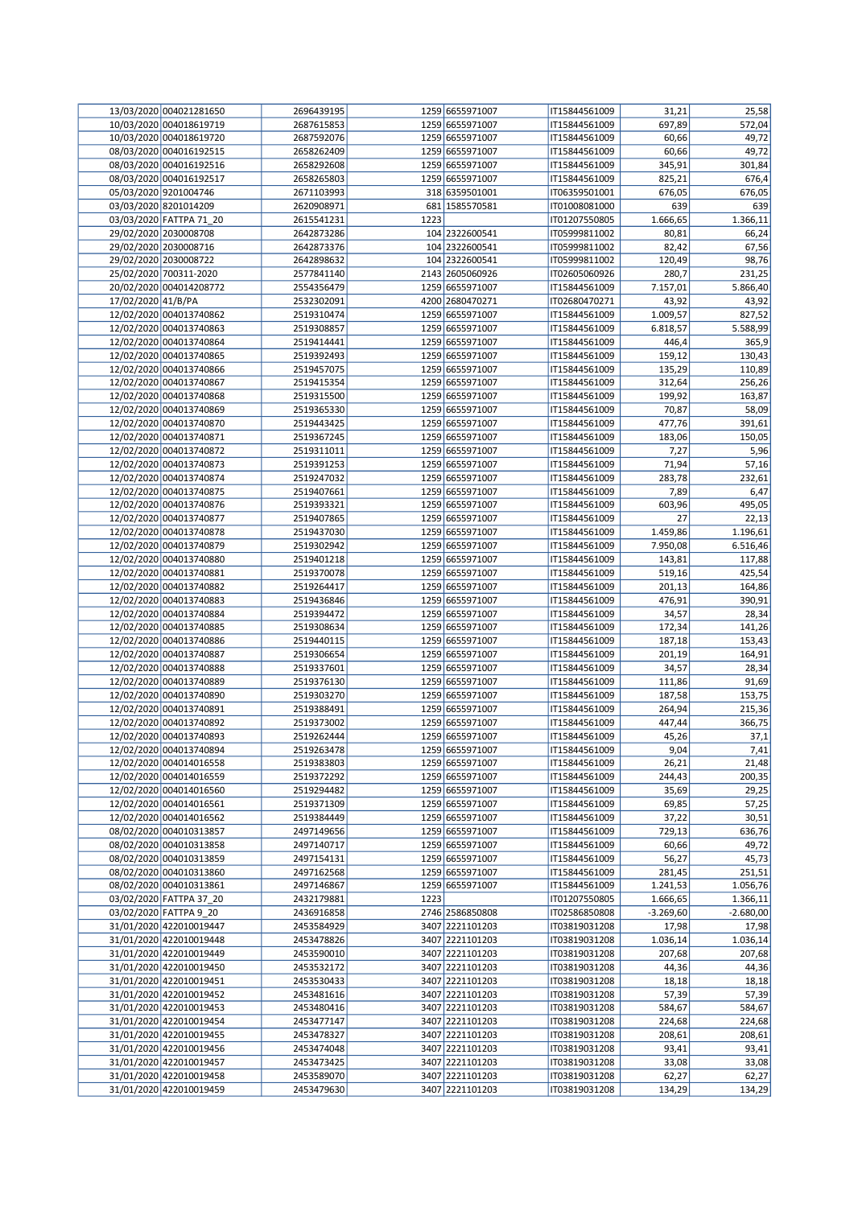|                    | 13/03/2020 004021281650 | 2696439195 |      | 1259 6655971007 | IT15844561009 | 31,21       | 25,58       |
|--------------------|-------------------------|------------|------|-----------------|---------------|-------------|-------------|
|                    | 10/03/2020 004018619719 | 2687615853 |      | 1259 6655971007 | IT15844561009 | 697,89      | 572,04      |
|                    | 10/03/2020 004018619720 | 2687592076 |      | 1259 6655971007 | IT15844561009 | 60,66       | 49,72       |
|                    | 08/03/2020 004016192515 | 2658262409 |      | 1259 6655971007 | IT15844561009 | 60,66       | 49,72       |
|                    | 08/03/2020 004016192516 | 2658292608 |      | 1259 6655971007 | IT15844561009 | 345,91      | 301,84      |
|                    | 08/03/2020 004016192517 | 2658265803 |      | 1259 6655971007 | IT15844561009 | 825,21      | 676,4       |
|                    | 05/03/2020 9201004746   | 2671103993 |      | 318 6359501001  | IT06359501001 | 676,05      | 676,05      |
|                    |                         |            |      |                 |               |             |             |
|                    | 03/03/2020 8201014209   | 2620908971 |      | 681 1585570581  | IT01008081000 | 639         | 639         |
|                    | 03/03/2020 FATTPA 71_20 | 2615541231 | 1223 |                 | IT01207550805 | 1.666,65    | 1.366,11    |
|                    | 29/02/2020 2030008708   | 2642873286 |      | 104 2322600541  | IT05999811002 | 80,81       | 66,24       |
|                    | 29/02/2020 2030008716   | 2642873376 |      | 104 2322600541  | IT05999811002 | 82,42       | 67,56       |
|                    | 29/02/2020 2030008722   | 2642898632 |      | 104 2322600541  | IT05999811002 | 120,49      | 98,76       |
|                    | 25/02/2020 700311-2020  | 2577841140 |      | 2143 2605060926 | IT02605060926 | 280,7       | 231,25      |
|                    | 20/02/2020 004014208772 | 2554356479 |      | 1259 6655971007 | IT15844561009 | 7.157,01    | 5.866,40    |
| 17/02/2020 41/B/PA |                         | 2532302091 |      | 4200 2680470271 | IT02680470271 | 43,92       | 43,92       |
|                    | 12/02/2020 004013740862 | 2519310474 |      | 1259 6655971007 | IT15844561009 | 1.009,57    | 827,52      |
|                    |                         |            |      |                 |               |             | 5.588,99    |
|                    | 12/02/2020 004013740863 | 2519308857 |      | 1259 6655971007 | IT15844561009 | 6.818,57    |             |
|                    | 12/02/2020 004013740864 | 2519414441 |      | 1259 6655971007 | IT15844561009 | 446,4       | 365,9       |
|                    | 12/02/2020 004013740865 | 2519392493 |      | 1259 6655971007 | IT15844561009 | 159,12      | 130,43      |
|                    | 12/02/2020 004013740866 | 2519457075 |      | 1259 6655971007 | IT15844561009 | 135,29      | 110,89      |
|                    | 12/02/2020 004013740867 | 2519415354 |      | 1259 6655971007 | IT15844561009 | 312,64      | 256,26      |
|                    | 12/02/2020 004013740868 | 2519315500 |      | 1259 6655971007 | IT15844561009 | 199,92      | 163,87      |
|                    | 12/02/2020 004013740869 | 2519365330 |      | 1259 6655971007 | IT15844561009 | 70,87       | 58,09       |
|                    | 12/02/2020 004013740870 | 2519443425 |      | 1259 6655971007 | IT15844561009 | 477,76      | 391,61      |
|                    | 12/02/2020 004013740871 | 2519367245 |      | 1259 6655971007 | IT15844561009 | 183,06      | 150,05      |
|                    | 12/02/2020 004013740872 | 2519311011 |      | 1259 6655971007 | IT15844561009 |             | 5,96        |
|                    | 12/02/2020 004013740873 |            |      |                 |               | 7,27        |             |
|                    |                         | 2519391253 |      | 1259 6655971007 | IT15844561009 | 71,94       | 57,16       |
|                    | 12/02/2020 004013740874 | 2519247032 |      | 1259 6655971007 | IT15844561009 | 283,78      | 232,61      |
|                    | 12/02/2020 004013740875 | 2519407661 |      | 1259 6655971007 | IT15844561009 | 7,89        | 6,47        |
|                    | 12/02/2020 004013740876 | 2519393321 |      | 1259 6655971007 | IT15844561009 | 603,96      | 495,05      |
|                    | 12/02/2020 004013740877 | 2519407865 |      | 1259 6655971007 | IT15844561009 | 27          | 22,13       |
|                    | 12/02/2020 004013740878 | 2519437030 |      | 1259 6655971007 | IT15844561009 | 1.459,86    | 1.196,61    |
|                    | 12/02/2020 004013740879 | 2519302942 |      | 1259 6655971007 | IT15844561009 | 7.950,08    | 6.516,46    |
|                    | 12/02/2020 004013740880 | 2519401218 |      | 1259 6655971007 | IT15844561009 | 143,81      | 117,88      |
|                    | 12/02/2020 004013740881 | 2519370078 |      | 1259 6655971007 | IT15844561009 | 519,16      | 425,54      |
|                    | 12/02/2020 004013740882 |            |      | 1259 6655971007 |               |             | 164,86      |
|                    |                         | 2519264417 |      |                 | IT15844561009 | 201,13      |             |
|                    | 12/02/2020 004013740883 | 2519436846 |      | 1259 6655971007 | IT15844561009 | 476,91      | 390,91      |
|                    | 12/02/2020 004013740884 | 2519394472 |      | 1259 6655971007 | IT15844561009 | 34,57       | 28,34       |
|                    | 12/02/2020 004013740885 | 2519308634 |      | 1259 6655971007 | IT15844561009 | 172,34      | 141,26      |
|                    | 12/02/2020 004013740886 | 2519440115 |      | 1259 6655971007 | IT15844561009 | 187,18      | 153,43      |
|                    | 12/02/2020 004013740887 | 2519306654 |      | 1259 6655971007 | IT15844561009 | 201,19      | 164,91      |
|                    | 12/02/2020 004013740888 | 2519337601 |      | 1259 6655971007 | IT15844561009 | 34,57       | 28,34       |
|                    | 12/02/2020 004013740889 | 2519376130 |      | 1259 6655971007 | IT15844561009 | 111,86      | 91,69       |
|                    | 12/02/2020 004013740890 | 2519303270 |      | 1259 6655971007 | IT15844561009 | 187,58      | 153,75      |
|                    | 12/02/2020 004013740891 | 2519388491 |      | 1259 6655971007 | IT15844561009 |             | 215,36      |
|                    |                         |            |      |                 |               | 264,94      |             |
|                    | 12/02/2020 004013740892 | 2519373002 |      | 1259 6655971007 | IT15844561009 | 447,44      | 366,75      |
|                    | 12/02/2020 004013740893 | 2519262444 |      | 1259 6655971007 | IT15844561009 | 45,26       | 37,1        |
|                    | 12/02/2020 004013740894 | 2519263478 |      | 1259 6655971007 | IT15844561009 | 9,04        | 7,41        |
|                    | 12/02/2020 004014016558 | 2519383803 |      | 1259 6655971007 | IT15844561009 | 26,21       | 21,48       |
|                    | 12/02/2020 004014016559 | 2519372292 |      | 1259 6655971007 | IT15844561009 | 244,43      | 200,35      |
|                    | 12/02/2020 004014016560 | 2519294482 |      | 1259 6655971007 | IT15844561009 | 35,69       | 29,25       |
|                    | 12/02/2020 004014016561 | 2519371309 |      | 1259 6655971007 | IT15844561009 | 69,85       | 57,25       |
|                    | 12/02/2020 004014016562 | 2519384449 |      | 1259 6655971007 | IT15844561009 | 37,22       | 30,51       |
|                    | 08/02/2020 004010313857 | 2497149656 |      | 1259 6655971007 | IT15844561009 | 729,13      | 636,76      |
|                    | 08/02/2020 004010313858 | 2497140717 |      | 1259 6655971007 | IT15844561009 | 60,66       | 49,72       |
|                    | 08/02/2020 004010313859 | 2497154131 |      | 1259 6655971007 | IT15844561009 | 56,27       | 45,73       |
|                    |                         |            |      |                 |               |             |             |
|                    | 08/02/2020 004010313860 | 2497162568 |      | 1259 6655971007 | IT15844561009 | 281,45      | 251,51      |
|                    | 08/02/2020 004010313861 | 2497146867 |      | 1259 6655971007 | IT15844561009 | 1.241,53    | 1.056,76    |
|                    | 03/02/2020 FATTPA 37 20 | 2432179881 | 1223 |                 | IT01207550805 | 1.666,65    | 1.366,11    |
|                    | 03/02/2020 FATTPA 9_20  | 2436916858 |      | 2746 2586850808 | IT02586850808 | $-3.269,60$ | $-2.680,00$ |
|                    | 31/01/2020 422010019447 | 2453584929 |      | 3407 2221101203 | IT03819031208 | 17,98       | 17,98       |
|                    | 31/01/2020 422010019448 | 2453478826 |      | 3407 2221101203 | IT03819031208 | 1.036,14    | 1.036,14    |
|                    | 31/01/2020 422010019449 | 2453590010 |      | 3407 2221101203 | IT03819031208 | 207,68      | 207,68      |
|                    | 31/01/2020 422010019450 | 2453532172 |      | 3407 2221101203 | IT03819031208 | 44,36       | 44,36       |
|                    | 31/01/2020 422010019451 | 2453530433 |      | 3407 2221101203 | IT03819031208 | 18,18       | 18,18       |
|                    | 31/01/2020 422010019452 | 2453481616 |      | 3407 2221101203 | IT03819031208 | 57,39       | 57,39       |
|                    | 31/01/2020 422010019453 |            |      | 3407 2221101203 |               |             |             |
|                    |                         | 2453480416 |      |                 | IT03819031208 | 584,67      | 584,67      |
|                    | 31/01/2020 422010019454 | 2453477147 |      | 3407 2221101203 | IT03819031208 | 224,68      | 224,68      |
|                    | 31/01/2020 422010019455 | 2453478327 |      | 3407 2221101203 | IT03819031208 | 208,61      | 208,61      |
|                    | 31/01/2020 422010019456 | 2453474048 |      | 3407 2221101203 | IT03819031208 | 93,41       | 93,41       |
|                    |                         |            |      |                 |               |             |             |
|                    | 31/01/2020 422010019457 | 2453473425 |      | 3407 2221101203 | IT03819031208 | 33,08       | 33,08       |
|                    | 31/01/2020 422010019458 | 2453589070 |      | 3407 2221101203 | IT03819031208 | 62,27       | 62,27       |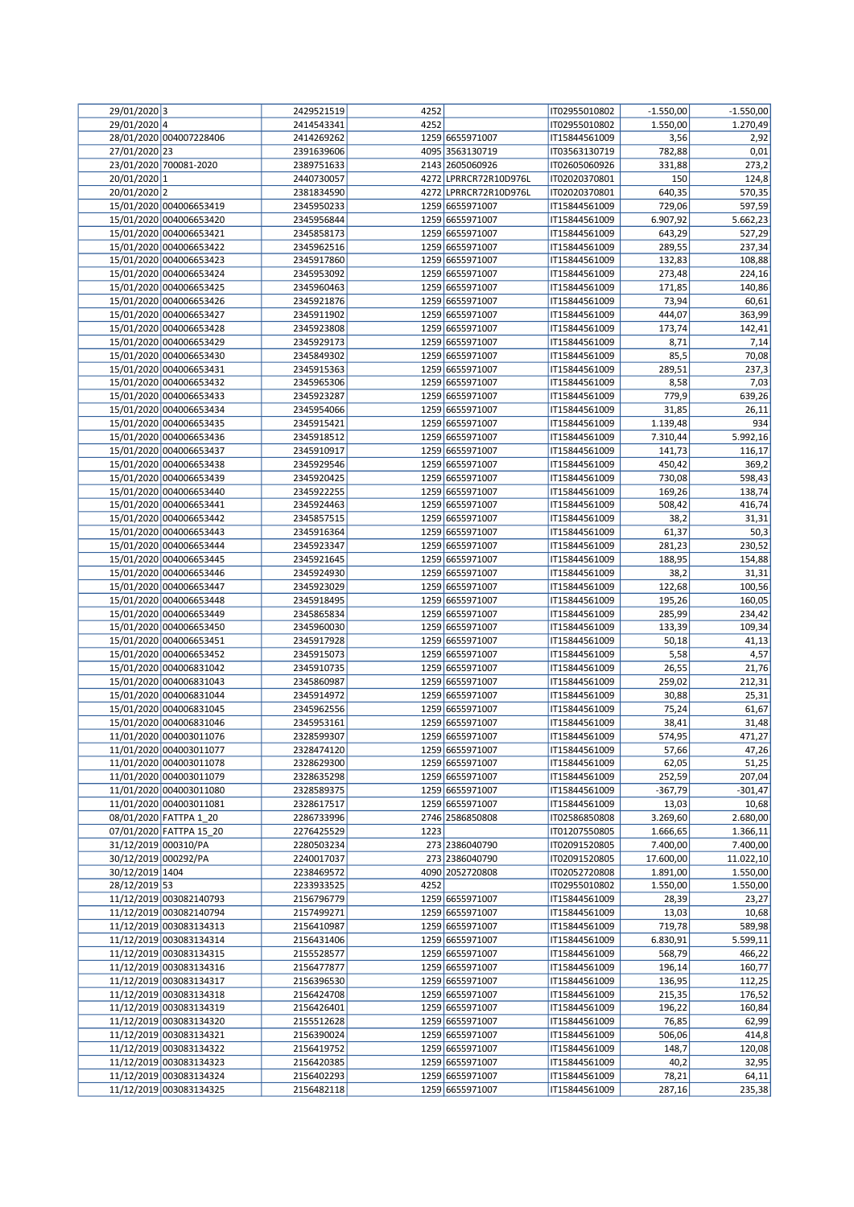| 29/01/2020 3         |                         | 2429521519 | 4252 |                       | IT02955010802 | $-1.550,00$ | $-1.550,00$ |
|----------------------|-------------------------|------------|------|-----------------------|---------------|-------------|-------------|
| 29/01/2020 4         |                         | 2414543341 | 4252 |                       | IT02955010802 | 1.550,00    | 1.270,49    |
|                      |                         |            |      |                       |               |             |             |
|                      | 28/01/2020 004007228406 | 2414269262 |      | 1259 6655971007       | IT15844561009 | 3,56        | 2,92        |
| 27/01/2020 23        |                         | 2391639606 |      | 4095 3563130719       | IT03563130719 | 782,88      | 0,01        |
|                      | 23/01/2020 700081-2020  | 2389751633 |      | 2143 2605060926       | IT02605060926 | 331,88      | 273,2       |
| 20/01/2020 1         |                         | 2440730057 |      | 4272 LPRRCR72R10D976L | IT02020370801 | 150         | 124,8       |
| 20/01/2020 2         |                         | 2381834590 |      | 4272 LPRRCR72R10D976L | IT02020370801 | 640,35      | 570,35      |
|                      |                         |            |      |                       |               |             |             |
|                      | 15/01/2020 004006653419 | 2345950233 |      | 1259 6655971007       | IT15844561009 | 729,06      | 597,59      |
|                      | 15/01/2020 004006653420 | 2345956844 |      | 1259 6655971007       | IT15844561009 | 6.907,92    | 5.662,23    |
|                      | 15/01/2020 004006653421 | 2345858173 |      | 1259 6655971007       | IT15844561009 | 643,29      | 527,29      |
|                      | 15/01/2020 004006653422 | 2345962516 |      | 1259 6655971007       | IT15844561009 | 289,55      | 237,34      |
|                      | 15/01/2020 004006653423 | 2345917860 |      | 1259 6655971007       | IT15844561009 | 132,83      | 108,88      |
|                      |                         |            |      |                       |               |             |             |
|                      | 15/01/2020 004006653424 | 2345953092 |      | 1259 6655971007       | IT15844561009 | 273,48      | 224,16      |
|                      | 15/01/2020 004006653425 | 2345960463 |      | 1259 6655971007       | IT15844561009 | 171,85      | 140,86      |
|                      | 15/01/2020 004006653426 | 2345921876 |      | 1259 6655971007       | IT15844561009 | 73,94       | 60,61       |
|                      | 15/01/2020 004006653427 | 2345911902 |      | 1259 6655971007       | IT15844561009 | 444,07      | 363,99      |
|                      |                         |            |      |                       |               |             | 142,41      |
|                      | 15/01/2020 004006653428 | 2345923808 |      | 1259 6655971007       | IT15844561009 | 173,74      |             |
|                      | 15/01/2020 004006653429 | 2345929173 |      | 1259 6655971007       | IT15844561009 | 8,71        | 7,14        |
|                      | 15/01/2020 004006653430 | 2345849302 |      | 1259 6655971007       | IT15844561009 | 85,5        | 70,08       |
|                      | 15/01/2020 004006653431 | 2345915363 |      | 1259 6655971007       | IT15844561009 | 289,51      | 237,3       |
|                      | 15/01/2020 004006653432 | 2345965306 |      | 1259 6655971007       | IT15844561009 | 8,58        | 7,03        |
|                      | 15/01/2020 004006653433 | 2345923287 |      | 1259 6655971007       | IT15844561009 | 779,9       |             |
|                      |                         |            |      |                       |               |             | 639,26      |
|                      | 15/01/2020 004006653434 | 2345954066 |      | 1259 6655971007       | IT15844561009 | 31,85       | 26,11       |
|                      | 15/01/2020 004006653435 | 2345915421 |      | 1259 6655971007       | IT15844561009 | 1.139,48    | 934         |
|                      | 15/01/2020 004006653436 | 2345918512 |      | 1259 6655971007       | IT15844561009 | 7.310,44    | 5.992,16    |
|                      | 15/01/2020 004006653437 | 2345910917 |      | 1259 6655971007       | IT15844561009 | 141,73      | 116,17      |
|                      | 15/01/2020 004006653438 |            |      | 1259 6655971007       | IT15844561009 |             | 369,2       |
|                      |                         | 2345929546 |      |                       |               | 450,42      |             |
|                      | 15/01/2020 004006653439 | 2345920425 |      | 1259 6655971007       | IT15844561009 | 730,08      | 598,43      |
|                      | 15/01/2020 004006653440 | 2345922255 |      | 1259 6655971007       | IT15844561009 | 169,26      | 138,74      |
|                      | 15/01/2020 004006653441 | 2345924463 |      | 1259 6655971007       | IT15844561009 | 508,42      | 416,74      |
|                      | 15/01/2020 004006653442 | 2345857515 |      | 1259 6655971007       | IT15844561009 | 38,2        | 31,31       |
|                      |                         |            |      |                       |               |             |             |
|                      | 15/01/2020 004006653443 | 2345916364 |      | 1259 6655971007       | IT15844561009 | 61,37       | 50,3        |
|                      | 15/01/2020 004006653444 | 2345923347 |      | 1259 6655971007       | IT15844561009 | 281,23      | 230,52      |
|                      | 15/01/2020 004006653445 | 2345921645 |      | 1259 6655971007       | IT15844561009 | 188,95      | 154,88      |
|                      | 15/01/2020 004006653446 | 2345924930 |      | 1259 6655971007       | IT15844561009 | 38,2        | 31,31       |
|                      | 15/01/2020 004006653447 | 2345923029 |      | 1259 6655971007       | IT15844561009 | 122,68      | 100,56      |
|                      |                         |            |      |                       |               |             |             |
|                      | 15/01/2020 004006653448 | 2345918495 |      | 1259 6655971007       | IT15844561009 | 195,26      | 160,05      |
|                      | 15/01/2020 004006653449 | 2345865834 |      | 1259 6655971007       | IT15844561009 | 285,99      | 234,42      |
|                      | 15/01/2020 004006653450 | 2345960030 |      | 1259 6655971007       | IT15844561009 | 133,39      | 109,34      |
|                      | 15/01/2020 004006653451 | 2345917928 |      | 1259 6655971007       | IT15844561009 | 50,18       | 41,13       |
|                      | 15/01/2020 004006653452 | 2345915073 |      | 1259 6655971007       | IT15844561009 | 5,58        | 4,57        |
|                      |                         |            |      |                       |               |             |             |
|                      | 15/01/2020 004006831042 | 2345910735 |      | 1259 6655971007       | IT15844561009 | 26,55       | 21,76       |
|                      | 15/01/2020 004006831043 | 2345860987 |      | 1259 6655971007       | IT15844561009 | 259,02      | 212,31      |
|                      | 15/01/2020 004006831044 | 2345914972 |      | 1259 6655971007       | IT15844561009 | 30,88       | 25,31       |
|                      | 15/01/2020 004006831045 | 2345962556 |      | 1259 6655971007       | IT15844561009 | 75,24       | 61,67       |
|                      | 15/01/2020 004006831046 | 2345953161 |      | 1259 6655971007       | IT15844561009 | 38,41       | 31,48       |
|                      |                         |            |      |                       |               |             |             |
|                      | 11/01/2020 004003011076 | 2328599307 |      | 1259 6655971007       | IT15844561009 | 574,95      | 471,27      |
|                      | 11/01/2020 004003011077 | 2328474120 |      | 1259 6655971007       | IT15844561009 | 57,66       | 47,26       |
|                      | 11/01/2020 004003011078 | 2328629300 |      | 1259 6655971007       | IT15844561009 | 62,05       | 51,25       |
|                      | 11/01/2020 004003011079 | 2328635298 |      | 1259 6655971007       | IT15844561009 | 252,59      | 207,04      |
|                      | 11/01/2020 004003011080 | 2328589375 |      | 1259 6655971007       | IT15844561009 | -367,79     | $-301,47$   |
|                      | 11/01/2020 004003011081 |            |      |                       |               |             |             |
|                      |                         | 2328617517 |      | 1259 6655971007       | IT15844561009 | 13,03       | 10,68       |
|                      | 08/01/2020 FATTPA 1_20  | 2286733996 |      | 2746 2586850808       | IT02586850808 | 3.269,60    | 2.680,00    |
|                      | 07/01/2020 FATTPA 15_20 | 2276425529 | 1223 |                       | IT01207550805 | 1.666,65    | 1.366,11    |
| 31/12/2019 000310/PA |                         | 2280503234 |      | 273 2386040790        | IT02091520805 | 7.400,00    | 7.400,00    |
| 30/12/2019 000292/PA |                         | 2240017037 |      | 273 2386040790        | IT02091520805 | 17.600,00   | 11.022,10   |
| 30/12/2019 1404      |                         | 2238469572 |      | 4090 2052720808       | IT02052720808 | 1.891,00    | 1.550,00    |
|                      |                         |            |      |                       |               |             |             |
| 28/12/2019 53        |                         | 2233933525 | 4252 |                       | IT02955010802 | 1.550,00    | 1.550,00    |
|                      | 11/12/2019 003082140793 | 2156796779 |      | 1259 6655971007       | IT15844561009 | 28,39       | 23,27       |
|                      | 11/12/2019 003082140794 | 2157499271 |      | 1259 6655971007       | IT15844561009 | 13,03       | 10,68       |
|                      | 11/12/2019 003083134313 | 2156410987 |      | 1259 6655971007       | IT15844561009 | 719,78      | 589,98      |
|                      | 11/12/2019 003083134314 | 2156431406 |      | 1259 6655971007       | IT15844561009 | 6.830,91    | 5.599,11    |
|                      |                         |            |      |                       |               |             |             |
|                      | 11/12/2019 003083134315 | 2155528577 |      | 1259 6655971007       | IT15844561009 | 568,79      | 466,22      |
|                      | 11/12/2019 003083134316 | 2156477877 |      | 1259 6655971007       | IT15844561009 | 196,14      | 160,77      |
|                      | 11/12/2019 003083134317 | 2156396530 |      | 1259 6655971007       | IT15844561009 | 136,95      | 112,25      |
|                      | 11/12/2019 003083134318 | 2156424708 |      | 1259 6655971007       | IT15844561009 | 215,35      | 176,52      |
|                      | 11/12/2019 003083134319 | 2156426401 |      | 1259 6655971007       | IT15844561009 | 196,22      | 160,84      |
|                      | 11/12/2019 003083134320 | 2155512628 |      | 1259 6655971007       | IT15844561009 | 76,85       | 62,99       |
|                      |                         |            |      |                       |               |             |             |
|                      | 11/12/2019 003083134321 | 2156390024 |      | 1259 6655971007       | IT15844561009 | 506,06      | 414,8       |
|                      | 11/12/2019 003083134322 | 2156419752 |      | 1259 6655971007       | IT15844561009 | 148,7       | 120,08      |
|                      | 11/12/2019 003083134323 | 2156420385 |      | 1259 6655971007       | IT15844561009 | 40,2        | 32,95       |
|                      | 11/12/2019 003083134324 | 2156402293 |      | 1259 6655971007       | IT15844561009 | 78,21       | 64,11       |
|                      | 11/12/2019 003083134325 | 2156482118 |      | 1259 6655971007       | IT15844561009 | 287,16      | 235,38      |
|                      |                         |            |      |                       |               |             |             |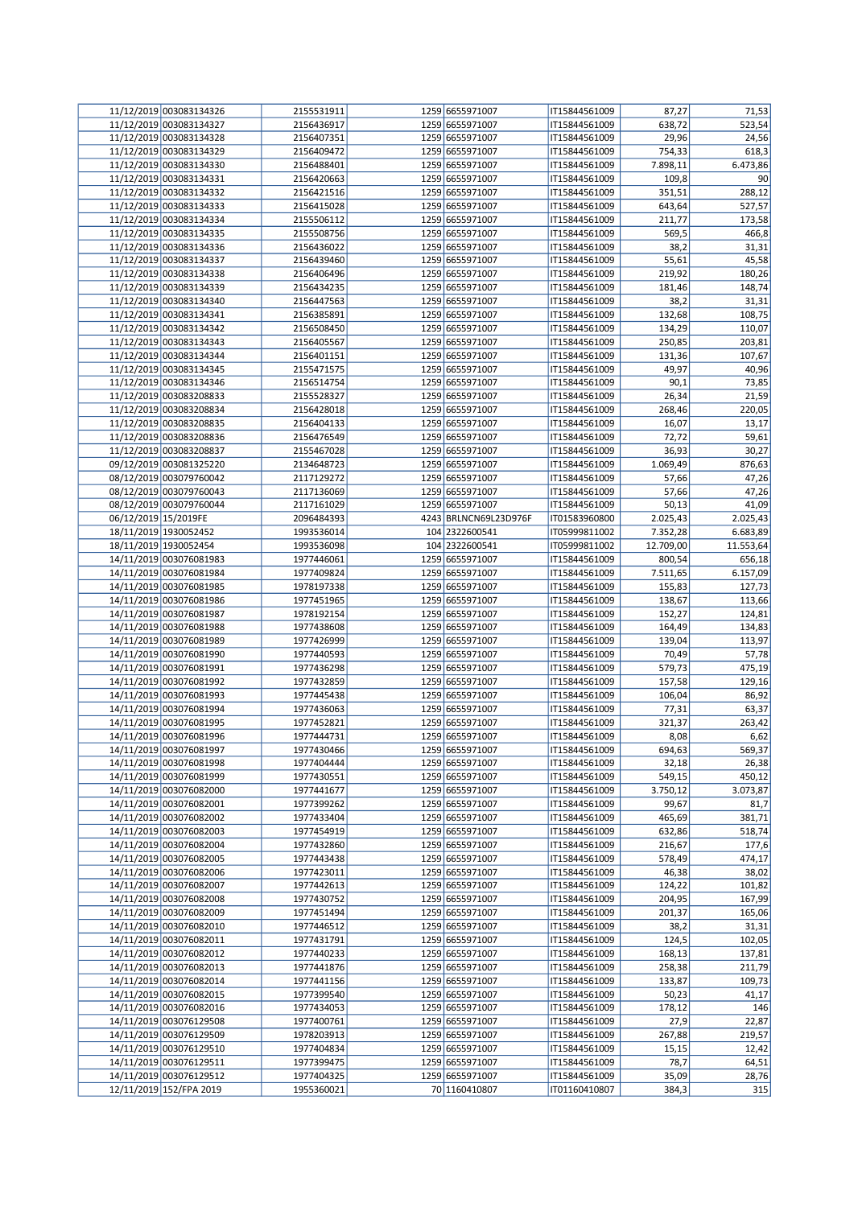|                       | 11/12/2019 003083134326 | 2155531911 | 1259 6655971007       | IT15844561009 | 87,27     | 71,53     |
|-----------------------|-------------------------|------------|-----------------------|---------------|-----------|-----------|
|                       | 11/12/2019 003083134327 | 2156436917 | 1259 6655971007       | IT15844561009 | 638,72    | 523,54    |
|                       | 11/12/2019 003083134328 | 2156407351 | 1259 6655971007       | IT15844561009 | 29,96     | 24,56     |
|                       | 11/12/2019 003083134329 | 2156409472 | 1259 6655971007       | IT15844561009 | 754,33    | 618,3     |
|                       | 11/12/2019 003083134330 | 2156488401 | 1259 6655971007       | IT15844561009 | 7.898,11  | 6.473,86  |
|                       | 11/12/2019 003083134331 | 2156420663 | 1259 6655971007       | IT15844561009 | 109,8     | 90        |
|                       | 11/12/2019 003083134332 | 2156421516 | 1259 6655971007       | IT15844561009 | 351,51    |           |
|                       |                         |            |                       |               |           | 288,12    |
|                       | 11/12/2019 003083134333 | 2156415028 | 1259 6655971007       | IT15844561009 | 643,64    | 527,57    |
|                       | 11/12/2019 003083134334 | 2155506112 | 1259 6655971007       | IT15844561009 | 211,77    | 173,58    |
|                       | 11/12/2019 003083134335 | 2155508756 | 1259 6655971007       | IT15844561009 | 569,5     | 466,8     |
|                       | 11/12/2019 003083134336 | 2156436022 | 1259 6655971007       | IT15844561009 | 38,2      | 31,31     |
|                       | 11/12/2019 003083134337 | 2156439460 | 1259 6655971007       | IT15844561009 | 55,61     | 45,58     |
|                       | 11/12/2019 003083134338 | 2156406496 | 1259 6655971007       | IT15844561009 | 219,92    | 180,26    |
|                       | 11/12/2019 003083134339 | 2156434235 | 1259 6655971007       | IT15844561009 | 181,46    | 148,74    |
|                       | 11/12/2019 003083134340 | 2156447563 | 1259 6655971007       | IT15844561009 | 38,2      | 31,31     |
|                       | 11/12/2019 003083134341 | 2156385891 | 1259 6655971007       | IT15844561009 | 132,68    | 108,75    |
|                       |                         |            |                       |               |           |           |
|                       | 11/12/2019 003083134342 | 2156508450 | 1259 6655971007       | IT15844561009 | 134,29    | 110,07    |
|                       | 11/12/2019 003083134343 | 2156405567 | 1259 6655971007       | IT15844561009 | 250,85    | 203,81    |
|                       | 11/12/2019 003083134344 | 2156401151 | 1259 6655971007       | IT15844561009 | 131,36    | 107,67    |
|                       | 11/12/2019 003083134345 | 2155471575 | 1259 6655971007       | IT15844561009 | 49,97     | 40,96     |
|                       | 11/12/2019 003083134346 | 2156514754 | 1259 6655971007       | IT15844561009 | 90,1      | 73,85     |
|                       | 11/12/2019 003083208833 | 2155528327 | 1259 6655971007       | IT15844561009 | 26,34     | 21,59     |
|                       | 11/12/2019 003083208834 | 2156428018 | 1259 6655971007       | IT15844561009 | 268,46    | 220,05    |
|                       | 11/12/2019 003083208835 | 2156404133 | 1259 6655971007       | IT15844561009 | 16,07     | 13,17     |
|                       | 11/12/2019 003083208836 | 2156476549 | 1259 6655971007       | IT15844561009 | 72,72     | 59,61     |
|                       | 11/12/2019 003083208837 |            |                       |               |           |           |
|                       |                         | 2155467028 | 1259 6655971007       | IT15844561009 | 36,93     | 30,27     |
|                       | 09/12/2019 003081325220 | 2134648723 | 1259 6655971007       | IT15844561009 | 1.069,49  | 876,63    |
|                       | 08/12/2019 003079760042 | 2117129272 | 1259 6655971007       | IT15844561009 | 57,66     | 47,26     |
|                       | 08/12/2019 003079760043 | 2117136069 | 1259 6655971007       | IT15844561009 | 57,66     | 47,26     |
|                       | 08/12/2019 003079760044 | 2117161029 | 1259 6655971007       | IT15844561009 | 50,13     | 41,09     |
| 06/12/2019 15/2019FE  |                         | 2096484393 | 4243 BRLNCN69L23D976F | IT01583960800 | 2.025,43  | 2.025,43  |
| 18/11/2019 1930052452 |                         | 1993536014 | 104 2322600541        | IT05999811002 | 7.352,28  | 6.683,89  |
| 18/11/2019 1930052454 |                         | 1993536098 | 104 2322600541        | IT05999811002 | 12.709,00 | 11.553,64 |
|                       | 14/11/2019 003076081983 | 1977446061 | 1259 6655971007       | IT15844561009 | 800,54    | 656,18    |
|                       | 14/11/2019 003076081984 | 1977409824 | 1259 6655971007       | IT15844561009 |           |           |
|                       |                         |            |                       |               | 7.511,65  | 6.157,09  |
|                       | 14/11/2019 003076081985 | 1978197338 | 1259 6655971007       | IT15844561009 | 155,83    | 127,73    |
|                       | 14/11/2019 003076081986 | 1977451965 | 1259 6655971007       | IT15844561009 | 138,67    | 113,66    |
|                       | 14/11/2019 003076081987 | 1978192154 | 1259 6655971007       | IT15844561009 | 152,27    | 124,81    |
|                       | 14/11/2019 003076081988 | 1977438608 | 1259 6655971007       | IT15844561009 | 164,49    | 134,83    |
|                       | 14/11/2019 003076081989 | 1977426999 | 1259 6655971007       | IT15844561009 | 139,04    | 113,97    |
|                       | 14/11/2019 003076081990 | 1977440593 | 1259 6655971007       | IT15844561009 | 70,49     | 57,78     |
|                       | 14/11/2019 003076081991 | 1977436298 | 1259 6655971007       | IT15844561009 | 579,73    | 475,19    |
|                       | 14/11/2019 003076081992 | 1977432859 | 1259 6655971007       | IT15844561009 | 157,58    | 129,16    |
|                       | 14/11/2019 003076081993 | 1977445438 | 1259 6655971007       | IT15844561009 | 106,04    | 86,92     |
|                       |                         |            |                       |               |           |           |
|                       | 14/11/2019 003076081994 | 1977436063 | 1259 6655971007       | IT15844561009 | 77,31     | 63,37     |
|                       | 14/11/2019 003076081995 | 1977452821 | 1259 6655971007       | IT15844561009 | 321,37    | 263,42    |
|                       | 14/11/2019 003076081996 | 1977444731 | 1259 6655971007       | IT15844561009 | 8,08      | 6,62      |
|                       | 14/11/2019 003076081997 | 1977430466 | 1259 6655971007       | IT15844561009 | 694,63    | 569,37    |
|                       | 14/11/2019 003076081998 | 1977404444 | 1259 6655971007       | IT15844561009 | 32,18     | 26,38     |
|                       | 14/11/2019 003076081999 | 1977430551 | 1259 6655971007       | IT15844561009 | 549,15    | 450,12    |
|                       | 14/11/2019 003076082000 | 1977441677 | 1259 6655971007       | IT15844561009 | 3.750,12  | 3.073,87  |
|                       | 14/11/2019 003076082001 | 1977399262 | 1259 6655971007       | IT15844561009 | 99,67     | 81,7      |
|                       | 14/11/2019 003076082002 | 1977433404 | 1259 6655971007       | IT15844561009 | 465,69    | 381,71    |
|                       | 14/11/2019 003076082003 | 1977454919 | 1259 6655971007       | IT15844561009 | 632,86    | 518,74    |
|                       | 14/11/2019 003076082004 | 1977432860 | 1259 6655971007       | IT15844561009 | 216,67    | 177,6     |
|                       |                         |            |                       |               |           |           |
|                       | 14/11/2019 003076082005 | 1977443438 | 1259 6655971007       | IT15844561009 | 578,49    | 474,17    |
|                       | 14/11/2019 003076082006 | 1977423011 | 1259 6655971007       | IT15844561009 | 46,38     | 38,02     |
|                       | 14/11/2019 003076082007 | 1977442613 | 1259 6655971007       | IT15844561009 | 124,22    | 101,82    |
|                       | 14/11/2019 003076082008 | 1977430752 | 1259 6655971007       | IT15844561009 | 204,95    | 167,99    |
|                       | 14/11/2019 003076082009 | 1977451494 | 1259 6655971007       | IT15844561009 | 201,37    | 165,06    |
|                       | 14/11/2019 003076082010 | 1977446512 | 1259 6655971007       | IT15844561009 | 38,2      | 31,31     |
|                       | 14/11/2019 003076082011 | 1977431791 | 1259 6655971007       | IT15844561009 | 124,5     | 102,05    |
|                       | 14/11/2019 003076082012 | 1977440233 | 1259 6655971007       | IT15844561009 | 168,13    | 137,81    |
|                       | 14/11/2019 003076082013 | 1977441876 | 1259 6655971007       | IT15844561009 | 258,38    | 211,79    |
|                       | 14/11/2019 003076082014 | 1977441156 | 1259 6655971007       | IT15844561009 | 133,87    | 109,73    |
|                       | 14/11/2019 003076082015 | 1977399540 | 1259 6655971007       | IT15844561009 |           | 41,17     |
|                       |                         |            |                       |               | 50,23     |           |
|                       | 14/11/2019 003076082016 | 1977434053 | 1259 6655971007       | IT15844561009 | 178,12    | 146       |
|                       | 14/11/2019 003076129508 | 1977400761 | 1259 6655971007       | IT15844561009 | 27,9      | 22,87     |
|                       | 14/11/2019 003076129509 | 1978203913 | 1259 6655971007       | IT15844561009 | 267,88    | 219,57    |
|                       | 14/11/2019 003076129510 | 1977404834 | 1259 6655971007       | IT15844561009 | 15,15     | 12,42     |
|                       | 14/11/2019 003076129511 | 1977399475 | 1259 6655971007       | IT15844561009 | 78,7      | 64,51     |
|                       | 14/11/2019 003076129512 | 1977404325 | 1259 6655971007       | IT15844561009 | 35,09     | 28,76     |
|                       | 12/11/2019 152/FPA 2019 | 1955360021 | 70 1160410807         | IT01160410807 | 384,3     | 315       |
|                       |                         |            |                       |               |           |           |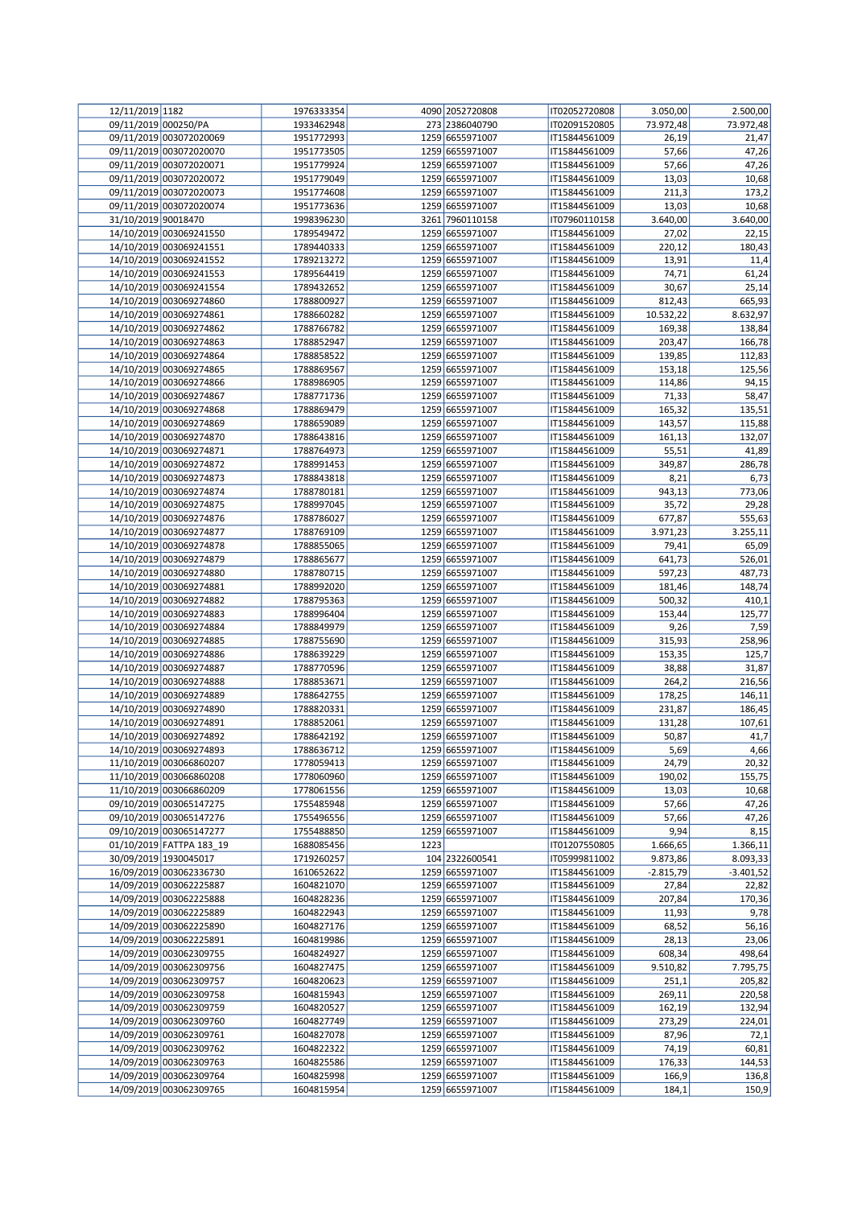| 12/11/2019 1182         |                          | 1976333354 |      | 4090 2052720808 | IT02052720808 | 3.050,00    | 2.500,00    |
|-------------------------|--------------------------|------------|------|-----------------|---------------|-------------|-------------|
| 09/11/2019 000250/PA    |                          | 1933462948 |      | 273 2386040790  | IT02091520805 | 73.972,48   | 73.972,48   |
|                         | 09/11/2019 003072020069  | 1951772993 |      | 1259 6655971007 | IT15844561009 | 26,19       | 21,47       |
|                         | 09/11/2019 003072020070  | 1951773505 |      | 1259 6655971007 | IT15844561009 | 57,66       | 47,26       |
|                         | 09/11/2019 003072020071  | 1951779924 |      | 1259 6655971007 | IT15844561009 | 57,66       | 47,26       |
|                         | 09/11/2019 003072020072  | 1951779049 |      | 1259 6655971007 | IT15844561009 | 13,03       | 10,68       |
|                         |                          |            |      |                 |               |             |             |
|                         | 09/11/2019 003072020073  | 1951774608 |      | 1259 6655971007 | IT15844561009 | 211,3       | 173,2       |
|                         | 09/11/2019 003072020074  | 1951773636 |      | 1259 6655971007 | IT15844561009 | 13,03       | 10,68       |
| 31/10/2019 90018470     |                          | 1998396230 |      | 3261 7960110158 | IT07960110158 | 3.640,00    | 3.640,00    |
|                         | 14/10/2019 003069241550  | 1789549472 |      | 1259 6655971007 | IT15844561009 | 27,02       | 22,15       |
|                         | 14/10/2019 003069241551  | 1789440333 |      | 1259 6655971007 | IT15844561009 | 220,12      | 180,43      |
|                         | 14/10/2019 003069241552  | 1789213272 |      | 1259 6655971007 | IT15844561009 | 13,91       | 11,4        |
|                         | 14/10/2019 003069241553  | 1789564419 |      | 1259 6655971007 | IT15844561009 | 74,71       | 61,24       |
|                         | 14/10/2019 003069241554  | 1789432652 |      | 1259 6655971007 | IT15844561009 | 30,67       | 25,14       |
|                         | 14/10/2019 003069274860  | 1788800927 |      | 1259 6655971007 | IT15844561009 | 812,43      | 665,93      |
|                         | 14/10/2019 003069274861  | 1788660282 |      | 1259 6655971007 | IT15844561009 | 10.532,22   | 8.632,97    |
|                         |                          |            |      |                 |               |             |             |
|                         | 14/10/2019 003069274862  | 1788766782 |      | 1259 6655971007 | IT15844561009 | 169,38      | 138,84      |
|                         | 14/10/2019 003069274863  | 1788852947 |      | 1259 6655971007 | IT15844561009 | 203,47      | 166,78      |
|                         | 14/10/2019 003069274864  | 1788858522 |      | 1259 6655971007 | IT15844561009 | 139,85      | 112,83      |
|                         | 14/10/2019 003069274865  | 1788869567 |      | 1259 6655971007 | IT15844561009 | 153,18      | 125,56      |
|                         | 14/10/2019 003069274866  | 1788986905 |      | 1259 6655971007 | IT15844561009 | 114,86      | 94,15       |
|                         | 14/10/2019 003069274867  | 1788771736 |      | 1259 6655971007 | IT15844561009 | 71,33       | 58,47       |
|                         | 14/10/2019 003069274868  | 1788869479 |      | 1259 6655971007 | IT15844561009 | 165,32      | 135,51      |
|                         | 14/10/2019 003069274869  | 1788659089 |      | 1259 6655971007 | IT15844561009 | 143,57      | 115,88      |
|                         | 14/10/2019 003069274870  | 1788643816 |      | 1259 6655971007 | IT15844561009 | 161,13      | 132,07      |
|                         |                          |            |      | 1259 6655971007 |               |             |             |
|                         | 14/10/2019 003069274871  | 1788764973 |      |                 | IT15844561009 | 55,51       | 41,89       |
|                         | 14/10/2019 003069274872  | 1788991453 |      | 1259 6655971007 | IT15844561009 | 349,87      | 286,78      |
|                         | 14/10/2019 003069274873  | 1788843818 |      | 1259 6655971007 | IT15844561009 | 8,21        | 6,73        |
|                         | 14/10/2019 003069274874  | 1788780181 |      | 1259 6655971007 | IT15844561009 | 943,13      | 773,06      |
|                         | 14/10/2019 003069274875  | 1788997045 |      | 1259 6655971007 | IT15844561009 | 35,72       | 29,28       |
|                         | 14/10/2019 003069274876  | 1788786027 |      | 1259 6655971007 | IT15844561009 | 677,87      | 555,63      |
|                         | 14/10/2019 003069274877  | 1788769109 |      | 1259 6655971007 | IT15844561009 | 3.971,23    | 3.255,11    |
|                         | 14/10/2019 003069274878  | 1788855065 |      | 1259 6655971007 | IT15844561009 | 79,41       | 65,09       |
|                         | 14/10/2019 003069274879  | 1788865677 |      | 1259 6655971007 | IT15844561009 | 641,73      | 526,01      |
|                         | 14/10/2019 003069274880  | 1788780715 |      | 1259 6655971007 |               | 597,23      | 487,73      |
|                         |                          |            |      |                 | IT15844561009 |             |             |
|                         | 14/10/2019 003069274881  | 1788992020 |      | 1259 6655971007 | IT15844561009 | 181,46      | 148,74      |
|                         | 14/10/2019 003069274882  | 1788795363 |      | 1259 6655971007 | IT15844561009 | 500,32      | 410,1       |
|                         | 14/10/2019 003069274883  | 1788996404 |      | 1259 6655971007 | IT15844561009 | 153,44      | 125,77      |
|                         | 14/10/2019 003069274884  | 1788849979 |      | 1259 6655971007 | IT15844561009 | 9,26        | 7,59        |
|                         | 14/10/2019 003069274885  | 1788755690 |      | 1259 6655971007 | IT15844561009 | 315,93      | 258,96      |
|                         | 14/10/2019 003069274886  | 1788639229 |      | 1259 6655971007 | IT15844561009 | 153,35      | 125,7       |
|                         | 14/10/2019 003069274887  | 1788770596 |      | 1259 6655971007 | IT15844561009 | 38,88       | 31,87       |
|                         | 14/10/2019 003069274888  | 1788853671 |      | 1259 6655971007 | IT15844561009 | 264,2       | 216,56      |
|                         | 14/10/2019 003069274889  | 1788642755 |      | 1259 6655971007 | IT15844561009 | 178,25      | 146,11      |
|                         |                          |            |      |                 |               |             |             |
|                         | 14/10/2019 003069274890  | 1788820331 |      | 1259 6655971007 | IT15844561009 | 231,87      | 186,45      |
|                         | 14/10/2019 003069274891  | 1788852061 |      | 1259 6655971007 | IT15844561009 | 131,28      | 107,61      |
|                         | 14/10/2019 003069274892  | 1788642192 |      | 1259 6655971007 | IT15844561009 | 50,87       | 41,7        |
|                         | 14/10/2019 003069274893  | 1788636712 |      | 1259 6655971007 | IT15844561009 | 5,69        | 4,66        |
|                         | 11/10/2019 003066860207  | 1778059413 |      | 1259 6655971007 | IT15844561009 | 24,79       | 20,32       |
|                         | 11/10/2019 003066860208  | 1778060960 |      | 1259 6655971007 | IT15844561009 | 190,02      | 155,75      |
|                         | 11/10/2019 003066860209  | 1778061556 |      | 1259 6655971007 | IT15844561009 | 13,03       | 10,68       |
|                         | 09/10/2019 003065147275  | 1755485948 |      | 1259 6655971007 | IT15844561009 | 57,66       | 47,26       |
|                         | 09/10/2019 003065147276  | 1755496556 |      | 1259 6655971007 | IT15844561009 | 57,66       | 47,26       |
|                         | 09/10/2019 003065147277  | 1755488850 |      | 1259 6655971007 | IT15844561009 | 9,94        | 8,15        |
|                         | 01/10/2019 FATTPA 183 19 | 1688085456 | 1223 |                 | IT01207550805 |             | 1.366,11    |
|                         | 30/09/2019 1930045017    | 1719260257 |      |                 | IT05999811002 | 1.666,65    |             |
|                         |                          |            |      | 104 2322600541  |               | 9.873,86    | 8.093,33    |
|                         | 16/09/2019 003062336730  | 1610652622 |      | 1259 6655971007 | IT15844561009 | $-2.815,79$ | $-3.401,52$ |
|                         | 14/09/2019 003062225887  | 1604821070 |      | 1259 6655971007 | IT15844561009 | 27,84       | 22,82       |
|                         | 14/09/2019 003062225888  | 1604828236 |      | 1259 6655971007 | IT15844561009 | 207,84      | 170,36      |
|                         | 14/09/2019 003062225889  | 1604822943 |      | 1259 6655971007 | IT15844561009 | 11,93       | 9,78        |
|                         | 14/09/2019 003062225890  | 1604827176 |      | 1259 6655971007 | IT15844561009 | 68,52       | 56,16       |
|                         | 14/09/2019 003062225891  | 1604819986 |      | 1259 6655971007 | IT15844561009 | 28,13       | 23,06       |
|                         | 14/09/2019 003062309755  | 1604824927 |      | 1259 6655971007 | IT15844561009 | 608,34      | 498,64      |
|                         | 14/09/2019 003062309756  | 1604827475 |      | 1259 6655971007 | IT15844561009 | 9.510,82    | 7.795,75    |
|                         | 14/09/2019 003062309757  | 1604820623 |      | 1259 6655971007 | IT15844561009 | 251,1       | 205,82      |
|                         | 14/09/2019 003062309758  | 1604815943 |      | 1259 6655971007 | IT15844561009 | 269,11      | 220,58      |
|                         |                          |            |      |                 |               |             |             |
|                         | 14/09/2019 003062309759  | 1604820527 |      | 1259 6655971007 | IT15844561009 | 162,19      | 132,94      |
|                         | 14/09/2019 003062309760  | 1604827749 |      | 1259 6655971007 | IT15844561009 | 273,29      | 224,01      |
|                         | 14/09/2019 003062309761  | 1604827078 |      | 1259 6655971007 | IT15844561009 | 87,96       | 72,1        |
|                         |                          | 1604822322 |      | 1259 6655971007 | IT15844561009 | 74,19       | 60,81       |
| 14/09/2019 003062309762 |                          |            |      |                 |               |             |             |
|                         | 14/09/2019 003062309763  | 1604825586 |      | 1259 6655971007 | IT15844561009 | 176,33      | 144,53      |
|                         | 14/09/2019 003062309764  | 1604825998 |      | 1259 6655971007 | IT15844561009 | 166,9       | 136,8       |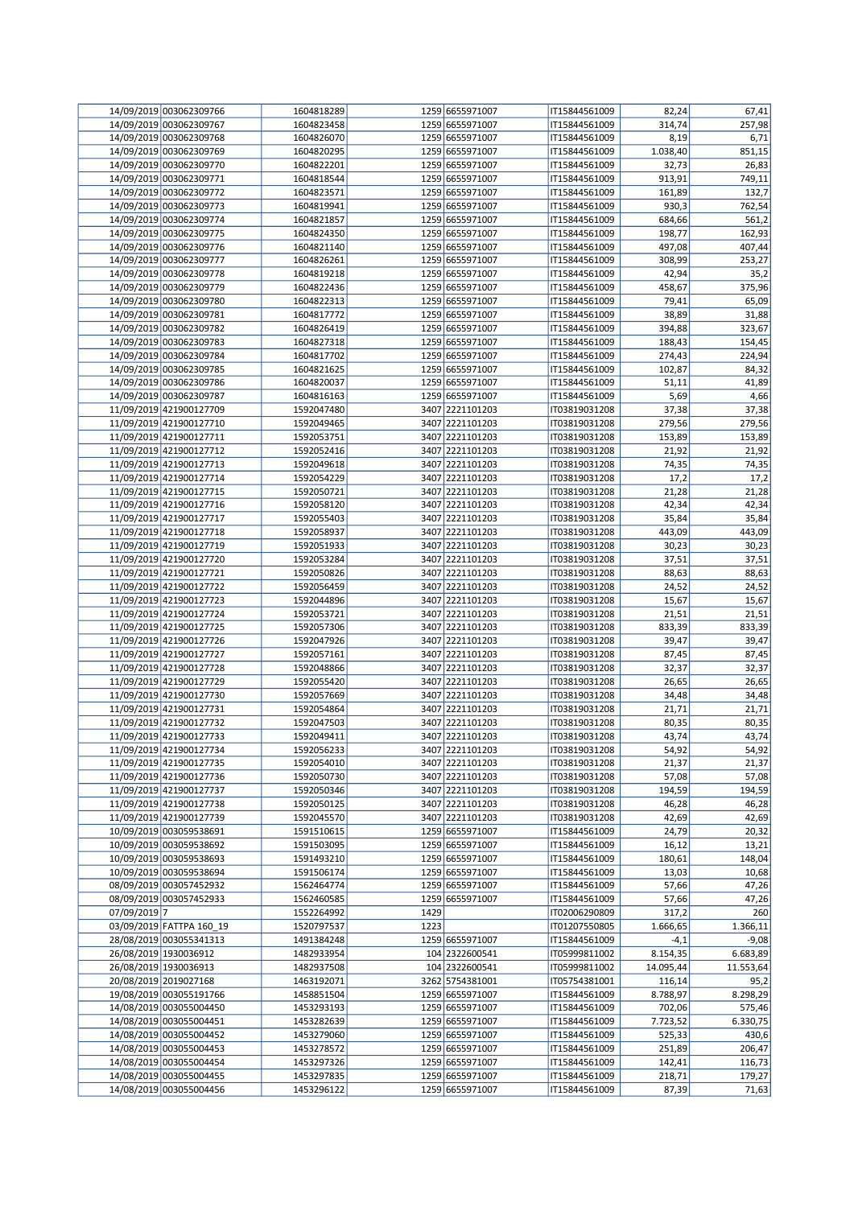|              | 14/09/2019 003062309766  | 1604818289 |      | 1259 6655971007 | IT15844561009 | 82,24     | 67,41     |
|--------------|--------------------------|------------|------|-----------------|---------------|-----------|-----------|
|              | 14/09/2019 003062309767  | 1604823458 |      | 1259 6655971007 | IT15844561009 | 314,74    | 257,98    |
|              | 14/09/2019 003062309768  | 1604826070 |      | 1259 6655971007 | IT15844561009 | 8,19      | 6,71      |
|              | 14/09/2019 003062309769  | 1604820295 |      | 1259 6655971007 | IT15844561009 | 1.038,40  | 851,15    |
|              | 14/09/2019 003062309770  | 1604822201 |      | 1259 6655971007 | IT15844561009 | 32,73     | 26,83     |
|              | 14/09/2019 003062309771  | 1604818544 |      | 1259 6655971007 | IT15844561009 | 913,91    | 749,11    |
|              |                          |            |      |                 |               |           |           |
|              | 14/09/2019 003062309772  | 1604823571 |      | 1259 6655971007 | IT15844561009 | 161,89    | 132,7     |
|              | 14/09/2019 003062309773  | 1604819941 |      | 1259 6655971007 | IT15844561009 | 930,3     | 762,54    |
|              | 14/09/2019 003062309774  | 1604821857 |      | 1259 6655971007 | IT15844561009 | 684,66    | 561,2     |
|              | 14/09/2019 003062309775  | 1604824350 |      | 1259 6655971007 | IT15844561009 | 198,77    | 162,93    |
|              | 14/09/2019 003062309776  | 1604821140 |      | 1259 6655971007 | IT15844561009 | 497,08    | 407,44    |
|              | 14/09/2019 003062309777  | 1604826261 |      | 1259 6655971007 | IT15844561009 | 308,99    | 253,27    |
|              | 14/09/2019 003062309778  | 1604819218 |      | 1259 6655971007 | IT15844561009 | 42,94     | 35,2      |
|              | 14/09/2019 003062309779  | 1604822436 |      | 1259 6655971007 | IT15844561009 | 458,67    | 375,96    |
|              | 14/09/2019 003062309780  | 1604822313 |      | 1259 6655971007 | IT15844561009 | 79,41     | 65,09     |
|              | 14/09/2019 003062309781  | 1604817772 |      | 1259 6655971007 | IT15844561009 | 38,89     | 31,88     |
|              |                          |            |      |                 |               |           |           |
|              | 14/09/2019 003062309782  | 1604826419 |      | 1259 6655971007 | IT15844561009 | 394,88    | 323,67    |
|              | 14/09/2019 003062309783  | 1604827318 |      | 1259 6655971007 | IT15844561009 | 188,43    | 154,45    |
|              | 14/09/2019 003062309784  | 1604817702 |      | 1259 6655971007 | IT15844561009 | 274,43    | 224,94    |
|              | 14/09/2019 003062309785  | 1604821625 |      | 1259 6655971007 | IT15844561009 | 102,87    | 84,32     |
|              | 14/09/2019 003062309786  | 1604820037 |      | 1259 6655971007 | IT15844561009 | 51,11     | 41,89     |
|              | 14/09/2019 003062309787  | 1604816163 |      | 1259 6655971007 | IT15844561009 | 5,69      | 4,66      |
|              | 11/09/2019 421900127709  | 1592047480 |      | 3407 2221101203 | IT03819031208 | 37,38     | 37,38     |
|              | 11/09/2019 421900127710  | 1592049465 |      | 3407 2221101203 | IT03819031208 | 279,56    | 279,56    |
|              | 11/09/2019 421900127711  | 1592053751 |      | 3407 2221101203 | IT03819031208 | 153,89    | 153,89    |
|              | 11/09/2019 421900127712  | 1592052416 |      | 3407 2221101203 | IT03819031208 | 21,92     | 21,92     |
|              | 11/09/2019 421900127713  | 1592049618 |      | 3407 2221101203 | IT03819031208 | 74,35     | 74,35     |
|              | 11/09/2019 421900127714  | 1592054229 |      | 3407 2221101203 | IT03819031208 | 17,2      | 17,2      |
|              | 11/09/2019 421900127715  |            |      | 3407 2221101203 |               |           | 21,28     |
|              |                          | 1592050721 |      |                 | IT03819031208 | 21,28     |           |
|              | 11/09/2019 421900127716  | 1592058120 |      | 3407 2221101203 | IT03819031208 | 42,34     | 42,34     |
|              | 11/09/2019 421900127717  | 1592055403 |      | 3407 2221101203 | IT03819031208 | 35,84     | 35,84     |
|              | 11/09/2019 421900127718  | 1592058937 |      | 3407 2221101203 | IT03819031208 | 443,09    | 443,09    |
|              | 11/09/2019 421900127719  | 1592051933 |      | 3407 2221101203 | IT03819031208 | 30,23     | 30,23     |
|              | 11/09/2019 421900127720  | 1592053284 |      | 3407 2221101203 | IT03819031208 | 37,51     | 37,51     |
|              | 11/09/2019 421900127721  | 1592050826 |      | 3407 2221101203 | IT03819031208 | 88,63     | 88,63     |
|              | 11/09/2019 421900127722  | 1592056459 |      | 3407 2221101203 | IT03819031208 | 24,52     | 24,52     |
|              | 11/09/2019 421900127723  | 1592044896 |      | 3407 2221101203 | IT03819031208 | 15,67     | 15,67     |
|              | 11/09/2019 421900127724  | 1592053721 |      | 3407 2221101203 | IT03819031208 | 21,51     | 21,51     |
|              | 11/09/2019 421900127725  | 1592057306 |      | 3407 2221101203 | IT03819031208 | 833,39    | 833,39    |
|              | 11/09/2019 421900127726  | 1592047926 |      | 3407 2221101203 | IT03819031208 | 39,47     | 39,47     |
|              | 11/09/2019 421900127727  | 1592057161 |      | 3407 2221101203 | IT03819031208 | 87,45     | 87,45     |
|              | 11/09/2019 421900127728  | 1592048866 |      | 3407 2221101203 | IT03819031208 | 32,37     | 32,37     |
|              | 11/09/2019 421900127729  | 1592055420 |      | 3407 2221101203 | IT03819031208 | 26,65     | 26,65     |
|              |                          |            |      |                 |               |           |           |
|              | 11/09/2019 421900127730  | 1592057669 |      | 3407 2221101203 | IT03819031208 | 34,48     | 34,48     |
|              | 11/09/2019 421900127731  | 1592054864 |      | 3407 2221101203 | IT03819031208 | 21,71     | 21,71     |
|              | 11/09/2019 421900127732  | 1592047503 |      | 3407 2221101203 | IT03819031208 | 80,35     | 80,35     |
|              | 11/09/2019 421900127733  | 1592049411 |      | 3407 2221101203 | IT03819031208 | 43,74     | 43,74     |
|              | 11/09/2019 421900127734  | 1592056233 |      | 3407 2221101203 | IT03819031208 | 54,92     | 54,92     |
|              | 11/09/2019 421900127735  | 1592054010 |      | 3407 2221101203 | IT03819031208 | 21,37     | 21,37     |
|              | 11/09/2019 421900127736  | 1592050730 |      | 3407 2221101203 | IT03819031208 | 57,08     | 57,08     |
|              | 11/09/2019 421900127737  | 1592050346 |      | 3407 2221101203 | IT03819031208 | 194,59    | 194,59    |
|              | 11/09/2019 421900127738  | 1592050125 |      | 3407 2221101203 | IT03819031208 | 46,28     | 46,28     |
|              | 11/09/2019 421900127739  | 1592045570 |      | 3407 2221101203 | IT03819031208 | 42,69     | 42,69     |
|              | 10/09/2019 003059538691  | 1591510615 |      | 1259 6655971007 | IT15844561009 | 24,79     | 20,32     |
|              | 10/09/2019 003059538692  | 1591503095 |      | 1259 6655971007 | IT15844561009 | 16,12     | 13,21     |
|              | 10/09/2019 003059538693  | 1591493210 |      | 1259 6655971007 | IT15844561009 | 180,61    | 148,04    |
|              | 10/09/2019 003059538694  | 1591506174 |      | 1259 6655971007 | IT15844561009 | 13,03     | 10,68     |
|              | 08/09/2019 003057452932  | 1562464774 |      | 1259 6655971007 | IT15844561009 | 57,66     | 47,26     |
|              | 08/09/2019 003057452933  |            |      |                 |               |           | 47,26     |
|              |                          | 1562460585 |      | 1259 6655971007 | IT15844561009 | 57,66     |           |
| 07/09/2019 7 |                          | 1552264992 | 1429 |                 | IT02006290809 | 317,2     | 260       |
|              | 03/09/2019 FATTPA 160_19 | 1520797537 | 1223 |                 | IT01207550805 | 1.666,65  | 1.366,11  |
|              | 28/08/2019 003055341313  | 1491384248 |      | 1259 6655971007 | IT15844561009 | $-4,1$    | $-9,08$   |
|              | 26/08/2019 1930036912    | 1482933954 |      | 104 2322600541  | IT05999811002 | 8.154,35  | 6.683,89  |
|              | 26/08/2019 1930036913    | 1482937508 |      | 104 2322600541  | IT05999811002 | 14.095,44 | 11.553,64 |
|              | 20/08/2019 2019027168    | 1463192071 |      | 3262 5754381001 | IT05754381001 | 116,14    | 95,2      |
|              | 19/08/2019 003055191766  | 1458851504 |      | 1259 6655971007 | IT15844561009 | 8.788,97  | 8.298,29  |
|              | 14/08/2019 003055004450  | 1453293193 |      | 1259 6655971007 | IT15844561009 | 702,06    | 575,46    |
|              | 14/08/2019 003055004451  | 1453282639 |      | 1259 6655971007 | IT15844561009 | 7.723,52  | 6.330,75  |
|              | 14/08/2019 003055004452  | 1453279060 |      | 1259 6655971007 | IT15844561009 | 525,33    | 430,6     |
|              | 14/08/2019 003055004453  | 1453278572 |      | 1259 6655971007 | IT15844561009 | 251,89    | 206,47    |
|              | 14/08/2019 003055004454  | 1453297326 |      | 1259 6655971007 | IT15844561009 | 142,41    | 116,73    |
|              | 14/08/2019 003055004455  | 1453297835 |      | 1259 6655971007 | IT15844561009 | 218,71    | 179,27    |
|              | 14/08/2019 003055004456  | 1453296122 |      | 1259 6655971007 | IT15844561009 | 87,39     | 71,63     |
|              |                          |            |      |                 |               |           |           |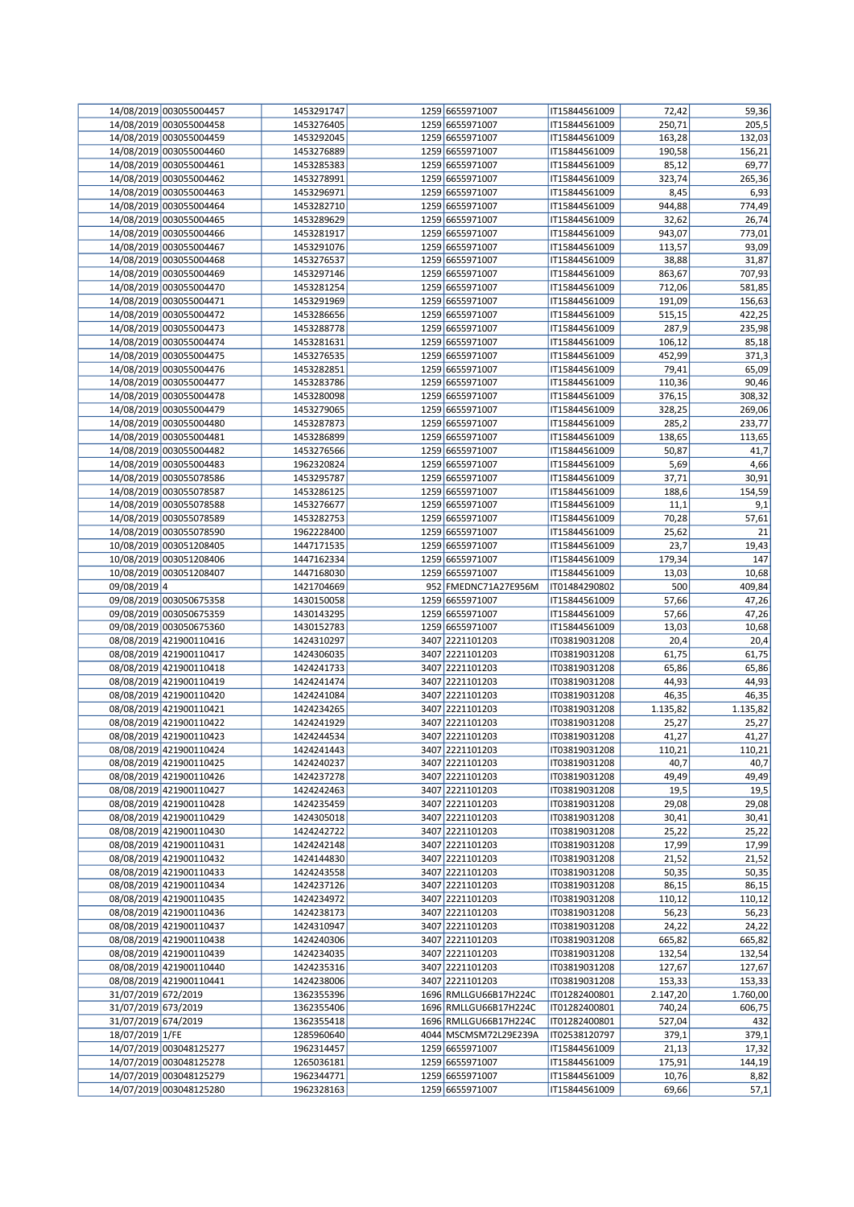|                     | 14/08/2019 003055004457 | 1453291747               | 1259 6655971007       | IT15844561009 | 72,42         | 59,36    |
|---------------------|-------------------------|--------------------------|-----------------------|---------------|---------------|----------|
|                     | 14/08/2019 003055004458 | 1453276405               | 1259 6655971007       | IT15844561009 | 250,71        | 205,5    |
|                     | 14/08/2019 003055004459 | 1453292045               | 1259 6655971007       | IT15844561009 | 163,28        | 132,03   |
|                     | 14/08/2019 003055004460 | 1453276889               | 1259 6655971007       | IT15844561009 | 190,58        | 156,21   |
|                     | 14/08/2019 003055004461 | 1453285383               | 1259 6655971007       | IT15844561009 | 85,12         | 69,77    |
|                     | 14/08/2019 003055004462 | 1453278991               | 1259 6655971007       | IT15844561009 | 323,74        | 265,36   |
|                     | 14/08/2019 003055004463 | 1453296971               | 1259 6655971007       | IT15844561009 | 8,45          | 6,93     |
|                     | 14/08/2019 003055004464 | 1453282710               | 1259 6655971007       | IT15844561009 | 944,88        | 774,49   |
|                     | 14/08/2019 003055004465 | 1453289629               | 1259 6655971007       | IT15844561009 | 32,62         | 26,74    |
|                     | 14/08/2019 003055004466 | 1453281917               | 1259 6655971007       | IT15844561009 | 943,07        | 773,01   |
|                     | 14/08/2019 003055004467 | 1453291076               | 1259 6655971007       | IT15844561009 | 113,57        | 93,09    |
|                     | 14/08/2019 003055004468 | 1453276537               | 1259 6655971007       | IT15844561009 | 38,88         | 31,87    |
|                     | 14/08/2019 003055004469 | 1453297146               | 1259 6655971007       | IT15844561009 | 863,67        | 707,93   |
|                     | 14/08/2019 003055004470 | 1453281254               | 1259 6655971007       | IT15844561009 | 712,06        | 581,85   |
|                     | 14/08/2019 003055004471 | 1453291969               | 1259 6655971007       | IT15844561009 | 191,09        | 156,63   |
|                     | 14/08/2019 003055004472 | 1453286656               | 1259 6655971007       | IT15844561009 | 515,15        | 422,25   |
|                     | 14/08/2019 003055004473 | 1453288778               | 1259 6655971007       | IT15844561009 | 287,9         | 235,98   |
|                     | 14/08/2019 003055004474 | 1453281631               | 1259 6655971007       | IT15844561009 | 106,12        | 85,18    |
|                     | 14/08/2019 003055004475 | 1453276535               | 1259 6655971007       | IT15844561009 | 452,99        | 371,3    |
|                     | 14/08/2019 003055004476 | 1453282851               | 1259 6655971007       | IT15844561009 | 79,41         | 65,09    |
|                     | 14/08/2019 003055004477 | 1453283786               | 1259 6655971007       | IT15844561009 | 110,36        | 90,46    |
|                     | 14/08/2019 003055004478 | 1453280098               | 1259 6655971007       | IT15844561009 | 376,15        | 308,32   |
|                     | 14/08/2019 003055004479 | 1453279065               | 1259 6655971007       | IT15844561009 | 328,25        | 269,06   |
|                     | 14/08/2019 003055004480 | 1453287873               | 1259 6655971007       | IT15844561009 | 285,2         | 233,77   |
|                     | 14/08/2019 003055004481 | 1453286899               | 1259 6655971007       | IT15844561009 | 138,65        | 113,65   |
|                     | 14/08/2019 003055004482 | 1453276566               | 1259 6655971007       | IT15844561009 | 50,87         | 41,7     |
|                     | 14/08/2019 003055004483 | 1962320824               | 1259 6655971007       | IT15844561009 | 5,69          | 4,66     |
|                     | 14/08/2019 003055078586 | 1453295787               | 1259 6655971007       |               | 37,71         | 30,91    |
|                     |                         |                          | 1259 6655971007       | IT15844561009 |               |          |
|                     | 14/08/2019 003055078587 | 1453286125<br>1453276677 | 1259 6655971007       | IT15844561009 | 188,6<br>11,1 | 154,59   |
|                     | 14/08/2019 003055078588 |                          |                       | IT15844561009 |               | 9,1      |
|                     | 14/08/2019 003055078589 | 1453282753               | 1259 6655971007       | IT15844561009 | 70,28         | 57,61    |
|                     | 14/08/2019 003055078590 | 1962228400               | 1259 6655971007       | IT15844561009 | 25,62         | 21       |
|                     | 10/08/2019 003051208405 | 1447171535               | 1259 6655971007       | IT15844561009 | 23,7          | 19,43    |
|                     | 10/08/2019 003051208406 | 1447162334               | 1259 6655971007       | IT15844561009 | 179,34        | 147      |
|                     | 10/08/2019 003051208407 | 1447168030               | 1259 6655971007       | IT15844561009 | 13,03         | 10,68    |
| 09/08/2019 4        |                         | 1421704669               | 952 FMEDNC71A27E956M  | IT01484290802 | 500           | 409,84   |
|                     | 09/08/2019 003050675358 | 1430150058               | 1259 6655971007       | IT15844561009 | 57,66         | 47,26    |
|                     | 09/08/2019 003050675359 | 1430143295               | 1259 6655971007       | IT15844561009 | 57,66         | 47,26    |
|                     | 09/08/2019 003050675360 | 1430152783               | 1259 6655971007       | IT15844561009 | 13,03         | 10,68    |
|                     | 08/08/2019 421900110416 | 1424310297               | 3407 2221101203       | IT03819031208 | 20,4          | 20,4     |
|                     | 08/08/2019 421900110417 | 1424306035               | 3407 2221101203       | IT03819031208 | 61,75         | 61,75    |
|                     | 08/08/2019 421900110418 | 1424241733               | 3407 2221101203       | IT03819031208 | 65,86         | 65,86    |
|                     | 08/08/2019 421900110419 | 1424241474               | 3407 2221101203       | IT03819031208 | 44,93         | 44,93    |
|                     | 08/08/2019 421900110420 | 1424241084               | 3407 2221101203       | IT03819031208 | 46,35         | 46,35    |
|                     | 08/08/2019 421900110421 | 1424234265               | 3407 2221101203       | IT03819031208 | 1.135,82      | 1.135,82 |
|                     | 08/08/2019 421900110422 | 1424241929               | 3407 2221101203       | IT03819031208 | 25,27         | 25,27    |
|                     | 08/08/2019 421900110423 | 1424244534               | 3407 2221101203       | IT03819031208 | 41,27         | 41,27    |
|                     | 08/08/2019 421900110424 | 1424241443               | 3407 2221101203       | IT03819031208 | 110,21        | 110,21   |
|                     | 08/08/2019 421900110425 | 1424240237               | 3407 2221101203       | IT03819031208 | 40,7          | 40,7     |
|                     | 08/08/2019 421900110426 | 1424237278               | 3407 2221101203       | IT03819031208 | 49,49         | 49,49    |
|                     | 08/08/2019 421900110427 | 1424242463               | 3407 2221101203       | IT03819031208 | 19,5          | 19,5     |
|                     | 08/08/2019 421900110428 | 1424235459               | 3407 2221101203       | IT03819031208 | 29,08         | 29,08    |
|                     | 08/08/2019 421900110429 | 1424305018               | 3407 2221101203       | IT03819031208 | 30,41         | 30,41    |
|                     | 08/08/2019 421900110430 | 1424242722               | 3407 2221101203       | IT03819031208 | 25,22         | 25,22    |
|                     | 08/08/2019 421900110431 | 1424242148               | 3407 2221101203       | IT03819031208 | 17,99         | 17,99    |
|                     | 08/08/2019 421900110432 | 1424144830               | 3407 2221101203       | IT03819031208 | 21,52         | 21,52    |
|                     | 08/08/2019 421900110433 | 1424243558               | 3407 2221101203       | IT03819031208 | 50,35         | 50,35    |
|                     | 08/08/2019 421900110434 | 1424237126               | 3407 2221101203       | IT03819031208 | 86,15         | 86,15    |
|                     | 08/08/2019 421900110435 | 1424234972               | 3407 2221101203       | IT03819031208 | 110,12        | 110,12   |
|                     | 08/08/2019 421900110436 | 1424238173               | 3407 2221101203       | IT03819031208 | 56,23         | 56,23    |
|                     | 08/08/2019 421900110437 | 1424310947               | 3407 2221101203       | IT03819031208 | 24,22         | 24,22    |
|                     | 08/08/2019 421900110438 | 1424240306               | 3407 2221101203       | IT03819031208 | 665,82        | 665,82   |
|                     | 08/08/2019 421900110439 | 1424234035               | 3407 2221101203       | IT03819031208 | 132,54        | 132,54   |
|                     | 08/08/2019 421900110440 | 1424235316               | 3407 2221101203       | IT03819031208 | 127,67        | 127,67   |
|                     | 08/08/2019 421900110441 | 1424238006               | 3407 2221101203       | IT03819031208 | 153,33        | 153,33   |
| 31/07/2019 672/2019 |                         | 1362355396               | 1696 RMLLGU66B17H224C | IT01282400801 | 2.147,20      | 1.760,00 |
| 31/07/2019 673/2019 |                         | 1362355406               | 1696 RMLLGU66B17H224C | IT01282400801 | 740,24        | 606,75   |
| 31/07/2019 674/2019 |                         | 1362355418               | 1696 RMLLGU66B17H224C | IT01282400801 | 527,04        | 432      |
| 18/07/2019 1/FE     |                         | 1285960640               | 4044 MSCMSM72L29E239A | IT02538120797 | 379,1         | 379,1    |
|                     | 14/07/2019 003048125277 | 1962314457               | 1259 6655971007       | IT15844561009 | 21,13         | 17,32    |
|                     | 14/07/2019 003048125278 | 1265036181               | 1259 6655971007       | IT15844561009 | 175,91        | 144,19   |
|                     | 14/07/2019 003048125279 | 1962344771               | 1259 6655971007       | IT15844561009 | 10,76         | 8,82     |
|                     | 14/07/2019 003048125280 | 1962328163               | 1259 6655971007       | IT15844561009 | 69,66         | 57,1     |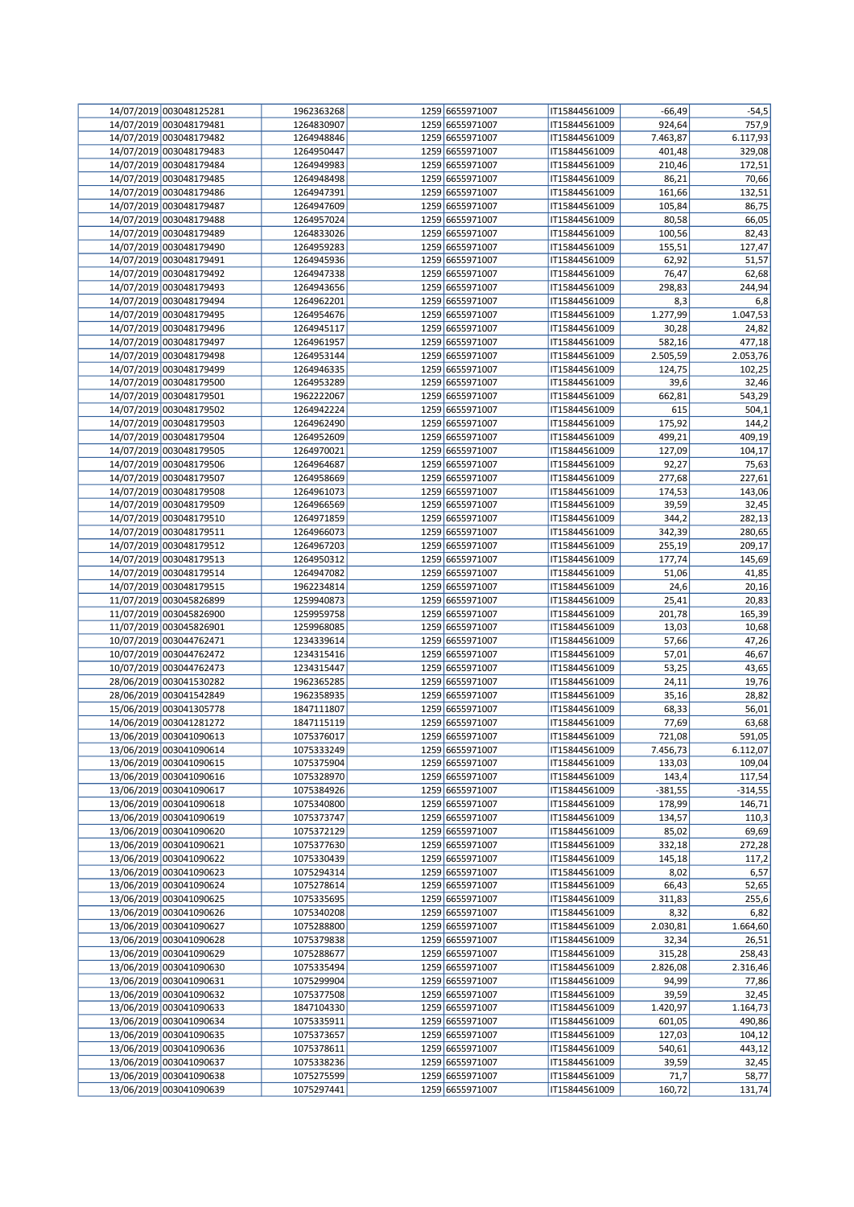| 14/07/2019 003048125281 | 1962363268 | 1259 6655971007 | IT15844561009 | $-66,49$  | $-54,5$   |
|-------------------------|------------|-----------------|---------------|-----------|-----------|
| 14/07/2019 003048179481 | 1264830907 | 1259 6655971007 | IT15844561009 | 924,64    | 757,9     |
| 14/07/2019 003048179482 | 1264948846 | 1259 6655971007 | IT15844561009 | 7.463,87  | 6.117,93  |
| 14/07/2019 003048179483 | 1264950447 | 1259 6655971007 | IT15844561009 | 401,48    | 329,08    |
|                         |            |                 |               |           |           |
| 14/07/2019 003048179484 | 1264949983 | 1259 6655971007 | IT15844561009 | 210,46    | 172,51    |
| 14/07/2019 003048179485 | 1264948498 | 1259 6655971007 | IT15844561009 | 86,21     | 70,66     |
| 14/07/2019 003048179486 | 1264947391 | 1259 6655971007 | IT15844561009 | 161,66    | 132,51    |
| 14/07/2019 003048179487 | 1264947609 | 1259 6655971007 | IT15844561009 | 105,84    | 86,75     |
| 14/07/2019 003048179488 | 1264957024 | 1259 6655971007 | IT15844561009 | 80,58     | 66,05     |
| 14/07/2019 003048179489 | 1264833026 | 1259 6655971007 | IT15844561009 | 100,56    | 82,43     |
| 14/07/2019 003048179490 | 1264959283 | 1259 6655971007 | IT15844561009 | 155,51    | 127,47    |
| 14/07/2019 003048179491 | 1264945936 | 1259 6655971007 | IT15844561009 | 62,92     | 51,57     |
| 14/07/2019 003048179492 | 1264947338 | 1259 6655971007 | IT15844561009 | 76,47     | 62,68     |
|                         |            |                 |               |           |           |
| 14/07/2019 003048179493 | 1264943656 | 1259 6655971007 | IT15844561009 | 298,83    | 244,94    |
| 14/07/2019 003048179494 | 1264962201 | 1259 6655971007 | IT15844561009 | 8,3       | 6,8       |
| 14/07/2019 003048179495 | 1264954676 | 1259 6655971007 | IT15844561009 | 1.277,99  | 1.047,53  |
| 14/07/2019 003048179496 | 1264945117 | 1259 6655971007 | IT15844561009 | 30,28     | 24,82     |
| 14/07/2019 003048179497 | 1264961957 | 1259 6655971007 | IT15844561009 | 582,16    | 477,18    |
| 14/07/2019 003048179498 | 1264953144 | 1259 6655971007 | IT15844561009 | 2.505,59  | 2.053,76  |
| 14/07/2019 003048179499 | 1264946335 | 1259 6655971007 | IT15844561009 | 124,75    | 102,25    |
| 14/07/2019 003048179500 | 1264953289 | 1259 6655971007 | IT15844561009 | 39,6      | 32,46     |
|                         |            |                 |               |           |           |
| 14/07/2019 003048179501 | 1962222067 | 1259 6655971007 | IT15844561009 | 662,81    | 543,29    |
| 14/07/2019 003048179502 | 1264942224 | 1259 6655971007 | IT15844561009 | 615       | 504,1     |
| 14/07/2019 003048179503 | 1264962490 | 1259 6655971007 | IT15844561009 | 175,92    | 144,2     |
| 14/07/2019 003048179504 | 1264952609 | 1259 6655971007 | IT15844561009 | 499,21    | 409,19    |
| 14/07/2019 003048179505 | 1264970021 | 1259 6655971007 | IT15844561009 | 127,09    | 104,17    |
| 14/07/2019 003048179506 | 1264964687 | 1259 6655971007 | IT15844561009 | 92,27     | 75,63     |
| 14/07/2019 003048179507 | 1264958669 | 1259 6655971007 | IT15844561009 | 277,68    | 227,61    |
| 14/07/2019 003048179508 | 1264961073 | 1259 6655971007 | IT15844561009 | 174,53    | 143,06    |
| 14/07/2019 003048179509 |            | 1259 6655971007 |               | 39,59     | 32,45     |
|                         | 1264966569 |                 | IT15844561009 |           |           |
| 14/07/2019 003048179510 | 1264971859 | 1259 6655971007 | IT15844561009 | 344,2     | 282,13    |
| 14/07/2019 003048179511 | 1264966073 | 1259 6655971007 | IT15844561009 | 342,39    | 280,65    |
| 14/07/2019 003048179512 | 1264967203 | 1259 6655971007 | IT15844561009 | 255,19    | 209,17    |
| 14/07/2019 003048179513 | 1264950312 | 1259 6655971007 | IT15844561009 | 177,74    | 145,69    |
| 14/07/2019 003048179514 | 1264947082 | 1259 6655971007 | IT15844561009 | 51,06     | 41,85     |
| 14/07/2019 003048179515 | 1962234814 | 1259 6655971007 | IT15844561009 | 24,6      | 20,16     |
| 11/07/2019 003045826899 | 1259940873 | 1259 6655971007 | IT15844561009 | 25,41     | 20,83     |
|                         |            |                 |               |           |           |
| 11/07/2019 003045826900 | 1259959758 | 1259 6655971007 | IT15844561009 | 201,78    | 165,39    |
| 11/07/2019 003045826901 | 1259968085 | 1259 6655971007 | IT15844561009 | 13,03     | 10,68     |
| 10/07/2019 003044762471 | 1234339614 | 1259 6655971007 | IT15844561009 | 57,66     | 47,26     |
| 10/07/2019 003044762472 | 1234315416 | 1259 6655971007 | IT15844561009 | 57,01     | 46,67     |
| 10/07/2019 003044762473 | 1234315447 | 1259 6655971007 | IT15844561009 | 53,25     | 43,65     |
| 28/06/2019 003041530282 | 1962365285 | 1259 6655971007 | IT15844561009 | 24,11     | 19,76     |
| 28/06/2019 003041542849 | 1962358935 | 1259 6655971007 | IT15844561009 | 35,16     | 28,82     |
| 15/06/2019 003041305778 | 1847111807 | 1259 6655971007 | IT15844561009 | 68,33     | 56,01     |
|                         | 1847115119 | 1259 6655971007 | IT15844561009 |           | 63,68     |
| 14/06/2019 003041281272 |            |                 |               | 77,69     |           |
| 13/06/2019 003041090613 | 1075376017 | 1259 6655971007 | IT15844561009 | 721,08    | 591,05    |
| 13/06/2019 003041090614 | 1075333249 | 1259 6655971007 | IT15844561009 | 7.456,73  | 6.112,07  |
| 13/06/2019 003041090615 | 1075375904 | 1259 6655971007 | IT15844561009 | 133,03    | 109,04    |
| 13/06/2019 003041090616 | 1075328970 | 1259 6655971007 | IT15844561009 | 143,4     | 117,54    |
| 13/06/2019 003041090617 | 1075384926 | 1259 6655971007 | IT15844561009 | $-381,55$ | $-314,55$ |
| 13/06/2019 003041090618 | 1075340800 | 1259 6655971007 | IT15844561009 | 178,99    | 146,71    |
| 13/06/2019 003041090619 | 1075373747 | 1259 6655971007 | IT15844561009 | 134,57    | 110,3     |
| 13/06/2019 003041090620 | 1075372129 | 1259 6655971007 | IT15844561009 | 85,02     | 69,69     |
| 13/06/2019 003041090621 | 1075377630 | 1259 6655971007 | IT15844561009 | 332,18    | 272,28    |
|                         |            |                 |               |           |           |
| 13/06/2019 003041090622 | 1075330439 | 1259 6655971007 | IT15844561009 | 145,18    | 117,2     |
| 13/06/2019 003041090623 | 1075294314 | 1259 6655971007 | IT15844561009 | 8,02      | 6,57      |
| 13/06/2019 003041090624 | 1075278614 | 1259 6655971007 | IT15844561009 | 66,43     | 52,65     |
| 13/06/2019 003041090625 | 1075335695 | 1259 6655971007 | IT15844561009 | 311,83    | 255,6     |
| 13/06/2019 003041090626 | 1075340208 | 1259 6655971007 | IT15844561009 | 8,32      | 6,82      |
| 13/06/2019 003041090627 | 1075288800 | 1259 6655971007 | IT15844561009 | 2.030,81  | 1.664,60  |
| 13/06/2019 003041090628 | 1075379838 | 1259 6655971007 | IT15844561009 | 32,34     | 26,51     |
| 13/06/2019 003041090629 | 1075288677 | 1259 6655971007 | IT15844561009 | 315,28    | 258,43    |
| 13/06/2019 003041090630 | 1075335494 | 1259 6655971007 | IT15844561009 | 2.826,08  | 2.316,46  |
|                         |            |                 |               |           |           |
| 13/06/2019 003041090631 | 1075299904 | 1259 6655971007 | IT15844561009 | 94,99     | 77,86     |
| 13/06/2019 003041090632 | 1075377508 | 1259 6655971007 | IT15844561009 | 39,59     | 32,45     |
| 13/06/2019 003041090633 | 1847104330 | 1259 6655971007 | IT15844561009 | 1.420,97  | 1.164,73  |
| 13/06/2019 003041090634 | 1075335911 | 1259 6655971007 | IT15844561009 | 601,05    | 490,86    |
| 13/06/2019 003041090635 | 1075373657 | 1259 6655971007 | IT15844561009 | 127,03    | 104,12    |
| 13/06/2019 003041090636 | 1075378611 | 1259 6655971007 | IT15844561009 | 540,61    | 443,12    |
| 13/06/2019 003041090637 | 1075338236 | 1259 6655971007 | IT15844561009 | 39,59     | 32,45     |
| 13/06/2019 003041090638 | 1075275599 | 1259 6655971007 | IT15844561009 | 71,7      | 58,77     |
| 13/06/2019 003041090639 |            | 1259 6655971007 |               |           |           |
|                         | 1075297441 |                 | IT15844561009 | 160,72    | 131,74    |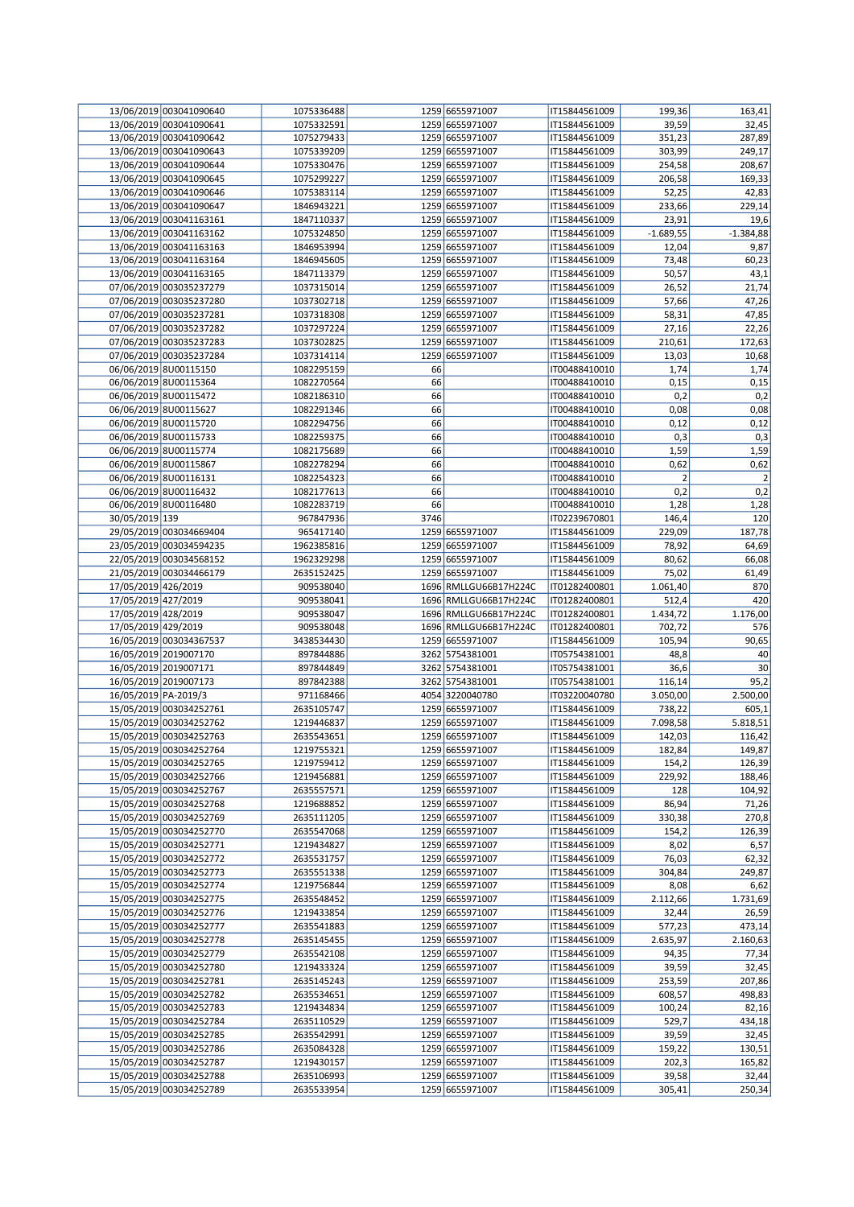|                       | 13/06/2019 003041090640 | 1075336488 |      | 1259 6655971007       | IT15844561009 | 199,36         | 163,41         |
|-----------------------|-------------------------|------------|------|-----------------------|---------------|----------------|----------------|
|                       | 13/06/2019 003041090641 | 1075332591 |      | 1259 6655971007       | IT15844561009 | 39,59          | 32,45          |
|                       | 13/06/2019 003041090642 | 1075279433 |      | 1259 6655971007       | IT15844561009 | 351,23         | 287,89         |
|                       | 13/06/2019 003041090643 | 1075339209 |      | 1259 6655971007       | IT15844561009 | 303,99         | 249,17         |
|                       | 13/06/2019 003041090644 | 1075330476 |      | 1259 6655971007       | IT15844561009 | 254,58         | 208,67         |
|                       | 13/06/2019 003041090645 | 1075299227 |      | 1259 6655971007       | IT15844561009 | 206,58         | 169,33         |
|                       | 13/06/2019 003041090646 | 1075383114 |      | 1259 6655971007       | IT15844561009 | 52,25          | 42,83          |
|                       | 13/06/2019 003041090647 | 1846943221 |      | 1259 6655971007       | IT15844561009 | 233,66         | 229,14         |
|                       | 13/06/2019 003041163161 | 1847110337 |      | 1259 6655971007       | IT15844561009 | 23,91          | 19,6           |
|                       | 13/06/2019 003041163162 | 1075324850 |      | 1259 6655971007       | IT15844561009 | $-1.689,55$    | $-1.384,88$    |
|                       | 13/06/2019 003041163163 | 1846953994 |      | 1259 6655971007       | IT15844561009 | 12,04          | 9,87           |
|                       | 13/06/2019 003041163164 | 1846945605 |      | 1259 6655971007       | IT15844561009 | 73,48          | 60,23          |
|                       | 13/06/2019 003041163165 | 1847113379 |      | 1259 6655971007       | IT15844561009 | 50,57          | 43,1           |
|                       | 07/06/2019 003035237279 | 1037315014 |      | 1259 6655971007       | IT15844561009 | 26,52          | 21,74          |
|                       | 07/06/2019 003035237280 | 1037302718 |      | 1259 6655971007       | IT15844561009 | 57,66          | 47,26          |
|                       | 07/06/2019 003035237281 | 1037318308 |      | 1259 6655971007       | IT15844561009 | 58,31          | 47,85          |
|                       | 07/06/2019 003035237282 | 1037297224 |      | 1259 6655971007       | IT15844561009 | 27,16          | 22,26          |
|                       | 07/06/2019 003035237283 | 1037302825 |      | 1259 6655971007       | IT15844561009 | 210,61         | 172,63         |
|                       | 07/06/2019 003035237284 | 1037314114 |      | 1259 6655971007       | IT15844561009 | 13,03          | 10,68          |
|                       | 06/06/2019 8U00115150   | 1082295159 | 66   |                       | IT00488410010 | 1,74           | 1,74           |
|                       | 06/06/2019 8U00115364   | 1082270564 | 66   |                       | IT00488410010 | 0,15           | 0,15           |
|                       |                         |            | 66   |                       |               |                | 0,2            |
|                       | 06/06/2019 8U00115472   | 1082186310 |      |                       | IT00488410010 | 0,2            |                |
|                       | 06/06/2019 8U00115627   | 1082291346 | 66   |                       | IT00488410010 | 0,08           | 0,08           |
|                       | 06/06/2019 8U00115720   | 1082294756 | 66   |                       | IT00488410010 | 0,12           | 0,12           |
|                       | 06/06/2019 8U00115733   | 1082259375 | 66   |                       | IT00488410010 | 0,3            | 0,3            |
|                       | 06/06/2019 8U00115774   | 1082175689 | 66   |                       | IT00488410010 | 1,59           | 1,59           |
|                       | 06/06/2019 8U00115867   | 1082278294 | 66   |                       | IT00488410010 | 0,62           | 0,62           |
|                       | 06/06/2019 8U00116131   | 1082254323 | 66   |                       | IT00488410010 | $\overline{2}$ | $\overline{2}$ |
|                       | 06/06/2019 8U00116432   | 1082177613 | 66   |                       | IT00488410010 | 0,2            | 0,2            |
|                       | 06/06/2019 8U00116480   | 1082283719 | 66   |                       | IT00488410010 | 1,28           | 1,28           |
| 30/05/2019 139        |                         | 967847936  | 3746 |                       | IT02239670801 | 146,4          | 120            |
|                       | 29/05/2019 003034669404 | 965417140  |      | 1259 6655971007       | IT15844561009 | 229,09         | 187,78         |
|                       | 23/05/2019 003034594235 | 1962385816 |      | 1259 6655971007       | IT15844561009 | 78,92          | 64,69          |
|                       | 22/05/2019 003034568152 | 1962329298 |      | 1259 6655971007       | IT15844561009 | 80,62          | 66,08          |
|                       | 21/05/2019 003034466179 | 2635152425 |      | 1259 6655971007       | IT15844561009 | 75,02          | 61,49          |
| 17/05/2019 426/2019   |                         | 909538040  |      | 1696 RMLLGU66B17H224C | IT01282400801 | 1.061,40       | 870            |
| 17/05/2019 427/2019   |                         | 909538041  |      | 1696 RMLLGU66B17H224C | IT01282400801 | 512,4          | 420            |
| 17/05/2019 428/2019   |                         | 909538047  |      | 1696 RMLLGU66B17H224C | IT01282400801 | 1.434,72       | 1.176,00       |
| 17/05/2019 429/2019   |                         | 909538048  |      | 1696 RMLLGU66B17H224C | IT01282400801 | 702,72         | 576            |
|                       | 16/05/2019 003034367537 | 3438534430 |      | 1259 6655971007       | IT15844561009 | 105,94         | 90,65          |
|                       | 16/05/2019 2019007170   | 897844886  |      | 3262 5754381001       | IT05754381001 | 48,8           | 40             |
|                       | 16/05/2019 2019007171   | 897844849  |      | 3262 5754381001       | IT05754381001 | 36,6           | 30             |
| 16/05/2019 2019007173 |                         |            |      | 3262 5754381001       | IT05754381001 |                |                |
|                       |                         | 897842388  |      |                       |               | 116,14         | 95,2           |
|                       | 16/05/2019 PA-2019/3    | 971168466  |      | 4054 3220040780       | IT03220040780 | 3.050,00       | 2.500,00       |
|                       | 15/05/2019 003034252761 | 2635105747 |      | 1259 6655971007       | IT15844561009 | 738,22         | 605,1          |
|                       | 15/05/2019 003034252762 | 1219446837 |      | 1259 6655971007       | IT15844561009 | 7.098,58       | 5.818,51       |
|                       | 15/05/2019 003034252763 | 2635543651 |      | 1259 6655971007       | IT15844561009 | 142,03         | 116,42         |
|                       | 15/05/2019 003034252764 | 1219755321 |      | 1259 6655971007       | IT15844561009 | 182,84         | 149,87         |
|                       | 15/05/2019 003034252765 | 1219759412 |      | 1259 6655971007       | IT15844561009 | 154,2          | 126,39         |
|                       | 15/05/2019 003034252766 | 1219456881 |      | 1259 6655971007       | IT15844561009 | 229,92         | 188,46         |
|                       | 15/05/2019 003034252767 | 2635557571 |      | 1259 6655971007       | IT15844561009 | 128            | 104,92         |
|                       | 15/05/2019 003034252768 | 1219688852 |      | 1259 6655971007       | IT15844561009 | 86,94          | 71,26          |
|                       | 15/05/2019 003034252769 | 2635111205 |      | 1259 6655971007       | IT15844561009 | 330,38         | 270,8          |
|                       | 15/05/2019 003034252770 | 2635547068 |      | 1259 6655971007       | IT15844561009 | 154,2          | 126,39         |
|                       | 15/05/2019 003034252771 | 1219434827 |      | 1259 6655971007       | IT15844561009 | 8,02           | 6,57           |
|                       | 15/05/2019 003034252772 | 2635531757 |      | 1259 6655971007       | IT15844561009 | 76,03          | 62,32          |
|                       | 15/05/2019 003034252773 | 2635551338 |      | 1259 6655971007       | IT15844561009 | 304,84         | 249,87         |
|                       | 15/05/2019 003034252774 | 1219756844 |      | 1259 6655971007       | IT15844561009 | 8,08           | 6,62           |
|                       | 15/05/2019 003034252775 | 2635548452 |      | 1259 6655971007       | IT15844561009 | 2.112,66       | 1.731,69       |
|                       | 15/05/2019 003034252776 | 1219433854 |      | 1259 6655971007       | IT15844561009 | 32,44          | 26,59          |
|                       | 15/05/2019 003034252777 | 2635541883 |      | 1259 6655971007       | IT15844561009 | 577,23         | 473,14         |
|                       | 15/05/2019 003034252778 | 2635145455 |      | 1259 6655971007       | IT15844561009 | 2.635,97       | 2.160,63       |
|                       | 15/05/2019 003034252779 | 2635542108 |      | 1259 6655971007       | IT15844561009 | 94,35          | 77,34          |
|                       | 15/05/2019 003034252780 | 1219433324 |      | 1259 6655971007       | IT15844561009 | 39,59          | 32,45          |
|                       | 15/05/2019 003034252781 | 2635145243 |      | 1259 6655971007       | IT15844561009 | 253,59         | 207,86         |
|                       | 15/05/2019 003034252782 | 2635534651 |      | 1259 6655971007       | IT15844561009 | 608,57         | 498,83         |
|                       | 15/05/2019 003034252783 | 1219434834 |      | 1259 6655971007       | IT15844561009 | 100,24         | 82,16          |
|                       | 15/05/2019 003034252784 | 2635110529 |      | 1259 6655971007       | IT15844561009 | 529,7          | 434,18         |
|                       | 15/05/2019 003034252785 | 2635542991 |      | 1259 6655971007       | IT15844561009 | 39,59          | 32,45          |
|                       | 15/05/2019 003034252786 | 2635084328 |      | 1259 6655971007       | IT15844561009 | 159,22         | 130,51         |
|                       | 15/05/2019 003034252787 | 1219430157 |      | 1259 6655971007       | IT15844561009 | 202,3          | 165,82         |
|                       | 15/05/2019 003034252788 | 2635106993 |      | 1259 6655971007       | IT15844561009 | 39,58          | 32,44          |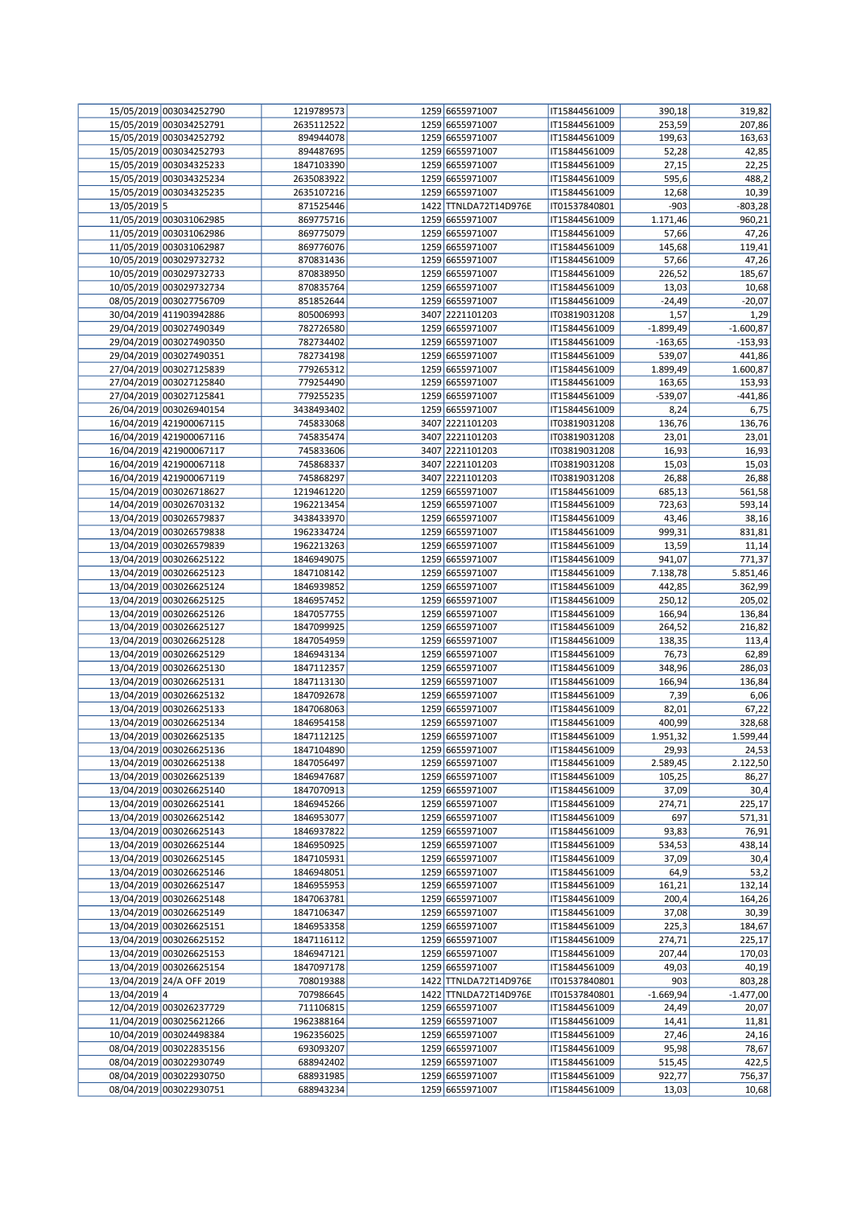|              | 15/05/2019 003034252790  | 1219789573 | 1259 6655971007       | IT15844561009 | 390,18      | 319,82      |
|--------------|--------------------------|------------|-----------------------|---------------|-------------|-------------|
|              | 15/05/2019 003034252791  | 2635112522 | 1259 6655971007       | IT15844561009 | 253,59      | 207,86      |
|              | 15/05/2019 003034252792  | 894944078  | 1259 6655971007       | IT15844561009 | 199,63      | 163,63      |
|              | 15/05/2019 003034252793  |            |                       | IT15844561009 |             |             |
|              |                          | 894487695  | 1259 6655971007       |               | 52,28       | 42,85       |
|              | 15/05/2019 003034325233  | 1847103390 | 1259 6655971007       | IT15844561009 | 27,15       | 22,25       |
|              | 15/05/2019 003034325234  | 2635083922 | 1259 6655971007       | IT15844561009 | 595,6       | 488,2       |
|              | 15/05/2019 003034325235  | 2635107216 | 1259 6655971007       | IT15844561009 | 12,68       | 10,39       |
| 13/05/2019 5 |                          | 871525446  | 1422 TTNLDA72T14D976E | IT01537840801 | $-903$      | $-803,28$   |
|              | 11/05/2019 003031062985  | 869775716  | 1259 6655971007       | IT15844561009 | 1.171,46    | 960,21      |
|              | 11/05/2019 003031062986  | 869775079  | 1259 6655971007       | IT15844561009 | 57,66       | 47,26       |
|              |                          |            |                       |               |             |             |
|              | 11/05/2019 003031062987  | 869776076  | 1259 6655971007       | IT15844561009 | 145,68      | 119,41      |
|              | 10/05/2019 003029732732  | 870831436  | 1259 6655971007       | IT15844561009 | 57,66       | 47,26       |
|              | 10/05/2019 003029732733  | 870838950  | 1259 6655971007       | IT15844561009 | 226,52      | 185,67      |
|              | 10/05/2019 003029732734  | 870835764  | 1259 6655971007       | IT15844561009 | 13,03       | 10,68       |
|              | 08/05/2019 003027756709  | 851852644  | 1259 6655971007       | IT15844561009 | $-24,49$    | $-20,07$    |
|              | 30/04/2019 411903942886  | 805006993  | 3407 2221101203       | IT03819031208 | 1,57        | 1,29        |
|              |                          |            |                       |               |             |             |
|              | 29/04/2019 003027490349  | 782726580  | 1259 6655971007       | IT15844561009 | $-1.899,49$ | $-1.600,87$ |
|              | 29/04/2019 003027490350  | 782734402  | 1259 6655971007       | IT15844561009 | $-163,65$   | $-153,93$   |
|              | 29/04/2019 003027490351  | 782734198  | 1259 6655971007       | IT15844561009 | 539,07      | 441,86      |
|              | 27/04/2019 003027125839  | 779265312  | 1259 6655971007       | IT15844561009 | 1.899,49    | 1.600,87    |
|              | 27/04/2019 003027125840  | 779254490  | 1259 6655971007       | IT15844561009 | 163,65      | 153,93      |
|              | 27/04/2019 003027125841  | 779255235  | 1259 6655971007       | IT15844561009 | $-539,07$   | -441,86     |
|              |                          | 3438493402 | 1259 6655971007       |               |             |             |
|              | 26/04/2019 003026940154  |            |                       | IT15844561009 | 8,24        | 6,75        |
|              | 16/04/2019 421900067115  | 745833068  | 3407 2221101203       | IT03819031208 | 136,76      | 136,76      |
|              | 16/04/2019 421900067116  | 745835474  | 3407 2221101203       | IT03819031208 | 23,01       | 23,01       |
|              | 16/04/2019 421900067117  | 745833606  | 3407 2221101203       | IT03819031208 | 16,93       | 16,93       |
|              | 16/04/2019 421900067118  | 745868337  | 3407 2221101203       | IT03819031208 | 15,03       | 15,03       |
|              | 16/04/2019 421900067119  | 745868297  | 3407 2221101203       | IT03819031208 | 26,88       | 26,88       |
|              |                          | 1219461220 | 1259 6655971007       | IT15844561009 |             |             |
|              | 15/04/2019 003026718627  |            |                       |               | 685,13      | 561,58      |
|              | 14/04/2019 003026703132  | 1962213454 | 1259 6655971007       | IT15844561009 | 723,63      | 593,14      |
|              | 13/04/2019 003026579837  | 3438433970 | 1259 6655971007       | IT15844561009 | 43,46       | 38,16       |
|              | 13/04/2019 003026579838  | 1962334724 | 1259 6655971007       | IT15844561009 | 999,31      | 831,81      |
|              | 13/04/2019 003026579839  | 1962213263 | 1259 6655971007       | IT15844561009 | 13,59       | 11,14       |
|              | 13/04/2019 003026625122  | 1846949075 | 1259 6655971007       | IT15844561009 | 941,07      | 771,37      |
|              | 13/04/2019 003026625123  | 1847108142 | 1259 6655971007       | IT15844561009 |             | 5.851,46    |
|              |                          |            |                       |               | 7.138,78    |             |
|              | 13/04/2019 003026625124  | 1846939852 | 1259 6655971007       | IT15844561009 | 442,85      | 362,99      |
|              | 13/04/2019 003026625125  | 1846957452 | 1259 6655971007       | IT15844561009 | 250,12      | 205,02      |
|              | 13/04/2019 003026625126  | 1847057755 | 1259 6655971007       | IT15844561009 | 166,94      | 136,84      |
|              | 13/04/2019 003026625127  | 1847099925 | 1259 6655971007       | IT15844561009 | 264,52      | 216,82      |
|              | 13/04/2019 003026625128  | 1847054959 | 1259 6655971007       | IT15844561009 | 138,35      | 113,4       |
|              | 13/04/2019 003026625129  | 1846943134 | 1259 6655971007       | IT15844561009 | 76,73       | 62,89       |
|              |                          |            |                       |               |             |             |
|              | 13/04/2019 003026625130  | 1847112357 | 1259 6655971007       | IT15844561009 | 348,96      | 286,03      |
|              | 13/04/2019 003026625131  | 1847113130 | 1259 6655971007       | IT15844561009 | 166,94      | 136,84      |
|              | 13/04/2019 003026625132  | 1847092678 | 1259 6655971007       | IT15844561009 | 7,39        | 6,06        |
|              | 13/04/2019 003026625133  | 1847068063 | 1259 6655971007       | IT15844561009 | 82,01       | 67,22       |
|              | 13/04/2019 003026625134  | 1846954158 | 1259 6655971007       | IT15844561009 | 400,99      | 328,68      |
|              |                          | 1847112125 | 1259 6655971007       | IT15844561009 |             | 1.599,44    |
|              | 13/04/2019 003026625135  |            |                       |               | 1.951,32    |             |
|              | 13/04/2019 003026625136  | 1847104890 | 1259 6655971007       | IT15844561009 | 29,93       | 24,53       |
|              | 13/04/2019 003026625138  | 1847056497 | 1259 6655971007       | IT15844561009 | 2.589,45    | 2.122,50    |
|              | 13/04/2019 003026625139  | 1846947687 | 1259 6655971007       | IT15844561009 | 105,25      | 86,27       |
|              | 13/04/2019 003026625140  | 1847070913 | 1259 6655971007       | IT15844561009 | 37,09       | 30,4        |
|              | 13/04/2019 003026625141  | 1846945266 | 1259 6655971007       | IT15844561009 | 274,71      | 225,17      |
|              | 13/04/2019 003026625142  | 1846953077 | 1259 6655971007       | IT15844561009 | 697         | 571,31      |
|              |                          |            |                       |               |             |             |
|              | 13/04/2019 003026625143  | 1846937822 | 1259 6655971007       | IT15844561009 | 93,83       | 76,91       |
|              | 13/04/2019 003026625144  | 1846950925 | 1259 6655971007       | IT15844561009 | 534,53      | 438,14      |
|              | 13/04/2019 003026625145  | 1847105931 | 1259 6655971007       | IT15844561009 | 37,09       | 30,4        |
|              | 13/04/2019 003026625146  | 1846948051 | 1259 6655971007       | IT15844561009 | 64,9        | 53,2        |
|              | 13/04/2019 003026625147  | 1846955953 | 1259 6655971007       | IT15844561009 | 161,21      | 132,14      |
|              | 13/04/2019 003026625148  | 1847063781 | 1259 6655971007       | IT15844561009 | 200,4       | 164,26      |
|              | 13/04/2019 003026625149  | 1847106347 | 1259 6655971007       | IT15844561009 | 37,08       | 30,39       |
|              |                          |            |                       |               |             |             |
|              | 13/04/2019 003026625151  | 1846953358 | 1259 6655971007       | IT15844561009 | 225,3       | 184,67      |
|              | 13/04/2019 003026625152  | 1847116112 | 1259 6655971007       | IT15844561009 | 274,71      | 225,17      |
|              | 13/04/2019 003026625153  | 1846947121 | 1259 6655971007       | IT15844561009 | 207,44      | 170,03      |
|              | 13/04/2019 003026625154  | 1847097178 | 1259 6655971007       | IT15844561009 | 49,03       | 40,19       |
|              | 13/04/2019 24/A OFF 2019 | 708019388  | 1422 TTNLDA72T14D976E | IT01537840801 | 903         | 803,28      |
| 13/04/2019 4 |                          | 707986645  | 1422 TTNLDA72T14D976E | IT01537840801 | $-1.669,94$ | $-1.477,00$ |
|              | 12/04/2019 003026237729  |            | 1259 6655971007       |               |             |             |
|              |                          | 711106815  |                       | IT15844561009 | 24,49       | 20,07       |
|              | 11/04/2019 003025621266  | 1962388164 | 1259 6655971007       | IT15844561009 | 14,41       | 11,81       |
|              | 10/04/2019 003024498384  | 1962356025 | 1259 6655971007       | IT15844561009 | 27,46       | 24,16       |
|              | 08/04/2019 003022835156  | 693093207  | 1259 6655971007       | IT15844561009 | 95,98       | 78,67       |
|              | 08/04/2019 003022930749  | 688942402  | 1259 6655971007       | IT15844561009 | 515,45      | 422,5       |
|              | 08/04/2019 003022930750  | 688931985  | 1259 6655971007       | IT15844561009 | 922,77      | 756,37      |
|              | 08/04/2019 003022930751  | 688943234  | 1259 6655971007       | IT15844561009 | 13,03       | 10,68       |
|              |                          |            |                       |               |             |             |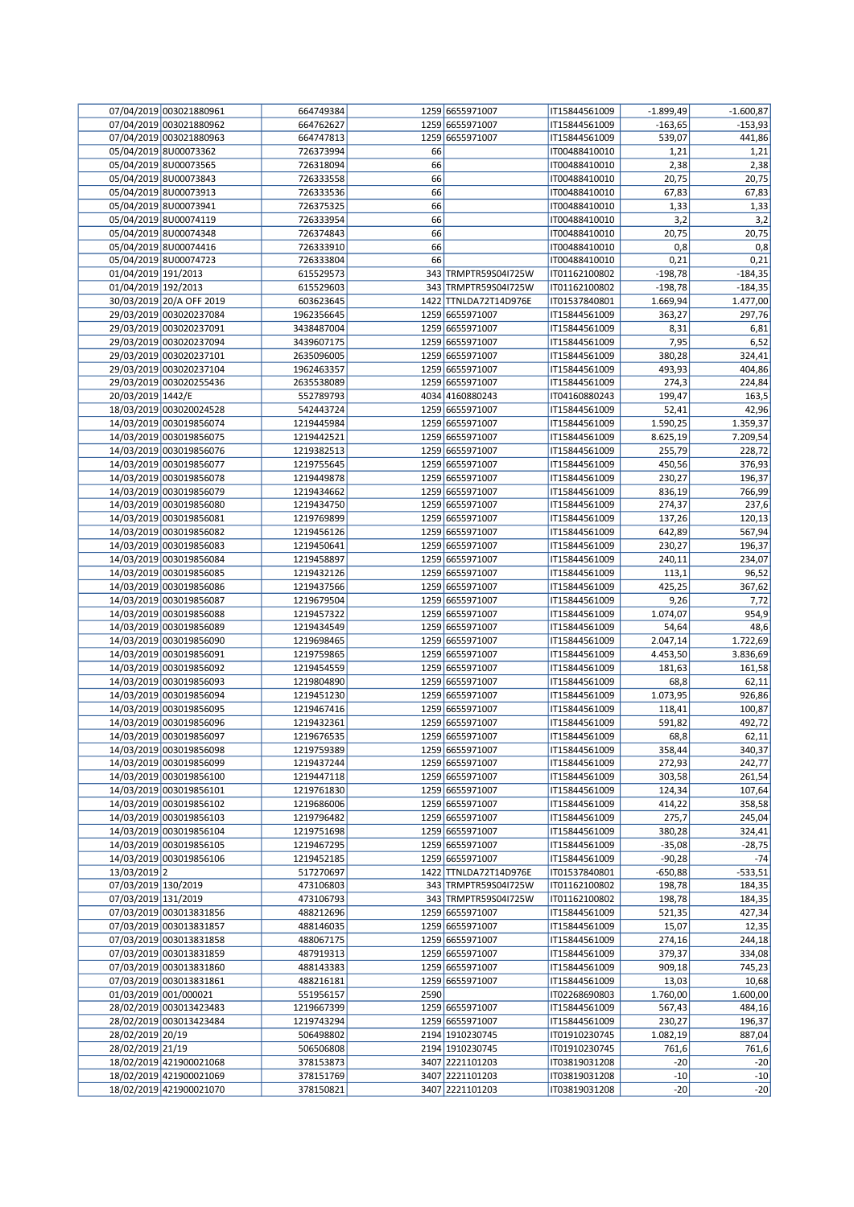|                     | 07/04/2019 003021880961                            | 664749384                |      | 1259 6655971007                    | IT15844561009                  | $-1.899,49$        | $-1.600,87$        |
|---------------------|----------------------------------------------------|--------------------------|------|------------------------------------|--------------------------------|--------------------|--------------------|
|                     | 07/04/2019 003021880962                            | 664762627                |      | 1259 6655971007                    | IT15844561009                  | $-163,65$          | $-153,93$          |
|                     | 07/04/2019 003021880963                            | 664747813                |      | 1259 6655971007                    | IT15844561009                  | 539,07             | 441,86             |
|                     | 05/04/2019 8U00073362                              | 726373994                | 66   |                                    | IT00488410010                  | 1,21               | 1,21               |
|                     | 05/04/2019 8U00073565                              | 726318094                | 66   |                                    | IT00488410010                  | 2,38               | 2,38               |
|                     | 05/04/2019 8U00073843                              | 726333558                | 66   |                                    | IT00488410010                  | 20,75              | 20,75              |
|                     | 05/04/2019 8U00073913                              | 726333536                | 66   |                                    | IT00488410010                  | 67,83              | 67,83              |
|                     | 05/04/2019 8U00073941                              | 726375325                | 66   |                                    | IT00488410010                  | 1,33               | 1,33               |
|                     | 05/04/2019 8U00074119                              | 726333954                | 66   |                                    | IT00488410010                  | 3,2                | 3,2                |
|                     | 05/04/2019 8U00074348                              | 726374843                | 66   |                                    | IT00488410010                  | 20,75              | 20,75              |
|                     | 05/04/2019 8U00074416                              | 726333910                | 66   |                                    | IT00488410010                  | 0,8                | 0,8                |
|                     | 05/04/2019 8U00074723                              | 726333804                | 66   |                                    | IT00488410010                  | 0,21               | 0,21               |
| 01/04/2019 191/2013 |                                                    | 615529573                |      | 343 TRMPTR59S04I725W               | IT01162100802                  | $-198,78$          | $-184,35$          |
| 01/04/2019 192/2013 |                                                    | 615529603                |      | 343 TRMPTR59S04I725W               | IT01162100802                  | $-198,78$          | $-184,35$          |
|                     | 30/03/2019 20/A OFF 2019                           | 603623645                |      | 1422 TTNLDA72T14D976E              | IT01537840801                  | 1.669,94           | 1.477,00           |
|                     | 29/03/2019 003020237084                            | 1962356645               |      | 1259 6655971007                    | IT15844561009                  | 363,27             | 297,76             |
|                     | 29/03/2019 003020237091                            | 3438487004               |      | 1259 6655971007                    | IT15844561009                  | 8,31               | 6,81               |
|                     | 29/03/2019 003020237094                            | 3439607175               |      | 1259 6655971007                    | IT15844561009                  | 7,95               | 6,52               |
|                     | 29/03/2019 003020237101                            | 2635096005               |      | 1259 6655971007                    | IT15844561009                  | 380,28             | 324,41             |
|                     | 29/03/2019 003020237104                            | 1962463357               |      | 1259 6655971007                    | IT15844561009                  | 493,93             | 404,86             |
|                     | 29/03/2019 003020255436                            | 2635538089               |      | 1259 6655971007                    | IT15844561009                  | 274,3              | 224,84             |
| 20/03/2019 1442/E   |                                                    | 552789793                |      | 4034 4160880243                    | IT04160880243                  | 199,47             | 163,5              |
|                     | 18/03/2019 003020024528                            | 542443724                |      | 1259 6655971007                    | IT15844561009                  | 52,41              | 42,96              |
|                     | 14/03/2019 003019856074<br>14/03/2019 003019856075 | 1219445984               |      | 1259 6655971007<br>1259 6655971007 | IT15844561009<br>IT15844561009 | 1.590,25           | 1.359,37           |
|                     | 14/03/2019 003019856076                            | 1219442521<br>1219382513 |      | 1259 6655971007                    | IT15844561009                  | 8.625,19<br>255,79 | 7.209,54<br>228,72 |
|                     | 14/03/2019 003019856077                            | 1219755645               |      | 1259 6655971007                    | IT15844561009                  | 450,56             | 376,93             |
|                     | 14/03/2019 003019856078                            | 1219449878               |      | 1259 6655971007                    | IT15844561009                  | 230,27             | 196,37             |
|                     | 14/03/2019 003019856079                            | 1219434662               |      | 1259 6655971007                    | IT15844561009                  | 836,19             | 766,99             |
|                     | 14/03/2019 003019856080                            | 1219434750               |      | 1259 6655971007                    | IT15844561009                  | 274,37             | 237,6              |
|                     | 14/03/2019 003019856081                            | 1219769899               |      | 1259 6655971007                    | IT15844561009                  | 137,26             | 120,13             |
|                     | 14/03/2019 003019856082                            | 1219456126               |      | 1259 6655971007                    | IT15844561009                  | 642,89             | 567,94             |
|                     | 14/03/2019 003019856083                            | 1219450641               |      | 1259 6655971007                    | IT15844561009                  | 230,27             | 196,37             |
|                     | 14/03/2019 003019856084                            | 1219458897               |      | 1259 6655971007                    | IT15844561009                  | 240,11             | 234,07             |
|                     | 14/03/2019 003019856085                            | 1219432126               |      | 1259 6655971007                    | IT15844561009                  | 113,1              | 96,52              |
|                     | 14/03/2019 003019856086                            | 1219437566               |      | 1259 6655971007                    | IT15844561009                  | 425,25             | 367,62             |
|                     | 14/03/2019 003019856087                            | 1219679504               |      | 1259 6655971007                    | IT15844561009                  | 9,26               | 7,72               |
|                     | 14/03/2019 003019856088                            | 1219457322               |      | 1259 6655971007                    | IT15844561009                  | 1.074,07           | 954,9              |
|                     | 14/03/2019 003019856089                            | 1219434549               |      | 1259 6655971007                    | IT15844561009                  | 54,64              | 48,6               |
|                     | 14/03/2019 003019856090                            | 1219698465               |      | 1259 6655971007                    | IT15844561009                  | 2.047,14           | 1.722,69           |
|                     | 14/03/2019 003019856091                            | 1219759865               |      | 1259 6655971007                    | IT15844561009                  | 4.453,50           | 3.836,69           |
|                     | 14/03/2019 003019856092                            | 1219454559               |      | 1259 6655971007                    | IT15844561009                  | 181,63             | 161,58             |
|                     | 14/03/2019 003019856093                            | 1219804890               |      | 1259 6655971007                    | IT15844561009                  | 68,8               | 62,11              |
|                     | 14/03/2019 003019856094                            | 1219451230               |      | 1259 6655971007                    | IT15844561009                  | 1.073,95           | 926,86             |
|                     | 14/03/2019 003019856095                            | 1219467416               |      | 1259 6655971007                    | IT15844561009                  | 118,41             | 100,87             |
|                     | 14/03/2019 003019856096                            | 1219432361               |      | 1259 6655971007                    | IT15844561009                  | 591,82             | 492,72             |
|                     | 14/03/2019 003019856097                            | 1219676535               |      | 1259 6655971007                    | IT15844561009                  | 68,8               | 62,11              |
|                     | 14/03/2019 003019856098                            | 1219759389               |      | 1259 6655971007                    | IT15844561009                  | 358,44             | 340,37             |
|                     | 14/03/2019 003019856099                            | 1219437244               |      | 1259 6655971007                    | IT15844561009                  | 272,93             | 242,77             |
|                     | 14/03/2019 003019856100                            | 1219447118               |      | 1259 6655971007                    | IT15844561009                  | 303,58             | 261,54             |
|                     | 14/03/2019 003019856101                            | 1219761830               |      | 1259 6655971007                    | IT15844561009                  | 124,34             | 107,64             |
|                     | 14/03/2019 003019856102                            | 1219686006<br>1219796482 |      | 1259 6655971007<br>1259 6655971007 | IT15844561009                  | 414,22             | 358,58             |
|                     | 14/03/2019 003019856103<br>14/03/2019 003019856104 | 1219751698               |      | 1259 6655971007                    | IT15844561009<br>IT15844561009 | 275,7<br>380,28    | 245,04<br>324,41   |
|                     | 14/03/2019 003019856105                            | 1219467295               |      | 1259 6655971007                    | IT15844561009                  | $-35,08$           | -28,75             |
|                     | 14/03/2019 003019856106                            | 1219452185               |      | 1259 6655971007                    | IT15844561009                  | $-90,28$           | $-74$              |
| 13/03/2019 2        |                                                    | 517270697                |      | 1422 TTNLDA72T14D976E              | IT01537840801                  | $-650,88$          | $-533,51$          |
| 07/03/2019 130/2019 |                                                    | 473106803                |      | 343 TRMPTR59S04I725W               | IT01162100802                  | 198,78             | 184,35             |
| 07/03/2019 131/2019 |                                                    | 473106793                |      | 343 TRMPTR59S04I725W               | IT01162100802                  | 198,78             | 184,35             |
|                     | 07/03/2019 003013831856                            | 488212696                |      | 1259 6655971007                    | IT15844561009                  | 521,35             | 427,34             |
|                     | 07/03/2019 003013831857                            | 488146035                |      | 1259 6655971007                    | IT15844561009                  | 15,07              | 12,35              |
|                     | 07/03/2019 003013831858                            | 488067175                |      | 1259 6655971007                    | IT15844561009                  | 274,16             | 244,18             |
|                     | 07/03/2019 003013831859                            | 487919313                |      | 1259 6655971007                    | IT15844561009                  | 379,37             | 334,08             |
|                     | 07/03/2019 003013831860                            | 488143383                |      | 1259 6655971007                    | IT15844561009                  | 909,18             | 745,23             |
|                     | 07/03/2019 003013831861                            | 488216181                |      | 1259 6655971007                    | IT15844561009                  | 13,03              | 10,68              |
|                     | 01/03/2019 001/000021                              | 551956157                | 2590 |                                    | IT02268690803                  | 1.760,00           | 1.600,00           |
|                     | 28/02/2019 003013423483                            | 1219667399               |      | 1259 6655971007                    | IT15844561009                  | 567,43             | 484,16             |
|                     | 28/02/2019 003013423484                            | 1219743294               |      | 1259 6655971007                    | IT15844561009                  | 230,27             | 196,37             |
| 28/02/2019 20/19    |                                                    | 506498802                |      | 2194 1910230745                    | IT01910230745                  | 1.082,19           | 887,04             |
| 28/02/2019 21/19    |                                                    | 506506808                |      | 2194 1910230745                    | IT01910230745                  | 761,6              | 761,6              |
|                     | 18/02/2019 421900021068                            | 378153873                |      | 3407 2221101203                    | IT03819031208                  | $-20$              | $-20$              |
|                     | 18/02/2019 421900021069                            | 378151769                |      | 3407 2221101203                    | IT03819031208                  | $-10$              | $-10$              |
|                     | 18/02/2019 421900021070                            | 378150821                |      | 3407 2221101203                    | IT03819031208                  | $-20$              | $-20$              |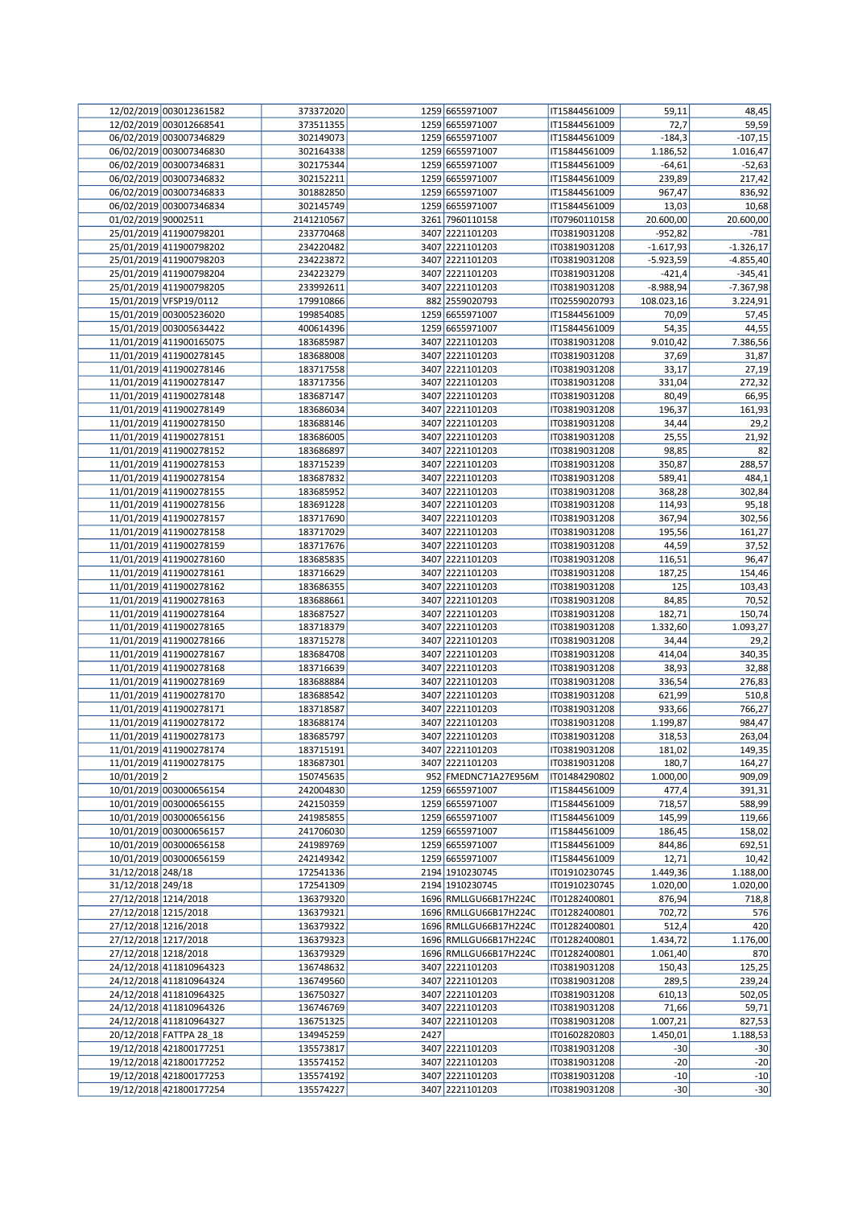|                                              | 12/02/2019 003012361582                            | 373372020              |      | 1259 6655971007                                | IT15844561009                  | 59,11                | 48,45                |
|----------------------------------------------|----------------------------------------------------|------------------------|------|------------------------------------------------|--------------------------------|----------------------|----------------------|
|                                              | 12/02/2019 003012668541                            | 373511355              |      | 1259 6655971007                                | IT15844561009                  | 72,7                 | 59,59                |
|                                              | 06/02/2019 003007346829                            | 302149073              |      | 1259 6655971007                                | IT15844561009                  | $-184,3$             | $-107,15$            |
|                                              | 06/02/2019 003007346830                            | 302164338              |      | 1259 6655971007                                | IT15844561009                  | 1.186,52             | 1.016,47             |
|                                              | 06/02/2019 003007346831                            | 302175344              |      | 1259 6655971007                                | IT15844561009                  | $-64,61$             | $-52,63$             |
|                                              | 06/02/2019 003007346832                            | 302152211              |      | 1259 6655971007                                | IT15844561009                  | 239,89               | 217,42               |
|                                              | 06/02/2019 003007346833                            | 301882850              |      | 1259 6655971007                                | IT15844561009                  | 967,47               | 836,92               |
|                                              | 06/02/2019 003007346834                            | 302145749              |      | 1259 6655971007                                | IT15844561009                  | 13,03                | 10,68                |
| 01/02/2019 90002511                          |                                                    | 2141210567             |      | 3261 7960110158                                | IT07960110158                  | 20.600,00            | 20.600,00            |
|                                              | 25/01/2019 411900798201                            | 233770468              |      | 3407 2221101203                                | IT03819031208                  | $-952,82$            | $-781$               |
|                                              | 25/01/2019 411900798202                            | 234220482              |      | 3407 2221101203                                | IT03819031208                  | $-1.617,93$          | $-1.326,17$          |
|                                              | 25/01/2019 411900798203                            | 234223872              |      | 3407 2221101203                                | IT03819031208                  | $-5.923,59$          | $-4.855,40$          |
|                                              | 25/01/2019 411900798204                            | 234223279              |      | 3407 2221101203                                | IT03819031208                  | $-421,4$             | $-345,41$            |
|                                              | 25/01/2019 411900798205                            | 233992611              |      | 3407 2221101203                                | IT03819031208                  | $-8.988,94$          | $-7.367,98$          |
|                                              | 15/01/2019 VFSP19/0112                             | 179910866              |      | 882 2559020793                                 | IT02559020793                  | 108.023,16           | 3.224,91             |
|                                              | 15/01/2019 003005236020                            | 199854085              |      | 1259 6655971007                                | IT15844561009                  | 70,09                | 57,45                |
|                                              | 15/01/2019 003005634422                            | 400614396              |      | 1259 6655971007                                | IT15844561009                  | 54,35                | 44,55                |
|                                              | 11/01/2019 411900165075                            | 183685987              |      | 3407 2221101203                                | IT03819031208                  | 9.010,42             | 7.386,56             |
|                                              | 11/01/2019 411900278145                            | 183688008              |      | 3407 2221101203                                | IT03819031208                  | 37,69                | 31,87                |
|                                              | 11/01/2019 411900278146                            | 183717558              |      | 3407 2221101203                                | IT03819031208                  | 33,17                | 27,19                |
|                                              | 11/01/2019 411900278147                            | 183717356              |      | 3407 2221101203                                | IT03819031208                  | 331,04               | 272,32               |
|                                              | 11/01/2019 411900278148                            | 183687147              |      | 3407 2221101203                                | IT03819031208                  | 80,49                | 66,95                |
|                                              | 11/01/2019 411900278149                            | 183686034              |      | 3407 2221101203                                | IT03819031208                  | 196,37               | 161,93               |
|                                              | 11/01/2019 411900278150                            | 183688146              |      | 3407 2221101203                                | IT03819031208                  | 34,44                | 29,2                 |
|                                              | 11/01/2019 411900278151                            | 183686005              |      | 3407 2221101203                                | IT03819031208                  | 25,55                | 21,92                |
|                                              | 11/01/2019 411900278152                            | 183686897              |      | 3407 2221101203                                | IT03819031208                  | 98,85                | 82                   |
|                                              | 11/01/2019 411900278153                            | 183715239              |      | 3407 2221101203                                | IT03819031208                  | 350,87               | 288,57               |
|                                              | 11/01/2019 411900278154                            | 183687832              |      | 3407 2221101203                                | IT03819031208                  | 589,41               | 484,1                |
|                                              | 11/01/2019 411900278155                            | 183685952              |      | 3407 2221101203                                | IT03819031208                  | 368,28               | 302,84               |
|                                              | 11/01/2019 411900278156                            | 183691228              |      | 3407 2221101203                                | IT03819031208                  | 114,93               | 95,18                |
|                                              | 11/01/2019 411900278157                            | 183717690              |      | 3407 2221101203                                | IT03819031208                  | 367,94               | 302,56               |
|                                              | 11/01/2019 411900278158                            | 183717029              |      | 3407 2221101203                                | IT03819031208                  | 195,56               | 161,27               |
|                                              | 11/01/2019 411900278159                            | 183717676              |      | 3407 2221101203                                | IT03819031208                  | 44,59                | 37,52                |
|                                              | 11/01/2019 411900278160                            | 183685835              |      | 3407 2221101203                                | IT03819031208                  | 116,51               | 96,47                |
|                                              | 11/01/2019 411900278161                            | 183716629              |      | 3407 2221101203                                | IT03819031208                  | 187,25               |                      |
|                                              |                                                    |                        |      | 3407 2221101203                                |                                |                      | 154,46               |
|                                              | 11/01/2019 411900278162                            | 183686355              |      | 3407 2221101203                                | IT03819031208                  | 125                  | 103,43               |
|                                              | 11/01/2019 411900278163                            | 183688661              |      |                                                | IT03819031208                  | 84,85                | 70,52                |
|                                              | 11/01/2019 411900278164                            | 183687527              |      | 3407 2221101203                                | IT03819031208                  | 182,71               | 150,74               |
|                                              | 11/01/2019 411900278165                            | 183718379              |      | 3407 2221101203                                | IT03819031208                  | 1.332,60             | 1.093,27             |
|                                              | 11/01/2019 411900278166                            | 183715278              |      | 3407 2221101203                                | IT03819031208                  | 34,44                | 29,2                 |
|                                              | 11/01/2019 411900278167                            | 183684708              |      | 3407 2221101203                                | IT03819031208                  | 414,04               | 340,35               |
|                                              | 11/01/2019 411900278168                            | 183716639              |      | 3407 2221101203                                | IT03819031208<br>IT03819031208 | 38,93                | 32,88                |
|                                              | 11/01/2019 411900278169                            | 183688884              |      | 3407 2221101203                                |                                | 336,54               | 276,83               |
|                                              | 11/01/2019 411900278170<br>11/01/2019 411900278171 | 183688542              |      | 3407 2221101203<br>3407 2221101203             | IT03819031208                  | 621,99               | 510,8                |
|                                              |                                                    | 183718587              |      |                                                | IT03819031208                  | 933,66               | 766,27               |
|                                              | 11/01/2019 411900278172<br>11/01/2019 411900278173 | 183688174              |      | 3407 2221101203                                | IT03819031208                  | 1.199,87             | 984,47               |
|                                              |                                                    | 183685797              |      | 3407 2221101203                                | IT03819031208                  | 318,53               | 263,04               |
|                                              | 11/01/2019 411900278174                            | 183715191              |      | 3407 2221101203                                | IT03819031208                  | 181,02               | 149,35               |
|                                              | 11/01/2019 411900278175                            | 183687301              |      | 3407 2221101203                                | IT03819031208                  | 180,7                | 164,27               |
| 10/01/2019 2                                 |                                                    | 150745635              |      | 952 FMEDNC71A27E956M                           | IT01484290802                  | 1.000,00             | 909,09               |
|                                              | 10/01/2019 003000656154<br>10/01/2019 003000656155 | 242004830<br>242150359 |      | 1259 6655971007<br>1259 6655971007             | IT15844561009                  | 477,4                | 391,31               |
|                                              | 10/01/2019 003000656156                            | 241985855              |      | 1259 6655971007                                | IT15844561009<br>IT15844561009 | 718,57<br>145,99     | 588,99               |
|                                              | 10/01/2019 003000656157                            | 241706030              |      | 1259 6655971007                                |                                |                      | 119,66<br>158,02     |
|                                              | 10/01/2019 003000656158                            |                        |      | 1259 6655971007                                | IT15844561009<br>IT15844561009 | 186,45               |                      |
|                                              | 10/01/2019 003000656159                            | 241989769<br>242149342 |      | 1259 6655971007                                | IT15844561009                  | 844,86<br>12,71      | 692,51<br>10,42      |
|                                              |                                                    |                        |      |                                                |                                |                      |                      |
| 31/12/2018 248/18<br>31/12/2018 249/18       |                                                    | 172541336<br>172541309 |      | 2194 1910230745<br>2194 1910230745             | IT01910230745<br>IT01910230745 | 1.449,36<br>1.020,00 | 1.188,00<br>1.020,00 |
|                                              |                                                    |                        |      |                                                |                                |                      |                      |
| 27/12/2018 1214/2018<br>27/12/2018 1215/2018 |                                                    | 136379320<br>136379321 |      | 1696 RMLLGU66B17H224C<br>1696 RMLLGU66B17H224C | IT01282400801<br>IT01282400801 | 876,94<br>702,72     | 718,8<br>576         |
| 27/12/2018 1216/2018                         |                                                    | 136379322              |      | 1696 RMLLGU66B17H224C                          |                                |                      |                      |
|                                              |                                                    | 136379323              |      | 1696 RMLLGU66B17H224C                          | IT01282400801<br>IT01282400801 | 512,4                | 420                  |
| 27/12/2018 1217/2018<br>27/12/2018 1218/2018 |                                                    | 136379329              |      | 1696 RMLLGU66B17H224C                          | IT01282400801                  | 1.434,72<br>1.061,40 | 1.176,00<br>870      |
|                                              | 24/12/2018 411810964323                            | 136748632              |      | 3407 2221101203                                | IT03819031208                  | 150,43               | 125,25               |
|                                              | 24/12/2018 411810964324                            | 136749560              |      | 3407 2221101203                                | IT03819031208                  | 289,5                | 239,24               |
|                                              | 24/12/2018 411810964325                            | 136750327              |      | 3407 2221101203                                | IT03819031208                  |                      | 502,05               |
|                                              | 24/12/2018 411810964326                            | 136746769              |      | 3407 2221101203                                | IT03819031208                  | 610,13<br>71,66      | 59,71                |
|                                              | 24/12/2018 411810964327                            | 136751325              |      | 3407 2221101203                                | IT03819031208                  | 1.007,21             | 827,53               |
|                                              | 20/12/2018 FATTPA 28 18                            | 134945259              | 2427 |                                                | IT01602820803                  |                      |                      |
|                                              | 19/12/2018 421800177251                            | 135573817              |      | 3407 2221101203                                | IT03819031208                  | 1.450,01<br>$-30$    | 1.188,53             |
|                                              | 19/12/2018 421800177252                            | 135574152              |      | 3407 2221101203                                | IT03819031208                  | $-20$                | $-30$<br>$-20$       |
|                                              | 19/12/2018 421800177253                            | 135574192              |      | 3407 2221101203                                | IT03819031208                  | $-10$                | $-10$                |
|                                              | 19/12/2018 421800177254                            | 135574227              |      | 3407 2221101203                                | IT03819031208                  | $-30$                |                      |
|                                              |                                                    |                        |      |                                                |                                |                      | $-30$                |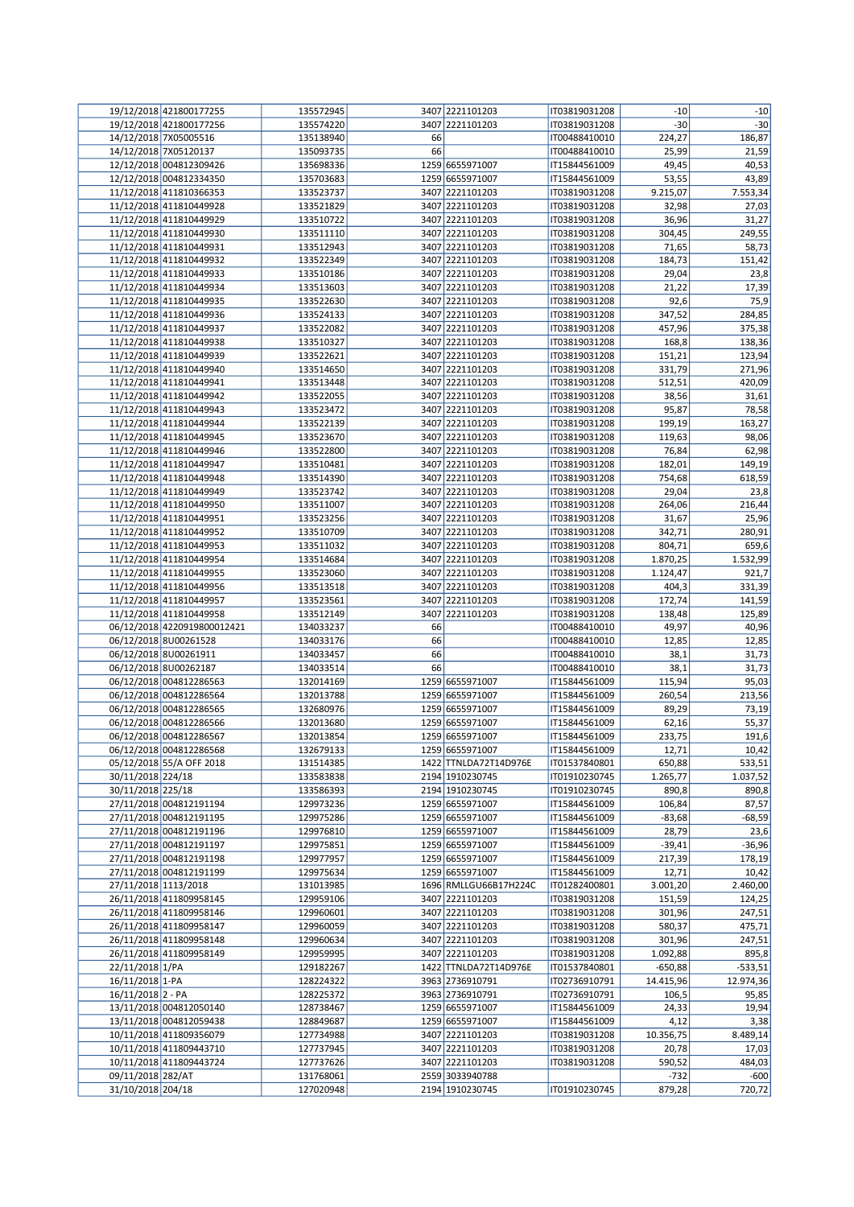|                      | 19/12/2018 421800177255     | 135572945 |    | 3407 2221101203       | IT03819031208 | -10       | $-10$     |
|----------------------|-----------------------------|-----------|----|-----------------------|---------------|-----------|-----------|
|                      | 19/12/2018 421800177256     | 135574220 |    | 3407 2221101203       | IT03819031208 | $-30$     | $-30$     |
|                      | 14/12/2018 7X05005516       | 135138940 | 66 |                       | IT00488410010 | 224,27    | 186,87    |
|                      | 14/12/2018 7X05120137       | 135093735 | 66 |                       | IT00488410010 | 25,99     | 21,59     |
|                      | 12/12/2018 004812309426     | 135698336 |    | 1259 6655971007       | IT15844561009 | 49,45     | 40,53     |
|                      | 12/12/2018 004812334350     | 135703683 |    | 1259 6655971007       | IT15844561009 | 53,55     | 43,89     |
|                      | 11/12/2018 411810366353     | 133523737 |    | 3407 2221101203       | IT03819031208 | 9.215,07  | 7.553,34  |
|                      | 11/12/2018 411810449928     | 133521829 |    | 3407 2221101203       | IT03819031208 | 32,98     | 27,03     |
|                      | 11/12/2018 411810449929     | 133510722 |    | 3407 2221101203       | IT03819031208 | 36,96     | 31,27     |
|                      | 11/12/2018 411810449930     | 133511110 |    | 3407 2221101203       | IT03819031208 | 304,45    | 249,55    |
|                      | 11/12/2018 411810449931     | 133512943 |    | 3407 2221101203       | IT03819031208 | 71,65     | 58,73     |
|                      | 11/12/2018 411810449932     | 133522349 |    | 3407 2221101203       | IT03819031208 | 184,73    | 151,42    |
|                      | 11/12/2018 411810449933     | 133510186 |    | 3407 2221101203       | IT03819031208 | 29,04     | 23,8      |
|                      | 11/12/2018 411810449934     | 133513603 |    | 3407 2221101203       | IT03819031208 | 21,22     | 17,39     |
|                      | 11/12/2018 411810449935     | 133522630 |    | 3407 2221101203       | IT03819031208 | 92,6      | 75,9      |
|                      | 11/12/2018 411810449936     | 133524133 |    | 3407 2221101203       | IT03819031208 | 347,52    | 284,85    |
|                      | 11/12/2018 411810449937     | 133522082 |    | 3407 2221101203       | IT03819031208 | 457,96    | 375,38    |
|                      | 11/12/2018 411810449938     | 133510327 |    | 3407 2221101203       | IT03819031208 | 168,8     | 138,36    |
|                      | 11/12/2018 411810449939     | 133522621 |    | 3407 2221101203       | IT03819031208 | 151,21    | 123,94    |
|                      | 11/12/2018 411810449940     | 133514650 |    | 3407 2221101203       | IT03819031208 | 331,79    | 271,96    |
|                      | 11/12/2018 411810449941     | 133513448 |    | 3407 2221101203       | IT03819031208 | 512,51    | 420,09    |
|                      | 11/12/2018 411810449942     | 133522055 |    | 3407 2221101203       | IT03819031208 | 38,56     | 31,61     |
|                      | 11/12/2018 411810449943     | 133523472 |    | 3407 2221101203       | IT03819031208 | 95,87     | 78,58     |
|                      | 11/12/2018 411810449944     | 133522139 |    | 3407 2221101203       | IT03819031208 | 199,19    | 163,27    |
|                      | 11/12/2018 411810449945     | 133523670 |    | 3407 2221101203       | IT03819031208 | 119,63    | 98,06     |
|                      | 11/12/2018 411810449946     | 133522800 |    | 3407 2221101203       | IT03819031208 | 76,84     | 62,98     |
|                      | 11/12/2018 411810449947     | 133510481 |    | 3407 2221101203       | IT03819031208 | 182,01    | 149,19    |
|                      | 11/12/2018 411810449948     | 133514390 |    | 3407 2221101203       | IT03819031208 | 754,68    | 618,59    |
|                      | 11/12/2018 411810449949     | 133523742 |    | 3407 2221101203       | IT03819031208 | 29,04     | 23,8      |
|                      | 11/12/2018 411810449950     | 133511007 |    | 3407 2221101203       | IT03819031208 | 264,06    | 216,44    |
|                      | 11/12/2018 411810449951     | 133523256 |    | 3407 2221101203       | IT03819031208 | 31,67     | 25,96     |
|                      | 11/12/2018 411810449952     | 133510709 |    | 3407 2221101203       | IT03819031208 | 342,71    | 280,91    |
|                      | 11/12/2018 411810449953     | 133511032 |    | 3407 2221101203       | IT03819031208 | 804,71    | 659,6     |
|                      | 11/12/2018 411810449954     | 133514684 |    | 3407 2221101203       | IT03819031208 | 1.870,25  | 1.532,99  |
|                      | 11/12/2018 411810449955     | 133523060 |    | 3407 2221101203       | IT03819031208 | 1.124,47  | 921,7     |
|                      | 11/12/2018 411810449956     | 133513518 |    | 3407 2221101203       | IT03819031208 | 404,3     | 331,39    |
|                      | 11/12/2018 411810449957     | 133523561 |    | 3407 2221101203       | IT03819031208 | 172,74    | 141,59    |
|                      | 11/12/2018 411810449958     | 133512149 |    | 3407 2221101203       | IT03819031208 | 138,48    | 125,89    |
|                      | 06/12/2018 4220919800012421 | 134033237 | 66 |                       | IT00488410010 | 49,97     | 40,96     |
|                      | 06/12/2018 8U00261528       | 134033176 | 66 |                       | IT00488410010 | 12,85     | 12,85     |
|                      | 06/12/2018 8U00261911       | 134033457 | 66 |                       | IT00488410010 | 38,1      | 31,73     |
|                      | 06/12/2018 8U00262187       | 134033514 | 66 |                       | IT00488410010 | 38,1      | 31,73     |
|                      | 06/12/2018 004812286563     | 132014169 |    | 1259 6655971007       | IT15844561009 | 115,94    | 95,03     |
|                      | 06/12/2018 004812286564     | 132013788 |    | 1259 6655971007       | IT15844561009 | 260,54    | 213,56    |
|                      | 06/12/2018 004812286565     | 132680976 |    | 1259 6655971007       | IT15844561009 | 89,29     | 73,19     |
|                      | 06/12/2018 004812286566     | 132013680 |    | 1259 6655971007       | IT15844561009 | 62,16     | 55,37     |
|                      | 06/12/2018 004812286567     | 132013854 |    | 1259 6655971007       | IT15844561009 | 233,75    | 191,6     |
|                      | 06/12/2018 004812286568     | 132679133 |    | 1259 6655971007       | IT15844561009 | 12,71     | 10,42     |
|                      | 05/12/2018 55/A OFF 2018    | 131514385 |    | 1422 TTNLDA72T14D976E | IT01537840801 | 650,88    | 533,51    |
| 30/11/2018 224/18    |                             | 133583838 |    | 2194 1910230745       | IT01910230745 | 1.265,77  | 1.037,52  |
| 30/11/2018 225/18    |                             | 133586393 |    | 2194 1910230745       | IT01910230745 | 890,8     | 890,8     |
|                      | 27/11/2018 004812191194     | 129973236 |    | 1259 6655971007       | IT15844561009 | 106,84    | 87,57     |
|                      | 27/11/2018 004812191195     | 129975286 |    | 1259 6655971007       | IT15844561009 | $-83,68$  | $-68,59$  |
|                      | 27/11/2018 004812191196     | 129976810 |    | 1259 6655971007       | IT15844561009 | 28,79     | 23,6      |
|                      | 27/11/2018 004812191197     | 129975851 |    | 1259 6655971007       | IT15844561009 | $-39,41$  | $-36,96$  |
|                      | 27/11/2018 004812191198     | 129977957 |    | 1259 6655971007       | IT15844561009 | 217,39    | 178,19    |
|                      | 27/11/2018 004812191199     | 129975634 |    | 1259 6655971007       | IT15844561009 | 12,71     | 10,42     |
| 27/11/2018 1113/2018 |                             | 131013985 |    | 1696 RMLLGU66B17H224C | IT01282400801 | 3.001,20  | 2.460,00  |
|                      | 26/11/2018 411809958145     | 129959106 |    | 3407 2221101203       | IT03819031208 | 151,59    | 124,25    |
|                      | 26/11/2018 411809958146     | 129960601 |    | 3407 2221101203       | IT03819031208 | 301,96    | 247,51    |
|                      | 26/11/2018 411809958147     | 129960059 |    | 3407 2221101203       | IT03819031208 | 580,37    | 475,71    |
|                      | 26/11/2018 411809958148     | 129960634 |    | 3407 2221101203       | IT03819031208 | 301,96    | 247,51    |
|                      | 26/11/2018 411809958149     | 129959995 |    | 3407 2221101203       | IT03819031208 | 1.092,88  | 895,8     |
| 22/11/2018 1/PA      |                             | 129182267 |    | 1422 TTNLDA72T14D976E | IT01537840801 | $-650,88$ | $-533,51$ |
| 16/11/2018 1-PA      |                             | 128224322 |    | 3963 2736910791       | IT02736910791 | 14.415,96 | 12.974,36 |
| 16/11/2018 2 - PA    |                             | 128225372 |    | 3963 2736910791       | IT02736910791 | 106,5     | 95,85     |
|                      | 13/11/2018 004812050140     | 128738467 |    | 1259 6655971007       | IT15844561009 | 24,33     | 19,94     |
|                      | 13/11/2018 004812059438     | 128849687 |    | 1259 6655971007       | IT15844561009 | 4,12      | 3,38      |
|                      | 10/11/2018 411809356079     | 127734988 |    | 3407 2221101203       | IT03819031208 | 10.356,75 | 8.489,14  |
|                      | 10/11/2018 411809443710     | 127737945 |    | 3407 2221101203       | IT03819031208 | 20,78     | 17,03     |
|                      | 10/11/2018 411809443724     | 127737626 |    | 3407 2221101203       | IT03819031208 | 590,52    | 484,03    |
| 09/11/2018 282/AT    |                             | 131768061 |    | 2559 3033940788       |               | $-732$    | $-600$    |
| 31/10/2018 204/18    |                             | 127020948 |    | 2194 1910230745       | IT01910230745 | 879,28    | 720,72    |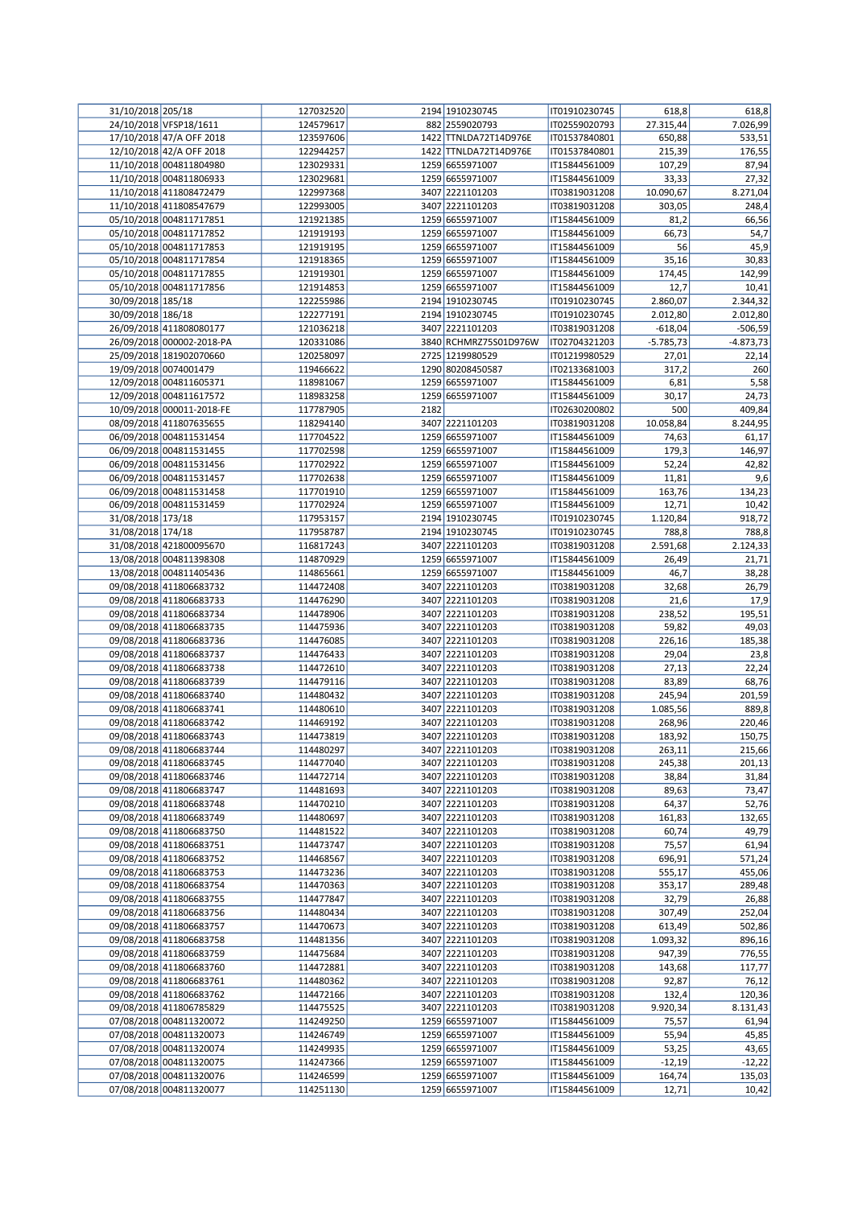| 31/10/2018 205/18 |                           | 127032520 |      | 2194 1910230745       | IT01910230745 | 618,8       | 618,8       |
|-------------------|---------------------------|-----------|------|-----------------------|---------------|-------------|-------------|
|                   | 24/10/2018 VFSP18/1611    | 124579617 |      | 882 2559020793        | IT02559020793 | 27.315,44   | 7.026,99    |
|                   | 17/10/2018 47/A OFF 2018  | 123597606 |      | 1422 TTNLDA72T14D976E | IT01537840801 | 650,88      | 533,51      |
|                   | 12/10/2018 42/A OFF 2018  | 122944257 |      | 1422 TTNLDA72T14D976E | IT01537840801 | 215,39      | 176,55      |
|                   | 11/10/2018 004811804980   | 123029331 |      | 1259 6655971007       | IT15844561009 | 107,29      | 87,94       |
|                   | 11/10/2018 004811806933   | 123029681 |      | 1259 6655971007       | IT15844561009 | 33,33       | 27,32       |
|                   |                           |           |      |                       |               |             |             |
|                   | 11/10/2018 411808472479   | 122997368 |      | 3407 2221101203       | IT03819031208 | 10.090,67   | 8.271,04    |
|                   | 11/10/2018 411808547679   | 122993005 |      | 3407 2221101203       | IT03819031208 | 303,05      | 248,4       |
|                   | 05/10/2018 004811717851   | 121921385 |      | 1259 6655971007       | IT15844561009 | 81,2        | 66,56       |
|                   | 05/10/2018 004811717852   | 121919193 |      | 1259 6655971007       | IT15844561009 | 66,73       | 54,7        |
|                   | 05/10/2018 004811717853   | 121919195 |      | 1259 6655971007       | IT15844561009 | 56          | 45,9        |
|                   | 05/10/2018 004811717854   | 121918365 |      | 1259 6655971007       | IT15844561009 | 35,16       | 30,83       |
|                   | 05/10/2018 004811717855   | 121919301 |      | 1259 6655971007       | IT15844561009 | 174,45      | 142,99      |
|                   | 05/10/2018 004811717856   | 121914853 |      | 1259 6655971007       | IT15844561009 | 12,7        | 10,41       |
| 30/09/2018 185/18 |                           | 122255986 |      | 2194 1910230745       | IT01910230745 | 2.860,07    | 2.344,32    |
| 30/09/2018 186/18 |                           | 122277191 |      | 2194 1910230745       | IT01910230745 | 2.012,80    | 2.012,80    |
|                   |                           |           |      |                       |               |             |             |
|                   | 26/09/2018 411808080177   | 121036218 |      | 3407 2221101203       | IT03819031208 | $-618,04$   | $-506,59$   |
|                   | 26/09/2018 000002-2018-PA | 120331086 |      | 3840 RCHMRZ75S01D976W | IT02704321203 | $-5.785,73$ | $-4.873,73$ |
|                   | 25/09/2018 181902070660   | 120258097 |      | 2725 1219980529       | IT01219980529 | 27,01       | 22,14       |
|                   | 19/09/2018 0074001479     | 119466622 |      | 1290 80208450587      | IT02133681003 | 317,2       | 260         |
|                   | 12/09/2018 004811605371   | 118981067 |      | 1259 6655971007       | IT15844561009 | 6,81        | 5,58        |
|                   | 12/09/2018 004811617572   | 118983258 |      | 1259 6655971007       | IT15844561009 | 30,17       | 24,73       |
|                   | 10/09/2018 000011-2018-FE | 117787905 | 2182 |                       | IT02630200802 | 500         | 409,84      |
|                   | 08/09/2018 411807635655   | 118294140 |      | 3407 2221101203       | IT03819031208 | 10.058,84   | 8.244,95    |
|                   | 06/09/2018 004811531454   | 117704522 |      | 1259 6655971007       | IT15844561009 | 74,63       | 61,17       |
|                   |                           |           |      |                       |               |             |             |
|                   | 06/09/2018 004811531455   | 117702598 |      | 1259 6655971007       | IT15844561009 | 179,3       | 146,97      |
|                   | 06/09/2018 004811531456   | 117702922 |      | 1259 6655971007       | IT15844561009 | 52,24       | 42,82       |
|                   | 06/09/2018 004811531457   | 117702638 |      | 1259 6655971007       | IT15844561009 | 11,81       | 9,6         |
|                   | 06/09/2018 004811531458   | 117701910 |      | 1259 6655971007       | IT15844561009 | 163,76      | 134,23      |
|                   | 06/09/2018 004811531459   | 117702924 |      | 1259 6655971007       | IT15844561009 | 12,71       | 10,42       |
| 31/08/2018 173/18 |                           | 117953157 |      | 2194 1910230745       | IT01910230745 | 1.120,84    | 918,72      |
| 31/08/2018 174/18 |                           | 117958787 |      | 2194 1910230745       | IT01910230745 | 788,8       | 788,8       |
|                   | 31/08/2018 421800095670   | 116817243 |      | 3407 2221101203       | IT03819031208 | 2.591,68    | 2.124,33    |
|                   | 13/08/2018 004811398308   | 114870929 |      | 1259 6655971007       | IT15844561009 | 26,49       | 21,71       |
|                   | 13/08/2018 004811405436   | 114865661 |      | 1259 6655971007       | IT15844561009 | 46,7        | 38,28       |
|                   |                           |           |      |                       |               |             |             |
|                   | 09/08/2018 411806683732   | 114472408 |      | 3407 2221101203       | IT03819031208 | 32,68       | 26,79       |
|                   | 09/08/2018 411806683733   | 114476290 |      | 3407 2221101203       | IT03819031208 | 21,6        | 17,9        |
|                   | 09/08/2018 411806683734   | 114478906 |      | 3407 2221101203       | IT03819031208 | 238,52      | 195,51      |
|                   | 09/08/2018 411806683735   | 114475936 |      | 3407 2221101203       | IT03819031208 | 59,82       | 49,03       |
|                   | 09/08/2018 411806683736   | 114476085 |      | 3407 2221101203       | IT03819031208 | 226,16      | 185,38      |
|                   | 09/08/2018 411806683737   | 114476433 |      | 3407 2221101203       | IT03819031208 | 29,04       | 23,8        |
|                   | 09/08/2018 411806683738   | 114472610 |      | 3407 2221101203       | IT03819031208 | 27,13       | 22,24       |
|                   | 09/08/2018 411806683739   | 114479116 |      | 3407 2221101203       | IT03819031208 | 83,89       | 68,76       |
|                   | 09/08/2018 411806683740   | 114480432 |      | 3407 2221101203       | IT03819031208 | 245,94      | 201,59      |
|                   |                           |           |      |                       |               |             |             |
|                   | 09/08/2018 411806683741   | 114480610 |      | 3407 2221101203       | IT03819031208 | 1.085,56    | 889,8       |
|                   | 09/08/2018 411806683742   | 114469192 |      | 3407 2221101203       | IT03819031208 | 268,96      | 220,46      |
|                   | 09/08/2018 411806683743   | 114473819 |      | 3407 2221101203       | IT03819031208 | 183,92      | 150,75      |
|                   | 09/08/2018 411806683744   | 114480297 |      | 3407 2221101203       | IT03819031208 | 263,11      | 215,66      |
|                   | 09/08/2018 411806683745   | 114477040 |      | 3407 2221101203       | IT03819031208 | 245,38      | 201,13      |
|                   | 09/08/2018 411806683746   | 114472714 |      | 3407 2221101203       | IT03819031208 | 38,84       | 31,84       |
|                   | 09/08/2018 411806683747   | 114481693 |      | 3407 2221101203       | IT03819031208 | 89,63       | 73,47       |
|                   | 09/08/2018 411806683748   | 114470210 |      | 3407 2221101203       | IT03819031208 | 64,37       | 52,76       |
|                   | 09/08/2018 411806683749   | 114480697 |      | 3407 2221101203       | IT03819031208 | 161,83      | 132,65      |
|                   | 09/08/2018 411806683750   | 114481522 |      | 3407 2221101203       | IT03819031208 | 60,74       | 49,79       |
|                   | 09/08/2018 411806683751   | 114473747 |      | 3407 2221101203       | IT03819031208 | 75,57       | 61,94       |
|                   | 09/08/2018 411806683752   |           |      | 3407 2221101203       | IT03819031208 |             |             |
|                   |                           | 114468567 |      |                       |               | 696,91      | 571,24      |
|                   | 09/08/2018 411806683753   | 114473236 |      | 3407 2221101203       | IT03819031208 | 555,17      | 455,06      |
|                   | 09/08/2018 411806683754   | 114470363 |      | 3407 2221101203       | IT03819031208 | 353,17      | 289,48      |
|                   | 09/08/2018 411806683755   | 114477847 |      | 3407 2221101203       | IT03819031208 | 32,79       | 26,88       |
|                   | 09/08/2018 411806683756   | 114480434 |      | 3407 2221101203       | IT03819031208 | 307,49      | 252,04      |
|                   | 09/08/2018 411806683757   | 114470673 |      | 3407 2221101203       | IT03819031208 | 613,49      | 502,86      |
|                   | 09/08/2018 411806683758   | 114481356 |      | 3407 2221101203       | IT03819031208 | 1.093,32    | 896,16      |
|                   | 09/08/2018 411806683759   | 114475684 |      | 3407 2221101203       | IT03819031208 | 947,39      | 776,55      |
|                   | 09/08/2018 411806683760   | 114472881 |      | 3407 2221101203       | IT03819031208 | 143,68      | 117,77      |
|                   | 09/08/2018 411806683761   | 114480362 |      | 3407 2221101203       | IT03819031208 | 92,87       | 76,12       |
|                   | 09/08/2018 411806683762   | 114472166 |      | 3407 2221101203       | IT03819031208 | 132,4       | 120,36      |
|                   |                           |           |      |                       |               |             |             |
|                   | 09/08/2018 411806785829   | 114475525 |      | 3407 2221101203       | IT03819031208 | 9.920,34    | 8.131,43    |
|                   | 07/08/2018 004811320072   | 114249250 |      | 1259 6655971007       | IT15844561009 | 75,57       | 61,94       |
|                   | 07/08/2018 004811320073   | 114246749 |      | 1259 6655971007       | IT15844561009 | 55,94       | 45,85       |
|                   | 07/08/2018 004811320074   | 114249935 |      | 1259 6655971007       | IT15844561009 | 53,25       | 43,65       |
|                   | 07/08/2018 004811320075   | 114247366 |      | 1259 6655971007       | IT15844561009 | $-12,19$    | $-12,22$    |
|                   | 07/08/2018 004811320076   | 114246599 |      | 1259 6655971007       | IT15844561009 | 164,74      | 135,03      |
|                   | 07/08/2018 004811320077   | 114251130 |      | 1259 6655971007       | IT15844561009 | 12,71       | 10,42       |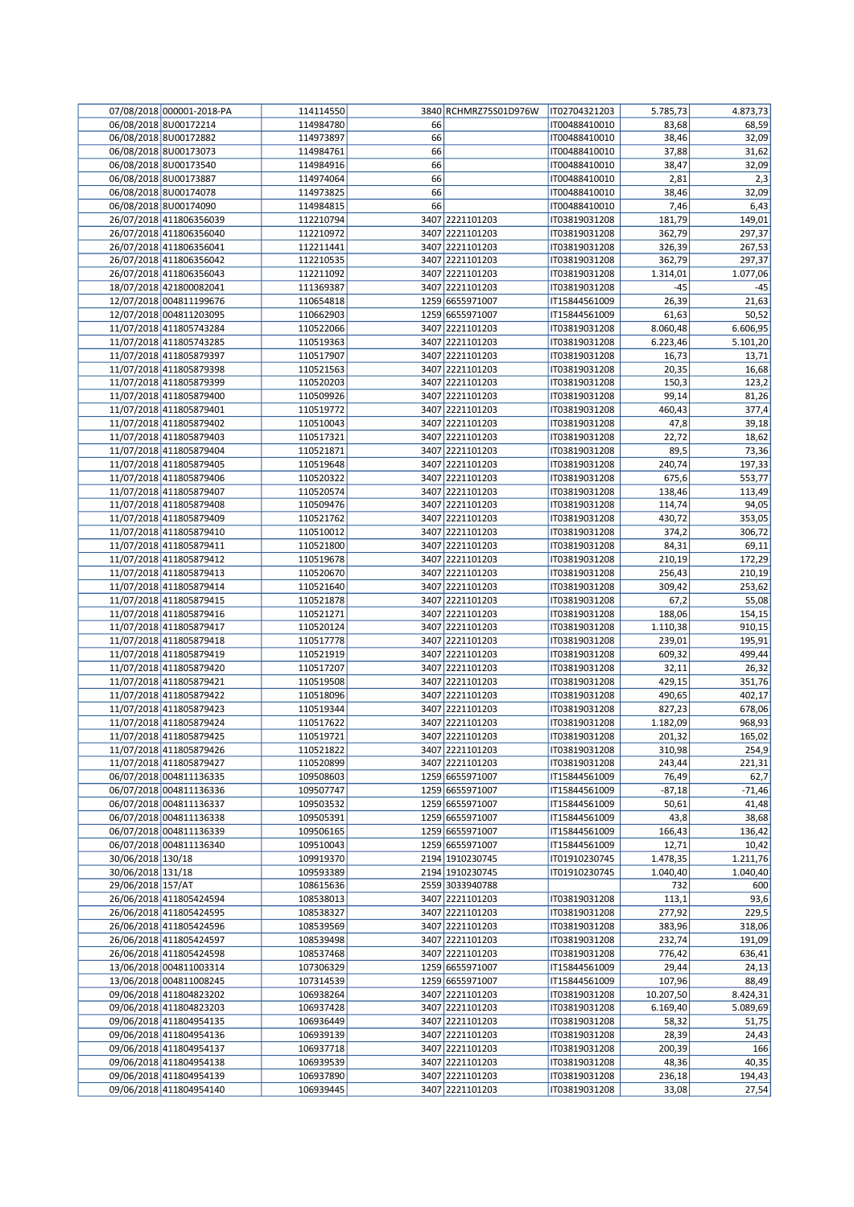|                   | 07/08/2018 000001-2018-PA | 114114550 |    | 3840 RCHMRZ75S01D976W | IT02704321203 | 5.785,73  | 4.873,73 |
|-------------------|---------------------------|-----------|----|-----------------------|---------------|-----------|----------|
|                   | 06/08/2018 8U00172214     | 114984780 | 66 |                       | IT00488410010 | 83,68     | 68,59    |
|                   | 06/08/2018 8U00172882     | 114973897 | 66 |                       | IT00488410010 | 38,46     | 32,09    |
|                   | 06/08/2018 8U00173073     | 114984761 | 66 |                       | IT00488410010 | 37,88     | 31,62    |
|                   | 06/08/2018 8U00173540     | 114984916 | 66 |                       | IT00488410010 | 38,47     | 32,09    |
|                   | 06/08/2018 8U00173887     | 114974064 | 66 |                       | IT00488410010 | 2,81      | 2,3      |
|                   | 06/08/2018 8U00174078     | 114973825 | 66 |                       | IT00488410010 | 38,46     | 32,09    |
|                   | 06/08/2018 8U00174090     | 114984815 | 66 |                       | IT00488410010 | 7,46      | 6,43     |
|                   | 26/07/2018 411806356039   | 112210794 |    | 3407 2221101203       | IT03819031208 | 181,79    | 149,01   |
|                   |                           |           |    |                       |               |           |          |
|                   | 26/07/2018 411806356040   | 112210972 |    | 3407 2221101203       | IT03819031208 | 362,79    | 297,37   |
|                   | 26/07/2018 411806356041   | 112211441 |    | 3407 2221101203       | IT03819031208 | 326,39    | 267,53   |
|                   | 26/07/2018 411806356042   | 112210535 |    | 3407 2221101203       | IT03819031208 | 362,79    | 297,37   |
|                   | 26/07/2018 411806356043   | 112211092 |    | 3407 2221101203       | IT03819031208 | 1.314,01  | 1.077,06 |
|                   | 18/07/2018 421800082041   | 111369387 |    | 3407 2221101203       | IT03819031208 | -45       | $-45$    |
|                   | 12/07/2018 004811199676   | 110654818 |    | 1259 6655971007       | IT15844561009 | 26,39     | 21,63    |
|                   | 12/07/2018 004811203095   | 110662903 |    | 1259 6655971007       | IT15844561009 | 61,63     | 50,52    |
|                   | 11/07/2018 411805743284   | 110522066 |    | 3407 2221101203       | IT03819031208 | 8.060,48  | 6.606,95 |
|                   | 11/07/2018 411805743285   | 110519363 |    | 3407 2221101203       | IT03819031208 | 6.223,46  | 5.101,20 |
|                   | 11/07/2018 411805879397   | 110517907 |    | 3407 2221101203       | IT03819031208 | 16,73     | 13,71    |
|                   | 11/07/2018 411805879398   | 110521563 |    | 3407 2221101203       | IT03819031208 | 20,35     | 16,68    |
|                   | 11/07/2018 411805879399   | 110520203 |    | 3407 2221101203       | IT03819031208 | 150,3     | 123,2    |
|                   | 11/07/2018 411805879400   | 110509926 |    | 3407 2221101203       | IT03819031208 | 99,14     | 81,26    |
|                   | 11/07/2018 411805879401   | 110519772 |    | 3407 2221101203       | IT03819031208 | 460,43    | 377,4    |
|                   | 11/07/2018 411805879402   | 110510043 |    | 3407 2221101203       | IT03819031208 | 47,8      | 39,18    |
|                   | 11/07/2018 411805879403   | 110517321 |    | 3407 2221101203       | IT03819031208 | 22,72     | 18,62    |
|                   | 11/07/2018 411805879404   | 110521871 |    | 3407 2221101203       | IT03819031208 | 89,5      | 73,36    |
|                   |                           | 110519648 |    | 3407 2221101203       |               | 240,74    |          |
|                   | 11/07/2018 411805879405   |           |    |                       | IT03819031208 |           | 197,33   |
|                   | 11/07/2018 411805879406   | 110520322 |    | 3407 2221101203       | IT03819031208 | 675,6     | 553,77   |
|                   | 11/07/2018 411805879407   | 110520574 |    | 3407 2221101203       | IT03819031208 | 138,46    | 113,49   |
|                   | 11/07/2018 411805879408   | 110509476 |    | 3407 2221101203       | IT03819031208 | 114,74    | 94,05    |
|                   | 11/07/2018 411805879409   | 110521762 |    | 3407 2221101203       | IT03819031208 | 430,72    | 353,05   |
|                   | 11/07/2018 411805879410   | 110510012 |    | 3407 2221101203       | IT03819031208 | 374,2     | 306,72   |
|                   | 11/07/2018 411805879411   | 110521800 |    | 3407 2221101203       | IT03819031208 | 84,31     | 69,11    |
|                   | 11/07/2018 411805879412   | 110519678 |    | 3407 2221101203       | IT03819031208 | 210,19    | 172,29   |
|                   | 11/07/2018 411805879413   | 110520670 |    | 3407 2221101203       | IT03819031208 | 256,43    | 210,19   |
|                   | 11/07/2018 411805879414   | 110521640 |    | 3407 2221101203       | IT03819031208 | 309,42    | 253,62   |
|                   | 11/07/2018 411805879415   | 110521878 |    | 3407 2221101203       | IT03819031208 | 67,2      | 55,08    |
|                   | 11/07/2018 411805879416   | 110521271 |    | 3407 2221101203       | IT03819031208 | 188,06    | 154,15   |
|                   | 11/07/2018 411805879417   | 110520124 |    | 3407 2221101203       | IT03819031208 | 1.110,38  | 910,15   |
|                   | 11/07/2018 411805879418   | 110517778 |    | 3407 2221101203       | IT03819031208 | 239,01    | 195,91   |
|                   | 11/07/2018 411805879419   | 110521919 |    | 3407 2221101203       | IT03819031208 | 609,32    | 499,44   |
|                   |                           |           |    |                       |               |           |          |
|                   | 11/07/2018 411805879420   | 110517207 |    | 3407 2221101203       | IT03819031208 | 32,11     | 26,32    |
|                   | 11/07/2018 411805879421   | 110519508 |    | 3407 2221101203       | IT03819031208 | 429,15    | 351,76   |
|                   | 11/07/2018 411805879422   | 110518096 |    | 3407 2221101203       | IT03819031208 | 490,65    | 402,17   |
|                   | 11/07/2018 411805879423   | 110519344 |    | 3407 2221101203       | IT03819031208 | 827,23    | 678,06   |
|                   | 11/07/2018 411805879424   | 110517622 |    | 3407 2221101203       | IT03819031208 | 1.182,09  | 968,93   |
|                   | 11/07/2018 411805879425   | 110519721 |    | 3407 2221101203       | IT03819031208 | 201,32    | 165,02   |
|                   | 11/07/2018 411805879426   | 110521822 |    | 3407 2221101203       | IT03819031208 | 310,98    | 254,9    |
|                   | 11/07/2018 411805879427   | 110520899 |    | 3407 2221101203       | IT03819031208 | 243,44    | 221,31   |
|                   | 06/07/2018 004811136335   | 109508603 |    | 1259 6655971007       | IT15844561009 | 76,49     | 62,7     |
|                   | 06/07/2018 004811136336   | 109507747 |    | 1259 6655971007       | IT15844561009 | $-87,18$  | $-71,46$ |
|                   | 06/07/2018 004811136337   | 109503532 |    | 1259 6655971007       | IT15844561009 | 50,61     | 41,48    |
|                   | 06/07/2018 004811136338   | 109505391 |    | 1259 6655971007       | IT15844561009 | 43,8      | 38,68    |
|                   | 06/07/2018 004811136339   | 109506165 |    | 1259 6655971007       | IT15844561009 | 166,43    | 136,42   |
|                   | 06/07/2018 004811136340   | 109510043 |    | 1259 6655971007       | IT15844561009 | 12,71     | 10,42    |
| 30/06/2018 130/18 |                           | 109919370 |    | 2194 1910230745       | IT01910230745 | 1.478,35  | 1.211,76 |
| 30/06/2018 131/18 |                           | 109593389 |    | 2194 1910230745       | IT01910230745 | 1.040,40  | 1.040,40 |
| 29/06/2018 157/AT |                           | 108615636 |    | 2559 3033940788       |               | 732       | 600      |
|                   | 26/06/2018 411805424594   | 108538013 |    | 3407 2221101203       | IT03819031208 | 113,1     | 93,6     |
|                   | 26/06/2018 411805424595   | 108538327 |    | 3407 2221101203       | IT03819031208 | 277,92    | 229,5    |
|                   |                           |           |    |                       |               |           |          |
|                   | 26/06/2018 411805424596   | 108539569 |    | 3407 2221101203       | IT03819031208 | 383,96    | 318,06   |
|                   | 26/06/2018 411805424597   | 108539498 |    | 3407 2221101203       | IT03819031208 | 232,74    | 191,09   |
|                   | 26/06/2018 411805424598   | 108537468 |    | 3407 2221101203       | IT03819031208 | 776,42    | 636,41   |
|                   | 13/06/2018 004811003314   | 107306329 |    | 1259 6655971007       | IT15844561009 | 29,44     | 24,13    |
|                   | 13/06/2018 004811008245   | 107314539 |    | 1259 6655971007       | IT15844561009 | 107,96    | 88,49    |
|                   | 09/06/2018 411804823202   | 106938264 |    | 3407 2221101203       | IT03819031208 | 10.207,50 | 8.424,31 |
|                   | 09/06/2018 411804823203   | 106937428 |    | 3407 2221101203       | IT03819031208 | 6.169,40  | 5.089,69 |
|                   | 09/06/2018 411804954135   | 106936449 |    | 3407 2221101203       | IT03819031208 | 58,32     | 51,75    |
|                   | 09/06/2018 411804954136   | 106939139 |    | 3407 2221101203       | IT03819031208 | 28,39     | 24,43    |
|                   | 09/06/2018 411804954137   | 106937718 |    | 3407 2221101203       | IT03819031208 | 200,39    | 166      |
|                   | 09/06/2018 411804954138   | 106939539 |    | 3407 2221101203       | IT03819031208 | 48,36     | 40,35    |
|                   | 09/06/2018 411804954139   | 106937890 |    | 3407 2221101203       | IT03819031208 | 236,18    | 194,43   |
|                   | 09/06/2018 411804954140   | 106939445 |    | 3407 2221101203       | IT03819031208 | 33,08     | 27,54    |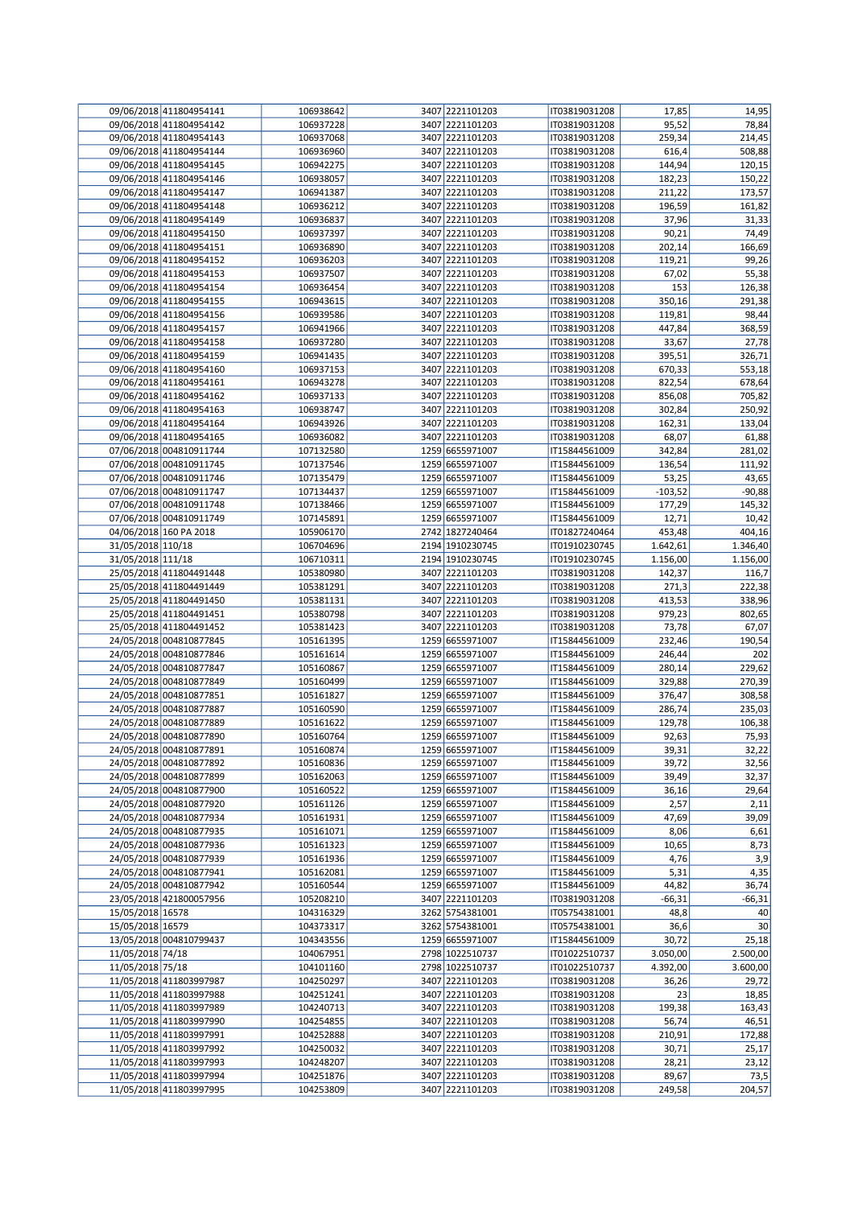|                   | 09/06/2018 411804954141 | 106938642 | 3407 2221101203 | IT03819031208 | 17,85     | 14,95    |
|-------------------|-------------------------|-----------|-----------------|---------------|-----------|----------|
|                   | 09/06/2018 411804954142 | 106937228 | 3407 2221101203 | IT03819031208 | 95,52     | 78,84    |
|                   | 09/06/2018 411804954143 | 106937068 | 3407 2221101203 | IT03819031208 | 259,34    | 214,45   |
|                   | 09/06/2018 411804954144 | 106936960 | 3407 2221101203 | IT03819031208 | 616,4     | 508,88   |
|                   | 09/06/2018 411804954145 | 106942275 | 3407 2221101203 | IT03819031208 | 144,94    | 120,15   |
|                   | 09/06/2018 411804954146 | 106938057 | 3407 2221101203 | IT03819031208 | 182,23    | 150,22   |
|                   | 09/06/2018 411804954147 | 106941387 | 3407 2221101203 | IT03819031208 | 211,22    | 173,57   |
|                   |                         |           |                 |               |           |          |
|                   | 09/06/2018 411804954148 | 106936212 | 3407 2221101203 | IT03819031208 | 196,59    | 161,82   |
|                   | 09/06/2018 411804954149 | 106936837 | 3407 2221101203 | IT03819031208 | 37,96     | 31,33    |
|                   | 09/06/2018 411804954150 | 106937397 | 3407 2221101203 | IT03819031208 | 90,21     | 74,49    |
|                   | 09/06/2018 411804954151 | 106936890 | 3407 2221101203 | IT03819031208 | 202,14    | 166,69   |
|                   | 09/06/2018 411804954152 | 106936203 | 3407 2221101203 | IT03819031208 | 119,21    | 99,26    |
|                   | 09/06/2018 411804954153 | 106937507 | 3407 2221101203 | IT03819031208 | 67,02     | 55,38    |
|                   | 09/06/2018 411804954154 | 106936454 | 3407 2221101203 | IT03819031208 | 153       | 126,38   |
|                   | 09/06/2018 411804954155 | 106943615 | 3407 2221101203 | IT03819031208 | 350,16    | 291,38   |
|                   | 09/06/2018 411804954156 | 106939586 | 3407 2221101203 | IT03819031208 | 119,81    | 98,44    |
|                   |                         |           |                 |               |           |          |
|                   | 09/06/2018 411804954157 | 106941966 | 3407 2221101203 | IT03819031208 | 447,84    | 368,59   |
|                   | 09/06/2018 411804954158 | 106937280 | 3407 2221101203 | IT03819031208 | 33,67     | 27,78    |
|                   | 09/06/2018 411804954159 | 106941435 | 3407 2221101203 | IT03819031208 | 395,51    | 326,71   |
|                   | 09/06/2018 411804954160 | 106937153 | 3407 2221101203 | IT03819031208 | 670,33    | 553,18   |
|                   | 09/06/2018 411804954161 | 106943278 | 3407 2221101203 | IT03819031208 | 822,54    | 678,64   |
|                   | 09/06/2018 411804954162 | 106937133 | 3407 2221101203 | IT03819031208 | 856,08    | 705,82   |
|                   | 09/06/2018 411804954163 | 106938747 | 3407 2221101203 | IT03819031208 | 302,84    | 250,92   |
|                   | 09/06/2018 411804954164 | 106943926 | 3407 2221101203 | IT03819031208 | 162,31    | 133,04   |
|                   | 09/06/2018 411804954165 | 106936082 | 3407 2221101203 | IT03819031208 | 68,07     | 61,88    |
|                   | 07/06/2018 004810911744 | 107132580 | 1259 6655971007 | IT15844561009 | 342,84    | 281,02   |
|                   |                         |           |                 |               |           |          |
|                   | 07/06/2018 004810911745 | 107137546 | 1259 6655971007 | IT15844561009 | 136,54    | 111,92   |
|                   | 07/06/2018 004810911746 | 107135479 | 1259 6655971007 | IT15844561009 | 53,25     | 43,65    |
|                   | 07/06/2018 004810911747 | 107134437 | 1259 6655971007 | IT15844561009 | $-103,52$ | $-90,88$ |
|                   | 07/06/2018 004810911748 | 107138466 | 1259 6655971007 | IT15844561009 | 177,29    | 145,32   |
|                   | 07/06/2018 004810911749 | 107145891 | 1259 6655971007 | IT15844561009 | 12,71     | 10,42    |
|                   | 04/06/2018 160 PA 2018  | 105906170 | 2742 1827240464 | IT01827240464 | 453,48    | 404,16   |
| 31/05/2018 110/18 |                         | 106704696 | 2194 1910230745 | IT01910230745 | 1.642,61  | 1.346,40 |
| 31/05/2018 111/18 |                         | 106710311 | 2194 1910230745 | IT01910230745 | 1.156,00  | 1.156,00 |
|                   | 25/05/2018 411804491448 | 105380980 | 3407 2221101203 | IT03819031208 | 142,37    | 116,7    |
|                   | 25/05/2018 411804491449 | 105381291 | 3407 2221101203 |               |           |          |
|                   |                         |           |                 | IT03819031208 | 271,3     | 222,38   |
|                   | 25/05/2018 411804491450 | 105381131 | 3407 2221101203 | IT03819031208 | 413,53    | 338,96   |
|                   | 25/05/2018 411804491451 | 105380798 | 3407 2221101203 | IT03819031208 | 979,23    | 802,65   |
|                   | 25/05/2018 411804491452 | 105381423 | 3407 2221101203 | IT03819031208 | 73,78     | 67,07    |
|                   | 24/05/2018 004810877845 | 105161395 | 1259 6655971007 | IT15844561009 | 232,46    | 190,54   |
|                   | 24/05/2018 004810877846 | 105161614 | 1259 6655971007 | IT15844561009 | 246,44    | 202      |
|                   | 24/05/2018 004810877847 | 105160867 | 1259 6655971007 | IT15844561009 | 280,14    | 229,62   |
|                   | 24/05/2018 004810877849 | 105160499 | 1259 6655971007 | IT15844561009 | 329,88    | 270,39   |
|                   | 24/05/2018 004810877851 | 105161827 | 1259 6655971007 | IT15844561009 | 376,47    | 308,58   |
|                   | 24/05/2018 004810877887 | 105160590 | 1259 6655971007 | IT15844561009 | 286,74    | 235,03   |
|                   |                         |           | 1259 6655971007 |               |           |          |
|                   | 24/05/2018 004810877889 | 105161622 |                 | IT15844561009 | 129,78    | 106,38   |
|                   | 24/05/2018 004810877890 | 105160764 | 1259 6655971007 | IT15844561009 | 92,63     | 75,93    |
|                   | 24/05/2018 004810877891 | 105160874 | 1259 6655971007 | IT15844561009 | 39,31     | 32,22    |
|                   | 24/05/2018 004810877892 | 105160836 | 1259 6655971007 | IT15844561009 | 39,72     | 32,56    |
|                   | 24/05/2018 004810877899 | 105162063 | 1259 6655971007 | IT15844561009 | 39,49     | 32,37    |
|                   | 24/05/2018 004810877900 | 105160522 | 1259 6655971007 | IT15844561009 | 36,16     | 29,64    |
|                   | 24/05/2018 004810877920 | 105161126 | 1259 6655971007 | IT15844561009 | 2,57      | 2,11     |
|                   | 24/05/2018 004810877934 | 105161931 | 1259 6655971007 | IT15844561009 | 47,69     | 39,09    |
|                   | 24/05/2018 004810877935 | 105161071 | 1259 6655971007 | IT15844561009 | 8,06      | 6,61     |
|                   | 24/05/2018 004810877936 | 105161323 | 1259 6655971007 | IT15844561009 | 10,65     | 8,73     |
|                   | 24/05/2018 004810877939 | 105161936 | 1259 6655971007 | IT15844561009 | 4,76      | 3,9      |
|                   | 24/05/2018 004810877941 | 105162081 | 1259 6655971007 | IT15844561009 | 5,31      | 4,35     |
|                   |                         |           |                 |               |           |          |
|                   | 24/05/2018 004810877942 | 105160544 | 1259 6655971007 | IT15844561009 | 44,82     | 36,74    |
|                   | 23/05/2018 421800057956 | 105208210 | 3407 2221101203 | IT03819031208 | $-66,31$  | $-66,31$ |
| 15/05/2018 16578  |                         | 104316329 | 3262 5754381001 | IT05754381001 | 48,8      | 40       |
| 15/05/2018 16579  |                         | 104373317 | 3262 5754381001 | IT05754381001 | 36,6      | 30       |
|                   | 13/05/2018 004810799437 | 104343556 | 1259 6655971007 | IT15844561009 | 30,72     | 25,18    |
| 11/05/2018 74/18  |                         | 104067951 | 2798 1022510737 | IT01022510737 | 3.050,00  | 2.500,00 |
| 11/05/2018 75/18  |                         | 104101160 | 2798 1022510737 | IT01022510737 | 4.392,00  | 3.600,00 |
|                   | 11/05/2018 411803997987 | 104250297 | 3407 2221101203 | IT03819031208 | 36,26     | 29,72    |
|                   | 11/05/2018 411803997988 | 104251241 | 3407 2221101203 | IT03819031208 | 23        | 18,85    |
|                   | 11/05/2018 411803997989 | 104240713 | 3407 2221101203 | IT03819031208 | 199,38    | 163,43   |
|                   | 11/05/2018 411803997990 | 104254855 | 3407 2221101203 | IT03819031208 | 56,74     | 46,51    |
|                   |                         |           |                 |               |           |          |
|                   | 11/05/2018 411803997991 | 104252888 | 3407 2221101203 | IT03819031208 | 210,91    | 172,88   |
|                   | 11/05/2018 411803997992 | 104250032 | 3407 2221101203 | IT03819031208 | 30,71     | 25,17    |
|                   | 11/05/2018 411803997993 | 104248207 | 3407 2221101203 | IT03819031208 | 28,21     | 23,12    |
|                   | 11/05/2018 411803997994 | 104251876 | 3407 2221101203 | IT03819031208 | 89,67     | 73,5     |
|                   | 11/05/2018 411803997995 | 104253809 | 3407 2221101203 | IT03819031208 | 249,58    | 204,57   |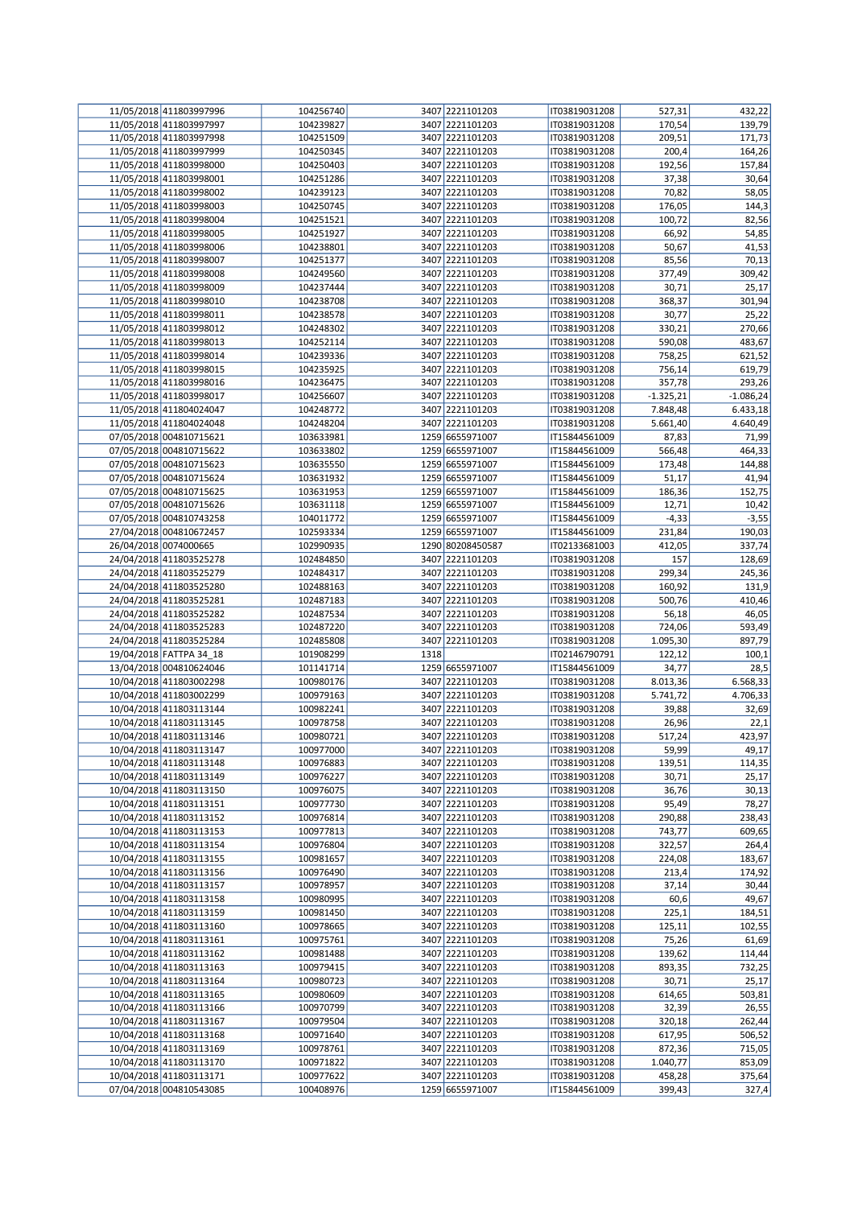| 11/05/2018 411803997996 | 104256740 |      | 3407 2221101203  | IT03819031208 | 527,31      | 432,22      |
|-------------------------|-----------|------|------------------|---------------|-------------|-------------|
| 11/05/2018 411803997997 | 104239827 |      | 3407 2221101203  | IT03819031208 | 170,54      | 139,79      |
|                         |           |      |                  |               |             |             |
| 11/05/2018 411803997998 | 104251509 |      | 3407 2221101203  | IT03819031208 | 209,51      | 171,73      |
| 11/05/2018 411803997999 | 104250345 |      | 3407 2221101203  | IT03819031208 | 200,4       | 164,26      |
| 11/05/2018 411803998000 | 104250403 |      | 3407 2221101203  | IT03819031208 | 192,56      | 157,84      |
| 11/05/2018 411803998001 | 104251286 |      | 3407 2221101203  | IT03819031208 | 37,38       | 30,64       |
| 11/05/2018 411803998002 | 104239123 |      | 3407 2221101203  | IT03819031208 | 70,82       | 58,05       |
| 11/05/2018 411803998003 | 104250745 |      | 3407 2221101203  | IT03819031208 | 176,05      | 144,3       |
|                         |           |      |                  |               |             |             |
| 11/05/2018 411803998004 | 104251521 |      | 3407 2221101203  | IT03819031208 | 100,72      | 82,56       |
| 11/05/2018 411803998005 | 104251927 |      | 3407 2221101203  | IT03819031208 | 66,92       | 54,85       |
| 11/05/2018 411803998006 | 104238801 |      | 3407 2221101203  | IT03819031208 | 50,67       | 41,53       |
| 11/05/2018 411803998007 | 104251377 |      | 3407 2221101203  | IT03819031208 | 85,56       | 70,13       |
| 11/05/2018 411803998008 | 104249560 |      | 3407 2221101203  | IT03819031208 | 377,49      | 309,42      |
|                         |           |      |                  |               |             |             |
| 11/05/2018 411803998009 | 104237444 |      | 3407 2221101203  | IT03819031208 | 30,71       | 25,17       |
| 11/05/2018 411803998010 | 104238708 |      | 3407 2221101203  | IT03819031208 | 368,37      | 301,94      |
| 11/05/2018 411803998011 | 104238578 |      | 3407 2221101203  | IT03819031208 | 30,77       | 25,22       |
| 11/05/2018 411803998012 | 104248302 |      | 3407 2221101203  | IT03819031208 | 330,21      | 270,66      |
| 11/05/2018 411803998013 | 104252114 |      | 3407 2221101203  | IT03819031208 | 590,08      | 483,67      |
| 11/05/2018 411803998014 | 104239336 |      | 3407 2221101203  | IT03819031208 | 758,25      | 621,52      |
|                         |           |      |                  |               |             |             |
| 11/05/2018 411803998015 | 104235925 |      | 3407 2221101203  | IT03819031208 | 756,14      | 619,79      |
| 11/05/2018 411803998016 | 104236475 |      | 3407 2221101203  | IT03819031208 | 357,78      | 293,26      |
| 11/05/2018 411803998017 | 104256607 |      | 3407 2221101203  | IT03819031208 | $-1.325,21$ | $-1.086,24$ |
| 11/05/2018 411804024047 | 104248772 |      | 3407 2221101203  | IT03819031208 | 7.848,48    | 6.433,18    |
| 11/05/2018 411804024048 | 104248204 |      | 3407 2221101203  | IT03819031208 | 5.661,40    | 4.640,49    |
| 07/05/2018 004810715621 |           |      | 1259 6655971007  | IT15844561009 |             | 71,99       |
|                         | 103633981 |      |                  |               | 87,83       |             |
| 07/05/2018 004810715622 | 103633802 |      | 1259 6655971007  | IT15844561009 | 566,48      | 464,33      |
| 07/05/2018 004810715623 | 103635550 |      | 1259 6655971007  | IT15844561009 | 173,48      | 144,88      |
| 07/05/2018 004810715624 | 103631932 |      | 1259 6655971007  | IT15844561009 | 51,17       | 41,94       |
| 07/05/2018 004810715625 | 103631953 |      | 1259 6655971007  | IT15844561009 | 186,36      | 152,75      |
| 07/05/2018 004810715626 | 103631118 |      | 1259 6655971007  | IT15844561009 | 12,71       | 10,42       |
| 07/05/2018 004810743258 | 104011772 |      | 1259 6655971007  | IT15844561009 | $-4,33$     | $-3,55$     |
|                         |           |      |                  |               |             |             |
| 27/04/2018 004810672457 | 102593334 |      | 1259 6655971007  | IT15844561009 | 231,84      | 190,03      |
| 26/04/2018 0074000665   | 102990935 |      | 1290 80208450587 | IT02133681003 | 412,05      | 337,74      |
| 24/04/2018 411803525278 | 102484850 |      | 3407 2221101203  | IT03819031208 | 157         | 128,69      |
| 24/04/2018 411803525279 | 102484317 |      | 3407 2221101203  | IT03819031208 | 299,34      | 245,36      |
| 24/04/2018 411803525280 | 102488163 |      | 3407 2221101203  | IT03819031208 | 160,92      | 131,9       |
| 24/04/2018 411803525281 | 102487183 |      | 3407 2221101203  | IT03819031208 | 500,76      | 410,46      |
|                         |           |      |                  |               |             |             |
| 24/04/2018 411803525282 | 102487534 |      | 3407 2221101203  | IT03819031208 | 56,18       | 46,05       |
| 24/04/2018 411803525283 | 102487220 |      | 3407 2221101203  | IT03819031208 | 724,06      | 593,49      |
| 24/04/2018 411803525284 | 102485808 |      | 3407 2221101203  | IT03819031208 | 1.095,30    | 897,79      |
| 19/04/2018 FATTPA 34_18 | 101908299 | 1318 |                  | IT02146790791 | 122,12      | 100,1       |
| 13/04/2018 004810624046 | 101141714 |      | 1259 6655971007  | IT15844561009 | 34,77       | 28,5        |
| 10/04/2018 411803002298 | 100980176 |      | 3407 2221101203  | IT03819031208 | 8.013,36    | 6.568,33    |
|                         |           |      |                  |               |             |             |
| 10/04/2018 411803002299 | 100979163 |      | 3407 2221101203  | IT03819031208 | 5.741,72    | 4.706,33    |
| 10/04/2018 411803113144 | 100982241 |      | 3407 2221101203  | IT03819031208 | 39,88       | 32,69       |
| 10/04/2018 411803113145 | 100978758 |      | 3407 2221101203  | IT03819031208 | 26,96       | 22,1        |
| 10/04/2018 411803113146 | 100980721 |      | 3407 2221101203  | IT03819031208 | 517,24      | 423,97      |
| 10/04/2018 411803113147 | 100977000 |      | 3407 2221101203  | IT03819031208 | 59,99       | 49,17       |
|                         | 100976883 |      | 3407 2221101203  | IT03819031208 | 139,51      |             |
| 10/04/2018 411803113148 |           |      |                  |               |             | 114,35      |
| 10/04/2018 411803113149 | 100976227 |      | 3407 2221101203  | IT03819031208 | 30,71       | 25,17       |
| 10/04/2018 411803113150 | 100976075 |      | 3407 2221101203  | IT03819031208 | 36,76       | 30,13       |
| 10/04/2018 411803113151 | 100977730 |      | 3407 2221101203  | IT03819031208 | 95,49       | 78,27       |
| 10/04/2018 411803113152 | 100976814 |      | 3407 2221101203  | IT03819031208 | 290,88      | 238,43      |
| 10/04/2018 411803113153 | 100977813 |      | 3407 2221101203  | IT03819031208 | 743,77      | 609,65      |
| 10/04/2018 411803113154 | 100976804 |      | 3407 2221101203  | IT03819031208 | 322,57      | 264,4       |
|                         |           |      |                  |               |             |             |
| 10/04/2018 411803113155 | 100981657 |      | 3407 2221101203  | IT03819031208 | 224,08      | 183,67      |
| 10/04/2018 411803113156 | 100976490 |      | 3407 2221101203  | IT03819031208 | 213,4       | 174,92      |
| 10/04/2018 411803113157 | 100978957 |      | 3407 2221101203  | IT03819031208 | 37,14       | 30,44       |
| 10/04/2018 411803113158 | 100980995 |      | 3407 2221101203  | IT03819031208 | 60,6        | 49,67       |
| 10/04/2018 411803113159 | 100981450 |      | 3407 2221101203  | IT03819031208 | 225,1       | 184,51      |
| 10/04/2018 411803113160 | 100978665 |      | 3407 2221101203  | IT03819031208 | 125,11      | 102,55      |
|                         |           |      |                  |               |             |             |
| 10/04/2018 411803113161 | 100975761 |      | 3407 2221101203  | IT03819031208 | 75,26       | 61,69       |
| 10/04/2018 411803113162 | 100981488 |      | 3407 2221101203  | IT03819031208 | 139,62      | 114,44      |
| 10/04/2018 411803113163 | 100979415 |      | 3407 2221101203  | IT03819031208 | 893,35      | 732,25      |
| 10/04/2018 411803113164 | 100980723 |      | 3407 2221101203  | IT03819031208 | 30,71       | 25,17       |
| 10/04/2018 411803113165 | 100980609 |      | 3407 2221101203  | IT03819031208 | 614,65      | 503,81      |
| 10/04/2018 411803113166 | 100970799 |      | 3407 2221101203  | IT03819031208 | 32,39       | 26,55       |
|                         |           |      | 3407 2221101203  |               |             |             |
| 10/04/2018 411803113167 | 100979504 |      |                  | IT03819031208 | 320,18      | 262,44      |
| 10/04/2018 411803113168 | 100971640 |      | 3407 2221101203  | IT03819031208 | 617,95      | 506,52      |
| 10/04/2018 411803113169 | 100978761 |      | 3407 2221101203  | IT03819031208 | 872,36      | 715,05      |
| 10/04/2018 411803113170 | 100971822 |      | 3407 2221101203  | IT03819031208 | 1.040,77    | 853,09      |
| 10/04/2018 411803113171 | 100977622 |      | 3407 2221101203  | IT03819031208 | 458,28      | 375,64      |
| 07/04/2018 004810543085 | 100408976 |      | 1259 6655971007  | IT15844561009 | 399,43      | 327,4       |
|                         |           |      |                  |               |             |             |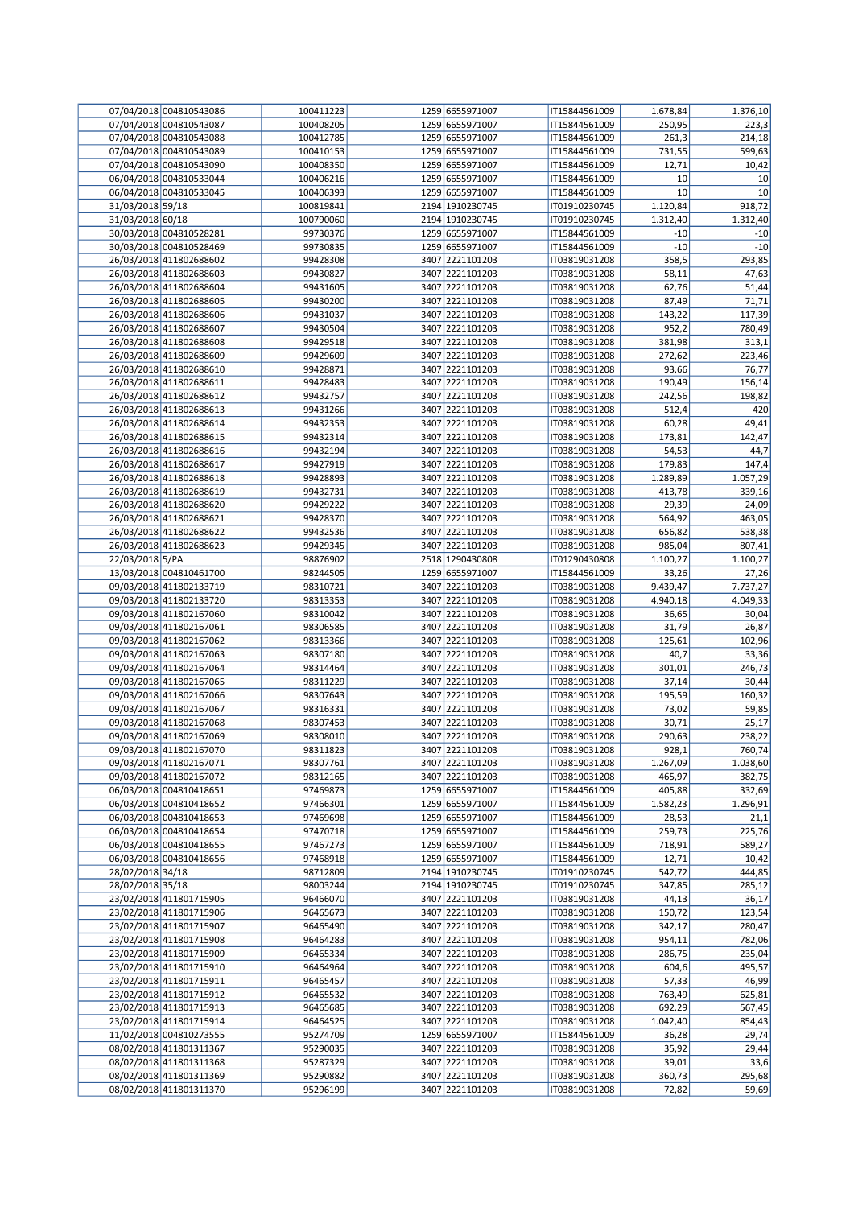|                  | 07/04/2018 004810543086 | 100411223 | 1259 6655971007 | IT15844561009 | 1.678,84 | 1.376,10 |
|------------------|-------------------------|-----------|-----------------|---------------|----------|----------|
|                  | 07/04/2018 004810543087 | 100408205 | 1259 6655971007 | IT15844561009 | 250,95   | 223,3    |
|                  | 07/04/2018 004810543088 | 100412785 | 1259 6655971007 | IT15844561009 | 261,3    | 214,18   |
|                  |                         |           |                 |               |          |          |
|                  | 07/04/2018 004810543089 | 100410153 | 1259 6655971007 | IT15844561009 | 731,55   | 599,63   |
|                  | 07/04/2018 004810543090 | 100408350 | 1259 6655971007 | IT15844561009 | 12,71    | 10,42    |
|                  | 06/04/2018 004810533044 | 100406216 | 1259 6655971007 | IT15844561009 | 10       | 10       |
|                  | 06/04/2018 004810533045 | 100406393 | 1259 6655971007 | IT15844561009 | 10       | 10       |
| 31/03/2018 59/18 |                         | 100819841 | 2194 1910230745 | IT01910230745 | 1.120,84 | 918,72   |
|                  |                         |           | 2194 1910230745 |               | 1.312,40 | 1.312,40 |
| 31/03/2018 60/18 |                         | 100790060 |                 | IT01910230745 |          |          |
|                  | 30/03/2018 004810528281 | 99730376  | 1259 6655971007 | IT15844561009 | $-10$    | $-10$    |
|                  | 30/03/2018 004810528469 | 99730835  | 1259 6655971007 | IT15844561009 | $-10$    | $-10$    |
|                  | 26/03/2018 411802688602 | 99428308  | 3407 2221101203 | IT03819031208 | 358,5    | 293,85   |
|                  | 26/03/2018 411802688603 | 99430827  | 3407 2221101203 | IT03819031208 | 58,11    | 47,63    |
|                  |                         |           |                 |               |          |          |
|                  | 26/03/2018 411802688604 | 99431605  | 3407 2221101203 | IT03819031208 | 62,76    | 51,44    |
|                  | 26/03/2018 411802688605 | 99430200  | 3407 2221101203 | IT03819031208 | 87,49    | 71,71    |
|                  | 26/03/2018 411802688606 | 99431037  | 3407 2221101203 | IT03819031208 | 143,22   | 117,39   |
|                  | 26/03/2018 411802688607 | 99430504  | 3407 2221101203 | IT03819031208 | 952,2    | 780,49   |
|                  | 26/03/2018 411802688608 | 99429518  | 3407 2221101203 | IT03819031208 | 381,98   | 313,1    |
|                  |                         |           |                 |               |          |          |
|                  | 26/03/2018 411802688609 | 99429609  | 3407 2221101203 | IT03819031208 | 272,62   | 223,46   |
|                  | 26/03/2018 411802688610 | 99428871  | 3407 2221101203 | IT03819031208 | 93,66    | 76,77    |
|                  | 26/03/2018 411802688611 | 99428483  | 3407 2221101203 | IT03819031208 | 190,49   | 156,14   |
|                  | 26/03/2018 411802688612 | 99432757  | 3407 2221101203 | IT03819031208 | 242,56   | 198,82   |
|                  | 26/03/2018 411802688613 | 99431266  | 3407 2221101203 | IT03819031208 | 512,4    | 420      |
|                  |                         |           |                 |               |          |          |
|                  | 26/03/2018 411802688614 | 99432353  | 3407 2221101203 | IT03819031208 | 60,28    | 49,41    |
|                  | 26/03/2018 411802688615 | 99432314  | 3407 2221101203 | IT03819031208 | 173,81   | 142,47   |
|                  | 26/03/2018 411802688616 | 99432194  | 3407 2221101203 | IT03819031208 | 54,53    | 44,7     |
|                  | 26/03/2018 411802688617 | 99427919  | 3407 2221101203 | IT03819031208 | 179,83   | 147,4    |
|                  | 26/03/2018 411802688618 | 99428893  | 3407 2221101203 | IT03819031208 | 1.289,89 | 1.057,29 |
|                  |                         |           |                 |               |          |          |
|                  | 26/03/2018 411802688619 | 99432731  | 3407 2221101203 | IT03819031208 | 413,78   | 339,16   |
|                  | 26/03/2018 411802688620 | 99429222  | 3407 2221101203 | IT03819031208 | 29,39    | 24,09    |
|                  | 26/03/2018 411802688621 | 99428370  | 3407 2221101203 | IT03819031208 | 564,92   | 463,05   |
|                  | 26/03/2018 411802688622 | 99432536  | 3407 2221101203 | IT03819031208 | 656,82   | 538,38   |
|                  | 26/03/2018 411802688623 | 99429345  | 3407 2221101203 | IT03819031208 | 985,04   | 807,41   |
|                  |                         |           |                 |               |          |          |
| 22/03/2018 5/PA  |                         | 98876902  | 2518 1290430808 | IT01290430808 | 1.100,27 | 1.100,27 |
|                  | 13/03/2018 004810461700 | 98244505  | 1259 6655971007 | IT15844561009 | 33,26    | 27,26    |
|                  | 09/03/2018 411802133719 | 98310721  | 3407 2221101203 | IT03819031208 | 9.439,47 | 7.737,27 |
|                  | 09/03/2018 411802133720 | 98313353  | 3407 2221101203 | IT03819031208 | 4.940,18 | 4.049,33 |
|                  | 09/03/2018 411802167060 | 98310042  | 3407 2221101203 | IT03819031208 | 36,65    | 30,04    |
|                  |                         |           |                 |               |          |          |
|                  | 09/03/2018 411802167061 | 98306585  | 3407 2221101203 | IT03819031208 | 31,79    | 26,87    |
|                  | 09/03/2018 411802167062 | 98313366  | 3407 2221101203 | IT03819031208 | 125,61   | 102,96   |
|                  | 09/03/2018 411802167063 | 98307180  | 3407 2221101203 | IT03819031208 | 40,7     | 33,36    |
|                  | 09/03/2018 411802167064 | 98314464  | 3407 2221101203 | IT03819031208 | 301,01   | 246,73   |
|                  | 09/03/2018 411802167065 | 98311229  | 3407 2221101203 | IT03819031208 | 37,14    | 30,44    |
|                  |                         |           |                 |               |          |          |
|                  | 09/03/2018 411802167066 | 98307643  | 3407 2221101203 | IT03819031208 | 195,59   | 160,32   |
|                  | 09/03/2018 411802167067 | 98316331  | 3407 2221101203 | IT03819031208 | 73,02    | 59,85    |
|                  | 09/03/2018 411802167068 | 98307453  | 3407 2221101203 | IT03819031208 | 30,71    | 25,17    |
|                  | 09/03/2018 411802167069 | 98308010  | 3407 2221101203 | IT03819031208 | 290,63   | 238,22   |
|                  |                         |           |                 |               |          |          |
|                  | 09/03/2018 411802167070 | 98311823  | 3407 2221101203 | IT03819031208 | 928,1    | 760,74   |
|                  | 09/03/2018 411802167071 | 98307761  | 3407 2221101203 | IT03819031208 | 1.267,09 | 1.038,60 |
|                  | 09/03/2018 411802167072 | 98312165  | 3407 2221101203 | IT03819031208 | 465,97   | 382,75   |
|                  | 06/03/2018 004810418651 | 97469873  | 1259 6655971007 | IT15844561009 | 405,88   | 332,69   |
|                  | 06/03/2018 004810418652 | 97466301  | 1259 6655971007 | IT15844561009 | 1.582,23 | 1.296,91 |
|                  | 06/03/2018 004810418653 | 97469698  | 1259 6655971007 | IT15844561009 | 28,53    | 21,1     |
|                  | 06/03/2018 004810418654 | 97470718  | 1259 6655971007 | IT15844561009 | 259,73   | 225,76   |
|                  |                         |           |                 |               |          |          |
|                  | 06/03/2018 004810418655 | 97467273  | 1259 6655971007 | IT15844561009 | 718,91   | 589,27   |
|                  | 06/03/2018 004810418656 | 97468918  | 1259 6655971007 | IT15844561009 | 12,71    | 10,42    |
| 28/02/2018 34/18 |                         | 98712809  | 2194 1910230745 | IT01910230745 | 542,72   | 444,85   |
| 28/02/2018 35/18 |                         | 98003244  | 2194 1910230745 | IT01910230745 | 347,85   | 285,12   |
|                  | 23/02/2018 411801715905 | 96466070  | 3407 2221101203 | IT03819031208 | 44,13    | 36,17    |
|                  |                         |           |                 |               |          |          |
|                  | 23/02/2018 411801715906 | 96465673  | 3407 2221101203 | IT03819031208 | 150,72   | 123,54   |
|                  | 23/02/2018 411801715907 | 96465490  | 3407 2221101203 | IT03819031208 | 342,17   | 280,47   |
|                  | 23/02/2018 411801715908 | 96464283  | 3407 2221101203 | IT03819031208 | 954,11   | 782,06   |
|                  | 23/02/2018 411801715909 | 96465334  | 3407 2221101203 | IT03819031208 | 286,75   | 235,04   |
|                  | 23/02/2018 411801715910 | 96464964  | 3407 2221101203 | IT03819031208 | 604,6    | 495,57   |
|                  |                         | 96465457  | 3407 2221101203 | IT03819031208 |          |          |
|                  | 23/02/2018 411801715911 |           |                 |               | 57,33    | 46,99    |
|                  | 23/02/2018 411801715912 | 96465532  | 3407 2221101203 | IT03819031208 | 763,49   | 625,81   |
|                  | 23/02/2018 411801715913 | 96465685  | 3407 2221101203 | IT03819031208 | 692,29   | 567,45   |
|                  | 23/02/2018 411801715914 | 96464525  | 3407 2221101203 | IT03819031208 | 1.042,40 | 854,43   |
|                  | 11/02/2018 004810273555 | 95274709  | 1259 6655971007 | IT15844561009 | 36,28    | 29,74    |
|                  | 08/02/2018 411801311367 | 95290035  | 3407 2221101203 | IT03819031208 | 35,92    | 29,44    |
|                  |                         |           |                 |               |          |          |
|                  | 08/02/2018 411801311368 | 95287329  | 3407 2221101203 | IT03819031208 | 39,01    | 33,6     |
|                  | 08/02/2018 411801311369 | 95290882  | 3407 2221101203 | IT03819031208 | 360,73   | 295,68   |
|                  | 08/02/2018 411801311370 | 95296199  | 3407 2221101203 | IT03819031208 | 72,82    | 59,69    |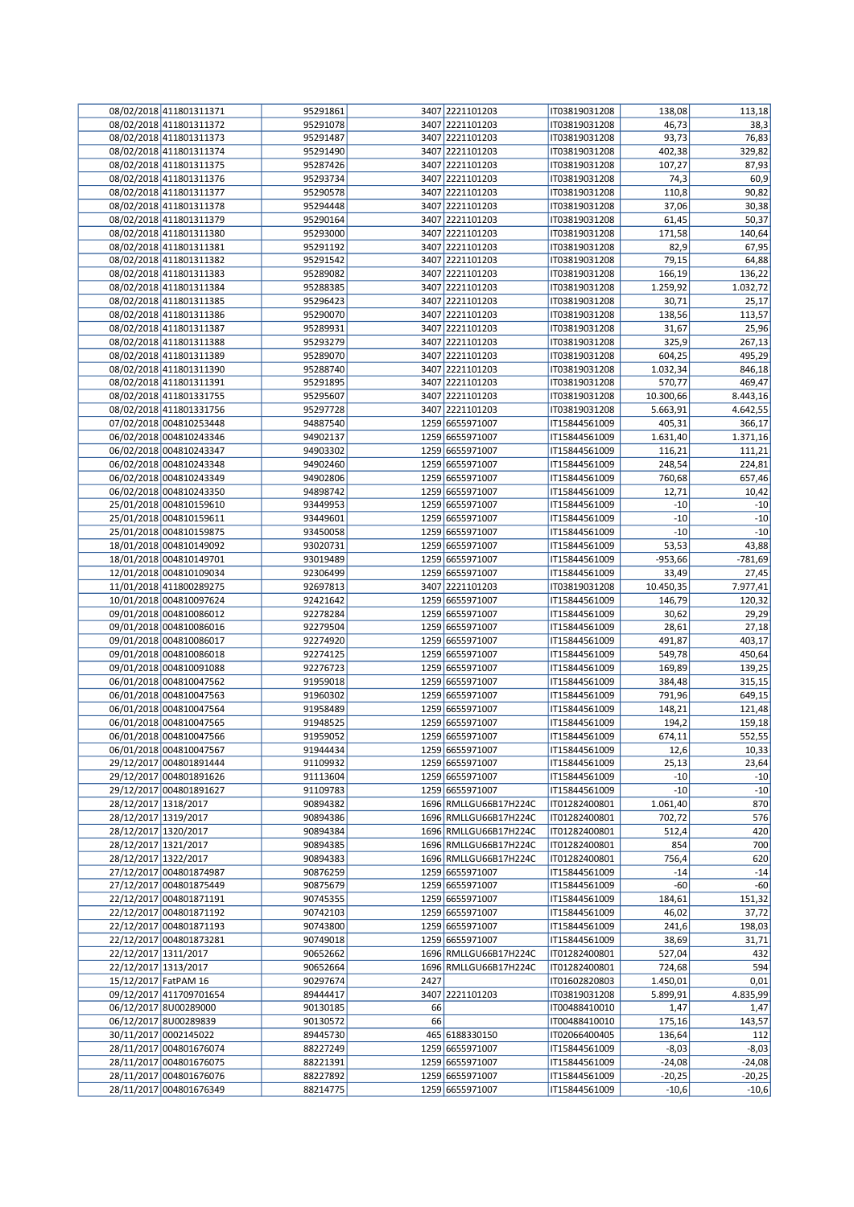|                      | 08/02/2018 411801311371 | 95291861 |      | 3407 2221101203       | IT03819031208 | 138,08    | 113,18    |
|----------------------|-------------------------|----------|------|-----------------------|---------------|-----------|-----------|
|                      | 08/02/2018 411801311372 | 95291078 |      | 3407 2221101203       | IT03819031208 | 46,73     | 38,3      |
|                      | 08/02/2018 411801311373 | 95291487 |      | 3407 2221101203       | IT03819031208 | 93,73     | 76,83     |
|                      | 08/02/2018 411801311374 | 95291490 |      | 3407 2221101203       | IT03819031208 | 402,38    | 329,82    |
|                      | 08/02/2018 411801311375 | 95287426 |      | 3407 2221101203       | IT03819031208 | 107,27    | 87,93     |
|                      | 08/02/2018 411801311376 | 95293734 |      | 3407 2221101203       | IT03819031208 | 74,3      | 60,9      |
|                      | 08/02/2018 411801311377 | 95290578 |      | 3407 2221101203       | IT03819031208 | 110,8     | 90,82     |
|                      | 08/02/2018 411801311378 | 95294448 |      | 3407 2221101203       | IT03819031208 | 37,06     | 30,38     |
|                      | 08/02/2018 411801311379 | 95290164 |      | 3407 2221101203       | IT03819031208 | 61,45     | 50,37     |
|                      |                         |          |      | 3407 2221101203       |               |           |           |
|                      | 08/02/2018 411801311380 | 95293000 |      |                       | IT03819031208 | 171,58    | 140,64    |
|                      | 08/02/2018 411801311381 | 95291192 |      | 3407 2221101203       | IT03819031208 | 82,9      | 67,95     |
|                      | 08/02/2018 411801311382 | 95291542 |      | 3407 2221101203       | IT03819031208 | 79,15     | 64,88     |
|                      | 08/02/2018 411801311383 | 95289082 |      | 3407 2221101203       | IT03819031208 | 166,19    | 136,22    |
|                      | 08/02/2018 411801311384 | 95288385 |      | 3407 2221101203       | IT03819031208 | 1.259,92  | 1.032,72  |
|                      | 08/02/2018 411801311385 | 95296423 |      | 3407 2221101203       | IT03819031208 | 30,71     | 25,17     |
|                      | 08/02/2018 411801311386 | 95290070 |      | 3407 2221101203       | IT03819031208 | 138,56    | 113,57    |
|                      | 08/02/2018 411801311387 | 95289931 |      | 3407 2221101203       | IT03819031208 | 31,67     | 25,96     |
|                      | 08/02/2018 411801311388 | 95293279 |      | 3407 2221101203       | IT03819031208 | 325,9     | 267,13    |
|                      | 08/02/2018 411801311389 | 95289070 |      | 3407 2221101203       | IT03819031208 | 604,25    | 495,29    |
|                      | 08/02/2018 411801311390 | 95288740 |      | 3407 2221101203       | IT03819031208 | 1.032,34  | 846,18    |
|                      | 08/02/2018 411801311391 | 95291895 |      | 3407 2221101203       | IT03819031208 | 570,77    | 469,47    |
|                      | 08/02/2018 411801331755 | 95295607 |      | 3407 2221101203       | IT03819031208 | 10.300,66 | 8.443,16  |
|                      |                         |          |      |                       |               |           |           |
|                      | 08/02/2018 411801331756 | 95297728 |      | 3407 2221101203       | IT03819031208 | 5.663,91  | 4.642,55  |
|                      | 07/02/2018 004810253448 | 94887540 |      | 1259 6655971007       | IT15844561009 | 405,31    | 366,17    |
|                      | 06/02/2018 004810243346 | 94902137 |      | 1259 6655971007       | IT15844561009 | 1.631,40  | 1.371,16  |
|                      | 06/02/2018 004810243347 | 94903302 |      | 1259 6655971007       | IT15844561009 | 116,21    | 111,21    |
|                      | 06/02/2018 004810243348 | 94902460 |      | 1259 6655971007       | IT15844561009 | 248,54    | 224,81    |
|                      | 06/02/2018 004810243349 | 94902806 |      | 1259 6655971007       | IT15844561009 | 760,68    | 657,46    |
|                      | 06/02/2018 004810243350 | 94898742 |      | 1259 6655971007       | IT15844561009 | 12,71     | 10,42     |
|                      | 25/01/2018 004810159610 | 93449953 |      | 1259 6655971007       | IT15844561009 | $-10$     | $-10$     |
|                      | 25/01/2018 004810159611 | 93449601 |      | 1259 6655971007       | IT15844561009 | $-10$     | $-10$     |
|                      | 25/01/2018 004810159875 | 93450058 |      | 1259 6655971007       | IT15844561009 | $-10$     | $-10$     |
|                      | 18/01/2018 004810149092 | 93020731 |      | 1259 6655971007       | IT15844561009 | 53,53     | 43,88     |
|                      | 18/01/2018 004810149701 | 93019489 |      | 1259 6655971007       | IT15844561009 | $-953,66$ | $-781,69$ |
|                      | 12/01/2018 004810109034 | 92306499 |      | 1259 6655971007       | IT15844561009 | 33,49     | 27,45     |
|                      |                         | 92697813 |      | 3407 2221101203       |               |           |           |
|                      | 11/01/2018 411800289275 |          |      |                       | IT03819031208 | 10.450,35 | 7.977,41  |
|                      | 10/01/2018 004810097624 | 92421642 |      | 1259 6655971007       | IT15844561009 | 146,79    | 120,32    |
|                      | 09/01/2018 004810086012 | 92278284 |      | 1259 6655971007       | IT15844561009 | 30,62     | 29,29     |
|                      | 09/01/2018 004810086016 | 92279504 |      | 1259 6655971007       | IT15844561009 | 28,61     | 27,18     |
|                      | 09/01/2018 004810086017 | 92274920 |      | 1259 6655971007       | IT15844561009 | 491,87    | 403,17    |
|                      | 09/01/2018 004810086018 | 92274125 |      | 1259 6655971007       | IT15844561009 | 549,78    | 450,64    |
|                      | 09/01/2018 004810091088 | 92276723 |      | 1259 6655971007       | IT15844561009 | 169,89    | 139,25    |
|                      | 06/01/2018 004810047562 | 91959018 |      | 1259 6655971007       | IT15844561009 | 384,48    | 315,15    |
|                      | 06/01/2018 004810047563 | 91960302 |      | 1259 6655971007       | IT15844561009 | 791,96    | 649,15    |
|                      | 06/01/2018 004810047564 | 91958489 |      | 1259 6655971007       | IT15844561009 | 148,21    | 121,48    |
|                      | 06/01/2018 004810047565 | 91948525 |      | 1259 6655971007       | IT15844561009 | 194,2     | 159,18    |
|                      | 06/01/2018 004810047566 | 91959052 |      | 1259 6655971007       | IT15844561009 | 674,11    | 552,55    |
|                      | 06/01/2018 004810047567 | 91944434 |      | 1259 6655971007       | IT15844561009 | 12,6      | 10,33     |
|                      | 29/12/2017 004801891444 | 91109932 |      | 1259 6655971007       | IT15844561009 | 25,13     | 23,64     |
|                      | 29/12/2017 004801891626 | 91113604 |      | 1259 6655971007       |               |           |           |
|                      |                         |          |      |                       | IT15844561009 | $-10$     | $-10$     |
|                      | 29/12/2017 004801891627 | 91109783 |      | 1259 6655971007       | IT15844561009 | $-10$     | $-10$     |
| 28/12/2017 1318/2017 |                         | 90894382 |      | 1696 RMLLGU66B17H224C | IT01282400801 | 1.061,40  | 870       |
| 28/12/2017 1319/2017 |                         | 90894386 |      | 1696 RMLLGU66B17H224C | IT01282400801 | 702,72    | 576       |
| 28/12/2017 1320/2017 |                         | 90894384 |      | 1696 RMLLGU66B17H224C | IT01282400801 | 512,4     | 420       |
| 28/12/2017 1321/2017 |                         | 90894385 |      | 1696 RMLLGU66B17H224C | IT01282400801 | 854       | 700       |
| 28/12/2017 1322/2017 |                         | 90894383 |      | 1696 RMLLGU66B17H224C | IT01282400801 | 756,4     | 620       |
|                      | 27/12/2017 004801874987 | 90876259 |      | 1259 6655971007       | IT15844561009 | $-14$     | $-14$     |
|                      | 27/12/2017 004801875449 | 90875679 |      | 1259 6655971007       | IT15844561009 | $-60$     | $-60$     |
|                      | 22/12/2017 004801871191 | 90745355 |      | 1259 6655971007       | IT15844561009 | 184,61    | 151,32    |
|                      | 22/12/2017 004801871192 | 90742103 |      | 1259 6655971007       | IT15844561009 | 46,02     | 37,72     |
|                      | 22/12/2017 004801871193 | 90743800 |      | 1259 6655971007       | IT15844561009 | 241,6     | 198,03    |
|                      | 22/12/2017 004801873281 | 90749018 |      | 1259 6655971007       | IT15844561009 | 38,69     | 31,71     |
| 22/12/2017 1311/2017 |                         | 90652662 |      | 1696 RMLLGU66B17H224C | IT01282400801 | 527,04    | 432       |
| 22/12/2017 1313/2017 |                         | 90652664 |      | 1696 RMLLGU66B17H224C | IT01282400801 | 724,68    | 594       |
| 15/12/2017 FatPAM 16 |                         | 90297674 | 2427 |                       | IT01602820803 | 1.450,01  | 0,01      |
|                      |                         |          |      |                       |               |           |           |
|                      | 09/12/2017 411709701654 | 89444417 |      | 3407 2221101203       | IT03819031208 | 5.899,91  | 4.835,99  |
|                      | 06/12/2017 8U00289000   | 90130185 | 66   |                       | IT00488410010 | 1,47      | 1,47      |
|                      | 06/12/2017 8U00289839   | 90130572 | 66   |                       | IT00488410010 | 175,16    | 143,57    |
|                      | 30/11/2017 0002145022   | 89445730 |      | 465 6188330150        | IT02066400405 | 136,64    | 112       |
|                      | 28/11/2017 004801676074 | 88227249 |      | 1259 6655971007       | IT15844561009 | $-8,03$   | $-8,03$   |
|                      | 28/11/2017 004801676075 | 88221391 |      | 1259 6655971007       | IT15844561009 | $-24,08$  | $-24,08$  |
|                      | 28/11/2017 004801676076 | 88227892 |      | 1259 6655971007       | IT15844561009 | $-20,25$  | $-20,25$  |
|                      | 28/11/2017 004801676349 | 88214775 |      | 1259 6655971007       | IT15844561009 | $-10,6$   | $-10,6$   |
|                      |                         |          |      |                       |               |           |           |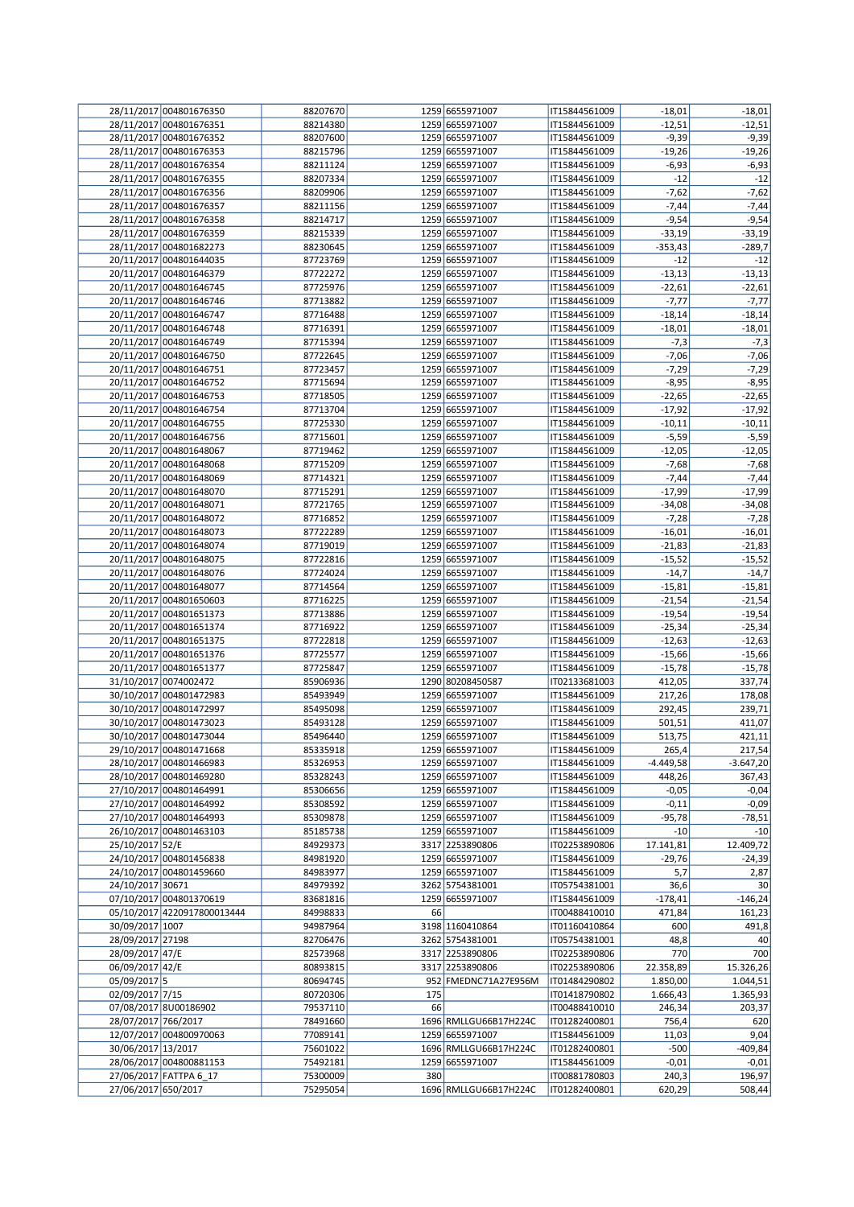|                     | 28/11/2017 004801676350     | 88207670 |     | 1259 6655971007       | IT15844561009 | $-18,01$  | $-18,01$    |
|---------------------|-----------------------------|----------|-----|-----------------------|---------------|-----------|-------------|
|                     | 28/11/2017 004801676351     | 88214380 |     | 1259 6655971007       | IT15844561009 | $-12,51$  | $-12,51$    |
|                     | 28/11/2017 004801676352     | 88207600 |     | 1259 6655971007       | IT15844561009 | $-9,39$   | $-9,39$     |
|                     | 28/11/2017 004801676353     | 88215796 |     | 1259 6655971007       | IT15844561009 | $-19,26$  | $-19,26$    |
|                     | 28/11/2017 004801676354     | 88211124 |     | 1259 6655971007       | IT15844561009 | $-6,93$   | $-6,93$     |
|                     | 28/11/2017 004801676355     | 88207334 |     | 1259 6655971007       | IT15844561009 | $-12$     | $-12$       |
|                     | 28/11/2017 004801676356     | 88209906 |     | 1259 6655971007       | IT15844561009 | $-7,62$   | $-7,62$     |
|                     | 28/11/2017 004801676357     | 88211156 |     | 1259 6655971007       | IT15844561009 | $-7,44$   | $-7,44$     |
|                     | 28/11/2017 004801676358     | 88214717 |     | 1259 6655971007       | IT15844561009 | $-9,54$   | $-9,54$     |
|                     | 28/11/2017 004801676359     | 88215339 |     | 1259 6655971007       | IT15844561009 | $-33,19$  | $-33,19$    |
|                     | 28/11/2017 004801682273     | 88230645 |     | 1259 6655971007       | IT15844561009 | $-353,43$ | $-289,7$    |
|                     | 20/11/2017 004801644035     | 87723769 |     | 1259 6655971007       | IT15844561009 | $-12$     | $-12$       |
|                     | 20/11/2017 004801646379     | 87722272 |     | 1259 6655971007       | IT15844561009 | $-13,13$  | $-13,13$    |
|                     | 20/11/2017 004801646745     | 87725976 |     | 1259 6655971007       | IT15844561009 | $-22,61$  | $-22,61$    |
|                     | 20/11/2017 004801646746     | 87713882 |     | 1259 6655971007       | IT15844561009 | $-7,77$   | $-7,77$     |
|                     | 20/11/2017 004801646747     | 87716488 |     | 1259 6655971007       | IT15844561009 | $-18,14$  | $-18,14$    |
|                     | 20/11/2017 004801646748     | 87716391 |     | 1259 6655971007       | IT15844561009 | $-18,01$  | -18,01      |
|                     | 20/11/2017 004801646749     | 87715394 |     | 1259 6655971007       | IT15844561009 | $-7,3$    | $-7,3$      |
|                     | 20/11/2017 004801646750     | 87722645 |     | 1259 6655971007       | IT15844561009 | $-7,06$   | $-7,06$     |
|                     | 20/11/2017 004801646751     | 87723457 |     | 1259 6655971007       | IT15844561009 | $-7,29$   | $-7,29$     |
|                     | 20/11/2017 004801646752     | 87715694 |     | 1259 6655971007       | IT15844561009 | $-8,95$   | $-8,95$     |
|                     | 20/11/2017 004801646753     | 87718505 |     | 1259 6655971007       | IT15844561009 | $-22,65$  | $-22,65$    |
|                     | 20/11/2017 004801646754     | 87713704 |     | 1259 6655971007       | IT15844561009 | $-17,92$  | $-17,92$    |
|                     | 20/11/2017 004801646755     | 87725330 |     | 1259 6655971007       | IT15844561009 | $-10,11$  | $-10,11$    |
|                     | 20/11/2017 004801646756     | 87715601 |     | 1259 6655971007       | IT15844561009 | $-5,59$   | $-5,59$     |
|                     | 20/11/2017 004801648067     | 87719462 |     | 1259 6655971007       | IT15844561009 | $-12,05$  | $-12,05$    |
|                     | 20/11/2017 004801648068     | 87715209 |     | 1259 6655971007       | IT15844561009 | $-7,68$   | $-7,68$     |
|                     | 20/11/2017 004801648069     | 87714321 |     | 1259 6655971007       | IT15844561009 | $-7,44$   | $-7,44$     |
|                     | 20/11/2017 004801648070     | 87715291 |     | 1259 6655971007       | IT15844561009 | $-17,99$  | $-17,99$    |
|                     | 20/11/2017 004801648071     | 87721765 |     | 1259 6655971007       | IT15844561009 | $-34,08$  | $-34,08$    |
|                     | 20/11/2017 004801648072     | 87716852 |     | 1259 6655971007       | IT15844561009 | $-7,28$   | $-7,28$     |
|                     | 20/11/2017 004801648073     | 87722289 |     | 1259 6655971007       | IT15844561009 | $-16,01$  | $-16,01$    |
|                     | 20/11/2017 004801648074     | 87719019 |     | 1259 6655971007       | IT15844561009 | $-21,83$  | $-21,83$    |
|                     | 20/11/2017 004801648075     | 87722816 |     | 1259 6655971007       | IT15844561009 | $-15,52$  | $-15,52$    |
|                     | 20/11/2017 004801648076     | 87724024 |     | 1259 6655971007       | IT15844561009 | $-14,7$   | $-14,7$     |
|                     | 20/11/2017 004801648077     | 87714564 |     | 1259 6655971007       | IT15844561009 | $-15,81$  | $-15,81$    |
|                     | 20/11/2017 004801650603     | 87716225 |     | 1259 6655971007       | IT15844561009 | $-21,54$  | $-21,54$    |
|                     | 20/11/2017 004801651373     | 87713886 |     | 1259 6655971007       | IT15844561009 | $-19,54$  | $-19,54$    |
|                     | 20/11/2017 004801651374     | 87716922 |     | 1259 6655971007       | IT15844561009 | $-25,34$  | $-25,34$    |
|                     | 20/11/2017 004801651375     | 87722818 |     | 1259 6655971007       | IT15844561009 | $-12,63$  | $-12,63$    |
|                     | 20/11/2017 004801651376     | 87725577 |     | 1259 6655971007       | IT15844561009 | $-15,66$  | $-15,66$    |
|                     | 20/11/2017 004801651377     | 87725847 |     | 1259 6655971007       | IT15844561009 | $-15,78$  | $-15,78$    |
|                     | 31/10/2017 0074002472       | 85906936 |     | 1290 80208450587      | IT02133681003 | 412,05    | 337,74      |
|                     | 30/10/2017 004801472983     | 85493949 |     | 1259 6655971007       | IT15844561009 | 217,26    | 178,08      |
|                     | 30/10/2017 004801472997     | 85495098 |     | 1259 6655971007       | IT15844561009 | 292,45    | 239,71      |
|                     | 30/10/2017 004801473023     | 85493128 |     | 1259 6655971007       | IT15844561009 | 501,51    | 411,07      |
|                     | 30/10/2017 004801473044     | 85496440 |     | 1259 6655971007       | IT15844561009 | 513,75    | 421,11      |
|                     | 29/10/2017 004801471668     | 85335918 |     | 1259 6655971007       | IT15844561009 | 265,4     | 217,54      |
|                     | 28/10/2017 004801466983     | 85326953 |     | 1259 6655971007       | IT15844561009 | -4.449,58 | $-3.647,20$ |
|                     | 28/10/2017 004801469280     | 85328243 |     | 1259 6655971007       | IT15844561009 | 448,26    | 367,43      |
|                     | 27/10/2017 004801464991     | 85306656 |     | 1259 6655971007       | IT15844561009 | $-0,05$   | $-0,04$     |
|                     | 27/10/2017 004801464992     | 85308592 |     | 1259 6655971007       | IT15844561009 | $-0,11$   | $-0,09$     |
|                     | 27/10/2017 004801464993     | 85309878 |     | 1259 6655971007       | IT15844561009 | $-95,78$  | -78,51      |
|                     | 26/10/2017 004801463103     | 85185738 |     | 1259 6655971007       | IT15844561009 | $-10$     | $-10$       |
| 25/10/2017 52/E     |                             | 84929373 |     | 3317 2253890806       | IT02253890806 | 17.141,81 | 12.409,72   |
|                     | 24/10/2017 004801456838     | 84981920 |     | 1259 6655971007       | IT15844561009 | $-29,76$  | $-24,39$    |
|                     | 24/10/2017 004801459660     | 84983977 |     | 1259 6655971007       | IT15844561009 | 5,7       | 2,87        |
| 24/10/2017 30671    |                             | 84979392 |     | 3262 5754381001       | IT05754381001 | 36,6      | 30          |
|                     | 07/10/2017 004801370619     | 83681816 |     | 1259 6655971007       | IT15844561009 | $-178,41$ | $-146,24$   |
|                     | 05/10/2017 4220917800013444 | 84998833 | 66  |                       | IT00488410010 | 471,84    | 161,23      |
| 30/09/2017 1007     |                             | 94987964 |     | 3198 1160410864       | IT01160410864 | 600       | 491,8       |
| 28/09/2017 27198    |                             | 82706476 |     | 3262 5754381001       | IT05754381001 | 48,8      | 40          |
| 28/09/2017 47/E     |                             | 82573968 |     | 3317 2253890806       | IT02253890806 | 770       | 700         |
| 06/09/2017 42/E     |                             | 80893815 |     | 3317 2253890806       | IT02253890806 | 22.358,89 | 15.326,26   |
| 05/09/2017 5        |                             | 80694745 |     | 952 FMEDNC71A27E956M  | IT01484290802 | 1.850,00  | 1.044,51    |
| 02/09/2017 7/15     |                             | 80720306 | 175 |                       | IT01418790802 | 1.666,43  | 1.365,93    |
|                     | 07/08/2017 8U00186902       | 79537110 | 66  |                       | IT00488410010 | 246,34    | 203,37      |
| 28/07/2017 766/2017 |                             | 78491660 |     | 1696 RMLLGU66B17H224C | IT01282400801 | 756,4     | 620         |
|                     | 12/07/2017 004800970063     | 77089141 |     | 1259 6655971007       | IT15844561009 | 11,03     | 9,04        |
| 30/06/2017 13/2017  |                             | 75601022 |     | 1696 RMLLGU66B17H224C | IT01282400801 | $-500$    | $-409,84$   |
|                     | 28/06/2017 004800881153     | 75492181 |     | 1259 6655971007       | IT15844561009 | $-0,01$   | $-0,01$     |
|                     | 27/06/2017 FATTPA 6_17      | 75300009 | 380 |                       | IT00881780803 | 240,3     | 196,97      |
| 27/06/2017 650/2017 |                             | 75295054 |     | 1696 RMLLGU66B17H224C | IT01282400801 | 620,29    | 508,44      |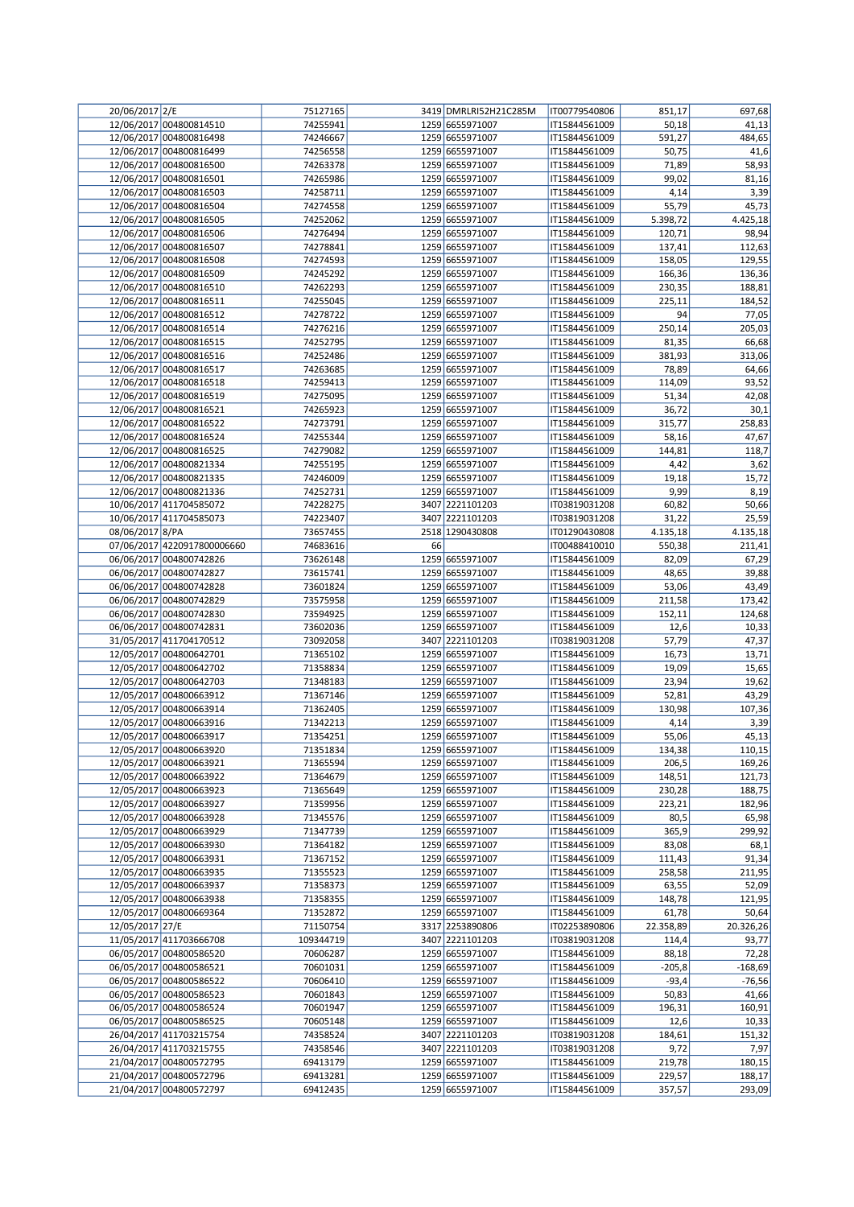| 20/06/2017 2/E  |                             | 75127165  |    | 3419 DMRLRI52H21C285M | IT00779540806 | 851,17    | 697,68    |
|-----------------|-----------------------------|-----------|----|-----------------------|---------------|-----------|-----------|
|                 | 12/06/2017 004800814510     | 74255941  |    | 1259 6655971007       | IT15844561009 | 50,18     | 41,13     |
|                 | 12/06/2017 004800816498     | 74246667  |    | 1259 6655971007       | IT15844561009 | 591,27    | 484,65    |
|                 | 12/06/2017 004800816499     | 74256558  |    | 1259 6655971007       | IT15844561009 | 50,75     | 41,6      |
|                 | 12/06/2017 004800816500     | 74263378  |    | 1259 6655971007       | IT15844561009 | 71,89     | 58,93     |
|                 | 12/06/2017 004800816501     | 74265986  |    | 1259 6655971007       | IT15844561009 | 99,02     | 81,16     |
|                 |                             |           |    |                       |               |           |           |
|                 | 12/06/2017 004800816503     | 74258711  |    | 1259 6655971007       | IT15844561009 | 4,14      | 3,39      |
|                 | 12/06/2017 004800816504     | 74274558  |    | 1259 6655971007       | IT15844561009 | 55,79     | 45,73     |
|                 | 12/06/2017 004800816505     | 74252062  |    | 1259 6655971007       | IT15844561009 | 5.398,72  | 4.425,18  |
|                 | 12/06/2017 004800816506     | 74276494  |    | 1259 6655971007       | IT15844561009 | 120,71    | 98,94     |
|                 | 12/06/2017 004800816507     | 74278841  |    | 1259 6655971007       | IT15844561009 | 137,41    | 112,63    |
|                 | 12/06/2017 004800816508     | 74274593  |    | 1259 6655971007       | IT15844561009 | 158,05    | 129,55    |
|                 | 12/06/2017 004800816509     | 74245292  |    | 1259 6655971007       | IT15844561009 | 166,36    | 136,36    |
|                 | 12/06/2017 004800816510     | 74262293  |    | 1259 6655971007       | IT15844561009 | 230,35    | 188,81    |
|                 | 12/06/2017 004800816511     | 74255045  |    | 1259 6655971007       | IT15844561009 | 225,11    | 184,52    |
|                 | 12/06/2017 004800816512     | 74278722  |    | 1259 6655971007       | IT15844561009 | 94        | 77,05     |
|                 |                             |           |    |                       |               |           |           |
|                 | 12/06/2017 004800816514     | 74276216  |    | 1259 6655971007       | IT15844561009 | 250,14    | 205,03    |
|                 | 12/06/2017 004800816515     | 74252795  |    | 1259 6655971007       | IT15844561009 | 81,35     | 66,68     |
|                 | 12/06/2017 004800816516     | 74252486  |    | 1259 6655971007       | IT15844561009 | 381,93    | 313,06    |
|                 | 12/06/2017 004800816517     | 74263685  |    | 1259 6655971007       | IT15844561009 | 78,89     | 64,66     |
|                 | 12/06/2017 004800816518     | 74259413  |    | 1259 6655971007       | IT15844561009 | 114,09    | 93,52     |
|                 | 12/06/2017 004800816519     | 74275095  |    | 1259 6655971007       | IT15844561009 | 51,34     | 42,08     |
|                 | 12/06/2017 004800816521     | 74265923  |    | 1259 6655971007       | IT15844561009 | 36,72     | 30,1      |
|                 | 12/06/2017 004800816522     | 74273791  |    | 1259 6655971007       | IT15844561009 | 315,77    | 258,83    |
|                 | 12/06/2017 004800816524     | 74255344  |    | 1259 6655971007       | IT15844561009 | 58,16     | 47,67     |
|                 |                             |           |    |                       |               |           |           |
|                 | 12/06/2017 004800816525     | 74279082  |    | 1259 6655971007       | IT15844561009 | 144,81    | 118,7     |
|                 | 12/06/2017 004800821334     | 74255195  |    | 1259 6655971007       | IT15844561009 | 4,42      | 3,62      |
|                 | 12/06/2017 004800821335     | 74246009  |    | 1259 6655971007       | IT15844561009 | 19,18     | 15,72     |
|                 | 12/06/2017 004800821336     | 74252731  |    | 1259 6655971007       | IT15844561009 | 9,99      | 8,19      |
|                 | 10/06/2017 411704585072     | 74228275  |    | 3407 2221101203       | IT03819031208 | 60,82     | 50,66     |
|                 | 10/06/2017 411704585073     | 74223407  |    | 3407 2221101203       | IT03819031208 | 31,22     | 25,59     |
| 08/06/2017 8/PA |                             | 73657455  |    | 2518 1290430808       | IT01290430808 | 4.135,18  | 4.135,18  |
|                 | 07/06/2017 4220917800006660 | 74683616  | 66 |                       | IT00488410010 | 550,38    | 211,41    |
|                 | 06/06/2017 004800742826     | 73626148  |    | 1259 6655971007       | IT15844561009 | 82,09     | 67,29     |
|                 |                             |           |    |                       |               |           |           |
|                 | 06/06/2017 004800742827     | 73615741  |    | 1259 6655971007       | IT15844561009 | 48,65     | 39,88     |
|                 | 06/06/2017 004800742828     | 73601824  |    | 1259 6655971007       | IT15844561009 | 53,06     | 43,49     |
|                 | 06/06/2017 004800742829     | 73575958  |    | 1259 6655971007       | IT15844561009 | 211,58    | 173,42    |
|                 | 06/06/2017 004800742830     | 73594925  |    | 1259 6655971007       | IT15844561009 | 152,11    | 124,68    |
|                 | 06/06/2017 004800742831     | 73602036  |    | 1259 6655971007       | IT15844561009 | 12,6      | 10,33     |
|                 | 31/05/2017 411704170512     | 73092058  |    | 3407 2221101203       | IT03819031208 | 57,79     | 47,37     |
|                 | 12/05/2017 004800642701     | 71365102  |    | 1259 6655971007       | IT15844561009 | 16,73     | 13,71     |
|                 | 12/05/2017 004800642702     | 71358834  |    | 1259 6655971007       | IT15844561009 | 19,09     | 15,65     |
|                 | 12/05/2017 004800642703     | 71348183  |    | 1259 6655971007       | IT15844561009 | 23,94     | 19,62     |
|                 |                             |           |    |                       | IT15844561009 |           |           |
|                 | 12/05/2017 004800663912     | 71367146  |    | 1259 6655971007       |               | 52,81     | 43,29     |
|                 | 12/05/2017 004800663914     | 71362405  |    | 1259 6655971007       | IT15844561009 | 130,98    | 107,36    |
|                 | 12/05/2017 004800663916     | 71342213  |    | 1259 6655971007       | IT15844561009 | 4,14      | 3,39      |
|                 | 12/05/2017 004800663917     | 71354251  |    | 1259 6655971007       | IT15844561009 | 55,06     | 45,13     |
|                 | 12/05/2017 004800663920     | 71351834  |    | 1259 6655971007       | IT15844561009 | 134,38    | 110,15    |
|                 | 12/05/2017 004800663921     | 71365594  |    | 1259 6655971007       | IT15844561009 | 206,5     | 169,26    |
|                 | 12/05/2017 004800663922     | 71364679  |    | 1259 6655971007       | IT15844561009 | 148,51    | 121,73    |
|                 | 12/05/2017 004800663923     | 71365649  |    | 1259 6655971007       | IT15844561009 | 230,28    | 188,75    |
|                 | 12/05/2017 004800663927     | 71359956  |    | 1259 6655971007       | IT15844561009 | 223,21    | 182,96    |
|                 | 12/05/2017 004800663928     | 71345576  |    | 1259 6655971007       | IT15844561009 | 80,5      | 65,98     |
|                 | 12/05/2017 004800663929     | 71347739  |    | 1259 6655971007       | IT15844561009 | 365,9     | 299,92    |
|                 |                             |           |    |                       |               |           |           |
|                 | 12/05/2017 004800663930     | 71364182  |    | 1259 6655971007       | IT15844561009 | 83,08     | 68,1      |
|                 | 12/05/2017 004800663931     | 71367152  |    | 1259 6655971007       | IT15844561009 | 111,43    | 91,34     |
|                 | 12/05/2017 004800663935     | 71355523  |    | 1259 6655971007       | IT15844561009 | 258,58    | 211,95    |
|                 | 12/05/2017 004800663937     | 71358373  |    | 1259 6655971007       | IT15844561009 | 63,55     | 52,09     |
|                 | 12/05/2017 004800663938     | 71358355  |    | 1259 6655971007       | IT15844561009 | 148,78    | 121,95    |
|                 | 12/05/2017 004800669364     | 71352872  |    | 1259 6655971007       | IT15844561009 | 61,78     | 50,64     |
| 12/05/2017 27/E |                             | 71150754  |    | 3317 2253890806       | IT02253890806 | 22.358,89 | 20.326,26 |
|                 | 11/05/2017 411703666708     | 109344719 |    | 3407 2221101203       | IT03819031208 | 114,4     | 93,77     |
|                 | 06/05/2017 004800586520     | 70606287  |    | 1259 6655971007       | IT15844561009 | 88,18     | 72,28     |
|                 | 06/05/2017 004800586521     | 70601031  |    | 1259 6655971007       | IT15844561009 | $-205,8$  | $-168,69$ |
|                 |                             |           |    |                       |               |           |           |
|                 | 06/05/2017 004800586522     | 70606410  |    | 1259 6655971007       | IT15844561009 | $-93,4$   | $-76,56$  |
|                 | 06/05/2017 004800586523     | 70601843  |    | 1259 6655971007       | IT15844561009 | 50,83     | 41,66     |
|                 | 06/05/2017 004800586524     | 70601947  |    | 1259 6655971007       | IT15844561009 | 196,31    | 160,91    |
|                 | 06/05/2017 004800586525     | 70605148  |    | 1259 6655971007       | IT15844561009 | 12,6      | 10,33     |
|                 | 26/04/2017 411703215754     | 74358524  |    | 3407 2221101203       | IT03819031208 | 184,61    | 151,32    |
|                 | 26/04/2017 411703215755     | 74358546  |    | 3407 2221101203       | IT03819031208 | 9,72      | 7,97      |
|                 | 21/04/2017 004800572795     | 69413179  |    | 1259 6655971007       | IT15844561009 | 219,78    | 180,15    |
|                 | 21/04/2017 004800572796     | 69413281  |    | 1259 6655971007       | IT15844561009 | 229,57    | 188,17    |
|                 | 21/04/2017 004800572797     | 69412435  |    | 1259 6655971007       | IT15844561009 | 357,57    | 293,09    |
|                 |                             |           |    |                       |               |           |           |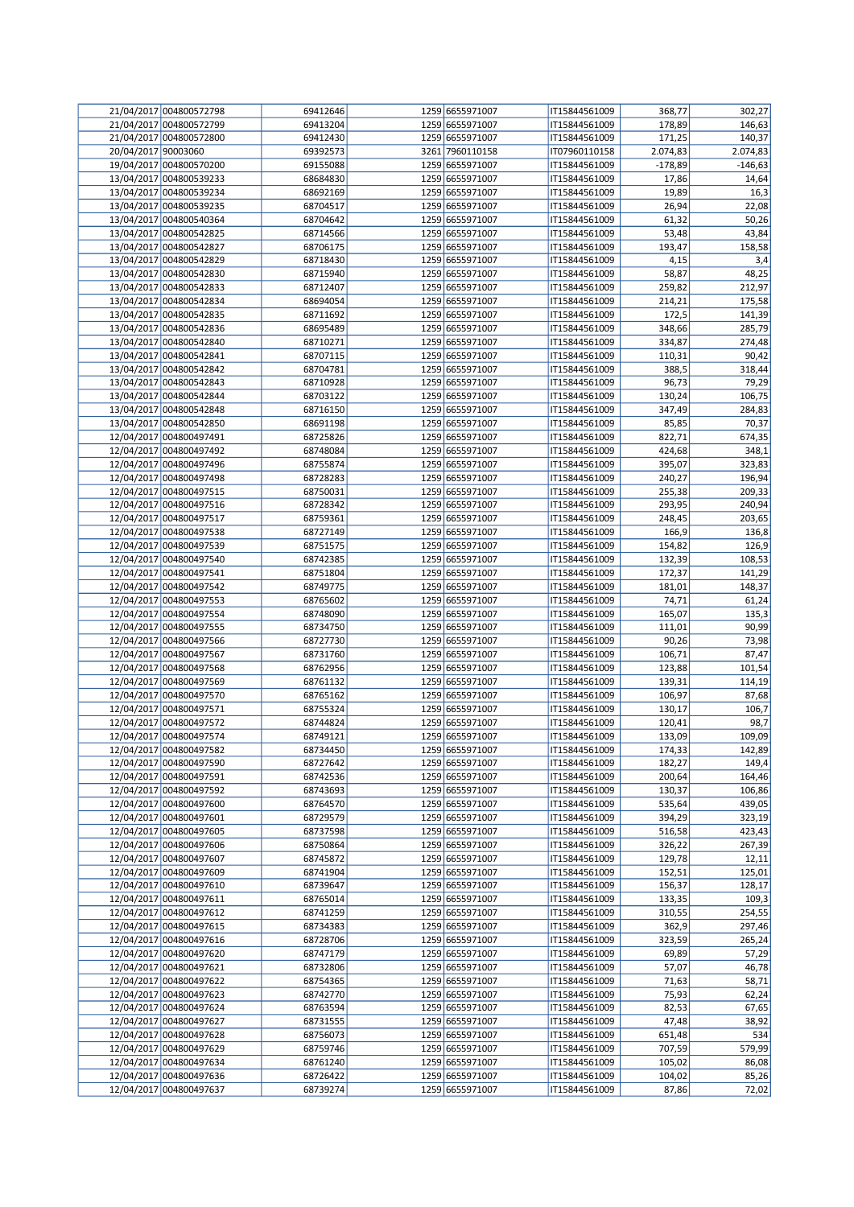|                     | 21/04/2017 004800572798 | 69412646 | 1259 6655971007 | IT15844561009 | 368,77    | 302,27    |
|---------------------|-------------------------|----------|-----------------|---------------|-----------|-----------|
|                     | 21/04/2017 004800572799 | 69413204 | 1259 6655971007 | IT15844561009 | 178,89    | 146,63    |
|                     | 21/04/2017 004800572800 | 69412430 | 1259 6655971007 | IT15844561009 | 171,25    | 140,37    |
| 20/04/2017 90003060 |                         | 69392573 | 3261 7960110158 | IT07960110158 | 2.074,83  | 2.074,83  |
|                     | 19/04/2017 004800570200 | 69155088 | 1259 6655971007 | IT15844561009 | $-178,89$ | $-146,63$ |
|                     | 13/04/2017 004800539233 | 68684830 | 1259 6655971007 | IT15844561009 | 17,86     | 14,64     |
|                     | 13/04/2017 004800539234 |          |                 |               |           |           |
|                     |                         | 68692169 | 1259 6655971007 | IT15844561009 | 19,89     | 16,3      |
|                     | 13/04/2017 004800539235 | 68704517 | 1259 6655971007 | IT15844561009 | 26,94     | 22,08     |
|                     | 13/04/2017 004800540364 | 68704642 | 1259 6655971007 | IT15844561009 | 61,32     | 50,26     |
|                     | 13/04/2017 004800542825 | 68714566 | 1259 6655971007 | IT15844561009 | 53,48     | 43,84     |
|                     | 13/04/2017 004800542827 | 68706175 | 1259 6655971007 | IT15844561009 | 193,47    | 158,58    |
|                     | 13/04/2017 004800542829 | 68718430 | 1259 6655971007 | IT15844561009 | 4,15      | 3,4       |
|                     | 13/04/2017 004800542830 | 68715940 | 1259 6655971007 | IT15844561009 | 58,87     | 48,25     |
|                     | 13/04/2017 004800542833 | 68712407 | 1259 6655971007 | IT15844561009 | 259,82    | 212,97    |
|                     | 13/04/2017 004800542834 | 68694054 | 1259 6655971007 | IT15844561009 | 214,21    | 175,58    |
|                     | 13/04/2017 004800542835 | 68711692 | 1259 6655971007 | IT15844561009 | 172,5     | 141,39    |
|                     | 13/04/2017 004800542836 | 68695489 | 1259 6655971007 | IT15844561009 | 348,66    | 285,79    |
|                     | 13/04/2017 004800542840 | 68710271 | 1259 6655971007 | IT15844561009 | 334,87    |           |
|                     |                         |          |                 |               |           | 274,48    |
|                     | 13/04/2017 004800542841 | 68707115 | 1259 6655971007 | IT15844561009 | 110,31    | 90,42     |
|                     | 13/04/2017 004800542842 | 68704781 | 1259 6655971007 | IT15844561009 | 388,5     | 318,44    |
|                     | 13/04/2017 004800542843 | 68710928 | 1259 6655971007 | IT15844561009 | 96,73     | 79,29     |
|                     | 13/04/2017 004800542844 | 68703122 | 1259 6655971007 | IT15844561009 | 130,24    | 106,75    |
|                     | 13/04/2017 004800542848 | 68716150 | 1259 6655971007 | IT15844561009 | 347,49    | 284,83    |
|                     | 13/04/2017 004800542850 | 68691198 | 1259 6655971007 | IT15844561009 | 85,85     | 70,37     |
|                     | 12/04/2017 004800497491 | 68725826 | 1259 6655971007 | IT15844561009 | 822,71    | 674,35    |
|                     | 12/04/2017 004800497492 | 68748084 | 1259 6655971007 | IT15844561009 | 424,68    | 348,1     |
|                     | 12/04/2017 004800497496 | 68755874 | 1259 6655971007 | IT15844561009 | 395,07    | 323,83    |
|                     | 12/04/2017 004800497498 | 68728283 | 1259 6655971007 | IT15844561009 | 240,27    | 196,94    |
|                     | 12/04/2017 004800497515 | 68750031 | 1259 6655971007 | IT15844561009 | 255,38    | 209,33    |
|                     |                         |          |                 |               |           |           |
|                     | 12/04/2017 004800497516 | 68728342 | 1259 6655971007 | IT15844561009 | 293,95    | 240,94    |
|                     | 12/04/2017 004800497517 | 68759361 | 1259 6655971007 | IT15844561009 | 248,45    | 203,65    |
|                     | 12/04/2017 004800497538 | 68727149 | 1259 6655971007 | IT15844561009 | 166,9     | 136,8     |
|                     | 12/04/2017 004800497539 | 68751575 | 1259 6655971007 | IT15844561009 | 154,82    | 126,9     |
|                     | 12/04/2017 004800497540 | 68742385 | 1259 6655971007 | IT15844561009 | 132,39    | 108,53    |
|                     | 12/04/2017 004800497541 | 68751804 | 1259 6655971007 | IT15844561009 | 172,37    | 141,29    |
|                     | 12/04/2017 004800497542 | 68749775 | 1259 6655971007 | IT15844561009 | 181,01    | 148,37    |
|                     | 12/04/2017 004800497553 | 68765602 | 1259 6655971007 | IT15844561009 | 74,71     | 61,24     |
|                     | 12/04/2017 004800497554 | 68748090 | 1259 6655971007 | IT15844561009 | 165,07    | 135,3     |
|                     | 12/04/2017 004800497555 | 68734750 | 1259 6655971007 | IT15844561009 | 111,01    | 90,99     |
|                     | 12/04/2017 004800497566 | 68727730 | 1259 6655971007 | IT15844561009 | 90,26     | 73,98     |
|                     |                         |          |                 |               |           |           |
|                     | 12/04/2017 004800497567 | 68731760 | 1259 6655971007 | IT15844561009 | 106,71    | 87,47     |
|                     | 12/04/2017 004800497568 | 68762956 | 1259 6655971007 | IT15844561009 | 123,88    | 101,54    |
|                     | 12/04/2017 004800497569 | 68761132 | 1259 6655971007 | IT15844561009 | 139,31    | 114,19    |
|                     | 12/04/2017 004800497570 | 68765162 | 1259 6655971007 | IT15844561009 | 106,97    | 87,68     |
|                     | 12/04/2017 004800497571 | 68755324 | 1259 6655971007 | IT15844561009 | 130,17    | 106,7     |
|                     | 12/04/2017 004800497572 | 68744824 | 1259 6655971007 | IT15844561009 | 120,41    | 98,7      |
|                     | 12/04/2017 004800497574 | 68749121 | 1259 6655971007 | IT15844561009 | 133,09    | 109,09    |
|                     | 12/04/2017 004800497582 | 68734450 | 1259 6655971007 | IT15844561009 | 174,33    | 142,89    |
|                     | 12/04/2017 004800497590 | 68727642 | 1259 6655971007 | IT15844561009 | 182,27    | 149,4     |
|                     | 12/04/2017 004800497591 | 68742536 | 1259 6655971007 | IT15844561009 | 200,64    | 164,46    |
|                     | 12/04/2017 004800497592 | 68743693 | 1259 6655971007 | IT15844561009 | 130,37    | 106,86    |
|                     | 12/04/2017 004800497600 | 68764570 | 1259 6655971007 | IT15844561009 | 535,64    | 439,05    |
|                     | 12/04/2017 004800497601 | 68729579 | 1259 6655971007 | IT15844561009 | 394,29    | 323,19    |
|                     | 12/04/2017 004800497605 | 68737598 | 1259 6655971007 |               |           | 423,43    |
|                     |                         |          |                 | IT15844561009 | 516,58    |           |
|                     | 12/04/2017 004800497606 | 68750864 | 1259 6655971007 | IT15844561009 | 326,22    | 267,39    |
|                     | 12/04/2017 004800497607 | 68745872 | 1259 6655971007 | IT15844561009 | 129,78    | 12,11     |
|                     | 12/04/2017 004800497609 | 68741904 | 1259 6655971007 | IT15844561009 | 152,51    | 125,01    |
|                     | 12/04/2017 004800497610 | 68739647 | 1259 6655971007 | IT15844561009 | 156,37    | 128,17    |
|                     | 12/04/2017 004800497611 | 68765014 | 1259 6655971007 | IT15844561009 | 133,35    | 109,3     |
|                     | 12/04/2017 004800497612 | 68741259 | 1259 6655971007 | IT15844561009 | 310,55    | 254,55    |
|                     | 12/04/2017 004800497615 | 68734383 | 1259 6655971007 | IT15844561009 | 362,9     | 297,46    |
|                     | 12/04/2017 004800497616 | 68728706 | 1259 6655971007 | IT15844561009 | 323,59    | 265,24    |
|                     | 12/04/2017 004800497620 | 68747179 | 1259 6655971007 | IT15844561009 | 69,89     | 57,29     |
|                     | 12/04/2017 004800497621 | 68732806 | 1259 6655971007 | IT15844561009 | 57,07     | 46,78     |
|                     | 12/04/2017 004800497622 | 68754365 | 1259 6655971007 | IT15844561009 | 71,63     | 58,71     |
|                     | 12/04/2017 004800497623 | 68742770 | 1259 6655971007 | IT15844561009 | 75,93     | 62,24     |
|                     |                         |          | 1259 6655971007 |               |           |           |
|                     | 12/04/2017 004800497624 | 68763594 |                 | IT15844561009 | 82,53     | 67,65     |
|                     | 12/04/2017 004800497627 | 68731555 | 1259 6655971007 | IT15844561009 | 47,48     | 38,92     |
|                     | 12/04/2017 004800497628 | 68756073 | 1259 6655971007 | IT15844561009 | 651,48    | 534       |
|                     | 12/04/2017 004800497629 | 68759746 | 1259 6655971007 | IT15844561009 | 707,59    | 579,99    |
|                     | 12/04/2017 004800497634 | 68761240 | 1259 6655971007 | IT15844561009 | 105,02    | 86,08     |
|                     | 12/04/2017 004800497636 | 68726422 | 1259 6655971007 | IT15844561009 | 104,02    | 85,26     |
|                     | 12/04/2017 004800497637 | 68739274 | 1259 6655971007 | IT15844561009 | 87,86     | 72,02     |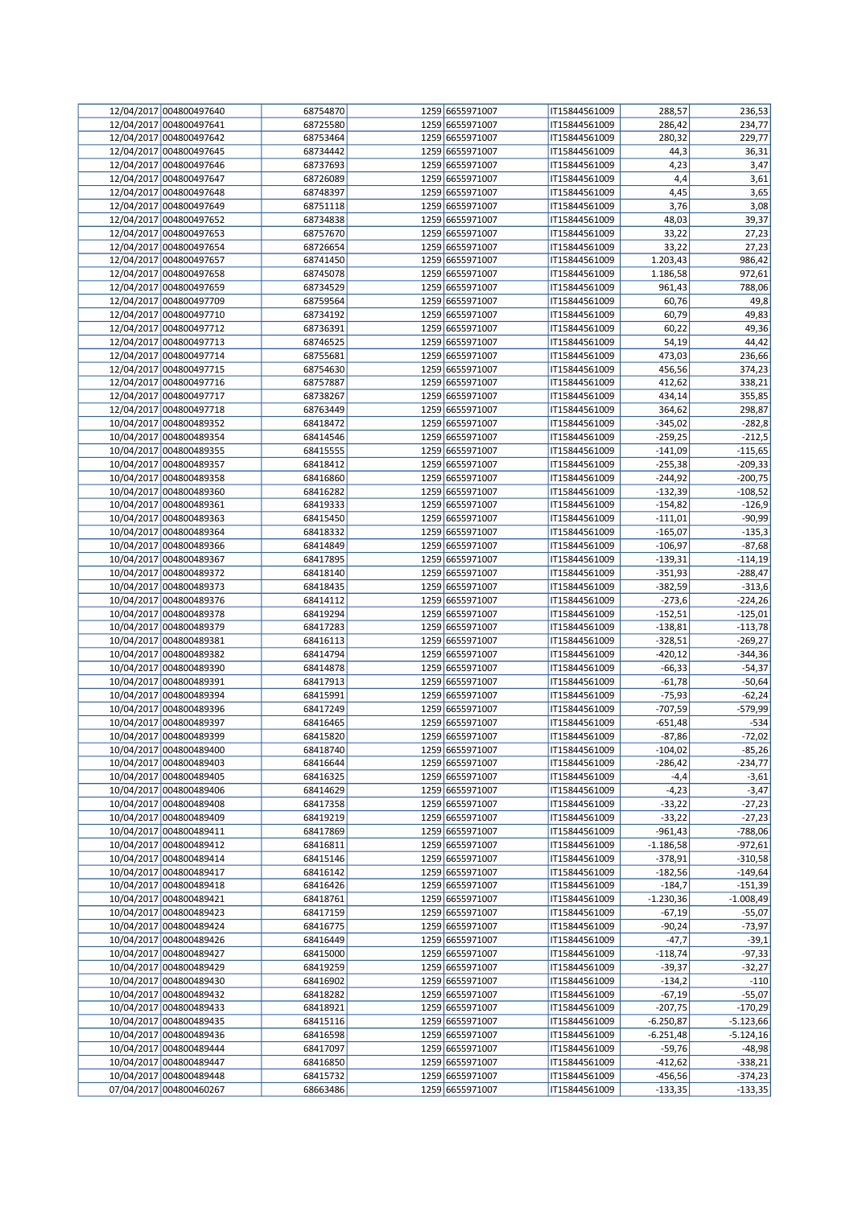| 12/04/2017 004800497640 | 68754870 | 1259 6655971007 | IT15844561009 | 288,57      | 236,53      |
|-------------------------|----------|-----------------|---------------|-------------|-------------|
| 12/04/2017 004800497641 | 68725580 | 1259 6655971007 | IT15844561009 |             |             |
|                         |          |                 |               | 286,42      | 234,77      |
| 12/04/2017 004800497642 | 68753464 | 1259 6655971007 | IT15844561009 | 280,32      | 229,77      |
| 12/04/2017 004800497645 | 68734442 | 1259 6655971007 | IT15844561009 | 44,3        | 36,31       |
| 12/04/2017 004800497646 | 68737693 | 1259 6655971007 | IT15844561009 | 4,23        | 3,47        |
| 12/04/2017 004800497647 | 68726089 | 1259 6655971007 | IT15844561009 | 4,4         | 3,61        |
| 12/04/2017 004800497648 |          |                 |               |             |             |
|                         | 68748397 | 1259 6655971007 | IT15844561009 | 4,45        | 3,65        |
| 12/04/2017 004800497649 | 68751118 | 1259 6655971007 | IT15844561009 | 3,76        | 3,08        |
| 12/04/2017 004800497652 | 68734838 | 1259 6655971007 | IT15844561009 | 48,03       | 39,37       |
| 12/04/2017 004800497653 | 68757670 | 1259 6655971007 | IT15844561009 | 33,22       | 27,23       |
| 12/04/2017 004800497654 | 68726654 | 1259 6655971007 | IT15844561009 | 33,22       | 27,23       |
| 12/04/2017 004800497657 | 68741450 | 1259 6655971007 | IT15844561009 | 1.203,43    | 986,42      |
|                         |          |                 |               |             |             |
| 12/04/2017 004800497658 | 68745078 | 1259 6655971007 | IT15844561009 | 1.186,58    | 972,61      |
| 12/04/2017 004800497659 | 68734529 | 1259 6655971007 | IT15844561009 | 961,43      | 788,06      |
| 12/04/2017 004800497709 | 68759564 | 1259 6655971007 | IT15844561009 | 60,76       | 49,8        |
| 12/04/2017 004800497710 | 68734192 | 1259 6655971007 | IT15844561009 | 60,79       | 49,83       |
|                         |          |                 |               |             |             |
| 12/04/2017 004800497712 | 68736391 | 1259 6655971007 | IT15844561009 | 60,22       | 49,36       |
| 12/04/2017 004800497713 | 68746525 | 1259 6655971007 | IT15844561009 | 54,19       | 44,42       |
| 12/04/2017 004800497714 | 68755681 | 1259 6655971007 | IT15844561009 | 473,03      | 236,66      |
| 12/04/2017 004800497715 | 68754630 | 1259 6655971007 | IT15844561009 | 456,56      | 374,23      |
| 12/04/2017 004800497716 | 68757887 | 1259 6655971007 | IT15844561009 | 412,62      | 338,21      |
| 12/04/2017 004800497717 |          |                 |               |             |             |
|                         | 68738267 | 1259 6655971007 | IT15844561009 | 434,14      | 355,85      |
| 12/04/2017 004800497718 | 68763449 | 1259 6655971007 | IT15844561009 | 364,62      | 298,87      |
| 10/04/2017 004800489352 | 68418472 | 1259 6655971007 | IT15844561009 | $-345,02$   | $-282,8$    |
| 10/04/2017 004800489354 | 68414546 | 1259 6655971007 | IT15844561009 | $-259,25$   | $-212,5$    |
| 10/04/2017 004800489355 | 68415555 | 1259 6655971007 | IT15844561009 | $-141,09$   | $-115,65$   |
|                         | 68418412 | 1259 6655971007 |               |             |             |
| 10/04/2017 004800489357 |          |                 | IT15844561009 | $-255,38$   | $-209,33$   |
| 10/04/2017 004800489358 | 68416860 | 1259 6655971007 | IT15844561009 | $-244,92$   | $-200,75$   |
| 10/04/2017 004800489360 | 68416282 | 1259 6655971007 | IT15844561009 | $-132,39$   | $-108,52$   |
| 10/04/2017 004800489361 | 68419333 | 1259 6655971007 | IT15844561009 | $-154,82$   | $-126,9$    |
| 10/04/2017 004800489363 | 68415450 | 1259 6655971007 | IT15844561009 | $-111,01$   | $-90,99$    |
|                         |          |                 |               |             |             |
| 10/04/2017 004800489364 | 68418332 | 1259 6655971007 | IT15844561009 | $-165,07$   | $-135,3$    |
| 10/04/2017 004800489366 | 68414849 | 1259 6655971007 | IT15844561009 | $-106,97$   | $-87,68$    |
| 10/04/2017 004800489367 | 68417895 | 1259 6655971007 | IT15844561009 | $-139,31$   | $-114,19$   |
| 10/04/2017 004800489372 | 68418140 | 1259 6655971007 | IT15844561009 | $-351,93$   | $-288,47$   |
| 10/04/2017 004800489373 | 68418435 | 1259 6655971007 | IT15844561009 | -382,59     | $-313,6$    |
|                         |          |                 |               |             |             |
| 10/04/2017 004800489376 | 68414112 | 1259 6655971007 | IT15844561009 | $-273,6$    | $-224,26$   |
| 10/04/2017 004800489378 | 68419294 | 1259 6655971007 | IT15844561009 | $-152,51$   | $-125,01$   |
| 10/04/2017 004800489379 | 68417283 | 1259 6655971007 | IT15844561009 | $-138,81$   | $-113,78$   |
| 10/04/2017 004800489381 | 68416113 | 1259 6655971007 | IT15844561009 | $-328,51$   | $-269,27$   |
| 10/04/2017 004800489382 | 68414794 | 1259 6655971007 | IT15844561009 | $-420,12$   | $-344,36$   |
|                         |          |                 |               |             |             |
| 10/04/2017 004800489390 | 68414878 | 1259 6655971007 | IT15844561009 | $-66,33$    | $-54,37$    |
| 10/04/2017 004800489391 | 68417913 | 1259 6655971007 | IT15844561009 | $-61,78$    | $-50,64$    |
| 10/04/2017 004800489394 | 68415991 | 1259 6655971007 | IT15844561009 | $-75,93$    | $-62,24$    |
| 10/04/2017 004800489396 | 68417249 | 1259 6655971007 | IT15844561009 | -707,59     | -579,99     |
| 10/04/2017 004800489397 | 68416465 | 1259 6655971007 | IT15844561009 | -651,48     | $-534$      |
| 10/04/2017 004800489399 | 68415820 | 1259 6655971007 |               | $-87,86$    | $-72,02$    |
|                         |          |                 | IT15844561009 |             |             |
| 10/04/2017 004800489400 | 68418740 | 1259 6655971007 | IT15844561009 | $-104,02$   | $-85,26$    |
| 10/04/2017 004800489403 | 68416644 | 1259 6655971007 | IT15844561009 | $-286,42$   | $-234,77$   |
| 10/04/2017 004800489405 | 68416325 | 1259 6655971007 | IT15844561009 | $-4,4$      | $-3,61$     |
| 10/04/2017 004800489406 | 68414629 | 1259 6655971007 | IT15844561009 | $-4,23$     | $-3,47$     |
| 10/04/2017 004800489408 | 68417358 | 1259 6655971007 | IT15844561009 | $-33,22$    | $-27,23$    |
|                         |          |                 |               |             |             |
| 10/04/2017 004800489409 | 68419219 | 1259 6655971007 | IT15844561009 | $-33,22$    | $-27,23$    |
| 10/04/2017 004800489411 | 68417869 | 1259 6655971007 | IT15844561009 | $-961,43$   | $-788,06$   |
| 10/04/2017 004800489412 | 68416811 | 1259 6655971007 | IT15844561009 | $-1.186,58$ | $-972,61$   |
| 10/04/2017 004800489414 | 68415146 | 1259 6655971007 | IT15844561009 | $-378,91$   | $-310,58$   |
| 10/04/2017 004800489417 | 68416142 | 1259 6655971007 | IT15844561009 | $-182,56$   | $-149,64$   |
|                         |          |                 |               |             |             |
| 10/04/2017 004800489418 | 68416426 | 1259 6655971007 | IT15844561009 | $-184,7$    | $-151,39$   |
| 10/04/2017 004800489421 | 68418761 | 1259 6655971007 | IT15844561009 | $-1.230,36$ | $-1.008,49$ |
| 10/04/2017 004800489423 | 68417159 | 1259 6655971007 | IT15844561009 | $-67,19$    | $-55,07$    |
| 10/04/2017 004800489424 | 68416775 | 1259 6655971007 | IT15844561009 | $-90,24$    | -73,97      |
| 10/04/2017 004800489426 | 68416449 | 1259 6655971007 | IT15844561009 | $-47,7$     | $-39,1$     |
| 10/04/2017 004800489427 | 68415000 | 1259 6655971007 | IT15844561009 | $-118,74$   | $-97,33$    |
|                         |          |                 |               |             |             |
| 10/04/2017 004800489429 | 68419259 | 1259 6655971007 | IT15844561009 | $-39,37$    | $-32,27$    |
| 10/04/2017 004800489430 | 68416902 | 1259 6655971007 | IT15844561009 | $-134,2$    | $-110$      |
| 10/04/2017 004800489432 | 68418282 | 1259 6655971007 | IT15844561009 | $-67,19$    | $-55,07$    |
| 10/04/2017 004800489433 | 68418921 | 1259 6655971007 | IT15844561009 | -207,75     | $-170,29$   |
| 10/04/2017 004800489435 | 68415116 | 1259 6655971007 | IT15844561009 | $-6.250,87$ | $-5.123,66$ |
|                         |          | 1259 6655971007 |               |             |             |
| 10/04/2017 004800489436 | 68416598 |                 | IT15844561009 | $-6.251,48$ | $-5.124,16$ |
| 10/04/2017 004800489444 | 68417097 | 1259 6655971007 | IT15844561009 | $-59,76$    | $-48,98$    |
| 10/04/2017 004800489447 | 68416850 | 1259 6655971007 | IT15844561009 | $-412,62$   | $-338,21$   |
| 10/04/2017 004800489448 | 68415732 | 1259 6655971007 | IT15844561009 | -456,56     | $-374,23$   |
| 07/04/2017 004800460267 | 68663486 | 1259 6655971007 | IT15844561009 | $-133,35$   | $-133,35$   |
|                         |          |                 |               |             |             |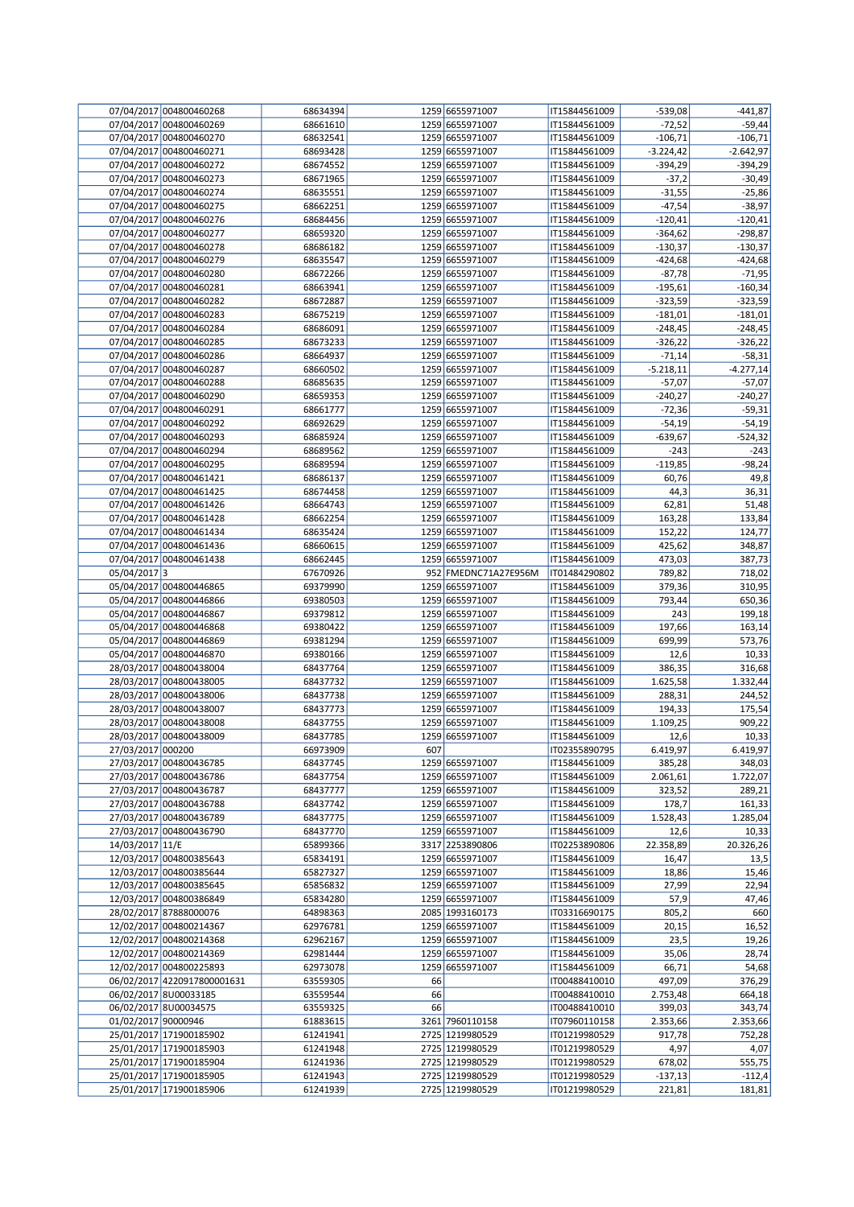|                     | 07/04/2017 004800460268     | 68634394             |     | 1259 6655971007      | IT15844561009                  | $-539,08$   | $-441,87$          |
|---------------------|-----------------------------|----------------------|-----|----------------------|--------------------------------|-------------|--------------------|
|                     | 07/04/2017 004800460269     | 68661610             |     | 1259 6655971007      | IT15844561009                  | $-72,52$    | $-59,44$           |
|                     | 07/04/2017 004800460270     | 68632541             |     | 1259 6655971007      | IT15844561009                  | $-106,71$   | $-106,71$          |
|                     | 07/04/2017 004800460271     | 68693428             |     | 1259 6655971007      | IT15844561009                  | $-3.224,42$ | $-2.642,97$        |
|                     | 07/04/2017 004800460272     | 68674552             |     | 1259 6655971007      | IT15844561009                  | $-394,29$   | $-394,29$          |
|                     | 07/04/2017 004800460273     | 68671965             |     | 1259 6655971007      | IT15844561009                  | $-37,2$     | $-30,49$           |
|                     | 07/04/2017 004800460274     | 68635551             |     | 1259 6655971007      | IT15844561009                  | $-31,55$    | $-25,86$           |
|                     | 07/04/2017 004800460275     | 68662251             |     | 1259 6655971007      | IT15844561009                  | $-47,54$    | $-38,97$           |
|                     | 07/04/2017 004800460276     | 68684456             |     | 1259 6655971007      |                                |             | $-120,41$          |
|                     |                             |                      |     |                      | IT15844561009                  | $-120,41$   |                    |
|                     | 07/04/2017 004800460277     | 68659320             |     | 1259 6655971007      | IT15844561009                  | $-364,62$   | $-298,87$          |
|                     | 07/04/2017 004800460278     | 68686182             |     | 1259 6655971007      | IT15844561009                  | $-130,37$   | $-130,37$          |
|                     | 07/04/2017 004800460279     | 68635547             |     | 1259 6655971007      | IT15844561009                  | $-424,68$   | $-424,68$          |
|                     | 07/04/2017 004800460280     | 68672266             |     | 1259 6655971007      | IT15844561009                  | $-87,78$    | $-71,95$           |
|                     | 07/04/2017 004800460281     | 68663941             |     | 1259 6655971007      | IT15844561009                  | $-195,61$   | $-160,34$          |
|                     | 07/04/2017 004800460282     | 68672887             |     | 1259 6655971007      | IT15844561009                  | $-323,59$   | $-323,59$          |
|                     | 07/04/2017 004800460283     | 68675219             |     | 1259 6655971007      | IT15844561009                  | $-181,01$   | $-181,01$          |
|                     | 07/04/2017 004800460284     | 68686091             |     | 1259 6655971007      | IT15844561009                  | $-248,45$   | $-248,45$          |
|                     | 07/04/2017 004800460285     | 68673233             |     | 1259 6655971007      | IT15844561009                  | $-326,22$   | $-326,22$          |
|                     | 07/04/2017 004800460286     | 68664937             |     | 1259 6655971007      | IT15844561009                  | $-71,14$    | $-58,31$           |
|                     | 07/04/2017 004800460287     | 68660502             |     | 1259 6655971007      | IT15844561009                  | $-5.218,11$ | $-4.277,14$        |
|                     | 07/04/2017 004800460288     | 68685635             |     | 1259 6655971007      | IT15844561009                  | $-57,07$    | $-57,07$           |
|                     |                             |                      |     |                      |                                |             |                    |
|                     | 07/04/2017 004800460290     | 68659353             |     | 1259 6655971007      | IT15844561009                  | $-240,27$   | $-240,27$          |
|                     | 07/04/2017 004800460291     | 68661777             |     | 1259 6655971007      | IT15844561009                  | $-72,36$    | $-59,31$           |
|                     | 07/04/2017 004800460292     | 68692629             |     | 1259 6655971007      | IT15844561009                  | $-54,19$    | $-54,19$           |
|                     | 07/04/2017 004800460293     | 68685924             |     | 1259 6655971007      | IT15844561009                  | $-639,67$   | $-524,32$          |
|                     | 07/04/2017 004800460294     | 68689562             |     | 1259 6655971007      | IT15844561009                  | $-243$      | $-243$             |
|                     | 07/04/2017 004800460295     | 68689594             |     | 1259 6655971007      | IT15844561009                  | $-119,85$   | $-98,24$           |
|                     | 07/04/2017 004800461421     | 68686137             |     | 1259 6655971007      | IT15844561009                  | 60,76       | 49,8               |
|                     | 07/04/2017 004800461425     | 68674458             |     | 1259 6655971007      | IT15844561009                  | 44,3        | 36,31              |
|                     | 07/04/2017 004800461426     | 68664743             |     | 1259 6655971007      | IT15844561009                  | 62,81       | 51,48              |
|                     | 07/04/2017 004800461428     | 68662254             |     | 1259 6655971007      | IT15844561009                  | 163,28      | 133,84             |
|                     | 07/04/2017 004800461434     | 68635424             |     | 1259 6655971007      | IT15844561009                  | 152,22      | 124,77             |
|                     | 07/04/2017 004800461436     | 68660615             |     | 1259 6655971007      | IT15844561009                  | 425,62      | 348,87             |
|                     | 07/04/2017 004800461438     | 68662445             |     | 1259 6655971007      | IT15844561009                  | 473,03      | 387,73             |
| 05/04/2017 3        |                             | 67670926             |     | 952 FMEDNC71A27E956M | IT01484290802                  | 789,82      | 718,02             |
|                     |                             |                      |     |                      |                                |             |                    |
|                     | 05/04/2017 004800446865     | 69379990             |     | 1259 6655971007      | IT15844561009                  | 379,36      | 310,95             |
|                     | 05/04/2017 004800446866     | 69380503             |     | 1259 6655971007      | IT15844561009                  | 793,44      | 650,36             |
|                     | 05/04/2017 004800446867     | 69379812             |     | 1259 6655971007      | IT15844561009                  | 243         | 199,18             |
|                     | 05/04/2017 004800446868     | 69380422             |     | 1259 6655971007      | IT15844561009                  | 197,66      | 163,14             |
|                     | 05/04/2017 004800446869     | 69381294             |     | 1259 6655971007      | IT15844561009                  | 699,99      | 573,76             |
|                     | 05/04/2017 004800446870     | 69380166             |     | 1259 6655971007      | IT15844561009                  | 12,6        | 10,33              |
|                     | 28/03/2017 004800438004     | 68437764             |     | 1259 6655971007      | IT15844561009                  | 386,35      | 316,68             |
|                     | 28/03/2017 004800438005     | 68437732             |     | 1259 6655971007      | IT15844561009                  | 1.625,58    | 1.332,44           |
|                     | 28/03/2017 004800438006     | 68437738             |     | 1259 6655971007      | IT15844561009                  | 288,31      | 244,52             |
|                     | 28/03/2017 004800438007     | 68437773             |     | 1259 6655971007      | IT15844561009                  | 194,33      | 175,54             |
|                     | 28/03/2017 004800438008     | 68437755             |     | 1259 6655971007      | IT15844561009                  | 1.109,25    | 909,22             |
|                     | 28/03/2017 004800438009     | 68437785             |     | 1259 6655971007      | IT15844561009                  | 12,6        | 10,33              |
|                     |                             |                      |     |                      |                                |             |                    |
| 27/03/2017 000200   | 27/03/2017 004800436785     | 66973909<br>68437745 | 607 |                      | IT02355890795<br>IT15844561009 | 6.419,97    | 6.419,97<br>348,03 |
|                     |                             |                      |     | 1259 6655971007      |                                | 385,28      |                    |
|                     | 27/03/2017 004800436786     | 68437754             |     | 1259 6655971007      | IT15844561009                  | 2.061,61    | 1.722,07           |
|                     | 27/03/2017 004800436787     | 68437777             |     | 1259 6655971007      | IT15844561009                  | 323,52      | 289,21             |
|                     | 27/03/2017 004800436788     | 68437742             |     | 1259 6655971007      | IT15844561009                  | 178,7       | 161,33             |
|                     | 27/03/2017 004800436789     | 68437775             |     | 1259 6655971007      | IT15844561009                  | 1.528,43    | 1.285,04           |
|                     | 27/03/2017 004800436790     | 68437770             |     | 1259 6655971007      | IT15844561009                  | 12,6        | 10,33              |
| 14/03/2017 11/E     |                             | 65899366             |     | 3317 2253890806      | IT02253890806                  | 22.358,89   | 20.326,26          |
|                     | 12/03/2017 004800385643     | 65834191             |     | 1259 6655971007      | IT15844561009                  | 16,47       | 13,5               |
|                     | 12/03/2017 004800385644     | 65827327             |     | 1259 6655971007      | IT15844561009                  | 18,86       | 15,46              |
|                     | 12/03/2017 004800385645     | 65856832             |     | 1259 6655971007      | IT15844561009                  | 27,99       | 22,94              |
|                     | 12/03/2017 004800386849     | 65834280             |     | 1259 6655971007      | IT15844561009                  | 57,9        | 47,46              |
|                     | 28/02/2017 87888000076      | 64898363             |     | 2085 1993160173      | IT03316690175                  | 805,2       | 660                |
|                     | 12/02/2017 004800214367     | 62976781             |     | 1259 6655971007      | IT15844561009                  | 20,15       | 16,52              |
|                     | 12/02/2017 004800214368     | 62962167             |     | 1259 6655971007      | IT15844561009                  | 23,5        | 19,26              |
|                     | 12/02/2017 004800214369     |                      |     |                      |                                |             |                    |
|                     |                             | 62981444             |     | 1259 6655971007      | IT15844561009                  | 35,06       | 28,74              |
|                     | 12/02/2017 004800225893     | 62973078             |     | 1259 6655971007      | IT15844561009                  | 66,71       | 54,68              |
|                     | 06/02/2017 4220917800001631 | 63559305             | 66  |                      | IT00488410010                  | 497,09      | 376,29             |
|                     | 06/02/2017 8U00033185       | 63559544             | 66  |                      | IT00488410010                  | 2.753,48    | 664,18             |
|                     | 06/02/2017 8U00034575       | 63559325             | 66  |                      | IT00488410010                  | 399,03      | 343,74             |
| 01/02/2017 90000946 |                             | 61883615             |     | 3261 7960110158      | IT07960110158                  | 2.353,66    | 2.353,66           |
|                     | 25/01/2017 171900185902     | 61241941             |     | 2725 1219980529      | IT01219980529                  | 917,78      | 752,28             |
|                     | 25/01/2017 171900185903     | 61241948             |     | 2725 1219980529      | IT01219980529                  | 4,97        | 4,07               |
|                     | 25/01/2017 171900185904     | 61241936             |     | 2725 1219980529      | IT01219980529                  | 678,02      | 555,75             |
|                     | 25/01/2017 171900185905     | 61241943             |     | 2725 1219980529      | IT01219980529                  | $-137,13$   | $-112,4$           |
|                     | 25/01/2017 171900185906     | 61241939             |     | 2725 1219980529      | IT01219980529                  | 221,81      | 181,81             |
|                     |                             |                      |     |                      |                                |             |                    |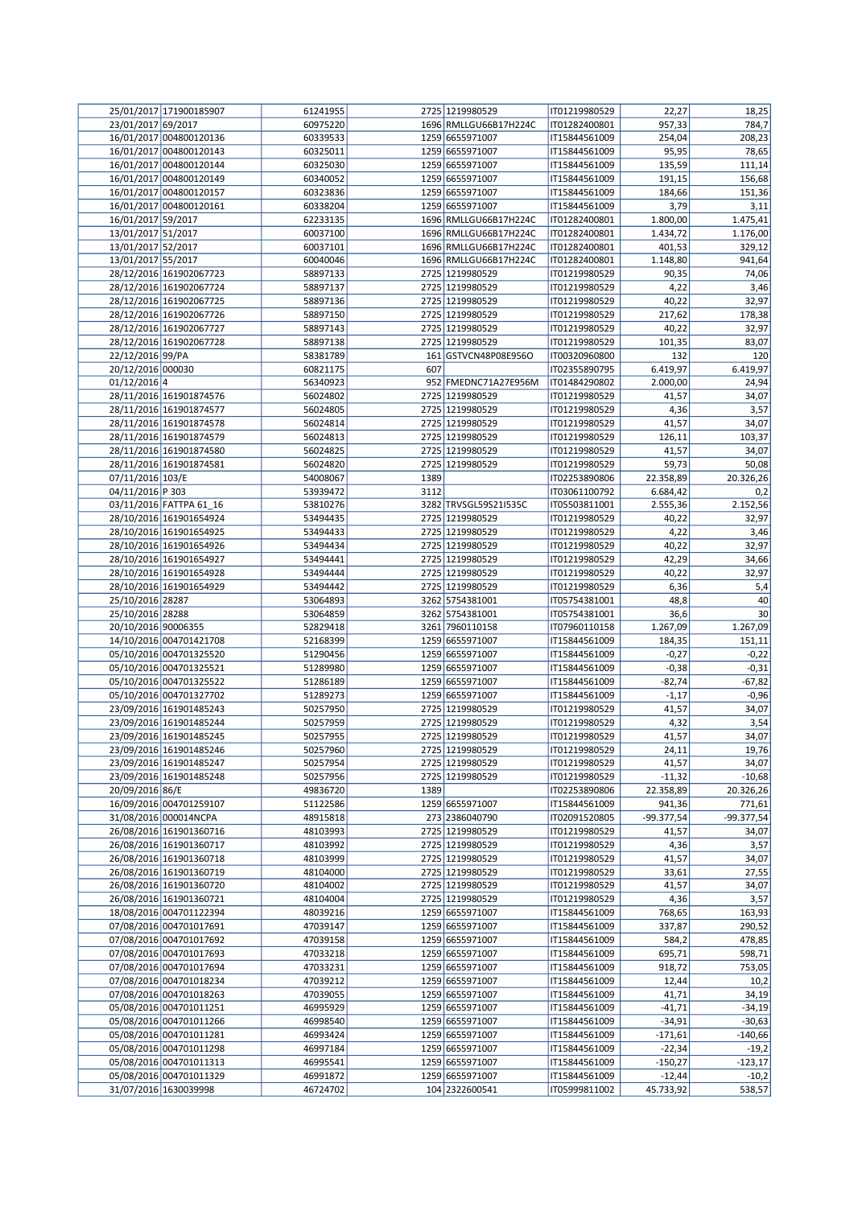|                           | 25/01/2017 171900185907 | 61241955 |      | 2725 1219980529       | IT01219980529 | 22,27      | 18,25      |
|---------------------------|-------------------------|----------|------|-----------------------|---------------|------------|------------|
| 23/01/2017 69/2017        |                         | 60975220 |      | 1696 RMLLGU66B17H224C | IT01282400801 | 957,33     | 784,7      |
|                           | 16/01/2017 004800120136 | 60339533 |      | 1259 6655971007       | IT15844561009 | 254,04     | 208,23     |
|                           | 16/01/2017 004800120143 | 60325011 |      | 1259 6655971007       | IT15844561009 | 95,95      | 78,65      |
|                           | 16/01/2017 004800120144 | 60325030 |      | 1259 6655971007       | IT15844561009 | 135,59     | 111,14     |
|                           | 16/01/2017 004800120149 | 60340052 |      | 1259 6655971007       | IT15844561009 | 191,15     | 156,68     |
|                           | 16/01/2017 004800120157 | 60323836 |      | 1259 6655971007       | IT15844561009 | 184,66     | 151,36     |
|                           | 16/01/2017 004800120161 | 60338204 |      | 1259 6655971007       | IT15844561009 | 3,79       | 3,11       |
| 16/01/2017 59/2017        |                         | 62233135 |      | 1696 RMLLGU66B17H224C | IT01282400801 | 1.800,00   | 1.475,41   |
| 13/01/2017 51/2017        |                         | 60037100 |      | 1696 RMLLGU66B17H224C | IT01282400801 | 1.434,72   | 1.176,00   |
| 13/01/2017 52/2017        |                         | 60037101 |      | 1696 RMLLGU66B17H224C | IT01282400801 | 401,53     | 329,12     |
| 13/01/2017 55/2017        |                         | 60040046 |      | 1696 RMLLGU66B17H224C | IT01282400801 | 1.148,80   | 941,64     |
|                           | 28/12/2016 161902067723 | 58897133 |      | 2725 1219980529       | IT01219980529 | 90,35      | 74,06      |
|                           |                         |          |      | 2725 1219980529       |               |            |            |
|                           | 28/12/2016 161902067724 | 58897137 |      |                       | IT01219980529 | 4,22       | 3,46       |
|                           | 28/12/2016 161902067725 | 58897136 |      | 2725 1219980529       | IT01219980529 | 40,22      | 32,97      |
|                           | 28/12/2016 161902067726 | 58897150 |      | 2725 1219980529       | IT01219980529 | 217,62     | 178,38     |
|                           | 28/12/2016 161902067727 | 58897143 |      | 2725 1219980529       | IT01219980529 | 40,22      | 32,97      |
|                           | 28/12/2016 161902067728 | 58897138 |      | 2725 1219980529       | IT01219980529 | 101,35     | 83,07      |
| 22/12/2016 99/PA          |                         | 58381789 |      | 161 GSTVCN48P08E956O  | IT00320960800 | 132        | 120        |
| 20/12/2016 000030         |                         | 60821175 | 607  |                       | IT02355890795 | 6.419,97   | 6.419,97   |
| $01/12/2016$ <sup>4</sup> |                         | 56340923 |      | 952 FMEDNC71A27E956M  | IT01484290802 | 2.000,00   | 24,94      |
|                           | 28/11/2016 161901874576 | 56024802 |      | 2725 1219980529       | IT01219980529 | 41,57      | 34,07      |
|                           | 28/11/2016 161901874577 | 56024805 |      | 2725 1219980529       | IT01219980529 | 4,36       | 3,57       |
|                           | 28/11/2016 161901874578 | 56024814 |      | 2725 1219980529       | IT01219980529 | 41,57      | 34,07      |
|                           | 28/11/2016 161901874579 | 56024813 |      | 2725 1219980529       | IT01219980529 | 126,11     | 103,37     |
|                           | 28/11/2016 161901874580 | 56024825 |      | 2725 1219980529       | IT01219980529 | 41,57      | 34,07      |
|                           | 28/11/2016 161901874581 | 56024820 |      | 2725 1219980529       | IT01219980529 | 59,73      | 50,08      |
| 07/11/2016 103/E          |                         | 54008067 | 1389 |                       | IT02253890806 | 22.358,89  | 20.326,26  |
| 04/11/2016 P 303          |                         | 53939472 | 3112 |                       | IT03061100792 | 6.684,42   | 0,2        |
|                           | 03/11/2016 FATTPA 61_16 | 53810276 |      | 3282 TRVSGL59S21I535C | IT05503811001 | 2.555,36   | 2.152,56   |
|                           | 28/10/2016 161901654924 | 53494435 |      | 2725 1219980529       | IT01219980529 | 40,22      | 32,97      |
|                           | 28/10/2016 161901654925 | 53494433 |      | 2725 1219980529       | IT01219980529 | 4,22       | 3,46       |
|                           | 28/10/2016 161901654926 | 53494434 |      | 2725 1219980529       | IT01219980529 | 40,22      | 32,97      |
|                           | 28/10/2016 161901654927 | 53494441 |      | 2725 1219980529       | IT01219980529 | 42,29      | 34,66      |
|                           | 28/10/2016 161901654928 | 53494444 |      | 2725 1219980529       | IT01219980529 | 40,22      | 32,97      |
|                           | 28/10/2016 161901654929 | 53494442 |      | 2725 1219980529       | IT01219980529 | 6,36       | 5,4        |
| 25/10/2016 28287          |                         | 53064893 |      | 3262 5754381001       | IT05754381001 | 48,8       | 40         |
| 25/10/2016 28288          |                         | 53064859 |      | 3262 5754381001       | IT05754381001 |            |            |
|                           |                         |          |      |                       |               | 36,6       | 30         |
| 20/10/2016 90006355       |                         | 52829418 |      | 3261 7960110158       | IT07960110158 | 1.267,09   | 1.267,09   |
|                           | 14/10/2016 004701421708 | 52168399 |      | 1259 6655971007       | IT15844561009 | 184,35     | 151,11     |
|                           | 05/10/2016 004701325520 | 51290456 |      | 1259 6655971007       | IT15844561009 | $-0,27$    | $-0,22$    |
|                           | 05/10/2016 004701325521 | 51289980 |      | 1259 6655971007       | IT15844561009 | $-0,38$    | $-0,31$    |
|                           | 05/10/2016 004701325522 | 51286189 |      | 1259 6655971007       | IT15844561009 | $-82,74$   | $-67,82$   |
|                           | 05/10/2016 004701327702 | 51289273 |      | 1259 6655971007       | IT15844561009 | $-1,17$    | $-0,96$    |
|                           | 23/09/2016 161901485243 | 50257950 |      | 2725 1219980529       | IT01219980529 | 41,57      | 34,07      |
|                           | 23/09/2016 161901485244 | 50257959 |      | 2725 1219980529       | IT01219980529 | 4,32       | 3,54       |
|                           | 23/09/2016 161901485245 | 50257955 |      | 2725 1219980529       | IT01219980529 | 41,57      | 34,07      |
|                           | 23/09/2016 161901485246 | 50257960 |      | 2725 1219980529       | T01219980529  | 24,11      | 19,76      |
|                           | 23/09/2016 161901485247 | 50257954 |      | 2725 1219980529       | IT01219980529 | 41,57      | 34,07      |
|                           | 23/09/2016 161901485248 | 50257956 |      | 2725 1219980529       | IT01219980529 | $-11,32$   | $-10,68$   |
| 20/09/2016 86/E           |                         | 49836720 | 1389 |                       | IT02253890806 | 22.358,89  | 20.326,26  |
|                           | 16/09/2016 004701259107 | 51122586 |      | 1259 6655971007       | IT15844561009 | 941,36     | 771,61     |
|                           | 31/08/2016 000014NCPA   | 48915818 |      | 273 2386040790        | IT02091520805 | -99.377,54 | -99.377,54 |
|                           | 26/08/2016 161901360716 | 48103993 |      | 2725 1219980529       | IT01219980529 | 41,57      | 34,07      |
|                           | 26/08/2016 161901360717 | 48103992 |      | 2725 1219980529       | IT01219980529 | 4,36       | 3,57       |
|                           | 26/08/2016 161901360718 | 48103999 |      | 2725 1219980529       | IT01219980529 | 41,57      | 34,07      |
|                           | 26/08/2016 161901360719 | 48104000 |      | 2725 1219980529       | IT01219980529 | 33,61      | 27,55      |
|                           | 26/08/2016 161901360720 | 48104002 |      | 2725 1219980529       | IT01219980529 | 41,57      | 34,07      |
|                           | 26/08/2016 161901360721 | 48104004 |      | 2725 1219980529       | IT01219980529 | 4,36       | 3,57       |
|                           | 18/08/2016 004701122394 | 48039216 |      | 1259 6655971007       | IT15844561009 | 768,65     | 163,93     |
|                           | 07/08/2016 004701017691 | 47039147 |      | 1259 6655971007       | IT15844561009 | 337,87     | 290,52     |
|                           | 07/08/2016 004701017692 | 47039158 |      | 1259 6655971007       | IT15844561009 | 584,2      | 478,85     |
|                           | 07/08/2016 004701017693 | 47033218 |      | 1259 6655971007       | IT15844561009 | 695,71     | 598,71     |
|                           | 07/08/2016 004701017694 | 47033231 |      | 1259 6655971007       | IT15844561009 | 918,72     | 753,05     |
|                           | 07/08/2016 004701018234 | 47039212 |      | 1259 6655971007       | IT15844561009 | 12,44      | 10,2       |
|                           | 07/08/2016 004701018263 | 47039055 |      | 1259 6655971007       | IT15844561009 | 41,71      | 34,19      |
|                           | 05/08/2016 004701011251 | 46995929 |      | 1259 6655971007       | IT15844561009 | $-41,71$   | $-34,19$   |
|                           | 05/08/2016 004701011266 | 46998540 |      | 1259 6655971007       | IT15844561009 | $-34,91$   | $-30,63$   |
|                           | 05/08/2016 004701011281 | 46993424 |      | 1259 6655971007       | IT15844561009 | $-171,61$  | $-140,66$  |
|                           | 05/08/2016 004701011298 | 46997184 |      | 1259 6655971007       | IT15844561009 | $-22,34$   | $-19,2$    |
|                           | 05/08/2016 004701011313 | 46995541 |      | 1259 6655971007       | IT15844561009 | $-150,27$  | $-123,17$  |
|                           | 05/08/2016 004701011329 | 46991872 |      | 1259 6655971007       |               | $-12,44$   | $-10,2$    |
|                           |                         |          |      |                       | IT15844561009 |            |            |
|                           | 31/07/2016 1630039998   | 46724702 |      | 104 2322600541        | IT05999811002 | 45.733,92  | 538,57     |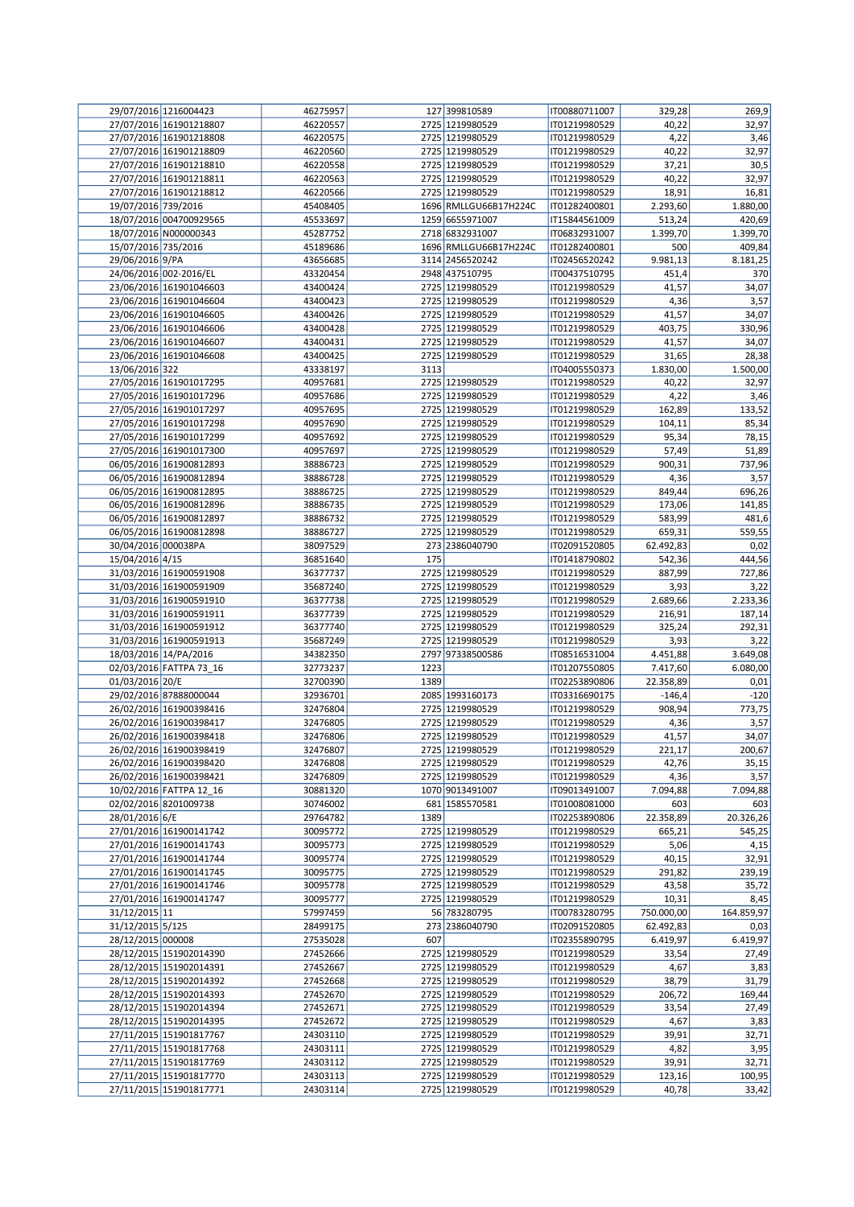|                     | 29/07/2016 1216004423   | 46275957 |      | 127 399810589         | IT00880711007 | 329,28     | 269,9      |
|---------------------|-------------------------|----------|------|-----------------------|---------------|------------|------------|
|                     | 27/07/2016 161901218807 | 46220557 |      | 2725 1219980529       | IT01219980529 | 40,22      | 32,97      |
|                     | 27/07/2016 161901218808 | 46220575 |      | 2725 1219980529       | IT01219980529 | 4,22       | 3,46       |
|                     | 27/07/2016 161901218809 | 46220560 |      | 2725 1219980529       | IT01219980529 | 40,22      | 32,97      |
|                     | 27/07/2016 161901218810 | 46220558 |      | 2725 1219980529       | IT01219980529 | 37,21      | 30,5       |
|                     | 27/07/2016 161901218811 | 46220563 |      | 2725 1219980529       | IT01219980529 | 40,22      | 32,97      |
|                     |                         |          |      | 2725 1219980529       |               |            |            |
|                     | 27/07/2016 161901218812 | 46220566 |      |                       | IT01219980529 | 18,91      | 16,81      |
| 19/07/2016 739/2016 |                         | 45408405 |      | 1696 RMLLGU66B17H224C | IT01282400801 | 2.293,60   | 1.880,00   |
|                     | 18/07/2016 004700929565 | 45533697 |      | 1259 6655971007       | IT15844561009 | 513,24     | 420,69     |
|                     | 18/07/2016 N000000343   | 45287752 |      | 2718 6832931007       | IT06832931007 | 1.399,70   | 1.399,70   |
| 15/07/2016 735/2016 |                         | 45189686 |      | 1696 RMLLGU66B17H224C | IT01282400801 | 500        | 409,84     |
| 29/06/2016 9/PA     |                         | 43656685 |      | 3114 2456520242       | IT02456520242 | 9.981,13   | 8.181,25   |
|                     | 24/06/2016 002-2016/EL  | 43320454 |      | 2948 437510795        | IT00437510795 | 451,4      | 370        |
|                     | 23/06/2016 161901046603 | 43400424 |      | 2725 1219980529       | IT01219980529 | 41,57      | 34,07      |
|                     | 23/06/2016 161901046604 | 43400423 |      | 2725 1219980529       | IT01219980529 | 4,36       | 3,57       |
|                     | 23/06/2016 161901046605 | 43400426 |      | 2725 1219980529       | IT01219980529 | 41,57      | 34,07      |
|                     | 23/06/2016 161901046606 | 43400428 |      | 2725 1219980529       | IT01219980529 | 403,75     | 330,96     |
|                     |                         |          |      |                       |               |            |            |
|                     | 23/06/2016 161901046607 | 43400431 |      | 2725 1219980529       | IT01219980529 | 41,57      | 34,07      |
|                     | 23/06/2016 161901046608 | 43400425 |      | 2725 1219980529       | IT01219980529 | 31,65      | 28,38      |
| 13/06/2016 322      |                         | 43338197 | 3113 |                       | IT04005550373 | 1.830,00   | 1.500,00   |
|                     | 27/05/2016 161901017295 | 40957681 |      | 2725 1219980529       | IT01219980529 | 40,22      | 32,97      |
|                     | 27/05/2016 161901017296 | 40957686 |      | 2725 1219980529       | IT01219980529 | 4,22       | 3,46       |
|                     | 27/05/2016 161901017297 | 40957695 |      | 2725 1219980529       | IT01219980529 | 162,89     | 133,52     |
|                     | 27/05/2016 161901017298 | 40957690 |      | 2725 1219980529       | IT01219980529 | 104,11     | 85,34      |
|                     | 27/05/2016 161901017299 | 40957692 |      | 2725 1219980529       | IT01219980529 | 95,34      | 78,15      |
|                     | 27/05/2016 161901017300 | 40957697 |      | 2725 1219980529       | IT01219980529 | 57,49      | 51,89      |
|                     | 06/05/2016 161900812893 | 38886723 |      | 2725 1219980529       | IT01219980529 | 900,31     | 737,96     |
|                     | 06/05/2016 161900812894 |          |      |                       |               |            |            |
|                     |                         | 38886728 |      | 2725 1219980529       | IT01219980529 | 4,36       | 3,57       |
|                     | 06/05/2016 161900812895 | 38886725 |      | 2725 1219980529       | IT01219980529 | 849,44     | 696,26     |
|                     | 06/05/2016 161900812896 | 38886735 |      | 2725 1219980529       | IT01219980529 | 173,06     | 141,85     |
|                     | 06/05/2016 161900812897 | 38886732 |      | 2725 1219980529       | IT01219980529 | 583,99     | 481,6      |
|                     | 06/05/2016 161900812898 | 38886727 |      | 2725 1219980529       | IT01219980529 | 659,31     | 559,55     |
| 30/04/2016 000038PA |                         | 38097529 |      | 273 2386040790        | IT02091520805 | 62.492,83  | 0,02       |
| 15/04/2016 4/15     |                         | 36851640 | 175  |                       | IT01418790802 | 542,36     | 444,56     |
|                     | 31/03/2016 161900591908 | 36377737 |      | 2725 1219980529       | IT01219980529 | 887,99     | 727,86     |
|                     | 31/03/2016 161900591909 | 35687240 |      | 2725 1219980529       | IT01219980529 | 3,93       | 3,22       |
|                     | 31/03/2016 161900591910 | 36377738 |      | 2725 1219980529       | IT01219980529 | 2.689,66   | 2.233,36   |
|                     |                         |          |      | 2725 1219980529       |               |            |            |
|                     | 31/03/2016 161900591911 | 36377739 |      |                       | IT01219980529 | 216,91     | 187,14     |
|                     | 31/03/2016 161900591912 | 36377740 |      | 2725 1219980529       | IT01219980529 | 325,24     | 292,31     |
|                     | 31/03/2016 161900591913 | 35687249 |      | 2725 1219980529       | IT01219980529 | 3,93       | 3,22       |
|                     | 18/03/2016 14/PA/2016   | 34382350 |      | 2797 97338500586      | IT08516531004 | 4.451,88   | 3.649,08   |
|                     | 02/03/2016 FATTPA 73_16 | 32773237 | 1223 |                       | IT01207550805 | 7.417,60   | 6.080,00   |
| 01/03/2016 20/E     |                         | 32700390 | 1389 |                       | IT02253890806 | 22.358,89  | 0,01       |
|                     | 29/02/2016 87888000044  | 32936701 |      | 2085 1993160173       | IT03316690175 | $-146,4$   | $-120$     |
|                     | 26/02/2016 161900398416 | 32476804 |      | 2725 1219980529       | IT01219980529 | 908,94     | 773,75     |
|                     | 26/02/2016 161900398417 | 32476805 |      | 2725 1219980529       | IT01219980529 | 4,36       | 3,57       |
|                     | 26/02/2016 161900398418 | 32476806 |      | 2725 1219980529       | IT01219980529 | 41,57      | 34,07      |
|                     | 26/02/2016 161900398419 | 32476807 |      | 2725 1219980529       | IT01219980529 | 221,17     | 200,67     |
|                     | 26/02/2016 161900398420 | 32476808 |      | 2725 1219980529       | IT01219980529 | 42,76      | 35,15      |
|                     | 26/02/2016 161900398421 | 32476809 |      | 2725 1219980529       |               |            |            |
|                     |                         |          |      |                       | IT01219980529 | 4,36       | 3,57       |
|                     | 10/02/2016 FATTPA 12_16 | 30881320 |      | 1070 9013491007       | IT09013491007 | 7.094,88   | 7.094,88   |
|                     | 02/02/2016 8201009738   | 30746002 |      | 681 1585570581        | IT01008081000 | 603        | 603        |
| 28/01/2016 6/E      |                         | 29764782 | 1389 |                       | IT02253890806 | 22.358,89  | 20.326,26  |
|                     | 27/01/2016 161900141742 | 30095772 |      | 2725 1219980529       | IT01219980529 | 665,21     | 545,25     |
|                     | 27/01/2016 161900141743 | 30095773 |      | 2725 1219980529       | IT01219980529 | 5,06       | 4,15       |
|                     | 27/01/2016 161900141744 | 30095774 |      | 2725 1219980529       | IT01219980529 | 40,15      | 32,91      |
|                     | 27/01/2016 161900141745 | 30095775 |      | 2725 1219980529       | IT01219980529 | 291,82     | 239,19     |
|                     | 27/01/2016 161900141746 | 30095778 |      | 2725 1219980529       | IT01219980529 | 43,58      | 35,72      |
|                     | 27/01/2016 161900141747 | 30095777 |      | 2725 1219980529       | IT01219980529 | 10,31      | 8,45       |
| 31/12/2015 11       |                         | 57997459 |      | 56 783280795          | IT00783280795 | 750.000,00 | 164.859,97 |
| 31/12/2015 5/125    |                         | 28499175 |      | 273 2386040790        | IT02091520805 | 62.492,83  | 0,03       |
| 28/12/2015 000008   |                         | 27535028 | 607  |                       | IT02355890795 | 6.419,97   | 6.419,97   |
|                     |                         |          |      |                       |               |            |            |
|                     | 28/12/2015 151902014390 | 27452666 |      | 2725 1219980529       | IT01219980529 | 33,54      | 27,49      |
|                     | 28/12/2015 151902014391 | 27452667 |      | 2725 1219980529       | IT01219980529 | 4,67       | 3,83       |
|                     | 28/12/2015 151902014392 | 27452668 |      | 2725 1219980529       | IT01219980529 | 38,79      | 31,79      |
|                     | 28/12/2015 151902014393 | 27452670 |      | 2725 1219980529       | IT01219980529 | 206,72     | 169,44     |
|                     | 28/12/2015 151902014394 | 27452671 |      | 2725 1219980529       | IT01219980529 | 33,54      | 27,49      |
|                     | 28/12/2015 151902014395 | 27452672 |      | 2725 1219980529       | IT01219980529 | 4,67       | 3,83       |
|                     | 27/11/2015 151901817767 | 24303110 |      | 2725 1219980529       | IT01219980529 | 39,91      | 32,71      |
|                     | 27/11/2015 151901817768 | 24303111 |      | 2725 1219980529       | IT01219980529 | 4,82       | 3,95       |
|                     | 27/11/2015 151901817769 | 24303112 |      | 2725 1219980529       | IT01219980529 | 39,91      | 32,71      |
|                     | 27/11/2015 151901817770 | 24303113 |      | 2725 1219980529       | IT01219980529 | 123,16     | 100,95     |
|                     | 27/11/2015 151901817771 | 24303114 |      | 2725 1219980529       | IT01219980529 | 40,78      | 33,42      |
|                     |                         |          |      |                       |               |            |            |